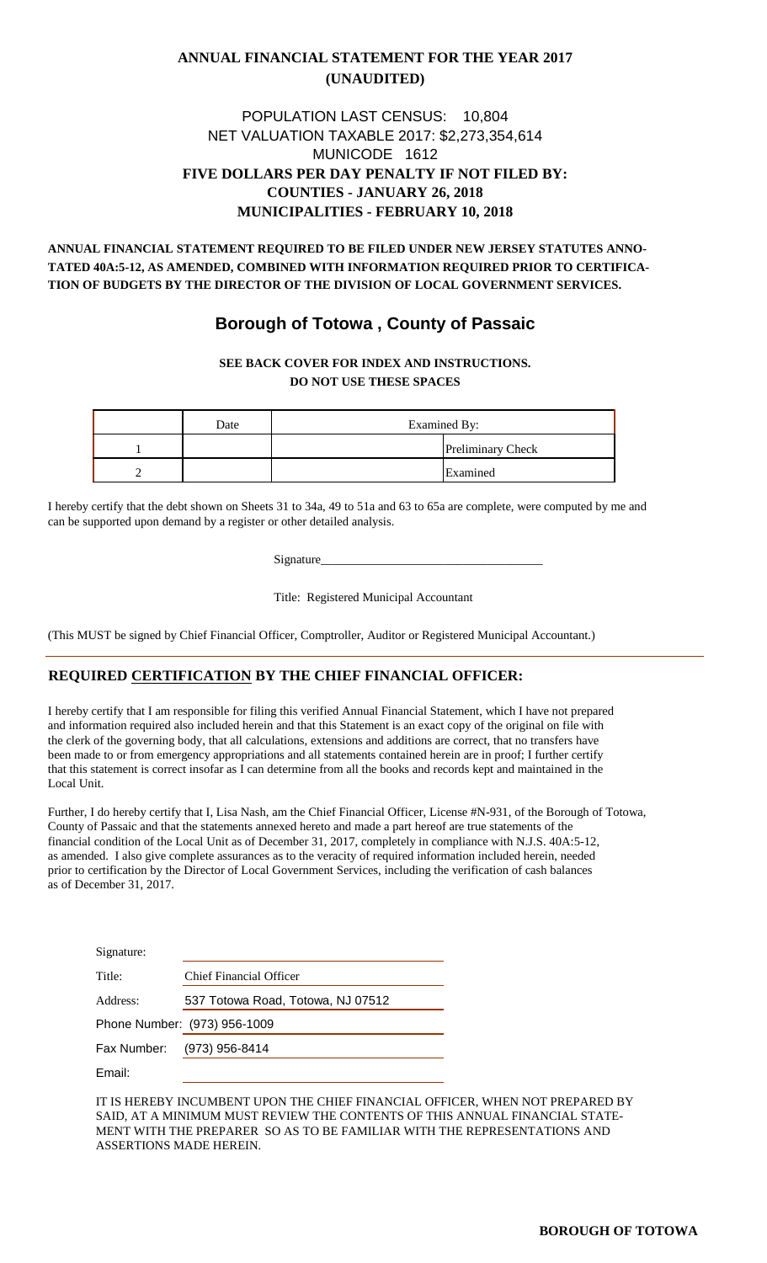### **ANNUAL FINANCIAL STATEMENT FOR THE YEAR 2017 (UNAUDITED)**

### **FIVE DOLLARS PER DAY PENALTY IF NOT FILED BY: COUNTIES - JANUARY 26, 2018 MUNICIPALITIES - FEBRUARY 10, 2018** MUNICODE 1612 POPULATION LAST CENSUS: 10,804 NET VALUATION TAXABLE 2017: \$2,273,354,614

**ANNUAL FINANCIAL STATEMENT REQUIRED TO BE FILED UNDER NEW JERSEY STATUTES ANNO-TATED 40A:5-12, AS AMENDED, COMBINED WITH INFORMATION REQUIRED PRIOR TO CERTIFICA-TION OF BUDGETS BY THE DIRECTOR OF THE DIVISION OF LOCAL GOVERNMENT SERVICES.**

### **Borough of Totowa , County of Passaic**

#### **SEE BACK COVER FOR INDEX AND INSTRUCTIONS. DO NOT USE THESE SPACES**

| Date | Examined By: |                          |  |
|------|--------------|--------------------------|--|
|      |              | <b>Preliminary Check</b> |  |
|      |              | Examined                 |  |

I hereby certify that the debt shown on Sheets 31 to 34a, 49 to 51a and 63 to 65a are complete, were computed by me and can be supported upon demand by a register or other detailed analysis.

Signature

Title: Registered Municipal Accountant

(This MUST be signed by Chief Financial Officer, Comptroller, Auditor or Registered Municipal Accountant.)

### **REQUIRED CERTIFICATION BY THE CHIEF FINANCIAL OFFICER:**

I hereby certify that I am responsible for filing this verified Annual Financial Statement, which I have not prepared and information required also included herein and that this Statement is an exact copy of the original on file with the clerk of the governing body, that all calculations, extensions and additions are correct, that no transfers have been made to or from emergency appropriations and all statements contained herein are in proof; I further certify that this statement is correct insofar as I can determine from all the books and records kept and maintained in the Local Unit.

Further, I do hereby certify that I, Lisa Nash, am the Chief Financial Officer, License #N-931, of the Borough of Totowa, County of Passaic and that the statements annexed hereto and made a part hereof are true statements of the financial condition of the Local Unit as of December 31, 2017, completely in compliance with N.J.S. 40A:5-12, as amended. I also give complete assurances as to the veracity of required information included herein, needed prior to certification by the Director of Local Government Services, including the verification of cash balances as of December 31, 2017.

| Signature: |                                   |
|------------|-----------------------------------|
| Title:     | Chief Financial Officer           |
| Address:   | 537 Totowa Road, Totowa, NJ 07512 |
|            | Phone Number: (973) 956-1009      |
|            | Fax Number: (973) 956-8414        |
| Email:     |                                   |

IT IS HEREBY INCUMBENT UPON THE CHIEF FINANCIAL OFFICER, WHEN NOT PREPARED BY SAID, AT A MINIMUM MUST REVIEW THE CONTENTS OF THIS ANNUAL FINANCIAL STATE-MENT WITH THE PREPARER SO AS TO BE FAMILIAR WITH THE REPRESENTATIONS AND ASSERTIONS MADE HEREIN.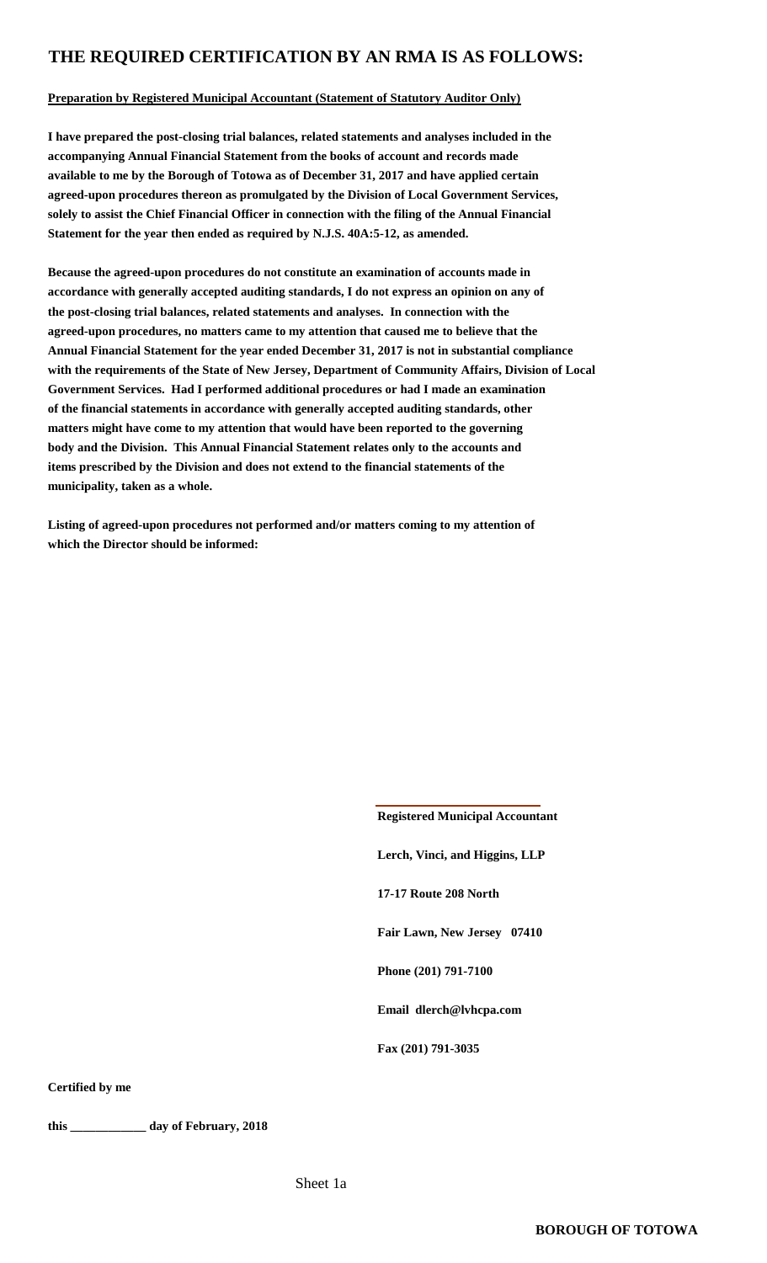### **THE REQUIRED CERTIFICATION BY AN RMA IS AS FOLLOWS:**

#### **Preparation by Registered Municipal Accountant (Statement of Statutory Auditor Only)**

**I have prepared the post-closing trial balances, related statements and analyses included in the accompanying Annual Financial Statement from the books of account and records made available to me by the Borough of Totowa as of December 31, 2017 and have applied certain agreed-upon procedures thereon as promulgated by the Division of Local Government Services, solely to assist the Chief Financial Officer in connection with the filing of the Annual Financial Statement for the year then ended as required by N.J.S. 40A:5-12, as amended.**

**Because the agreed-upon procedures do not constitute an examination of accounts made in accordance with generally accepted auditing standards, I do not express an opinion on any of the post-closing trial balances, related statements and analyses. In connection with the agreed-upon procedures, no matters came to my attention that caused me to believe that the Annual Financial Statement for the year ended December 31, 2017 is not in substantial compliance with the requirements of the State of New Jersey, Department of Community Affairs, Division of Local Government Services. Had I performed additional procedures or had I made an examination of the financial statements in accordance with generally accepted auditing standards, other matters might have come to my attention that would have been reported to the governing body and the Division. This Annual Financial Statement relates only to the accounts and items prescribed by the Division and does not extend to the financial statements of the municipality, taken as a whole.**

**Listing of agreed-upon procedures not performed and/or matters coming to my attention of which the Director should be informed:**

> **Registered Municipal Accountant Lerch, Vinci, and Higgins, LLP 17-17 Route 208 North Fair Lawn, New Jersey 07410 Phone (201) 791-7100 Email dlerch@lvhcpa.com Fax (201) 791-3035**

**Certified by me**

**this \_\_\_\_\_\_\_\_\_\_\_\_ day of February, 2018**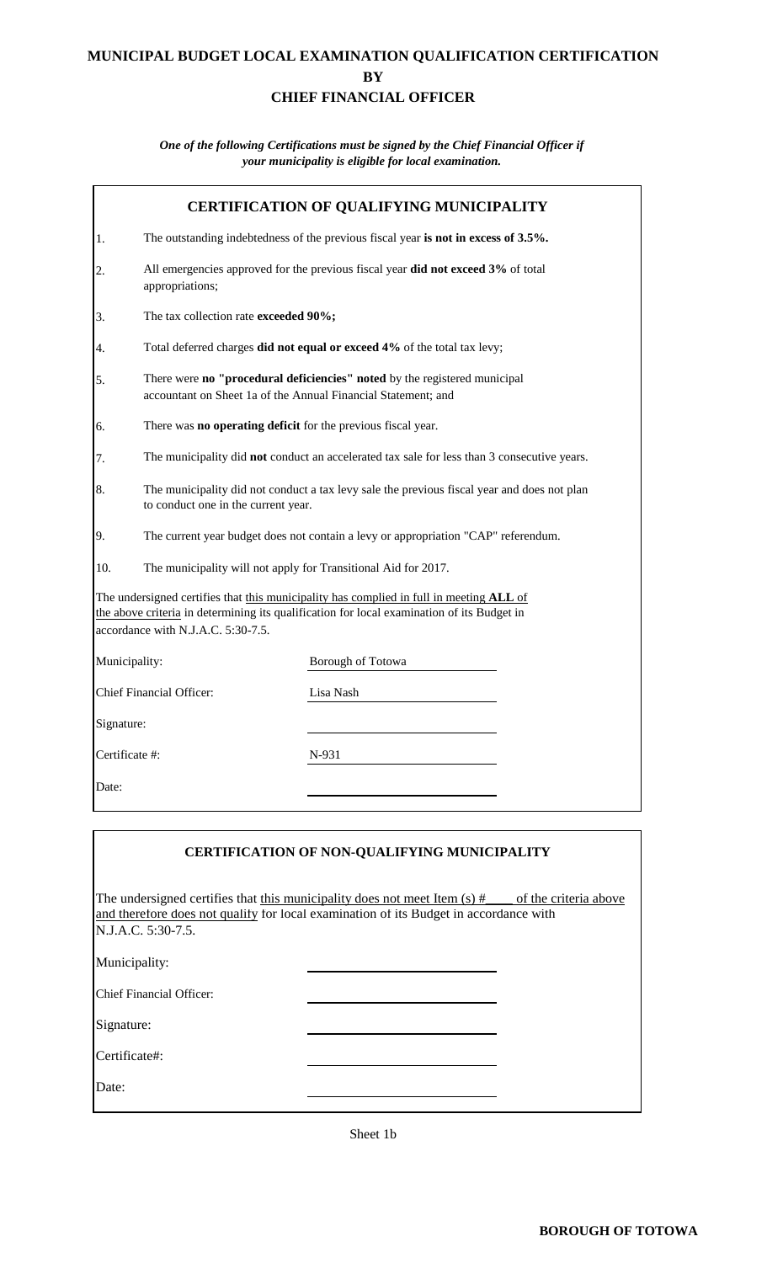### **MUNICIPAL BUDGET LOCAL EXAMINATION QUALIFICATION CERTIFICATION BY CHIEF FINANCIAL OFFICER**

#### *your municipality is eligible for local examination. One of the following Certifications must be signed by the Chief Financial Officer if*

|                |                                                                                                                                            | <b>CERTIFICATION OF QUALIFYING MUNICIPALITY</b>                                                                                                                                               |  |  |  |  |
|----------------|--------------------------------------------------------------------------------------------------------------------------------------------|-----------------------------------------------------------------------------------------------------------------------------------------------------------------------------------------------|--|--|--|--|
| 1.             |                                                                                                                                            | The outstanding indebtedness of the previous fiscal year is not in excess of 3.5%.                                                                                                            |  |  |  |  |
| 2.             | appropriations;                                                                                                                            | All emergencies approved for the previous fiscal year did not exceed 3% of total                                                                                                              |  |  |  |  |
| 3.             | The tax collection rate exceeded 90%;                                                                                                      |                                                                                                                                                                                               |  |  |  |  |
| 4.             |                                                                                                                                            | Total deferred charges did not equal or exceed 4% of the total tax levy;                                                                                                                      |  |  |  |  |
| 5.             | There were no "procedural deficiencies" noted by the registered municipal<br>accountant on Sheet 1a of the Annual Financial Statement; and |                                                                                                                                                                                               |  |  |  |  |
| 6.             | There was no operating deficit for the previous fiscal year.                                                                               |                                                                                                                                                                                               |  |  |  |  |
| 7.             |                                                                                                                                            | The municipality did not conduct an accelerated tax sale for less than 3 consecutive years.                                                                                                   |  |  |  |  |
| 8.             | The municipality did not conduct a tax levy sale the previous fiscal year and does not plan<br>to conduct one in the current year.         |                                                                                                                                                                                               |  |  |  |  |
| 9.             | The current year budget does not contain a levy or appropriation "CAP" referendum.                                                         |                                                                                                                                                                                               |  |  |  |  |
| 10.            |                                                                                                                                            | The municipality will not apply for Transitional Aid for 2017.                                                                                                                                |  |  |  |  |
|                | accordance with N.J.A.C. 5:30-7.5.                                                                                                         | The undersigned certifies that this municipality has complied in full in meeting ALL of<br>the above criteria in determining its qualification for local examination of its Budget in         |  |  |  |  |
| Municipality:  |                                                                                                                                            | Borough of Totowa                                                                                                                                                                             |  |  |  |  |
|                | <b>Chief Financial Officer:</b>                                                                                                            | Lisa Nash                                                                                                                                                                                     |  |  |  |  |
| Signature:     |                                                                                                                                            |                                                                                                                                                                                               |  |  |  |  |
| Certificate #: |                                                                                                                                            | N-931                                                                                                                                                                                         |  |  |  |  |
| Date:          |                                                                                                                                            |                                                                                                                                                                                               |  |  |  |  |
|                |                                                                                                                                            |                                                                                                                                                                                               |  |  |  |  |
|                |                                                                                                                                            | <b>CERTIFICATION OF NON-QUALIFYING MUNICIPALITY</b>                                                                                                                                           |  |  |  |  |
|                | N.J.A.C. 5:30-7.5.                                                                                                                         | The undersigned certifies that this municipality does not meet Item $(s)$ #<br>of the criteria above<br>and therefore does not qualify for local examination of its Budget in accordance with |  |  |  |  |
| Municipality:  |                                                                                                                                            |                                                                                                                                                                                               |  |  |  |  |
|                | <b>Chief Financial Officer:</b>                                                                                                            |                                                                                                                                                                                               |  |  |  |  |

Sheet 1b

Signature:

Certificate#:

Date: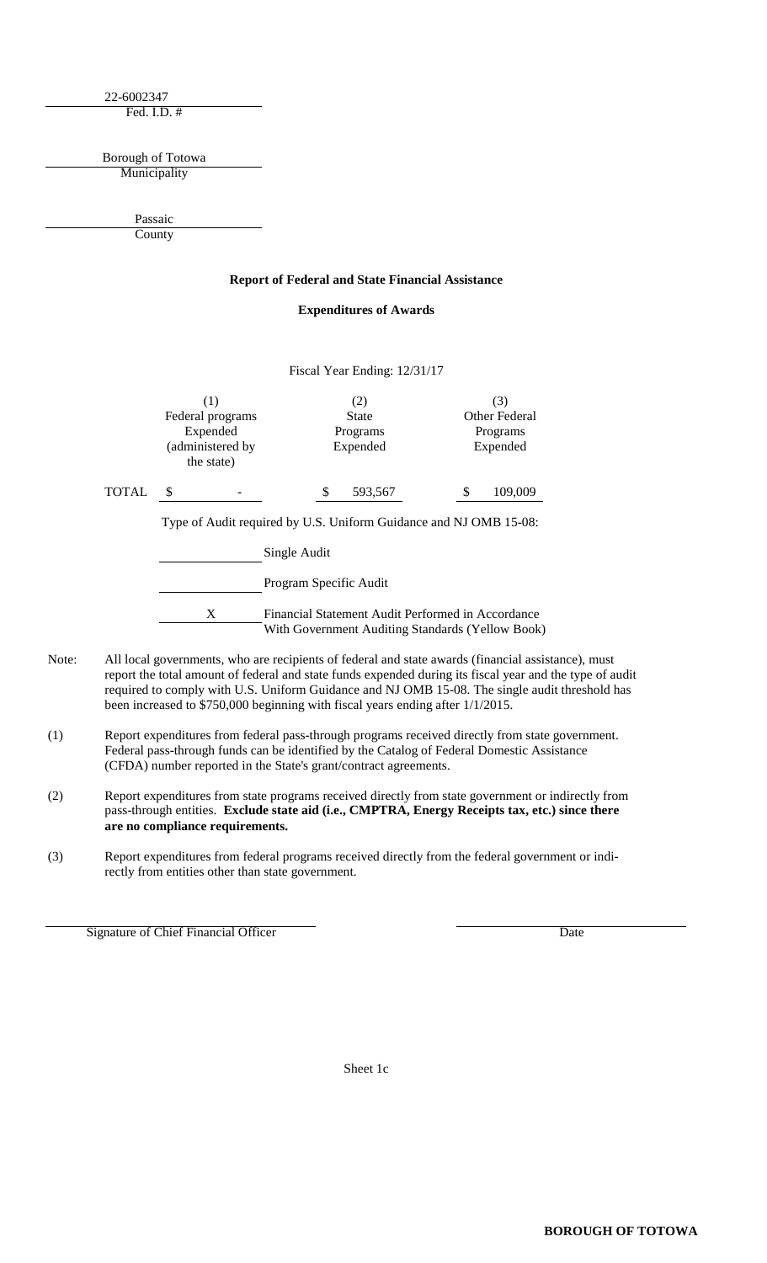22-6002347 Fed. I.D. #

Municipality Borough of Totowa

> **County** Passaic

#### **Report of Federal and State Financial Assistance**

#### **Expenditures of Awards**

Fiscal Year Ending: 12/31/17

|       |                                |  |          | $1.15$ car Tear Ending. $12/31/17$ |  |                      |  |  |
|-------|--------------------------------|--|----------|------------------------------------|--|----------------------|--|--|
|       |                                |  |          | (2)<br><b>State</b>                |  | (3)<br>Other Federal |  |  |
|       | Federal programs<br>Expended   |  | Programs |                                    |  | Programs             |  |  |
|       | (administered by<br>the state) |  |          | Expended                           |  | Expended             |  |  |
| TOTAL |                                |  |          | 593,567                            |  | 109,009              |  |  |

Type of Audit required by U.S. Uniform Guidance and NJ OMB 15-08:

Single Audit Program Specific Audit X Financial Statement Audit Performed in Accordance With Government Auditing Standards (Yellow Book)

- Note: All local governments, who are recipients of federal and state awards (financial assistance), must report the total amount of federal and state funds expended during its fiscal year and the type of audit required to comply with U.S. Uniform Guidance and NJ OMB 15-08. The single audit threshold has been increased to \$750,000 beginning with fiscal years ending after 1/1/2015.
- (1) Report expenditures from federal pass-through programs received directly from state government. Federal pass-through funds can be identified by the Catalog of Federal Domestic Assistance (CFDA) number reported in the State's grant/contract agreements.
- (2) Report expenditures from state programs received directly from state government or indirectly from pass-through entities. **Exclude state aid (i.e., CMPTRA, Energy Receipts tax, etc.) since there are no compliance requirements.**
- (3) Report expenditures from federal programs received directly from the federal government or indirectly from entities other than state government.

Signature of Chief Financial Officer Date

Sheet 1c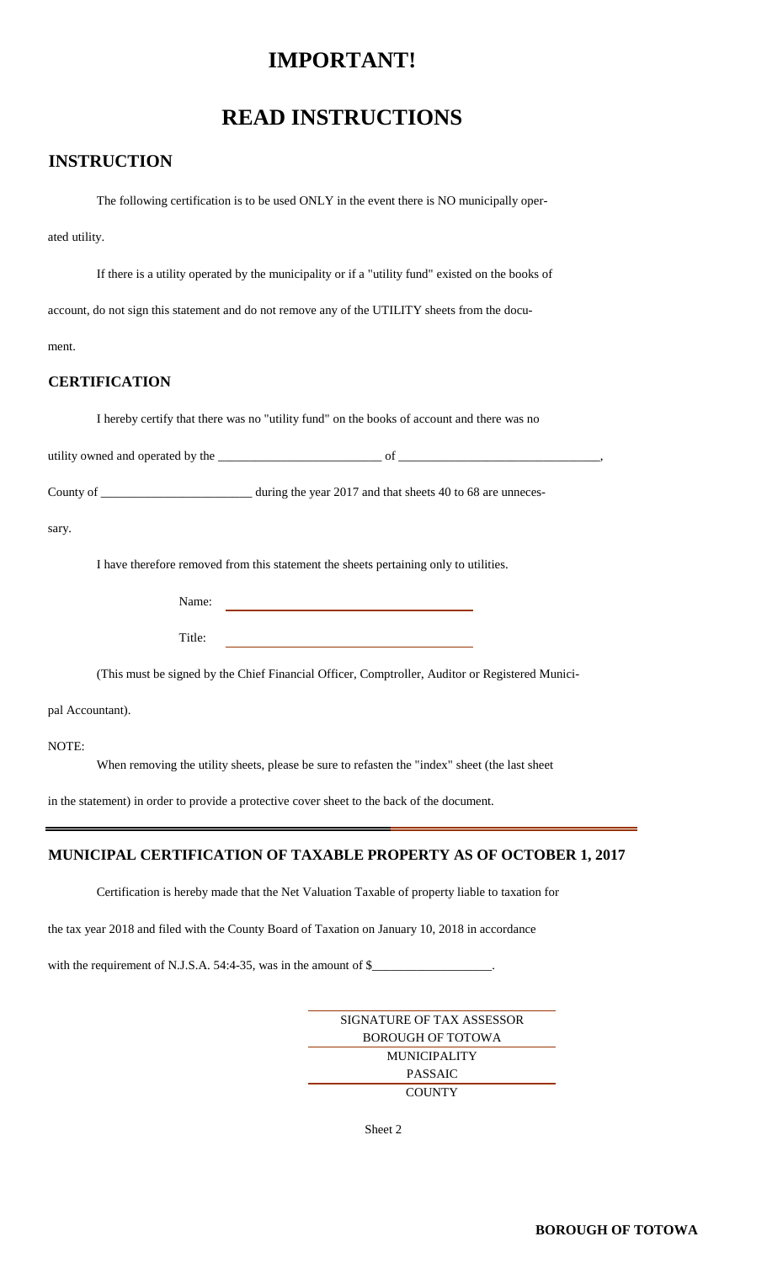### **IMPORTANT!**

### **READ INSTRUCTIONS**

### **INSTRUCTION**

The following certification is to be used ONLY in the event there is NO municipally oper-

ated utility.

If there is a utility operated by the municipality or if a "utility fund" existed on the books of

account, do not sign this statement and do not remove any of the UTILITY sheets from the docu-

ment.

### **CERTIFICATION**

I hereby certify that there was no "utility fund" on the books of account and there was no

utility owned and operated by the \_\_\_\_\_\_\_\_\_\_\_\_\_\_\_\_\_\_\_\_\_\_\_\_\_\_ of \_\_\_\_\_\_\_\_\_\_\_\_\_\_\_\_\_\_\_\_\_\_\_\_\_\_\_\_\_\_\_\_,

County of \_\_\_\_\_\_\_\_\_\_\_\_\_\_\_\_\_\_\_\_\_\_\_\_\_\_\_\_\_ during the year 2017 and that sheets 40 to 68 are unneces-

sary.

I have therefore removed from this statement the sheets pertaining only to utilities.

Name:

Title:

(This must be signed by the Chief Financial Officer, Comptroller, Auditor or Registered Munici-

<u> 1980 - Johann Barbara, martxa a</u>

pal Accountant).

NOTE:

When removing the utility sheets, please be sure to refasten the "index" sheet (the last sheet

in the statement) in order to provide a protective cover sheet to the back of the document.

#### **MUNICIPAL CERTIFICATION OF TAXABLE PROPERTY AS OF OCTOBER 1, 2017**

Certification is hereby made that the Net Valuation Taxable of property liable to taxation for

the tax year 2018 and filed with the County Board of Taxation on January 10, 2018 in accordance

with the requirement of N.J.S.A. 54:4-35, was in the amount of  $\frac{8}{2}$ 

SIGNATURE OF TAX ASSESSOR MUNICIPALITY **COUNTY** BOROUGH OF TOTOWA PASSAIC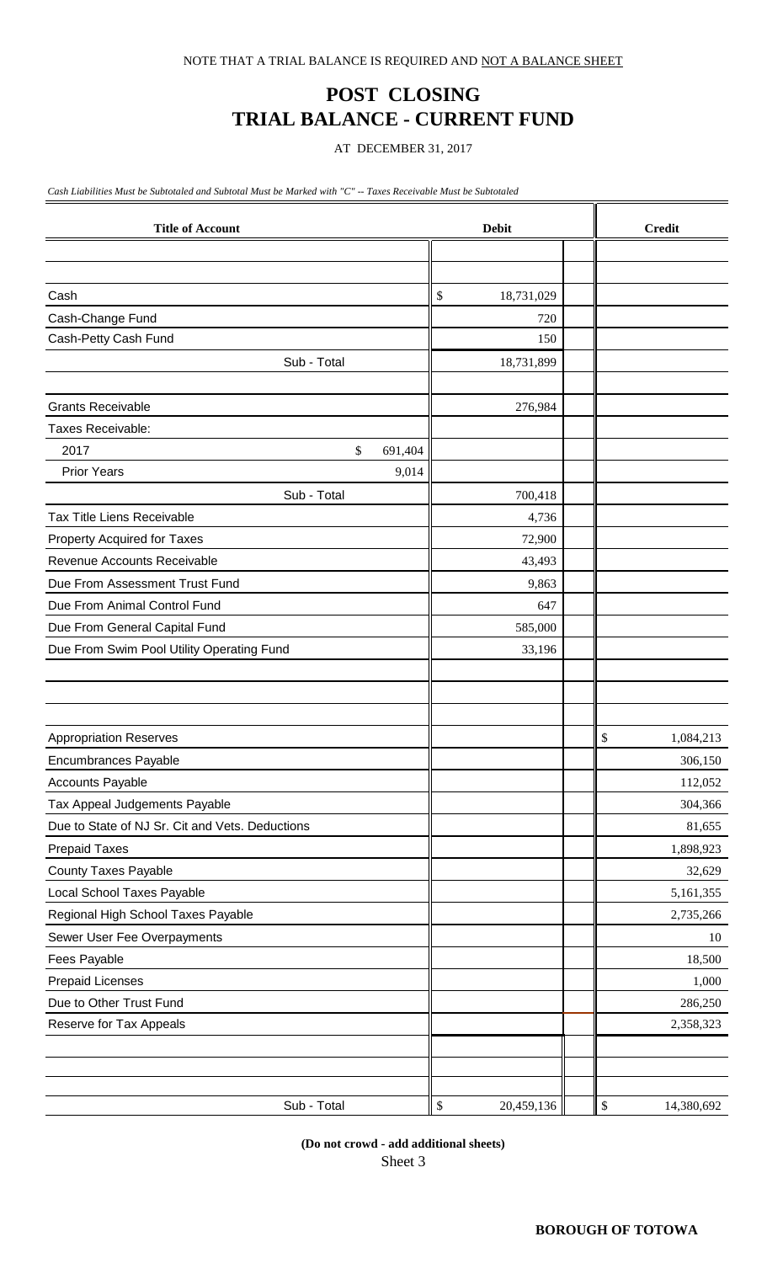## **POST CLOSING TRIAL BALANCE - CURRENT FUND**

AT DECEMBER 31, 2017

*Cash Liabilities Must be Subtotaled and Subtotal Must be Marked with "C" -- Taxes Receivable Must be Subtotaled*

| <b>Title of Account</b>                                    | <b>Debit</b>       | <b>Credit</b>      |
|------------------------------------------------------------|--------------------|--------------------|
|                                                            |                    |                    |
|                                                            |                    |                    |
| Cash                                                       | 18,731,029<br>\$   |                    |
| Cash-Change Fund                                           | 720                |                    |
| Cash-Petty Cash Fund                                       | 150                |                    |
| Sub - Total                                                | 18,731,899         |                    |
| <b>Grants Receivable</b>                                   | 276,984            |                    |
| Taxes Receivable:                                          |                    |                    |
| 2017                                                       |                    |                    |
| \$<br>691,404<br><b>Prior Years</b><br>9,014               |                    |                    |
| Sub - Total                                                | 700,418            |                    |
| Tax Title Liens Receivable                                 |                    |                    |
|                                                            | 4,736              |                    |
| Property Acquired for Taxes<br>Revenue Accounts Receivable | 72,900<br>43,493   |                    |
| Due From Assessment Trust Fund                             |                    |                    |
| Due From Animal Control Fund                               | 9,863              |                    |
|                                                            | 647                |                    |
| Due From General Capital Fund                              | 585,000            |                    |
| Due From Swim Pool Utility Operating Fund                  | 33,196             |                    |
|                                                            |                    |                    |
|                                                            |                    |                    |
| <b>Appropriation Reserves</b>                              |                    | \$<br>1,084,213    |
| <b>Encumbrances Payable</b>                                |                    | 306,150            |
| <b>Accounts Payable</b>                                    |                    | 112,052            |
| Tax Appeal Judgements Payable                              |                    | 304,366            |
| Due to State of NJ Sr. Cit and Vets. Deductions            |                    | 81,655             |
| <b>Prepaid Taxes</b>                                       |                    | 1,898,923          |
| <b>County Taxes Payable</b>                                |                    | 32,629             |
| Local School Taxes Payable                                 |                    | 5,161,355          |
| Regional High School Taxes Payable                         |                    | 2,735,266          |
| Sewer User Fee Overpayments                                |                    | 10                 |
| Fees Payable                                               |                    | 18,500             |
| <b>Prepaid Licenses</b>                                    |                    | 1,000              |
| Due to Other Trust Fund                                    |                    | 286,250            |
| Reserve for Tax Appeals                                    |                    | 2,358,323          |
|                                                            |                    |                    |
|                                                            |                    |                    |
|                                                            |                    |                    |
| Sub - Total                                                | $\$$<br>20,459,136 | $\$$<br>14,380,692 |

**(Do not crowd - add additional sheets)** Sheet 3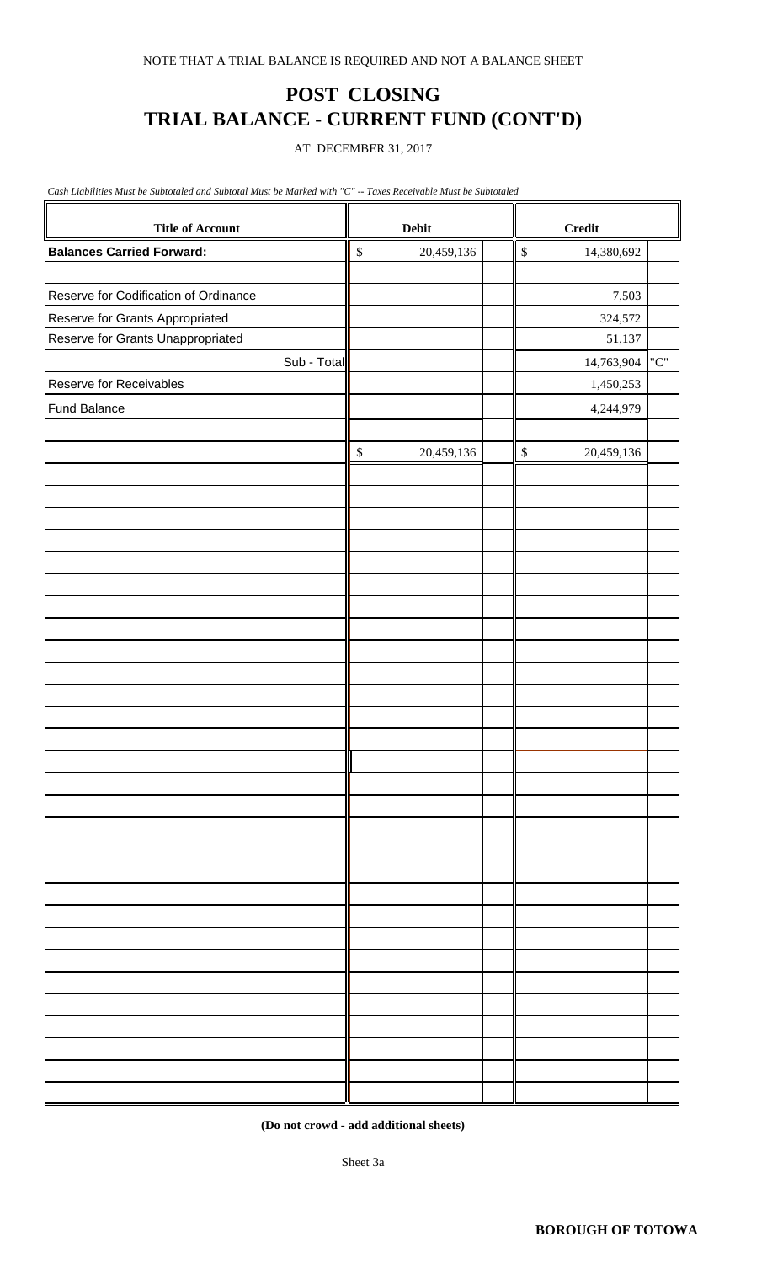## **POST CLOSING TRIAL BALANCE - CURRENT FUND (CONT'D)**

AT DECEMBER 31, 2017

*Cash Liabilities Must be Subtotaled and Subtotal Must be Marked with "C" -- Taxes Receivable Must be Subtotaled*

| <b>Title of Account</b>               | <b>Debit</b>               |              | <b>Credit</b> |                                   |  |
|---------------------------------------|----------------------------|--------------|---------------|-----------------------------------|--|
| <b>Balances Carried Forward:</b>      | $\mathbb{S}$<br>20,459,136 | $\mathbb{S}$ | 14,380,692    |                                   |  |
|                                       |                            |              |               |                                   |  |
| Reserve for Codification of Ordinance |                            |              | 7,503         |                                   |  |
| Reserve for Grants Appropriated       |                            |              | 324,572       |                                   |  |
| Reserve for Grants Unappropriated     |                            |              | 51,137        |                                   |  |
| Sub - Total                           |                            |              | 14,763,904    | $^{\prime\prime}C^{\prime\prime}$ |  |
| Reserve for Receivables               |                            |              | 1,450,253     |                                   |  |
| <b>Fund Balance</b>                   |                            |              | 4,244,979     |                                   |  |
|                                       |                            |              |               |                                   |  |
|                                       | $\mathbb{S}$<br>20,459,136 | $\mathbb{S}$ | 20,459,136    |                                   |  |
|                                       |                            |              |               |                                   |  |
|                                       |                            |              |               |                                   |  |
|                                       |                            |              |               |                                   |  |
|                                       |                            |              |               |                                   |  |
|                                       |                            |              |               |                                   |  |
|                                       |                            |              |               |                                   |  |
|                                       |                            |              |               |                                   |  |
|                                       |                            |              |               |                                   |  |
|                                       |                            |              |               |                                   |  |
|                                       |                            |              |               |                                   |  |
|                                       |                            |              |               |                                   |  |
|                                       |                            |              |               |                                   |  |
|                                       |                            |              |               |                                   |  |
|                                       |                            |              |               |                                   |  |
|                                       |                            |              |               |                                   |  |
|                                       |                            |              |               |                                   |  |
|                                       |                            |              |               |                                   |  |
|                                       |                            |              |               |                                   |  |
|                                       |                            |              |               |                                   |  |
|                                       |                            |              |               |                                   |  |
|                                       |                            |              |               |                                   |  |
|                                       |                            |              |               |                                   |  |
|                                       |                            |              |               |                                   |  |
|                                       |                            |              |               |                                   |  |
|                                       |                            |              |               |                                   |  |
|                                       |                            |              |               |                                   |  |
|                                       |                            |              |               |                                   |  |
|                                       |                            |              |               |                                   |  |
|                                       |                            |              |               |                                   |  |
|                                       |                            |              |               |                                   |  |

**(Do not crowd - add additional sheets)**

Sheet 3a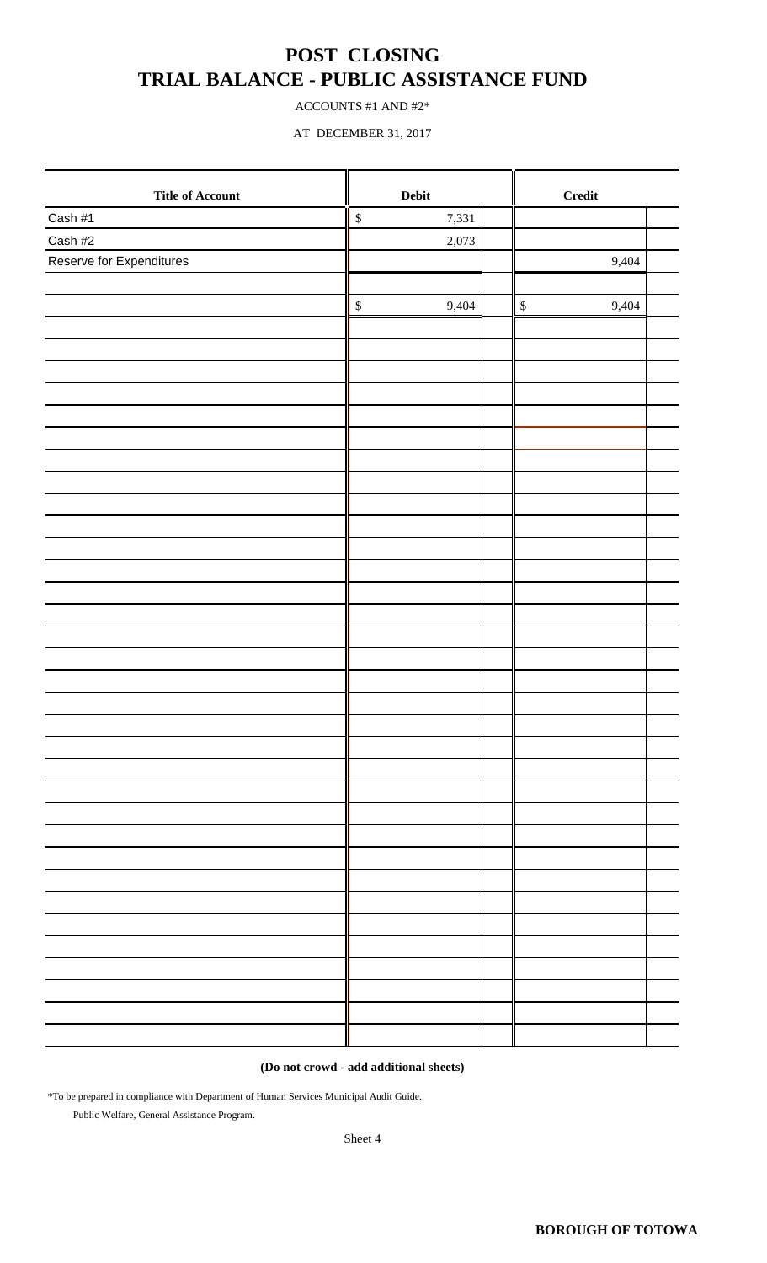### **POST CLOSING TRIAL BALANCE - PUBLIC ASSISTANCE FUND**

ACCOUNTS #1 AND #2\*

AT DECEMBER 31, 2017

| <b>Title of Account</b>  | Debit                      | Credit                |  |
|--------------------------|----------------------------|-----------------------|--|
| Cash #1                  | $\boldsymbol{\$}$<br>7,331 |                       |  |
| Cash #2                  | 2,073                      |                       |  |
| Reserve for Expenditures |                            | 9,404                 |  |
|                          |                            |                       |  |
|                          | $\mathbb{S}$<br>9,404      | $\mathbb{S}$<br>9,404 |  |
|                          |                            |                       |  |
|                          |                            |                       |  |
|                          |                            |                       |  |
|                          |                            |                       |  |
|                          |                            |                       |  |
|                          |                            |                       |  |
|                          |                            |                       |  |
|                          |                            |                       |  |
|                          |                            |                       |  |
|                          |                            |                       |  |
|                          |                            |                       |  |
|                          |                            |                       |  |
|                          |                            |                       |  |
|                          |                            |                       |  |
|                          |                            |                       |  |
|                          |                            |                       |  |
|                          |                            |                       |  |
|                          |                            |                       |  |
|                          |                            |                       |  |
|                          |                            |                       |  |
|                          |                            |                       |  |
|                          |                            |                       |  |
|                          |                            |                       |  |
|                          |                            |                       |  |
|                          |                            |                       |  |
|                          |                            |                       |  |
|                          |                            |                       |  |
|                          |                            |                       |  |
|                          |                            |                       |  |
|                          |                            |                       |  |
|                          |                            |                       |  |
|                          |                            |                       |  |
|                          |                            |                       |  |

**(Do not crowd - add additional sheets)**

\*To be prepared in compliance with Department of Human Services Municipal Audit Guide.

Public Welfare, General Assistance Program.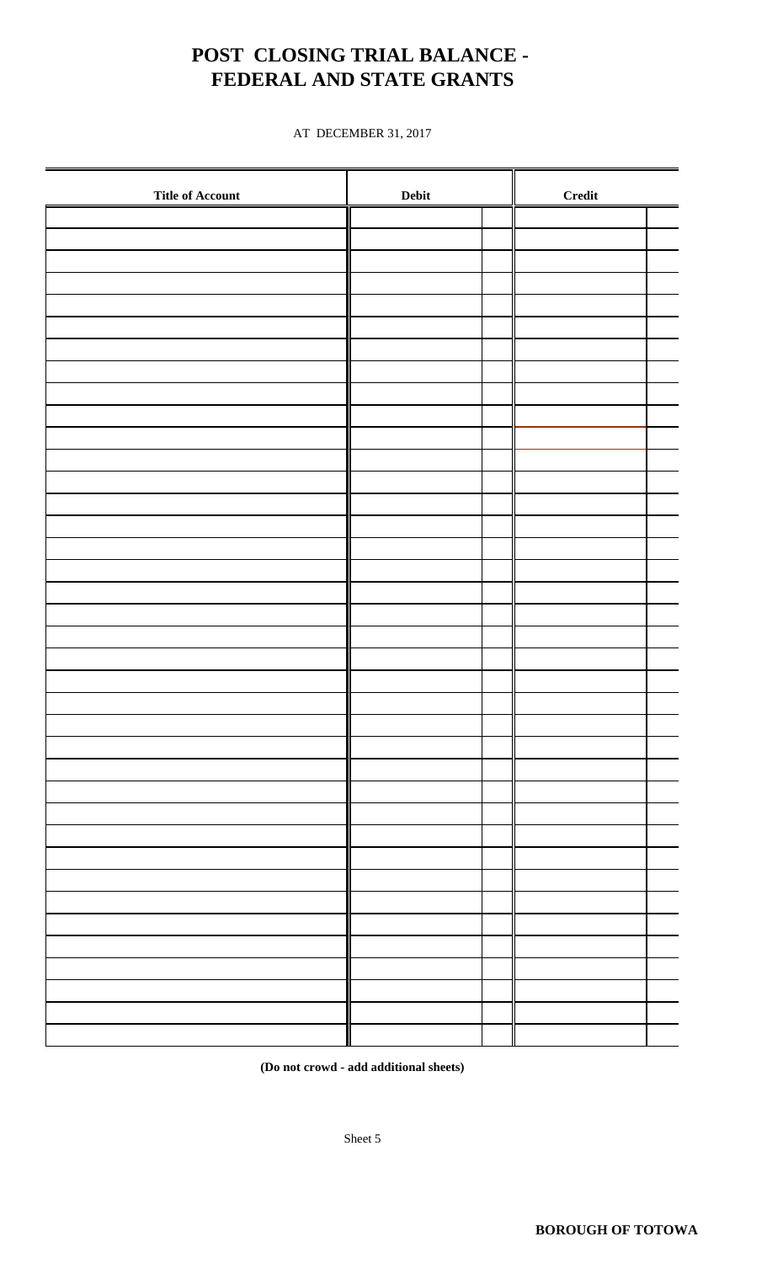## **POST CLOSING TRIAL BALANCE - FEDERAL AND STATE GRANTS**

AT DECEMBER 31, 2017

| <b>Title of Account</b> |  | <b>Credit</b> |  |
|-------------------------|--|---------------|--|
|                         |  |               |  |
|                         |  |               |  |
|                         |  |               |  |
|                         |  |               |  |
|                         |  |               |  |
|                         |  |               |  |
|                         |  |               |  |
|                         |  |               |  |
|                         |  |               |  |
|                         |  |               |  |
|                         |  |               |  |
|                         |  |               |  |
|                         |  |               |  |
|                         |  |               |  |
|                         |  |               |  |
|                         |  |               |  |
|                         |  |               |  |
|                         |  |               |  |
|                         |  |               |  |
|                         |  |               |  |
|                         |  |               |  |
|                         |  |               |  |
|                         |  |               |  |
|                         |  |               |  |
|                         |  |               |  |
|                         |  |               |  |
|                         |  |               |  |
|                         |  |               |  |
|                         |  |               |  |
|                         |  |               |  |
|                         |  |               |  |
|                         |  |               |  |
|                         |  |               |  |
|                         |  |               |  |
|                         |  |               |  |
|                         |  |               |  |
|                         |  |               |  |
|                         |  |               |  |

**(Do not crowd - add additional sheets)**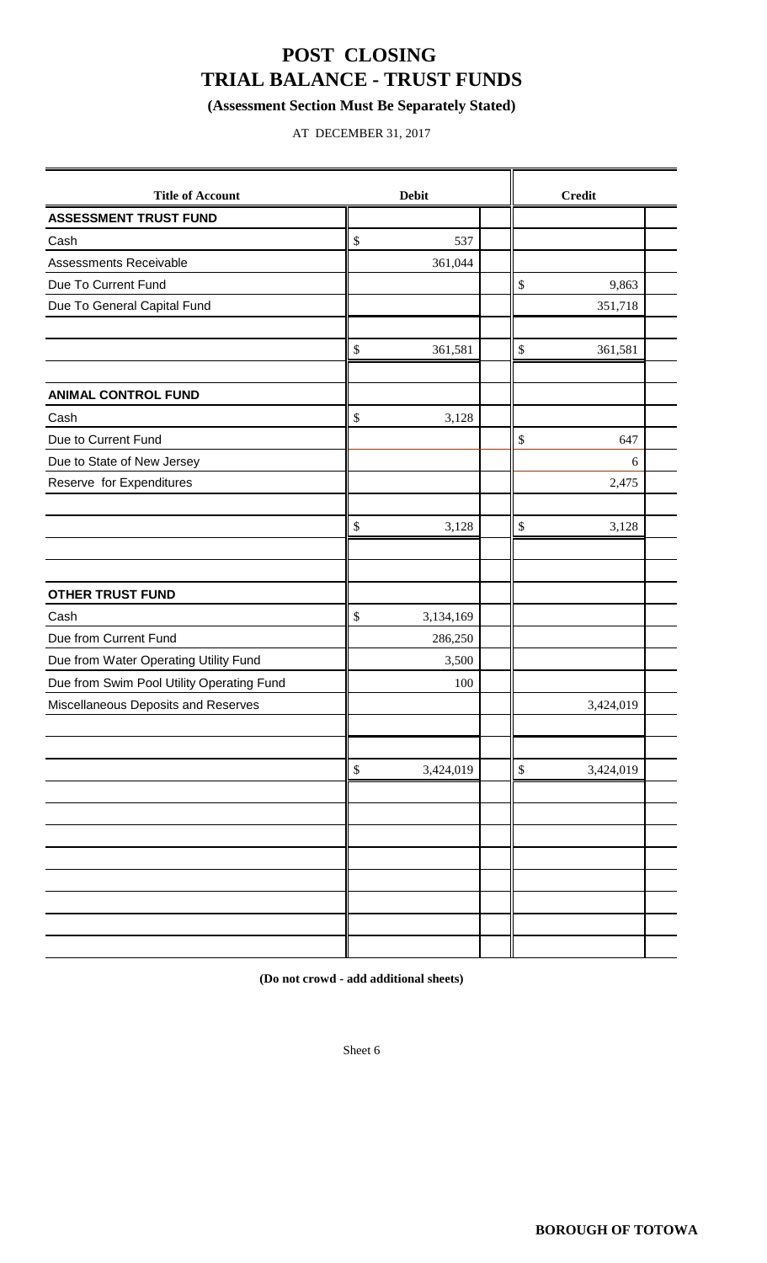## **POST CLOSING TRIAL BALANCE - TRUST FUNDS**

### **(Assessment Section Must Be Separately Stated)**

AT DECEMBER 31, 2017

| <b>Title of Account</b>                   | <b>Debit</b>    |              | <b>Credit</b> |  |
|-------------------------------------------|-----------------|--------------|---------------|--|
| <b>ASSESSMENT TRUST FUND</b>              |                 |              |               |  |
| Cash                                      | \$<br>537       |              |               |  |
| Assessments Receivable                    | 361,044         |              |               |  |
| Due To Current Fund                       |                 | \$           | 9,863         |  |
| Due To General Capital Fund               |                 |              | 351,718       |  |
|                                           |                 |              |               |  |
|                                           | \$<br>361,581   | $\mathbb{S}$ | 361,581       |  |
|                                           |                 |              |               |  |
| <b>ANIMAL CONTROL FUND</b>                |                 |              |               |  |
| Cash                                      | \$<br>3,128     |              |               |  |
| Due to Current Fund                       |                 | $\$\,$       | 647           |  |
| Due to State of New Jersey                |                 |              | 6             |  |
| Reserve for Expenditures                  |                 |              | 2,475         |  |
|                                           |                 |              |               |  |
|                                           | \$<br>3,128     | $\$$         | 3,128         |  |
|                                           |                 |              |               |  |
|                                           |                 |              |               |  |
| <b>OTHER TRUST FUND</b>                   |                 |              |               |  |
| Cash                                      | \$<br>3,134,169 |              |               |  |
| Due from Current Fund                     | 286,250         |              |               |  |
| Due from Water Operating Utility Fund     | 3,500           |              |               |  |
| Due from Swim Pool Utility Operating Fund | 100             |              |               |  |
| Miscellaneous Deposits and Reserves       |                 |              | 3,424,019     |  |
|                                           |                 |              |               |  |
|                                           |                 |              |               |  |
|                                           | \$<br>3,424,019 | $\$$         | 3,424,019     |  |
|                                           |                 |              |               |  |
|                                           |                 |              |               |  |
|                                           |                 |              |               |  |
|                                           |                 |              |               |  |
|                                           |                 |              |               |  |
|                                           |                 |              |               |  |
|                                           |                 |              |               |  |
|                                           |                 |              |               |  |

**(Do not crowd - add additional sheets)**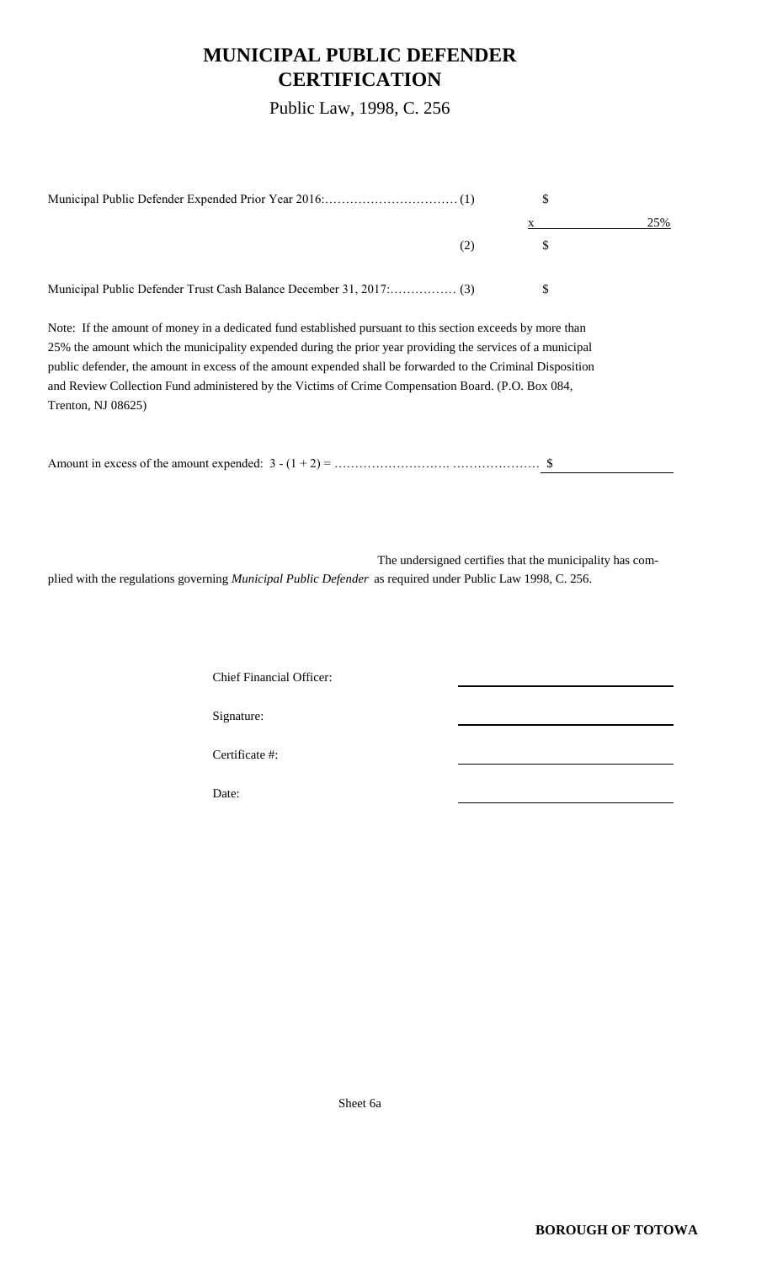### **MUNICIPAL PUBLIC DEFENDER CERTIFICATION**

Public Law, 1998, C. 256

|     | 25% |
|-----|-----|
| (2) |     |
|     |     |

Note: If the amount of money in a dedicated fund established pursuant to this section exceeds by more than 25% the amount which the municipality expended during the prior year providing the services of a municipal public defender, the amount in excess of the amount expended shall be forwarded to the Criminal Disposition and Review Collection Fund administered by the Victims of Crime Compensation Board. (P.O. Box 084, Trenton, NJ 08625)

The undersigned certifies that the municipality has complied with the regulations governing *Municipal Public Defender* as required under Public Law 1998, C. 256.

Chief Financial Officer:

Signature:

Certificate #:

Date:

Sheet 6a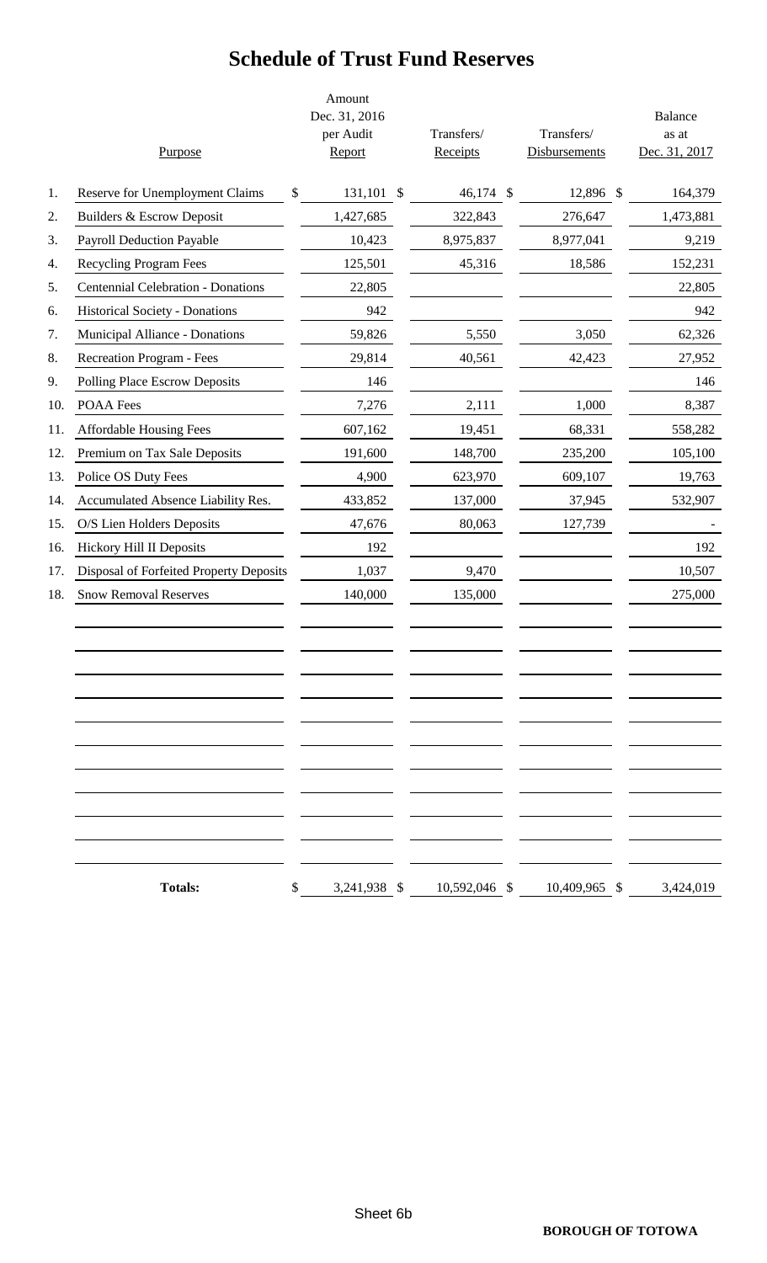# **Schedule of Trust Fund Reserves**

|     | Purpose                                   | Amount<br>Dec. 31, 2016<br>per Audit<br>Report | Transfers/<br>Receipts | Transfers/<br><b>Disbursements</b> | <b>Balance</b><br>as at<br>Dec. 31, 2017 |
|-----|-------------------------------------------|------------------------------------------------|------------------------|------------------------------------|------------------------------------------|
| 1.  | Reserve for Unemployment Claims           | \$<br>131,101 \$                               | 46,174 \$              | 12,896 \$                          | 164,379                                  |
| 2.  | Builders & Escrow Deposit                 | 1,427,685                                      | 322,843                | 276,647                            | 1,473,881                                |
| 3.  | <b>Payroll Deduction Payable</b>          | 10,423                                         | 8,975,837              | 8,977,041                          | 9,219                                    |
| 4.  | Recycling Program Fees                    | 125,501                                        | 45,316                 | 18,586                             | 152,231                                  |
| 5.  | <b>Centennial Celebration - Donations</b> | 22,805                                         |                        |                                    | 22,805                                   |
| 6.  | <b>Historical Society - Donations</b>     | 942                                            |                        |                                    | 942                                      |
| 7.  | Municipal Alliance - Donations            | 59,826                                         | 5,550                  | 3,050                              | 62,326                                   |
| 8.  | <b>Recreation Program - Fees</b>          | 29,814                                         | 40,561                 | 42,423                             | 27,952                                   |
| 9.  | Polling Place Escrow Deposits             | 146                                            |                        |                                    | 146                                      |
| 10. | POAA Fees                                 | 7,276                                          | 2,111                  | 1,000                              | 8,387                                    |
| 11. | <b>Affordable Housing Fees</b>            | 607,162                                        | 19,451                 | 68,331                             | 558,282                                  |
| 12. | Premium on Tax Sale Deposits              | 191,600                                        | 148,700                | 235,200                            | 105,100                                  |
| 13. | Police OS Duty Fees                       | 4,900                                          | 623,970                | 609,107                            | 19,763                                   |
| 14. | Accumulated Absence Liability Res.        | 433,852                                        | 137,000                | 37,945                             | 532,907                                  |
| 15. | O/S Lien Holders Deposits                 | 47,676                                         | 80,063                 | 127,739                            |                                          |
| 16. | Hickory Hill II Deposits                  | 192                                            |                        |                                    | 192                                      |
| 17. | Disposal of Forfeited Property Deposits   | 1,037                                          | 9,470                  |                                    | 10,507                                   |
| 18. | <b>Snow Removal Reserves</b>              | 140,000                                        | 135,000                |                                    | 275,000                                  |
|     |                                           |                                                |                        |                                    |                                          |
|     | <b>Totals:</b>                            | \$<br>3,241,938 \$                             | 10,592,046 \$          | 10,409,965 \$                      | 3,424,019                                |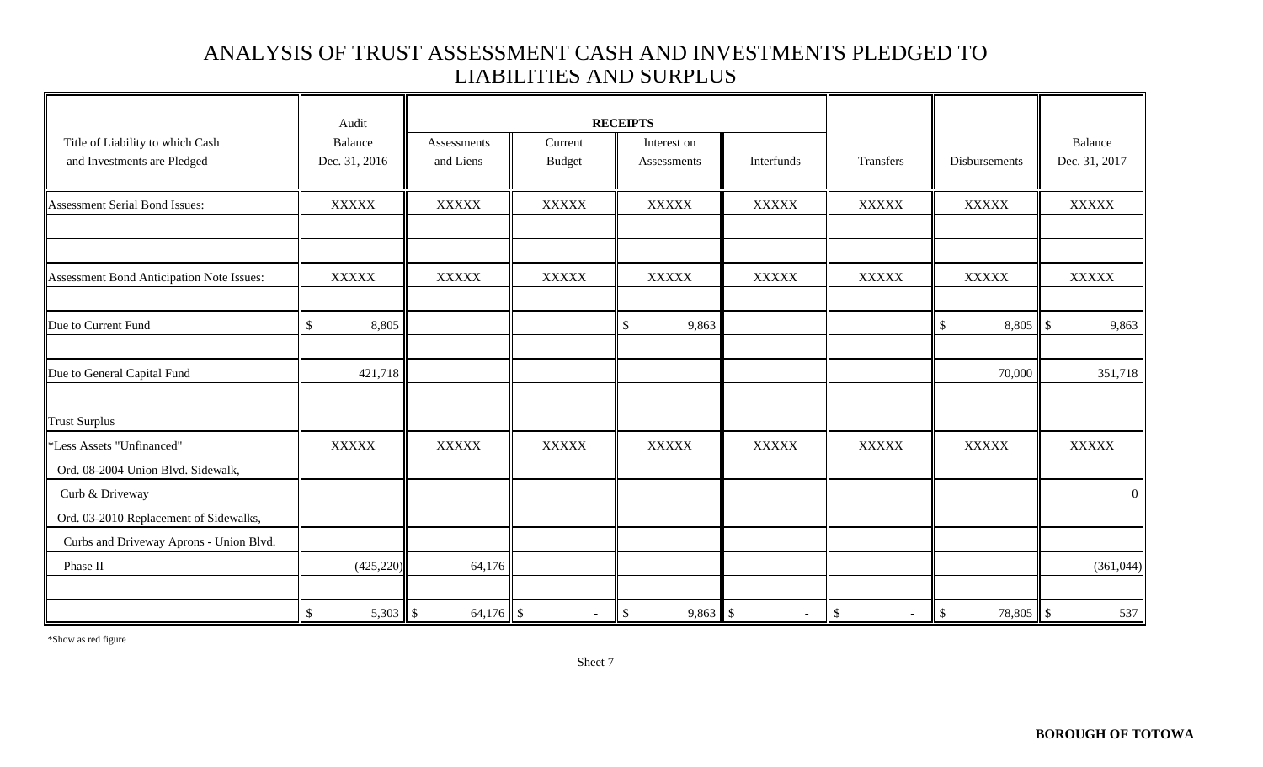### ANALYSIS OF TRUST ASSESSMENT CASH AND INVESTMENTS PLEDGED TO LIABILITIES AND SURPLUS

|                                           | Audit         |              |               | <b>RECEIPTS</b>        |              |                  |                 |                 |
|-------------------------------------------|---------------|--------------|---------------|------------------------|--------------|------------------|-----------------|-----------------|
| Title of Liability to which Cash          | Balance       | Assessments  | Current       | Interest on            |              |                  |                 | Balance         |
| and Investments are Pledged               | Dec. 31, 2016 | and Liens    | <b>Budget</b> | Assessments            | Interfunds   | Transfers        | Disbursements   | Dec. 31, 2017   |
| Assessment Serial Bond Issues:            | <b>XXXXX</b>  | <b>XXXXX</b> | <b>XXXXX</b>  | <b>XXXXX</b>           | <b>XXXXX</b> | <b>XXXXX</b>     | <b>XXXXX</b>    | <b>XXXXX</b>    |
|                                           |               |              |               |                        |              |                  |                 |                 |
| Assessment Bond Anticipation Note Issues: | <b>XXXXX</b>  | <b>XXXXX</b> | <b>XXXXX</b>  | <b>XXXXX</b>           | <b>XXXXX</b> | <b>XXXXX</b>     | <b>XXXXX</b>    | <b>XXXXX</b>    |
|                                           |               |              |               |                        |              |                  |                 |                 |
| Due to Current Fund                       | \$<br>8,805   |              |               | $\frac{1}{2}$<br>9,863 |              |                  | \$              | 9,863           |
| Due to General Capital Fund               | 421,718       |              |               |                        |              |                  | 70,000          | 351,718         |
| <b>Trust Surplus</b>                      |               |              |               |                        |              |                  |                 |                 |
| *Less Assets "Unfinanced"                 | <b>XXXXX</b>  | <b>XXXXX</b> | <b>XXXXX</b>  | <b>XXXXX</b>           | <b>XXXXX</b> | <b>XXXXX</b>     | <b>XXXXX</b>    | <b>XXXXX</b>    |
| Ord. 08-2004 Union Blvd. Sidewalk,        |               |              |               |                        |              |                  |                 |                 |
| Curb & Driveway                           |               |              |               |                        |              |                  |                 | $\vert 0 \vert$ |
| Ord. 03-2010 Replacement of Sidewalks,    |               |              |               |                        |              |                  |                 |                 |
| Curbs and Driveway Aprons - Union Blvd.   |               |              |               |                        |              |                  |                 |                 |
| Phase II                                  | (425, 220)    | 64,176       |               |                        |              |                  |                 | (361,044)       |
|                                           | $\mathbb{S}$  |              | $\sim$        | $9,863$ \$<br>\$       | $\sim$       | $\$\,$<br>$\sim$ | 78,805 \$<br>\$ | 537             |

\*Show as red figure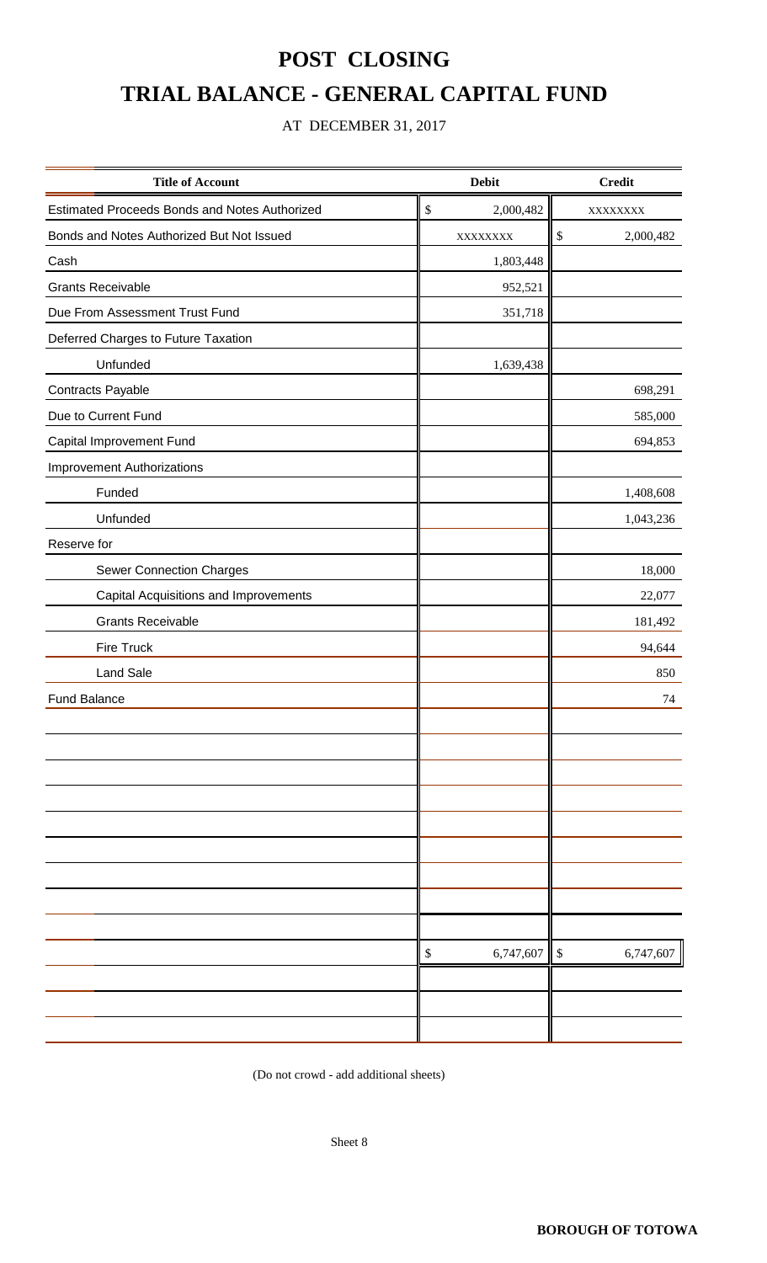# **POST CLOSING TRIAL BALANCE - GENERAL CAPITAL FUND**

### AT DECEMBER 31, 2017

| <b>Title of Account</b>                       | <b>Debit</b>    | <b>Credit</b>       |  |  |
|-----------------------------------------------|-----------------|---------------------|--|--|
| Estimated Proceeds Bonds and Notes Authorized | \$<br>2,000,482 | XXXXXXXX            |  |  |
| Bonds and Notes Authorized But Not Issued     | XXXXXXXX        | $\$\,$<br>2,000,482 |  |  |
| Cash                                          | 1,803,448       |                     |  |  |
| <b>Grants Receivable</b>                      | 952,521         |                     |  |  |
| Due From Assessment Trust Fund                | 351,718         |                     |  |  |
| Deferred Charges to Future Taxation           |                 |                     |  |  |
| Unfunded                                      | 1,639,438       |                     |  |  |
| Contracts Payable                             |                 | 698,291             |  |  |
| Due to Current Fund                           |                 | 585,000             |  |  |
| Capital Improvement Fund                      |                 | 694,853             |  |  |
| <b>Improvement Authorizations</b>             |                 |                     |  |  |
| Funded                                        |                 | 1,408,608           |  |  |
| Unfunded                                      |                 | 1,043,236           |  |  |
| Reserve for                                   |                 |                     |  |  |
| Sewer Connection Charges                      |                 | 18,000              |  |  |
| Capital Acquisitions and Improvements         |                 | 22,077              |  |  |
| <b>Grants Receivable</b>                      |                 | 181,492             |  |  |
| <b>Fire Truck</b>                             |                 | 94,644              |  |  |
| <b>Land Sale</b>                              |                 | 850                 |  |  |
| <b>Fund Balance</b>                           |                 | 74                  |  |  |
|                                               |                 |                     |  |  |
|                                               |                 |                     |  |  |
|                                               |                 |                     |  |  |
|                                               |                 |                     |  |  |
|                                               |                 |                     |  |  |
|                                               |                 |                     |  |  |
|                                               |                 |                     |  |  |
|                                               |                 |                     |  |  |
|                                               |                 |                     |  |  |
|                                               | 6,747,607<br>\$ | \$<br>6,747,607     |  |  |
|                                               |                 |                     |  |  |
|                                               |                 |                     |  |  |
|                                               |                 |                     |  |  |

(Do not crowd - add additional sheets)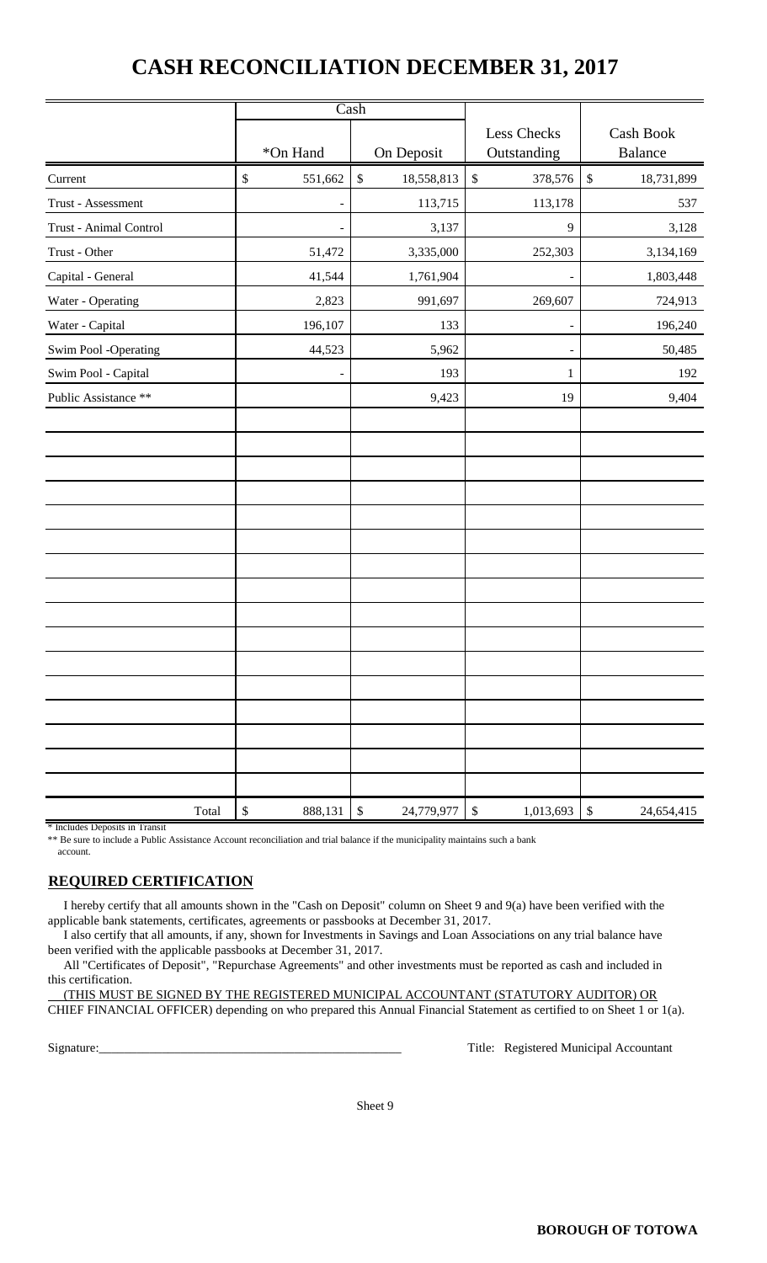## **CASH RECONCILIATION DECEMBER 31, 2017**

|                        |                          | Cash                       |                            |                            |
|------------------------|--------------------------|----------------------------|----------------------------|----------------------------|
|                        | *On Hand                 | On Deposit                 | Less Checks<br>Outstanding | Cash Book<br>Balance       |
| Current                | $\mathbb{S}$<br>551,662  | $\$$<br>18,558,813         | $\mathbb{S}$<br>378,576    | $\mathbb{S}$<br>18,731,899 |
| Trust - Assessment     | $\overline{\phantom{a}}$ | 113,715                    | 113,178                    | 537                        |
| Trust - Animal Control |                          | 3,137                      | 9                          | 3,128                      |
| Trust - Other          | 51,472                   | 3,335,000                  | 252,303                    | 3,134,169                  |
| Capital - General      | 41,544                   | 1,761,904                  |                            | 1,803,448                  |
| Water - Operating      | 2,823                    | 991,697                    | 269,607                    | 724,913                    |
| Water - Capital        | 196,107                  | 133                        | $\overline{\phantom{a}}$   | 196,240                    |
| Swim Pool -Operating   | 44,523                   | 5,962                      |                            | 50,485                     |
| Swim Pool - Capital    |                          | 193                        | 1                          | 192                        |
| Public Assistance **   |                          | 9,423                      | 19                         | 9,404                      |
|                        |                          |                            |                            |                            |
|                        |                          |                            |                            |                            |
|                        |                          |                            |                            |                            |
|                        |                          |                            |                            |                            |
|                        |                          |                            |                            |                            |
|                        |                          |                            |                            |                            |
|                        |                          |                            |                            |                            |
|                        |                          |                            |                            |                            |
|                        |                          |                            |                            |                            |
|                        |                          |                            |                            |                            |
|                        |                          |                            |                            |                            |
|                        |                          |                            |                            |                            |
|                        |                          |                            |                            |                            |
|                        |                          |                            |                            |                            |
|                        |                          |                            |                            |                            |
|                        |                          |                            |                            |                            |
| Total                  | \$<br>888,131            | 24,779,977<br>$\mathbb{S}$ | $\mathbb{S}$<br>1,013,693  | $\mathbb{S}$<br>24,654,415 |

\* Includes Deposits in Transit

\*\* Be sure to include a Public Assistance Account reconciliation and trial balance if the municipality maintains such a bank account.

### **REQUIRED CERTIFICATION**

 I hereby certify that all amounts shown in the "Cash on Deposit" column on Sheet 9 and 9(a) have been verified with the applicable bank statements, certificates, agreements or passbooks at December 31, 2017.

 I also certify that all amounts, if any, shown for Investments in Savings and Loan Associations on any trial balance have been verified with the applicable passbooks at December 31, 2017.

 All "Certificates of Deposit", "Repurchase Agreements" and other investments must be reported as cash and included in this certification.

 (THIS MUST BE SIGNED BY THE REGISTERED MUNICIPAL ACCOUNTANT (STATUTORY AUDITOR) OR CHIEF FINANCIAL OFFICER) depending on who prepared this Annual Financial Statement as certified to on Sheet 1 or 1(a).

Signature:\_\_\_\_\_\_\_\_\_\_\_\_\_\_\_\_\_\_\_\_\_\_\_\_\_\_\_\_\_\_\_\_\_\_\_\_\_\_\_\_\_\_\_\_\_\_\_\_ Title: Registered Municipal Accountant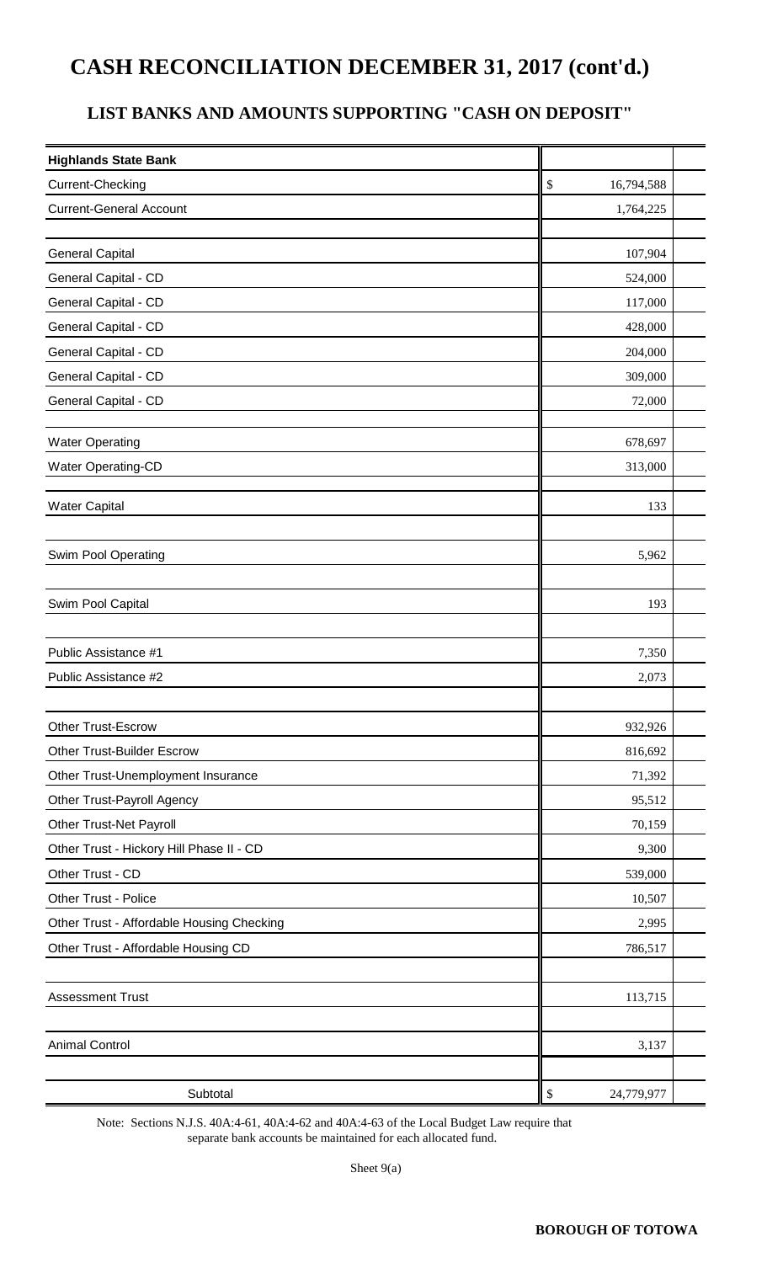## **CASH RECONCILIATION DECEMBER 31, 2017 (cont'd.)**

### **LIST BANKS AND AMOUNTS SUPPORTING "CASH ON DEPOSIT"**

| <b>Highlands State Bank</b>               |                  |  |
|-------------------------------------------|------------------|--|
| Current-Checking                          | \$<br>16,794,588 |  |
| <b>Current-General Account</b>            | 1,764,225        |  |
|                                           |                  |  |
| <b>General Capital</b>                    | 107,904          |  |
| General Capital - CD                      | 524,000          |  |
| General Capital - CD                      | 117,000          |  |
| General Capital - CD                      | 428,000          |  |
| General Capital - CD                      | 204,000          |  |
| General Capital - CD                      | 309,000          |  |
| General Capital - CD                      | 72,000           |  |
|                                           |                  |  |
| <b>Water Operating</b>                    | 678,697          |  |
| <b>Water Operating-CD</b>                 | 313,000          |  |
| <b>Water Capital</b>                      | 133              |  |
|                                           |                  |  |
| Swim Pool Operating                       | 5,962            |  |
|                                           |                  |  |
| Swim Pool Capital                         | 193              |  |
|                                           |                  |  |
| Public Assistance #1                      | 7,350            |  |
| Public Assistance #2                      | 2,073            |  |
|                                           |                  |  |
| Other Trust-Escrow                        | 932,926          |  |
| <b>Other Trust-Builder Escrow</b>         | 816,692          |  |
| Other Trust-Unemployment Insurance        | 71,392           |  |
| Other Trust-Payroll Agency                | 95,512           |  |
| Other Trust-Net Payroll                   | 70,159           |  |
| Other Trust - Hickory Hill Phase II - CD  | 9,300            |  |
| Other Trust - CD                          | 539,000          |  |
| Other Trust - Police                      | 10,507           |  |
| Other Trust - Affordable Housing Checking | 2,995            |  |
| Other Trust - Affordable Housing CD       | 786,517          |  |
|                                           |                  |  |
| <b>Assessment Trust</b>                   | 113,715          |  |
|                                           |                  |  |
| <b>Animal Control</b>                     | 3,137            |  |
|                                           |                  |  |
| Subtotal                                  | \$<br>24,779,977 |  |

Note: Sections N.J.S. 40A:4-61, 40A:4-62 and 40A:4-63 of the Local Budget Law require that separate bank accounts be maintained for each allocated fund.

Sheet 9(a)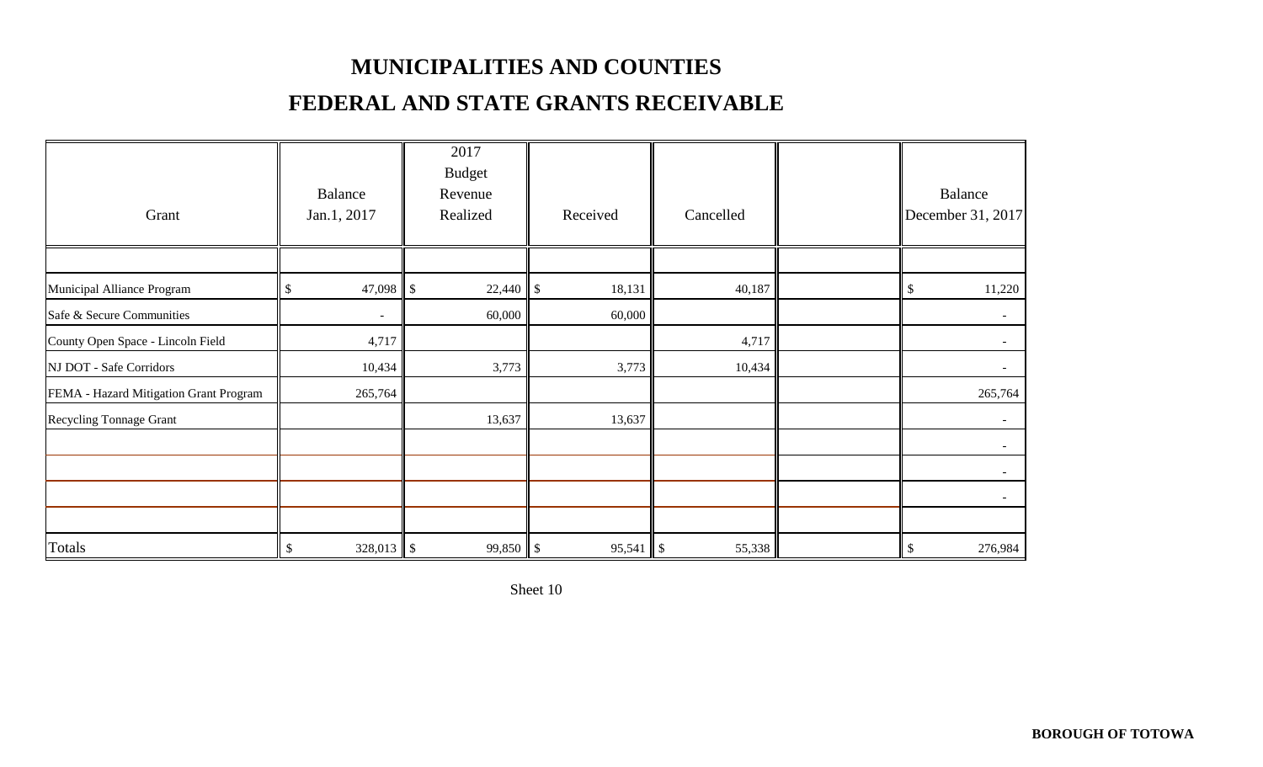## **MUNICIPALITIES AND COUNTIES**

## **FEDERAL AND STATE GRANTS RECEIVABLE**

| Grant                                  |               | Balance<br>Jan.1, 2017   | 2017<br><b>Budget</b><br>Revenue<br>Realized | Received | Cancelled     |        |                         | Balance<br>December 31, 2017 |
|----------------------------------------|---------------|--------------------------|----------------------------------------------|----------|---------------|--------|-------------------------|------------------------------|
|                                        |               |                          |                                              |          |               |        |                         |                              |
| Municipal Alliance Program             | $\mathcal{L}$ | 47,098 $\vert \$         |                                              | 18,131   |               | 40,187 | $\sqrt[6]{\frac{1}{2}}$ | 11,220                       |
| Safe & Secure Communities              |               | $\overline{\phantom{a}}$ | 60,000                                       | 60,000   |               |        |                         |                              |
| County Open Space - Lincoln Field      |               | 4,717                    |                                              |          |               | 4,717  |                         | $\overline{\phantom{a}}$     |
| NJ DOT - Safe Corridors                |               | 10,434                   | 3,773                                        | 3,773    |               | 10,434 |                         |                              |
| FEMA - Hazard Mitigation Grant Program |               | 265,764                  |                                              |          |               |        |                         | 265,764                      |
| <b>Recycling Tonnage Grant</b>         |               |                          | 13,637                                       | 13,637   |               |        |                         |                              |
|                                        |               |                          |                                              |          |               |        |                         |                              |
|                                        |               |                          |                                              |          |               |        |                         |                              |
|                                        |               |                          |                                              |          |               |        |                         |                              |
|                                        |               |                          |                                              |          |               |        |                         |                              |
| Totals                                 | $\mathcal{S}$ |                          |                                              | 95,541   | $\mathcal{S}$ | 55,338 | $\mathcal{S}$           | 276,984                      |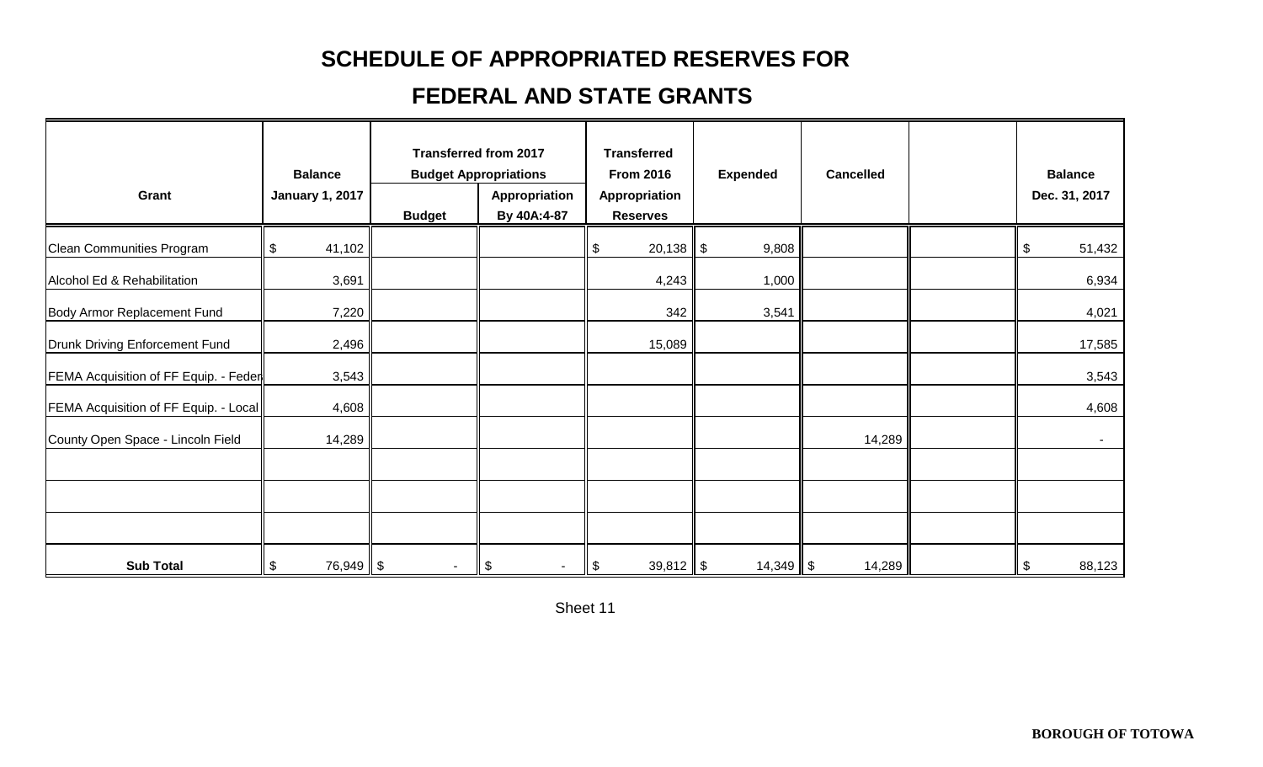## **SCHEDULE OF APPROPRIATED RESERVES FOR**

## **FEDERAL AND STATE GRANTS**

| Grant                                 | <b>Balance</b><br><b>January 1, 2017</b> | <b>Budget</b>  | <b>Transferred from 2017</b><br><b>Budget Appropriations</b><br>Appropriation<br>By 40A:4-87 | <b>Transferred</b><br><b>From 2016</b><br>Appropriation<br><b>Reserves</b> | <b>Expended</b> | <b>Cancelled</b> | <b>Balance</b><br>Dec. 31, 2017 |
|---------------------------------------|------------------------------------------|----------------|----------------------------------------------------------------------------------------------|----------------------------------------------------------------------------|-----------------|------------------|---------------------------------|
| Clean Communities Program             | \$<br>41,102                             |                |                                                                                              | \$<br>$20,138$ \$                                                          | 9,808           |                  | \$<br>51,432                    |
| Alcohol Ed & Rehabilitation           | 3,691                                    |                |                                                                                              | 4,243                                                                      | 1,000           |                  | 6,934                           |
| Body Armor Replacement Fund           | 7,220                                    |                |                                                                                              | 342                                                                        | 3,541           |                  | 4,021                           |
| Drunk Driving Enforcement Fund        | 2,496                                    |                |                                                                                              | 15,089                                                                     |                 |                  | 17,585                          |
| FEMA Acquisition of FF Equip. - Feder | 3,543                                    |                |                                                                                              |                                                                            |                 |                  | 3,543                           |
| FEMA Acquisition of FF Equip. - Local | 4,608                                    |                |                                                                                              |                                                                            |                 |                  | 4,608                           |
| County Open Space - Lincoln Field     | 14,289                                   |                |                                                                                              |                                                                            |                 | 14,289           | $\sim$                          |
|                                       |                                          |                |                                                                                              |                                                                            |                 |                  |                                 |
|                                       |                                          |                |                                                                                              |                                                                            |                 |                  |                                 |
|                                       |                                          |                |                                                                                              |                                                                            |                 |                  |                                 |
| <b>Sub Total</b>                      | $\boldsymbol{\mathsf{S}}$<br>$76,949$ \$ | $\blacksquare$ | $\boldsymbol{\theta}$                                                                        | $\sqrt{3}$<br>$39,812$ \$                                                  | $14,349$ \$     | 14,289           | 88,123<br>  \$                  |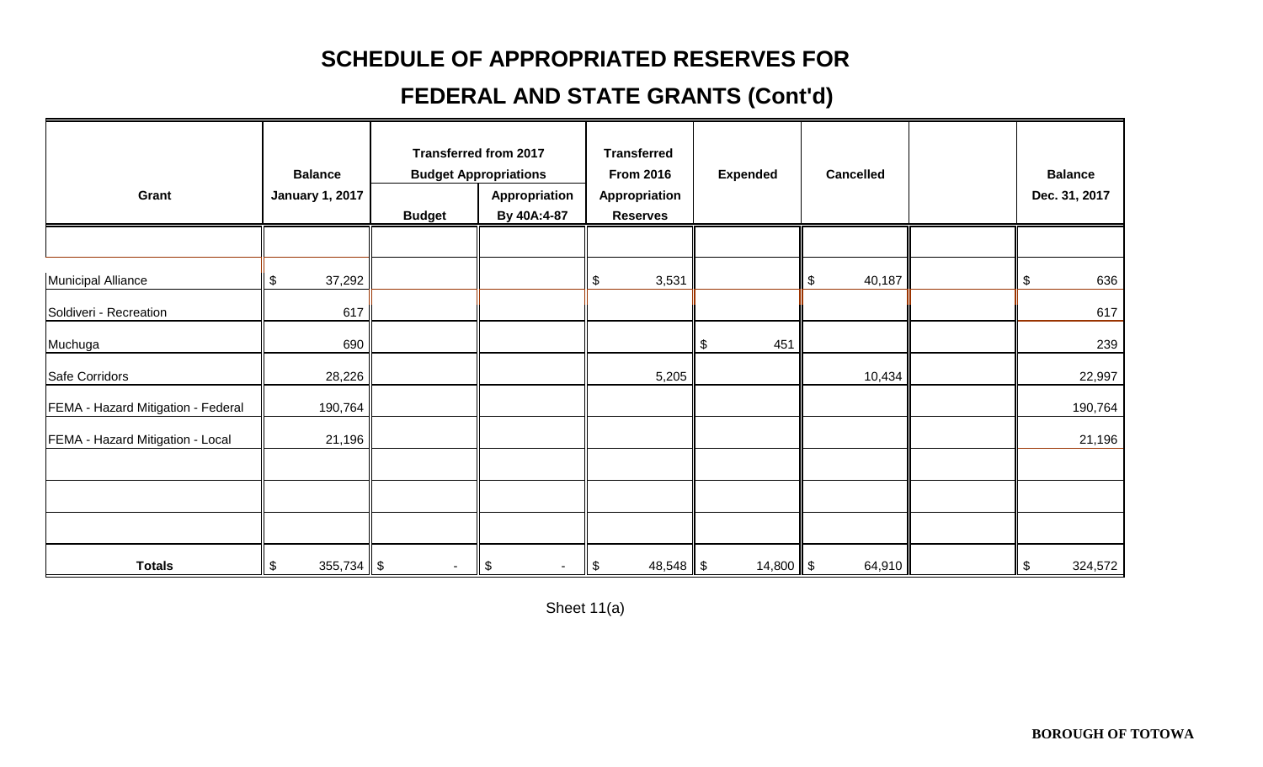## **SCHEDULE OF APPROPRIATED RESERVES FOR**

## **FEDERAL AND STATE GRANTS (Cont'd)**

| Grant                              | <b>Balance</b><br><b>January 1, 2017</b> | <b>Budget</b>  | <b>Transferred from 2017</b><br><b>Budget Appropriations</b><br>Appropriation<br>By 40A:4-87 | <b>Transferred</b><br><b>From 2016</b><br>Appropriation<br><b>Reserves</b> | <b>Expended</b>      | <b>Cancelled</b> | <b>Balance</b><br>Dec. 31, 2017 |
|------------------------------------|------------------------------------------|----------------|----------------------------------------------------------------------------------------------|----------------------------------------------------------------------------|----------------------|------------------|---------------------------------|
|                                    |                                          |                |                                                                                              |                                                                            |                      |                  |                                 |
| Municipal Alliance                 | \$<br>37,292                             |                |                                                                                              | \$<br>3,531                                                                |                      | \$<br>40,187     | 636<br>\$                       |
| Soldiveri - Recreation             | 617                                      |                |                                                                                              |                                                                            |                      |                  | 617                             |
| Muchuga                            | 690                                      |                |                                                                                              |                                                                            | $\frac{1}{2}$<br>451 |                  | 239                             |
| Safe Corridors                     | 28,226                                   |                |                                                                                              | 5,205                                                                      |                      | 10,434           | 22,997                          |
| FEMA - Hazard Mitigation - Federal | 190,764                                  |                |                                                                                              |                                                                            |                      |                  | 190,764                         |
| FEMA - Hazard Mitigation - Local   | 21,196                                   |                |                                                                                              |                                                                            |                      |                  | 21,196                          |
|                                    |                                          |                |                                                                                              |                                                                            |                      |                  |                                 |
|                                    |                                          |                |                                                                                              |                                                                            |                      |                  |                                 |
|                                    |                                          |                |                                                                                              |                                                                            |                      |                  |                                 |
| <b>Totals</b>                      | $\sqrt{3}$<br>355,734 $\ $ \$            | $\blacksquare$ | $\boldsymbol{\theta}$                                                                        | $\boldsymbol{\mathsf{S}}$<br>$48,548$ \$                                   | $14,800$ \$          | 64,910           | 324,572<br>\$                   |

Sheet 11(a)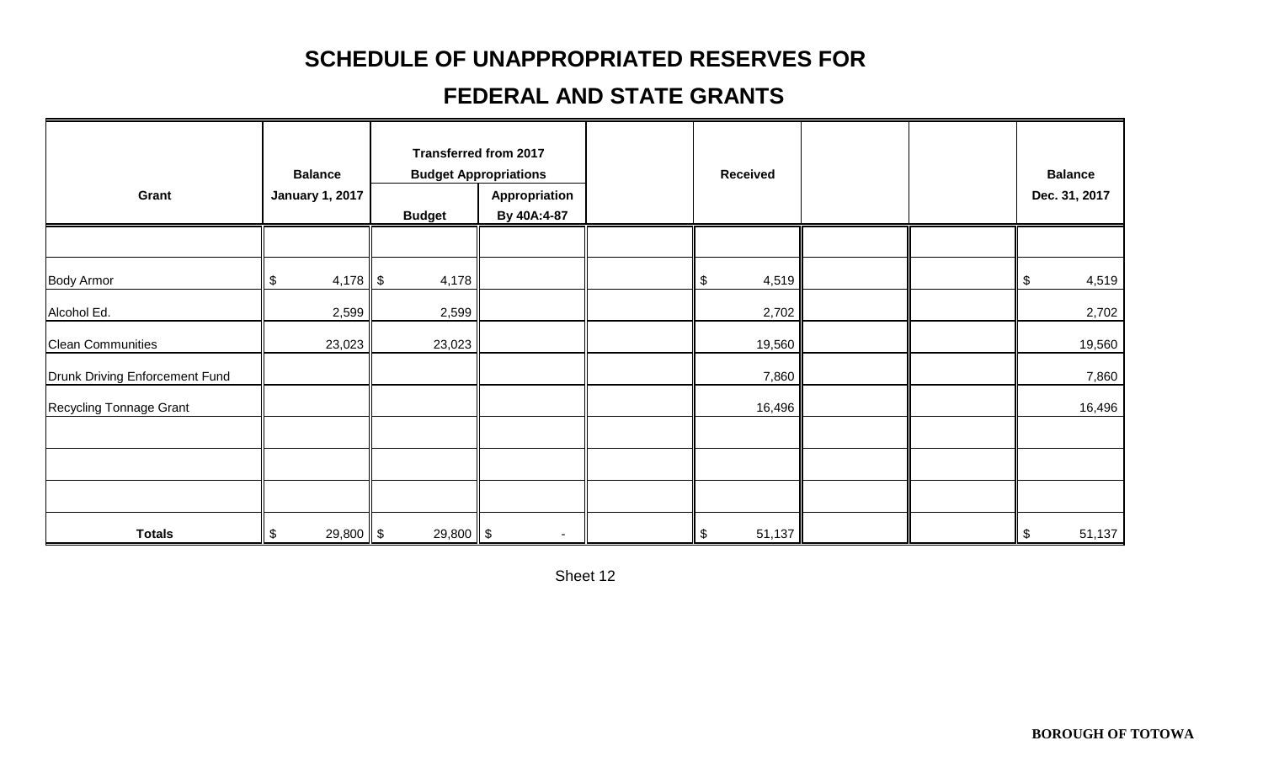## **SCHEDULE OF UNAPPROPRIATED RESERVES FOR**

## **FEDERAL AND STATE GRANTS**

| Grant                          | <b>Balance</b><br><b>January 1, 2017</b> | <b>Budget</b> | <b>Transferred from 2017</b><br><b>Budget Appropriations</b><br>Appropriation<br>By 40A:4-87 | <b>Received</b>                    |  | <b>Balance</b><br>Dec. 31, 2017 |
|--------------------------------|------------------------------------------|---------------|----------------------------------------------------------------------------------------------|------------------------------------|--|---------------------------------|
|                                |                                          |               |                                                                                              |                                    |  |                                 |
| <b>Body Armor</b>              | $\boldsymbol{\mathsf{S}}$<br>$4,178$ \$  | 4,178         |                                                                                              | $\boldsymbol{\mathsf{S}}$<br>4,519 |  | 4,519<br>$\sqrt{3}$             |
| Alcohol Ed.                    | 2,599                                    | 2,599         |                                                                                              | 2,702                              |  | 2,702                           |
| <b>Clean Communities</b>       | 23,023                                   | 23,023        |                                                                                              | 19,560                             |  | 19,560                          |
| Drunk Driving Enforcement Fund |                                          |               |                                                                                              | 7,860                              |  | 7,860                           |
| Recycling Tonnage Grant        |                                          |               |                                                                                              | 16,496                             |  | 16,496                          |
|                                |                                          |               |                                                                                              |                                    |  |                                 |
|                                |                                          |               |                                                                                              |                                    |  |                                 |
| <b>Totals</b>                  | \$<br>$29,800$ \$                        | $29,800$ \$   | $\sim$                                                                                       | 51,137<br>\$                       |  | 51,137<br>$\sqrt{3}$            |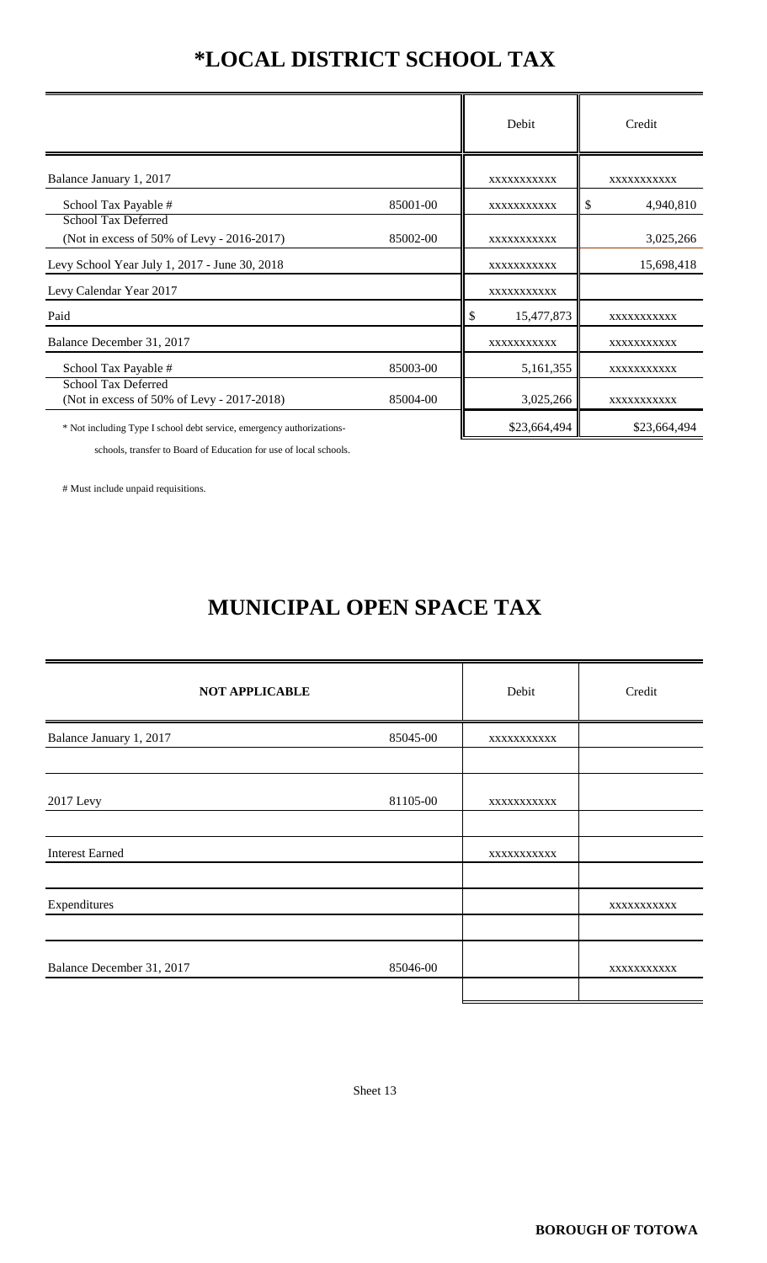# **\*LOCAL DISTRICT SCHOOL TAX**

|                                                                       |          | Debit            | Credit          |  |
|-----------------------------------------------------------------------|----------|------------------|-----------------|--|
| Balance January 1, 2017                                               |          | XXXXXXXXXX       | XXXXXXXXXX      |  |
| School Tax Payable #                                                  | 85001-00 | XXXXXXXXXX       | 4,940,810<br>\$ |  |
| School Tax Deferred<br>(Not in excess of 50% of Levy - 2016-2017)     | 85002-00 | XXXXXXXXXXX      | 3,025,266       |  |
| Levy School Year July 1, 2017 - June 30, 2018                         |          | XXXXXXXXXX       | 15,698,418      |  |
| Levy Calendar Year 2017                                               |          | XXXXXXXXXX       |                 |  |
| Paid                                                                  |          | \$<br>15,477,873 | XXXXXXXXXX      |  |
| Balance December 31, 2017                                             |          | XXXXXXXXXX       | XXXXXXXXXX      |  |
| School Tax Payable #                                                  | 85003-00 | 5,161,355        | XXXXXXXXXX      |  |
| School Tax Deferred<br>(Not in excess of 50% of Levy - 2017-2018)     | 85004-00 | 3,025,266        | XXXXXXXXXX      |  |
| * Not including Type I school debt service, emergency authorizations- |          | \$23,664,494     | \$23,664,494    |  |

schools, transfer to Board of Education for use of local schools.

# Must include unpaid requisitions.

# **MUNICIPAL OPEN SPACE TAX**

| <b>NOT APPLICABLE</b>     |          | Debit      | Credit     |
|---------------------------|----------|------------|------------|
| Balance January 1, 2017   | 85045-00 | XXXXXXXXXX |            |
|                           |          |            |            |
| 2017 Levy                 | 81105-00 | XXXXXXXXXX |            |
|                           |          |            |            |
| <b>Interest Earned</b>    |          | XXXXXXXXXX |            |
|                           |          |            |            |
| Expenditures              |          |            | XXXXXXXXXX |
|                           |          |            |            |
| Balance December 31, 2017 | 85046-00 |            | XXXXXXXXXX |
|                           |          |            |            |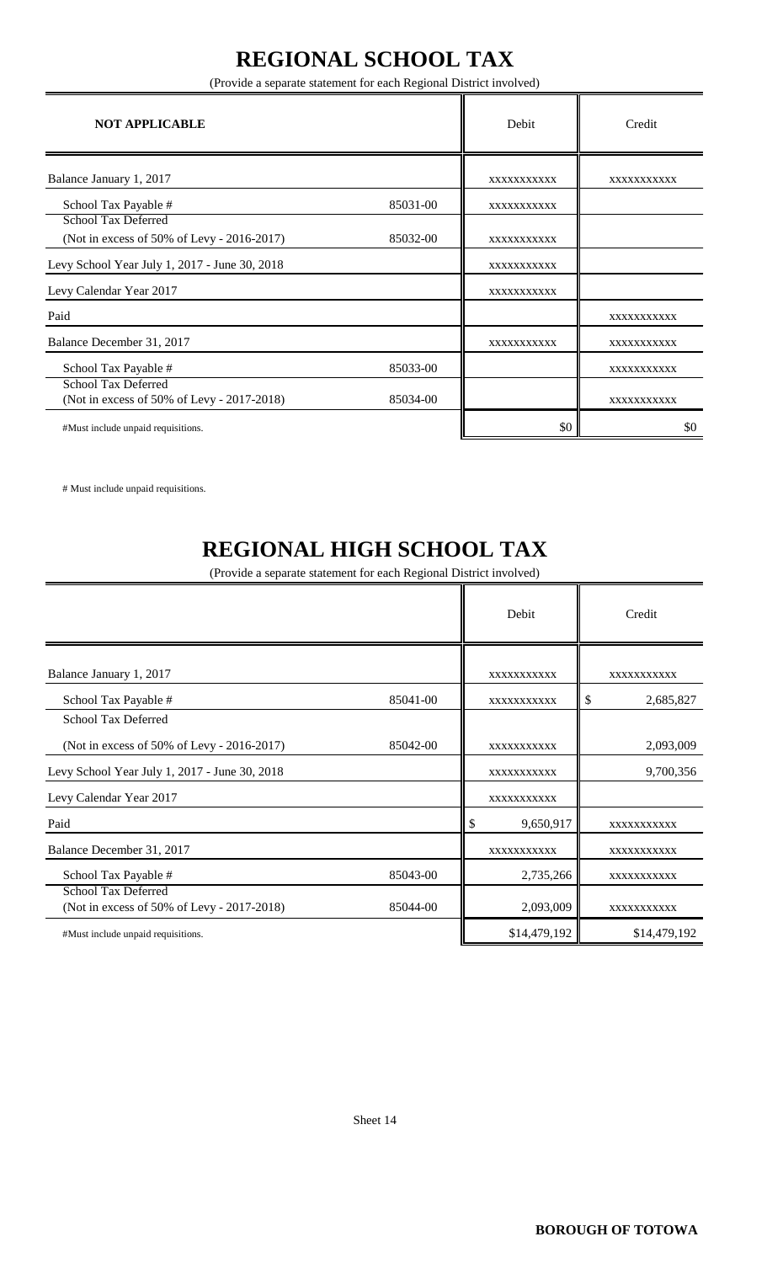# **REGIONAL SCHOOL TAX**

(Provide a separate statement for each Regional District involved)

| <b>NOT APPLICABLE</b>                                                    |          | Debit       | Credit     |
|--------------------------------------------------------------------------|----------|-------------|------------|
| Balance January 1, 2017                                                  |          | XXXXXXXXXXX | XXXXXXXXXX |
| School Tax Payable #                                                     | 85031-00 | XXXXXXXXXXX |            |
| School Tax Deferred<br>(Not in excess of 50% of Levy - 2016-2017)        | 85032-00 | XXXXXXXXXX  |            |
| Levy School Year July 1, 2017 - June 30, 2018                            |          | XXXXXXXXXXX |            |
| Levy Calendar Year 2017                                                  |          | XXXXXXXXXXX |            |
| Paid                                                                     |          |             | XXXXXXXXXX |
| Balance December 31, 2017                                                |          | XXXXXXXXXXX | XXXXXXXXXX |
| School Tax Payable #                                                     | 85033-00 |             | XXXXXXXXXX |
| <b>School Tax Deferred</b><br>(Not in excess of 50% of Levy - 2017-2018) | 85034-00 |             | XXXXXXXXXX |
| #Must include unpaid requisitions.                                       |          | \$0         | \$0        |

# Must include unpaid requisitions.

# **REGIONAL HIGH SCHOOL TAX**

(Provide a separate statement for each Regional District involved)

|                                                                          |          |   | Debit        | Credit          |  |
|--------------------------------------------------------------------------|----------|---|--------------|-----------------|--|
| Balance January 1, 2017                                                  |          |   | XXXXXXXXXX   | XXXXXXXXXX      |  |
| School Tax Payable #                                                     | 85041-00 |   | XXXXXXXXXX   | \$<br>2,685,827 |  |
| <b>School Tax Deferred</b>                                               |          |   |              |                 |  |
| (Not in excess of 50% of Levy - 2016-2017)                               | 85042-00 |   | XXXXXXXXXXX  | 2,093,009       |  |
| Levy School Year July 1, 2017 - June 30, 2018                            |          |   | XXXXXXXXXX   | 9,700,356       |  |
| Levy Calendar Year 2017                                                  |          |   | XXXXXXXXXX   |                 |  |
| Paid                                                                     |          | S | 9,650,917    | XXXXXXXXXX      |  |
| Balance December 31, 2017                                                |          |   | XXXXXXXXXX   | XXXXXXXXXX      |  |
| School Tax Payable #                                                     | 85043-00 |   | 2,735,266    | XXXXXXXXXX      |  |
| <b>School Tax Deferred</b><br>(Not in excess of 50% of Levy - 2017-2018) | 85044-00 |   | 2,093,009    | XXXXXXXXXX      |  |
| #Must include unpaid requisitions.                                       |          |   | \$14,479,192 | \$14,479,192    |  |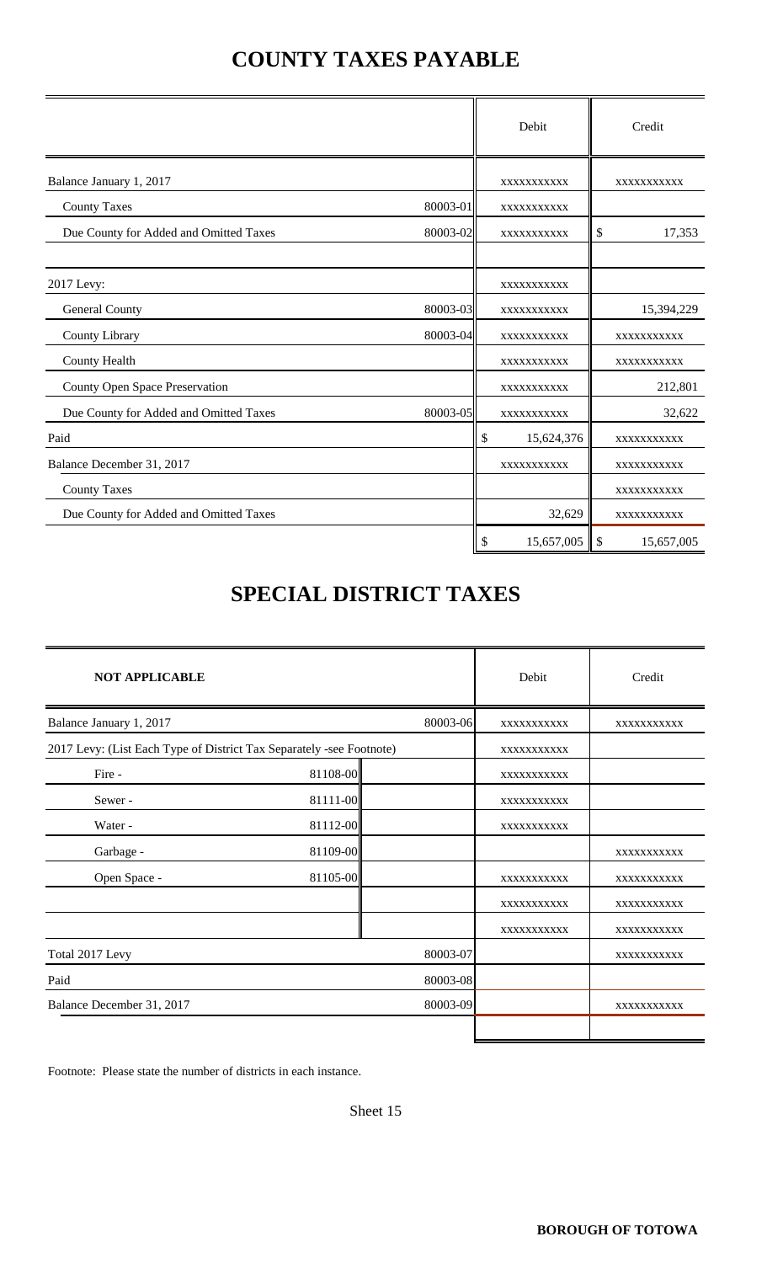## **COUNTY TAXES PAYABLE**

|                                        |          | Debit            |            | Credit      |
|----------------------------------------|----------|------------------|------------|-------------|
| Balance January 1, 2017                |          | XXXXXXXXXXX      |            | XXXXXXXXXX  |
| <b>County Taxes</b>                    | 80003-01 | XXXXXXXXXXX      |            |             |
| Due County for Added and Omitted Taxes | 80003-02 | XXXXXXXXXX       | \$         | 17,353      |
| 2017 Levy:                             |          | XXXXXXXXXXX      |            |             |
| General County                         | 80003-03 | XXXXXXXXXXX      |            | 15,394,229  |
| County Library                         | 80003-04 | XXXXXXXXXXX      |            | XXXXXXXXXX  |
| County Health                          |          | XXXXXXXXXXX      |            | XXXXXXXXXX  |
| County Open Space Preservation         |          | XXXXXXXXXX       |            | 212,801     |
| Due County for Added and Omitted Taxes | 80003-05 | XXXXXXXXXXX      |            | 32,622      |
| Paid                                   |          | \$<br>15,624,376 |            | XXXXXXXXXX  |
| Balance December 31, 2017              |          | XXXXXXXXXX       |            | XXXXXXXXXXX |
| <b>County Taxes</b>                    |          |                  |            | XXXXXXXXXXX |
| Due County for Added and Omitted Taxes |          | 32,629           |            | XXXXXXXXXX  |
|                                        |          | \$<br>15,657,005 | $\sqrt{3}$ | 15,657,005  |

## **SPECIAL DISTRICT TAXES**

| <b>NOT APPLICABLE</b>                                                |          |          | Debit       | Credit     |
|----------------------------------------------------------------------|----------|----------|-------------|------------|
| Balance January 1, 2017                                              |          | 80003-06 | XXXXXXXXXX  | XXXXXXXXXX |
| 2017 Levy: (List Each Type of District Tax Separately -see Footnote) |          |          | XXXXXXXXXXX |            |
| Fire -                                                               | 81108-00 |          | XXXXXXXXXXX |            |
| Sewer-                                                               | 81111-00 |          | XXXXXXXXXXX |            |
| Water -                                                              | 81112-00 |          | XXXXXXXXXXX |            |
| Garbage -                                                            | 81109-00 |          |             | XXXXXXXXXX |
| Open Space -                                                         | 81105-00 |          | XXXXXXXXXX  | XXXXXXXXXX |
|                                                                      |          |          | XXXXXXXXXXX | XXXXXXXXXX |
|                                                                      |          |          | XXXXXXXXXXX | XXXXXXXXXX |
| Total 2017 Levy                                                      |          | 80003-07 |             | XXXXXXXXXX |
| Paid                                                                 |          | 80003-08 |             |            |
| Balance December 31, 2017                                            |          | 80003-09 |             | XXXXXXXXXX |
|                                                                      |          |          |             |            |

Footnote: Please state the number of districts in each instance.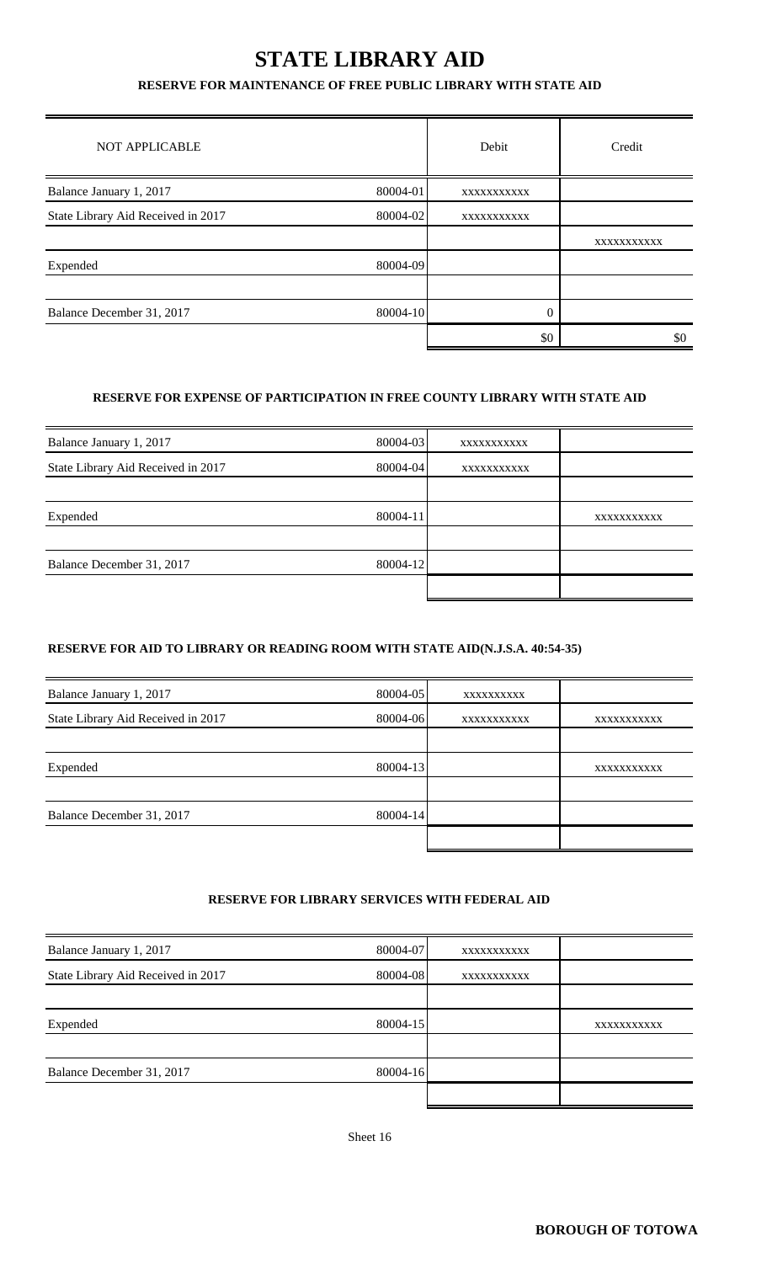## **STATE LIBRARY AID**

#### **RESERVE FOR MAINTENANCE OF FREE PUBLIC LIBRARY WITH STATE AID**

| <b>NOT APPLICABLE</b>              |          | Debit      | Credit     |
|------------------------------------|----------|------------|------------|
| Balance January 1, 2017            | 80004-01 | XXXXXXXXXX |            |
| State Library Aid Received in 2017 | 80004-02 | XXXXXXXXXX |            |
|                                    |          |            | XXXXXXXXXX |
| Expended                           | 80004-09 |            |            |
|                                    |          |            |            |
| Balance December 31, 2017          | 80004-10 | 0          |            |
|                                    |          | \$0        | \$0        |

#### **RESERVE FOR EXPENSE OF PARTICIPATION IN FREE COUNTY LIBRARY WITH STATE AID**

| Balance January 1, 2017            | 80004-03 | XXXXXXXXXXX |            |
|------------------------------------|----------|-------------|------------|
| State Library Aid Received in 2017 | 80004-04 | XXXXXXXXXXX |            |
|                                    |          |             |            |
| Expended                           | 80004-11 |             | XXXXXXXXXX |
|                                    |          |             |            |
| Balance December 31, 2017          | 80004-12 |             |            |
|                                    |          |             |            |

#### **RESERVE FOR AID TO LIBRARY OR READING ROOM WITH STATE AID(N.J.S.A. 40:54-35)**

| Balance January 1, 2017            | 80004-05 | XXXXXXXXX   |             |
|------------------------------------|----------|-------------|-------------|
| State Library Aid Received in 2017 | 80004-06 | XXXXXXXXXXX | XXXXXXXXXXX |
|                                    |          |             |             |
| Expended                           | 80004-13 |             | XXXXXXXXXXX |
|                                    |          |             |             |
| Balance December 31, 2017          | 80004-14 |             |             |
|                                    |          |             |             |

#### **RESERVE FOR LIBRARY SERVICES WITH FEDERAL AID**

| Balance January 1, 2017            | 80004-07 | XXXXXXXXXX |             |
|------------------------------------|----------|------------|-------------|
| State Library Aid Received in 2017 | 80004-08 | XXXXXXXXXX |             |
|                                    |          |            |             |
| Expended                           | 80004-15 |            | XXXXXXXXXXX |
|                                    |          |            |             |
| Balance December 31, 2017          | 80004-16 |            |             |
|                                    |          |            |             |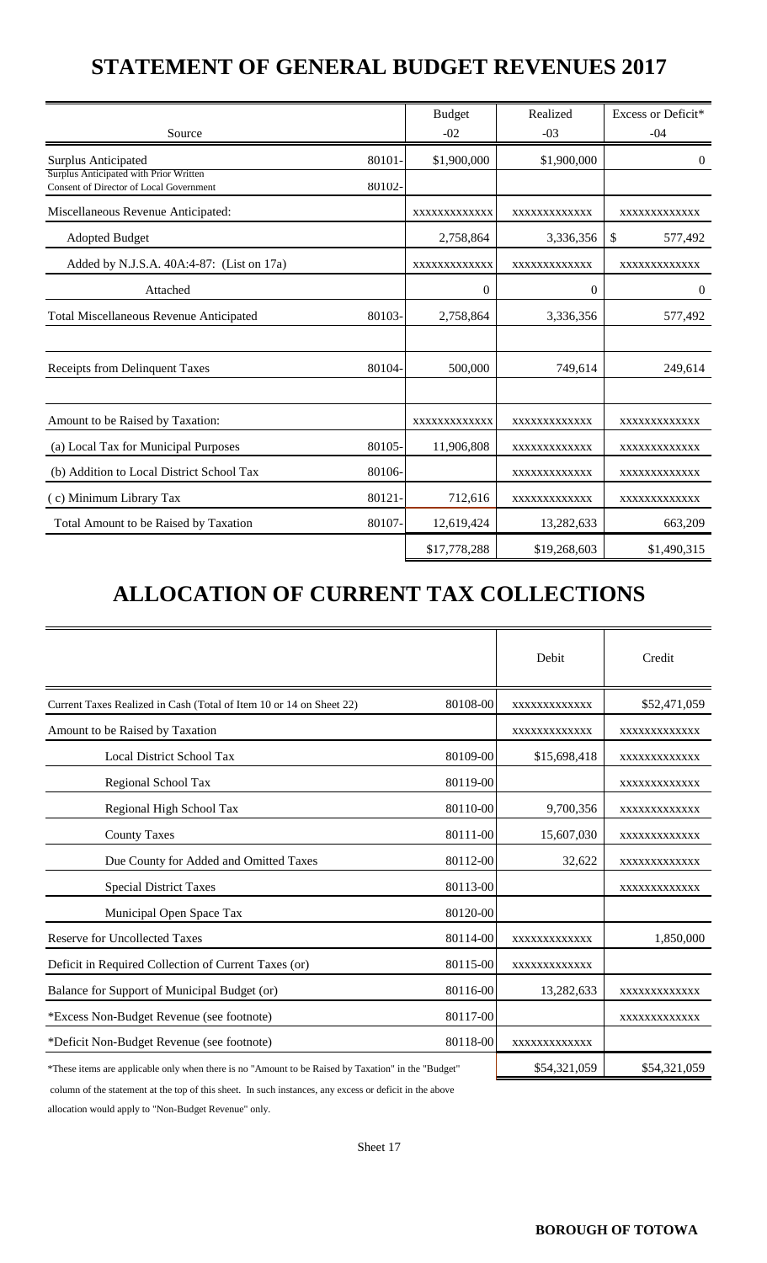## **STATEMENT OF GENERAL BUDGET REVENUES 2017**

| Source                                                                            |        | <b>Budget</b><br>$-02$ | Realized<br>$-03$ | Excess or Deficit*<br>$-04$ |
|-----------------------------------------------------------------------------------|--------|------------------------|-------------------|-----------------------------|
| <b>Surplus Anticipated</b>                                                        | 80101  | \$1,900,000            | \$1,900,000       | $\Omega$                    |
| Surplus Anticipated with Prior Written<br>Consent of Director of Local Government | 80102- |                        |                   |                             |
| Miscellaneous Revenue Anticipated:                                                |        | XXXXXXXXXXXX           | XXXXXXXXXXXX      | XXXXXXXXXXXX                |
| <b>Adopted Budget</b>                                                             |        | 2,758,864              | 3,336,356         | \$<br>577,492               |
| Added by N.J.S.A. 40A:4-87: (List on 17a)                                         |        | XXXXXXXXXXXX           | XXXXXXXXXXXX      | XXXXXXXXXXXX                |
| Attached                                                                          |        | $\theta$               | $\mathbf{0}$      | $\overline{0}$              |
| <b>Total Miscellaneous Revenue Anticipated</b>                                    | 80103- | 2,758,864              | 3,336,356         | 577,492                     |
|                                                                                   |        |                        |                   |                             |
| Receipts from Delinquent Taxes                                                    | 80104- | 500,000                | 749,614           | 249,614                     |
|                                                                                   |        |                        |                   |                             |
| Amount to be Raised by Taxation:                                                  |        | XXXXXXXXXXXX           | XXXXXXXXXXXX      | XXXXXXXXXXXX                |
| (a) Local Tax for Municipal Purposes                                              | 80105- | 11,906,808             | XXXXXXXXXXXX      | XXXXXXXXXXXX                |
| (b) Addition to Local District School Tax                                         | 80106- |                        | XXXXXXXXXXXX      | XXXXXXXXXXXX                |
| (c) Minimum Library Tax                                                           | 80121  | 712,616                | XXXXXXXXXXXX      | XXXXXXXXXXXX                |
| Total Amount to be Raised by Taxation                                             | 80107- | 12,619,424             | 13,282,633        | 663,209                     |
|                                                                                   |        | \$17,778,288           | \$19,268,603      | \$1,490,315                 |

# **ALLOCATION OF CURRENT TAX COLLECTIONS**

|                                                                                                     |          | Debit        | Credit       |
|-----------------------------------------------------------------------------------------------------|----------|--------------|--------------|
| Current Taxes Realized in Cash (Total of Item 10 or 14 on Sheet 22)                                 | 80108-00 | XXXXXXXXXXXX | \$52,471,059 |
| Amount to be Raised by Taxation                                                                     |          | XXXXXXXXXXXX | XXXXXXXXXXXX |
| <b>Local District School Tax</b>                                                                    | 80109-00 | \$15,698,418 | XXXXXXXXXXXX |
| Regional School Tax                                                                                 | 80119-00 |              | XXXXXXXXXXXX |
| Regional High School Tax                                                                            | 80110-00 | 9,700,356    | XXXXXXXXXXXX |
| <b>County Taxes</b>                                                                                 | 80111-00 | 15,607,030   | XXXXXXXXXXXX |
| Due County for Added and Omitted Taxes                                                              | 80112-00 | 32,622       | XXXXXXXXXXXX |
| <b>Special District Taxes</b>                                                                       | 80113-00 |              | XXXXXXXXXXXX |
| Municipal Open Space Tax                                                                            | 80120-00 |              |              |
| <b>Reserve for Uncollected Taxes</b>                                                                | 80114-00 | XXXXXXXXXXXX | 1,850,000    |
| Deficit in Required Collection of Current Taxes (or)                                                | 80115-00 | XXXXXXXXXXXX |              |
| Balance for Support of Municipal Budget (or)                                                        | 80116-00 | 13,282,633   | XXXXXXXXXXXX |
| *Excess Non-Budget Revenue (see footnote)                                                           | 80117-00 |              | XXXXXXXXXXXX |
| *Deficit Non-Budget Revenue (see footnote)                                                          | 80118-00 | XXXXXXXXXXXX |              |
| *These items are applicable only when there is no "Amount to be Raised by Taxation" in the "Budget" |          | \$54,321,059 | \$54,321,059 |

column of the statement at the top of this sheet. In such instances, any excess or deficit in the above

allocation would apply to "Non-Budget Revenue" only.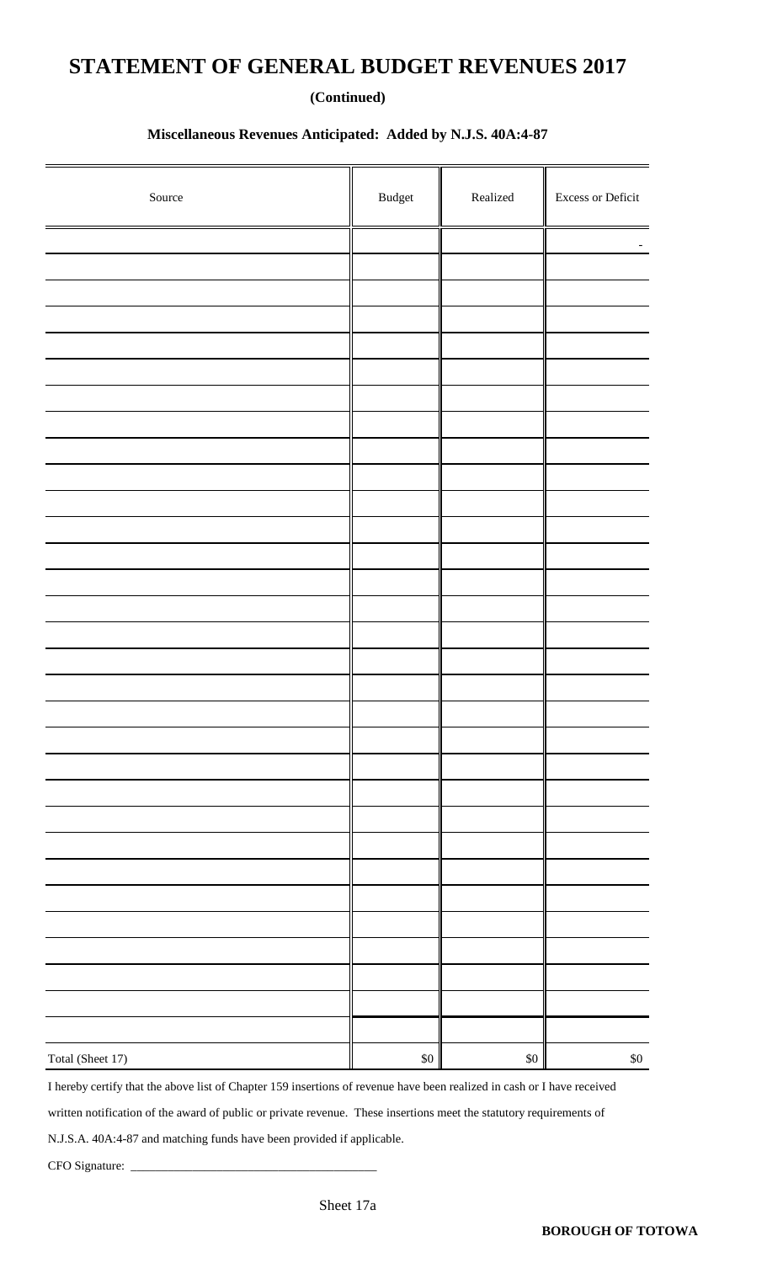### **STATEMENT OF GENERAL BUDGET REVENUES 2017**

#### **(Continued)**

#### **Miscellaneous Revenues Anticipated: Added by N.J.S. 40A:4-87**

| Source           | $\mathbf{B} \mathbf{u} \mathbf{d} \mathbf{g}$ et | $\rm Realized$ | Excess or Deficit |
|------------------|--------------------------------------------------|----------------|-------------------|
|                  |                                                  |                |                   |
|                  |                                                  |                |                   |
|                  |                                                  |                |                   |
|                  |                                                  |                |                   |
|                  |                                                  |                |                   |
|                  |                                                  |                |                   |
|                  |                                                  |                |                   |
|                  |                                                  |                |                   |
|                  |                                                  |                |                   |
|                  |                                                  |                |                   |
|                  |                                                  |                |                   |
|                  |                                                  |                |                   |
|                  |                                                  |                |                   |
|                  |                                                  |                |                   |
|                  |                                                  |                |                   |
|                  |                                                  |                |                   |
|                  |                                                  |                |                   |
|                  |                                                  |                |                   |
|                  |                                                  |                |                   |
|                  |                                                  |                |                   |
|                  |                                                  |                |                   |
|                  |                                                  |                |                   |
|                  |                                                  |                |                   |
|                  |                                                  |                |                   |
|                  |                                                  |                |                   |
|                  |                                                  |                |                   |
|                  |                                                  |                |                   |
|                  |                                                  |                |                   |
|                  |                                                  |                |                   |
|                  |                                                  |                |                   |
|                  |                                                  |                |                   |
| Total (Sheet 17) | $\$0$                                            | $\$0$          | $\$0$             |

I hereby certify that the above list of Chapter 159 insertions of revenue have been realized in cash or I have received

written notification of the award of public or private revenue. These insertions meet the statutory requirements of

N.J.S.A. 40A:4-87 and matching funds have been provided if applicable.

CFO Signature: \_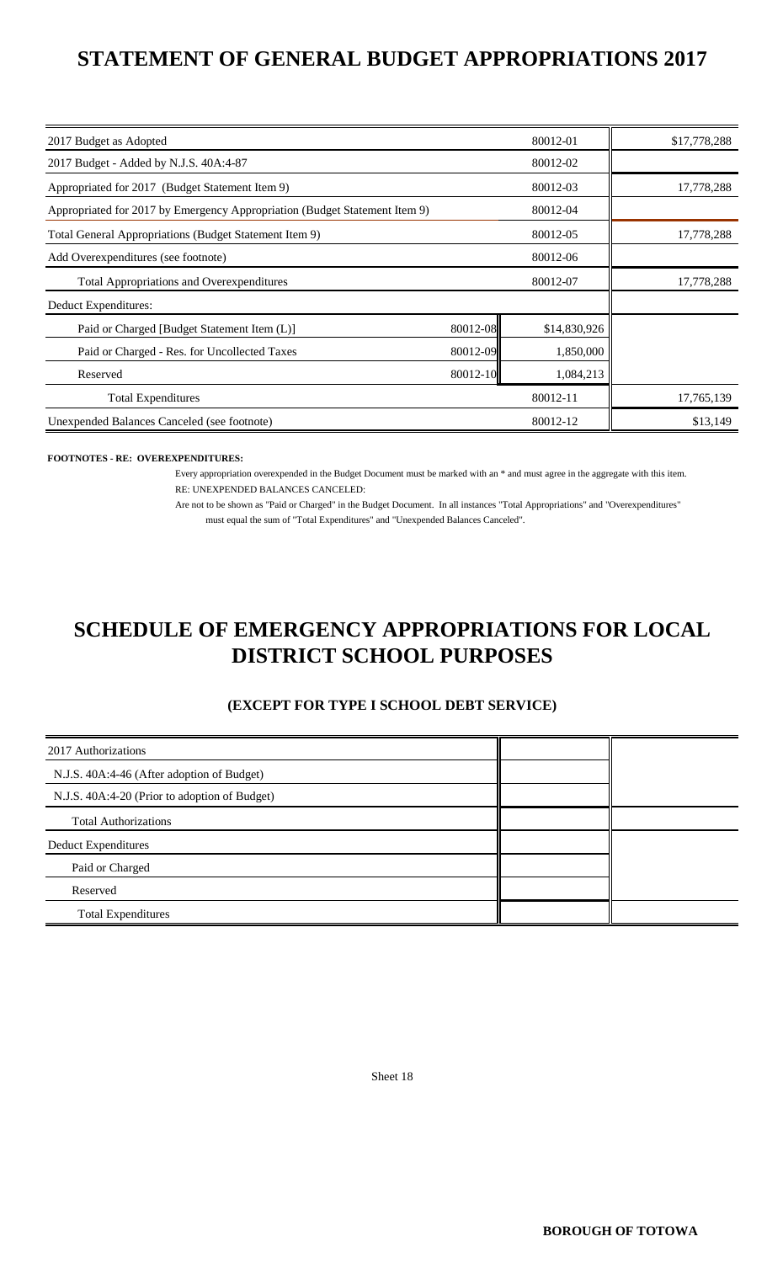## **STATEMENT OF GENERAL BUDGET APPROPRIATIONS 2017**

| 2017 Budget as Adopted                                                     |          | 80012-01     | \$17,778,288 |
|----------------------------------------------------------------------------|----------|--------------|--------------|
| 2017 Budget - Added by N.J.S. 40A:4-87                                     |          | 80012-02     |              |
| Appropriated for 2017 (Budget Statement Item 9)                            |          | 80012-03     | 17,778,288   |
| Appropriated for 2017 by Emergency Appropriation (Budget Statement Item 9) |          | 80012-04     |              |
| Total General Appropriations (Budget Statement Item 9)                     |          | 80012-05     | 17,778,288   |
| Add Overexpenditures (see footnote)                                        |          | 80012-06     |              |
| <b>Total Appropriations and Overexpenditures</b>                           |          | 80012-07     | 17,778,288   |
| Deduct Expenditures:                                                       |          |              |              |
| Paid or Charged [Budget Statement Item (L)]                                | 80012-08 | \$14,830,926 |              |
| Paid or Charged - Res. for Uncollected Taxes                               | 80012-09 | 1,850,000    |              |
| Reserved                                                                   | 80012-10 | 1,084,213    |              |
| <b>Total Expenditures</b>                                                  |          | 80012-11     | 17,765,139   |
| Unexpended Balances Canceled (see footnote)                                |          | 80012-12     | \$13,149     |

#### **FOOTNOTES - RE: OVEREXPENDITURES:**

Every appropriation overexpended in the Budget Document must be marked with an \* and must agree in the aggregate with this item. RE: UNEXPENDED BALANCES CANCELED:

Are not to be shown as "Paid or Charged" in the Budget Document. In all instances "Total Appropriations" and "Overexpenditures" must equal the sum of "Total Expenditures" and "Unexpended Balances Canceled".

## **DISTRICT SCHOOL PURPOSES SCHEDULE OF EMERGENCY APPROPRIATIONS FOR LOCAL**

#### **(EXCEPT FOR TYPE I SCHOOL DEBT SERVICE)**

| 2017 Authorizations                           |  |
|-----------------------------------------------|--|
| N.J.S. 40A:4-46 (After adoption of Budget)    |  |
| N.J.S. 40A:4-20 (Prior to adoption of Budget) |  |
| <b>Total Authorizations</b>                   |  |
| <b>Deduct Expenditures</b>                    |  |
| Paid or Charged                               |  |
| Reserved                                      |  |
| <b>Total Expenditures</b>                     |  |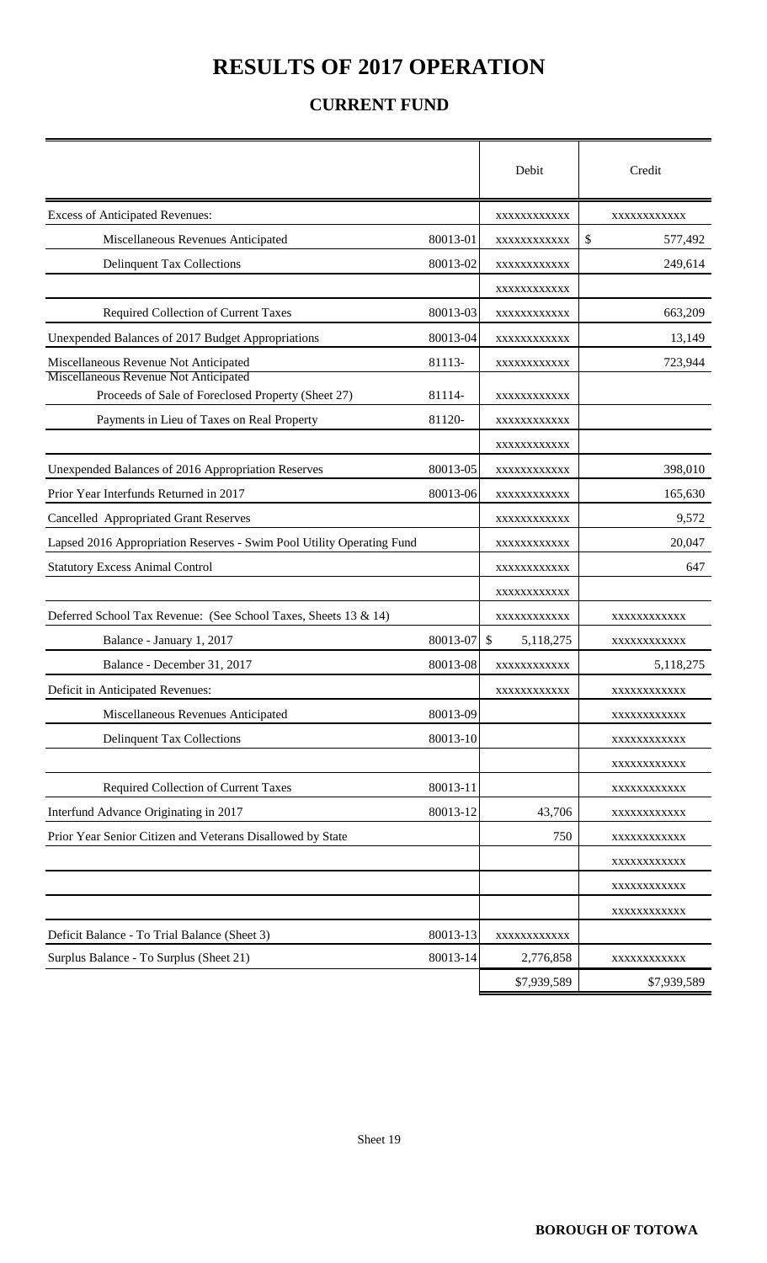## **RESULTS OF 2017 OPERATION**

### **CURRENT FUND**

|                                                                                             |          | Debit                      | Credit        |
|---------------------------------------------------------------------------------------------|----------|----------------------------|---------------|
| <b>Excess of Anticipated Revenues:</b>                                                      |          | XXXXXXXXXXX                | XXXXXXXXXXX   |
| Miscellaneous Revenues Anticipated                                                          | 80013-01 | XXXXXXXXXXX                | \$<br>577,492 |
| <b>Delinquent Tax Collections</b>                                                           | 80013-02 | XXXXXXXXXXX                | 249,614       |
|                                                                                             |          | XXXXXXXXXXX                |               |
| Required Collection of Current Taxes                                                        | 80013-03 | XXXXXXXXXXX                | 663,209       |
| Unexpended Balances of 2017 Budget Appropriations                                           | 80013-04 | XXXXXXXXXXX                | 13,149        |
| Miscellaneous Revenue Not Anticipated                                                       | 81113-   | XXXXXXXXXXX                | 723,944       |
| Miscellaneous Revenue Not Anticipated<br>Proceeds of Sale of Foreclosed Property (Sheet 27) | 81114-   | XXXXXXXXXXX                |               |
| Payments in Lieu of Taxes on Real Property                                                  | 81120-   | XXXXXXXXXXX                |               |
|                                                                                             |          | XXXXXXXXXXX                |               |
| Unexpended Balances of 2016 Appropriation Reserves                                          | 80013-05 | XXXXXXXXXXX                | 398,010       |
| Prior Year Interfunds Returned in 2017                                                      | 80013-06 | XXXXXXXXXXX                | 165,630       |
| <b>Cancelled Appropriated Grant Reserves</b>                                                |          | XXXXXXXXXXX                | 9,572         |
| Lapsed 2016 Appropriation Reserves - Swim Pool Utility Operating Fund                       |          | XXXXXXXXXXX                | 20,047        |
| <b>Statutory Excess Animal Control</b>                                                      |          | XXXXXXXXXXX                | 647           |
|                                                                                             |          | XXXXXXXXXXX                |               |
| Deferred School Tax Revenue: (See School Taxes, Sheets 13 & 14)                             |          | XXXXXXXXXXX                | XXXXXXXXXXX   |
| Balance - January 1, 2017                                                                   | 80013-07 | $\mathcal{S}$<br>5,118,275 | XXXXXXXXXXX   |
| Balance - December 31, 2017                                                                 | 80013-08 | XXXXXXXXXXX                | 5,118,275     |
| Deficit in Anticipated Revenues:                                                            |          | XXXXXXXXXXX                | XXXXXXXXXXXX  |
| Miscellaneous Revenues Anticipated                                                          | 80013-09 |                            | XXXXXXXXXXX   |
| <b>Delinquent Tax Collections</b>                                                           | 80013-10 |                            | XXXXXXXXXXX   |
|                                                                                             |          |                            | XXXXXXXXXXX   |
| Required Collection of Current Taxes                                                        | 80013-11 |                            | XXXXXXXXXXX   |
| Interfund Advance Originating in 2017                                                       | 80013-12 | 43,706                     | XXXXXXXXXXX   |
| Prior Year Senior Citizen and Veterans Disallowed by State                                  |          | 750                        | XXXXXXXXXXX   |
|                                                                                             |          |                            | XXXXXXXXXXX   |
|                                                                                             |          |                            | XXXXXXXXXXX   |
|                                                                                             |          |                            | XXXXXXXXXXX   |
| Deficit Balance - To Trial Balance (Sheet 3)                                                | 80013-13 | XXXXXXXXXXX                |               |
| Surplus Balance - To Surplus (Sheet 21)                                                     | 80013-14 | 2,776,858                  | XXXXXXXXXXX   |
|                                                                                             |          | \$7,939,589                | \$7,939,589   |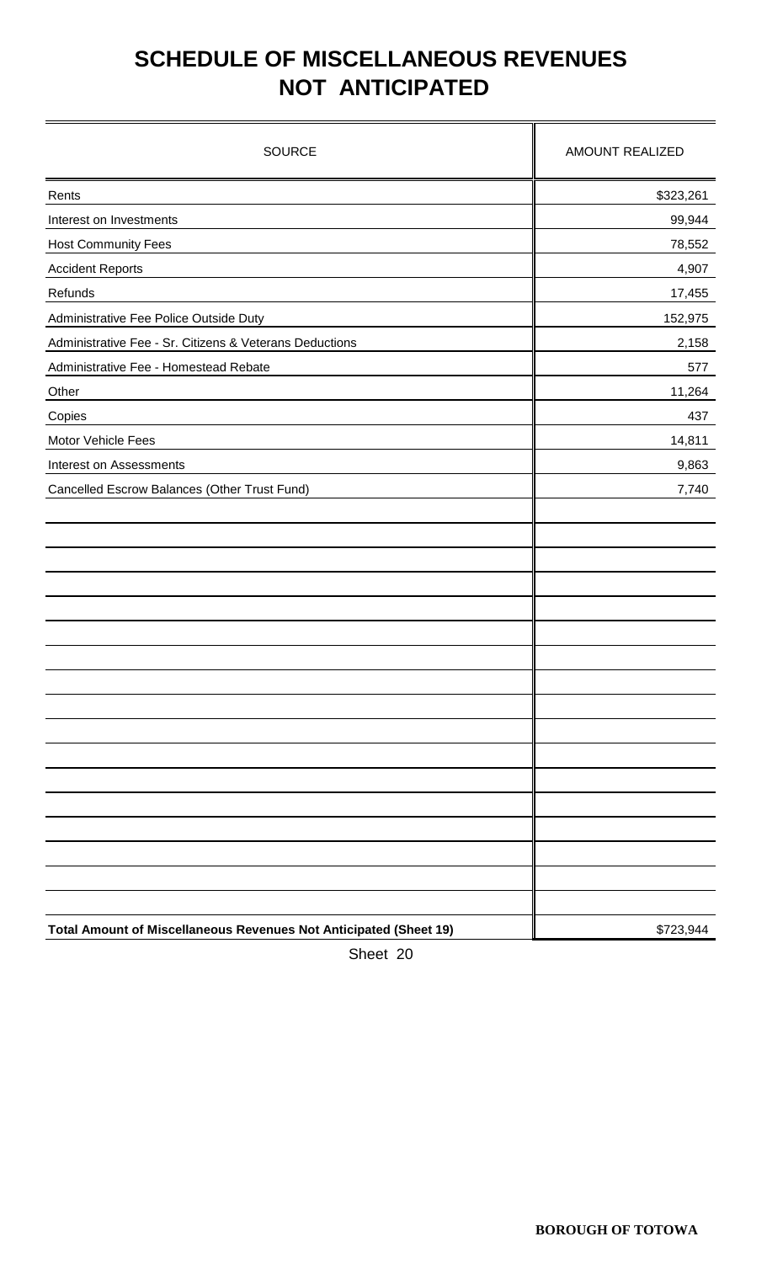# **SCHEDULE OF MISCELLANEOUS REVENUES NOT ANTICIPATED**

| <b>SOURCE</b>                                                     | <b>AMOUNT REALIZED</b> |
|-------------------------------------------------------------------|------------------------|
| Rents                                                             | \$323,261              |
| Interest on Investments                                           | 99,944                 |
| <b>Host Community Fees</b>                                        | 78,552                 |
| <b>Accident Reports</b>                                           | 4,907                  |
| Refunds                                                           | 17,455                 |
| Administrative Fee Police Outside Duty                            | 152,975                |
| Administrative Fee - Sr. Citizens & Veterans Deductions           | 2,158                  |
| Administrative Fee - Homestead Rebate                             | 577                    |
| Other                                                             | 11,264                 |
| Copies                                                            | 437                    |
| Motor Vehicle Fees                                                | 14,811                 |
| Interest on Assessments                                           | 9,863                  |
| Cancelled Escrow Balances (Other Trust Fund)                      | 7,740                  |
|                                                                   |                        |
| Total Amount of Miscellaneous Revenues Not Anticipated (Sheet 19) | \$723,944              |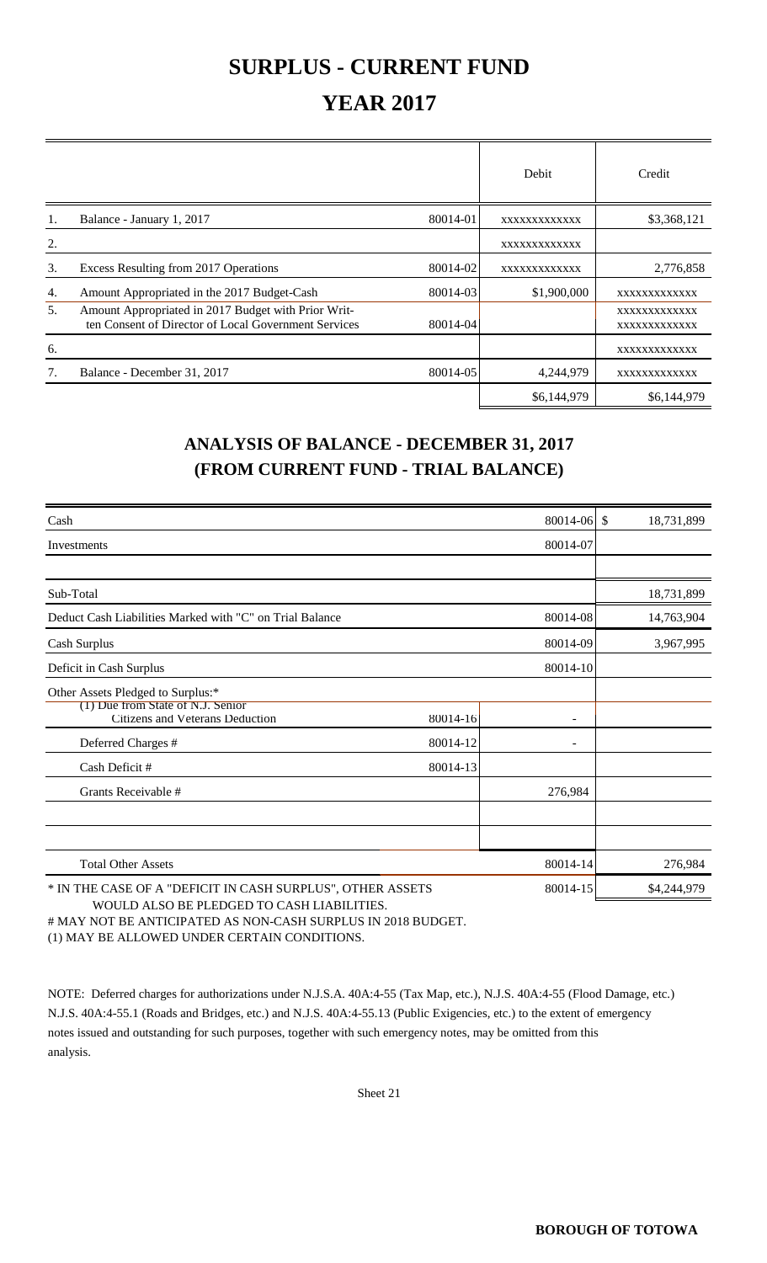### **SURPLUS - CURRENT FUND**

## **YEAR 2017**

|    |                                                                                                             |          | Debit        | Credit                       |
|----|-------------------------------------------------------------------------------------------------------------|----------|--------------|------------------------------|
|    | Balance - January 1, 2017                                                                                   | 80014-01 | XXXXXXXXXXXX | \$3,368,121                  |
| 2. |                                                                                                             |          | XXXXXXXXXXXX |                              |
| 3. | Excess Resulting from 2017 Operations                                                                       | 80014-02 | XXXXXXXXXXXX | 2,776,858                    |
| 4. | Amount Appropriated in the 2017 Budget-Cash                                                                 | 80014-03 | \$1,900,000  | XXXXXXXXXXXX                 |
| 5. | Amount Appropriated in 2017 Budget with Prior Writ-<br>ten Consent of Director of Local Government Services | 80014-04 |              | XXXXXXXXXXXX<br>XXXXXXXXXXXX |
| 6. |                                                                                                             |          |              | XXXXXXXXXXXX                 |
| 7. | Balance - December 31, 2017                                                                                 | 80014-05 | 4,244,979    | XXXXXXXXXXXX                 |
|    |                                                                                                             |          | \$6,144,979  | \$6,144,979                  |

### **ANALYSIS OF BALANCE - DECEMBER 31, 2017 (FROM CURRENT FUND - TRIAL BALANCE)**

| Cash                                                                        |          | 80014-06 \$ | 18,731,899  |
|-----------------------------------------------------------------------------|----------|-------------|-------------|
| Investments                                                                 |          | 80014-07    |             |
|                                                                             |          |             |             |
| Sub-Total                                                                   |          |             | 18,731,899  |
| Deduct Cash Liabilities Marked with "C" on Trial Balance                    |          | 80014-08    | 14,763,904  |
| Cash Surplus                                                                |          | 80014-09    | 3,967,995   |
| Deficit in Cash Surplus                                                     |          | 80014-10    |             |
| Other Assets Pledged to Surplus:*                                           |          |             |             |
| (1) Due from State of N.J. Senior<br><b>Citizens and Veterans Deduction</b> | 80014-16 |             |             |
| Deferred Charges #                                                          | 80014-12 |             |             |
| Cash Deficit #                                                              | 80014-13 |             |             |
| Grants Receivable #                                                         |          | 276,984     |             |
|                                                                             |          |             |             |
|                                                                             |          |             |             |
| <b>Total Other Assets</b>                                                   |          | 80014-14    | 276,984     |
| * IN THE CASE OF A "DEFICIT IN CASH SURPLUS", OTHER ASSETS                  |          | 80014-15    | \$4,244,979 |

 WOULD ALSO BE PLEDGED TO CASH LIABILITIES. # MAY NOT BE ANTICIPATED AS NON-CASH SURPLUS IN 2018 BUDGET.

(1) MAY BE ALLOWED UNDER CERTAIN CONDITIONS.

NOTE: Deferred charges for authorizations under N.J.S.A. 40A:4-55 (Tax Map, etc.), N.J.S. 40A:4-55 (Flood Damage, etc.) N.J.S. 40A:4-55.1 (Roads and Bridges, etc.) and N.J.S. 40A:4-55.13 (Public Exigencies, etc.) to the extent of emergency notes issued and outstanding for such purposes, together with such emergency notes, may be omitted from this analysis.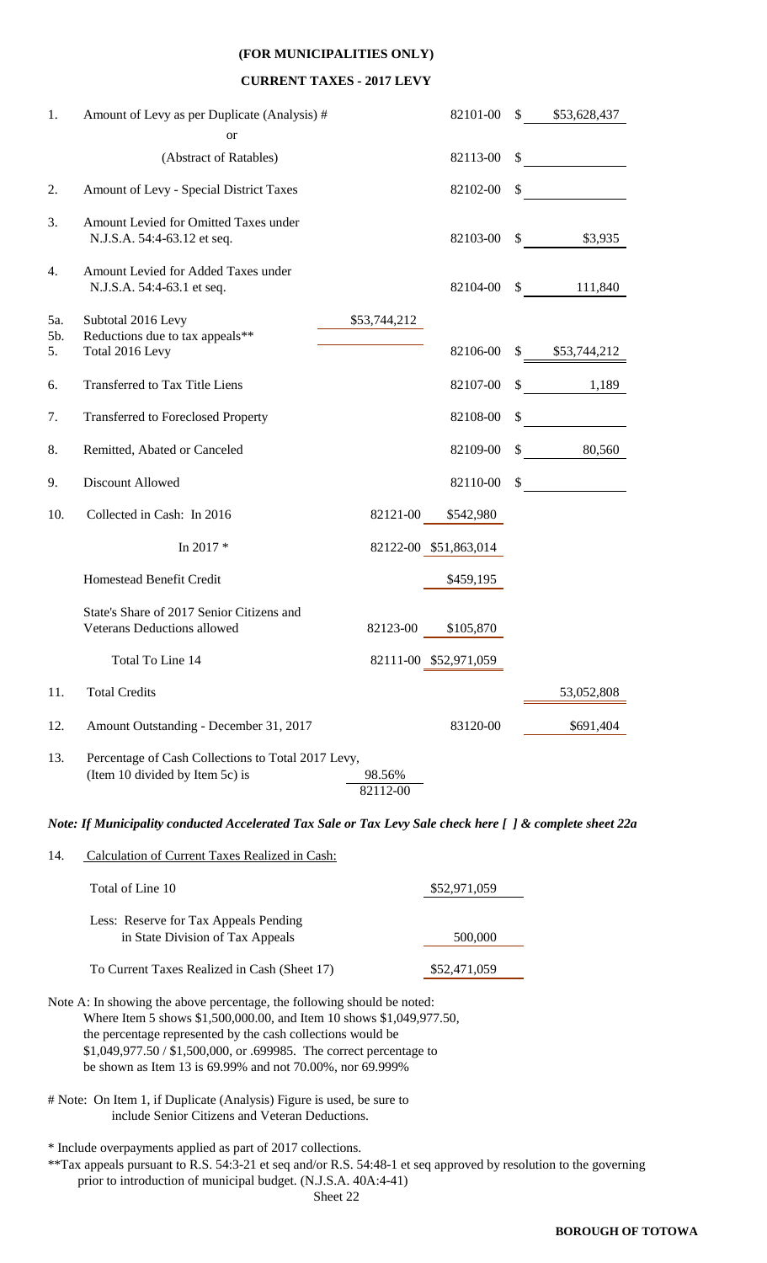#### **(FOR MUNICIPALITIES ONLY)**

#### **CURRENT TAXES - 2017 LEVY**

| 1.        | Amount of Levy as per Duplicate (Analysis) #                                          |                    | 82101-00              | \$53,628,437<br>$\mathbb{S}$ |
|-----------|---------------------------------------------------------------------------------------|--------------------|-----------------------|------------------------------|
|           | <b>or</b>                                                                             |                    |                       |                              |
|           | (Abstract of Ratables)                                                                |                    | 82113-00              | \$                           |
| 2.        | Amount of Levy - Special District Taxes                                               |                    | 82102-00              | \$                           |
| 3.        | Amount Levied for Omitted Taxes under<br>N.J.S.A. 54:4-63.12 et seq.                  |                    | 82103-00              | \$<br>\$3,935                |
| 4.        | Amount Levied for Added Taxes under<br>N.J.S.A. 54:4-63.1 et seq.                     |                    | 82104-00              | \$<br>111,840                |
| 5a.       | Subtotal 2016 Levy                                                                    | \$53,744,212       |                       |                              |
| 5b.<br>5. | Reductions due to tax appeals**<br>Total 2016 Levy                                    |                    | 82106-00              | \$<br>\$53,744,212           |
| 6.        | <b>Transferred to Tax Title Liens</b>                                                 |                    | 82107-00              | \$<br>1,189                  |
| 7.        | <b>Transferred to Foreclosed Property</b>                                             |                    | 82108-00              | \$                           |
| 8.        | Remitted, Abated or Canceled                                                          |                    | 82109-00              | \$<br>80,560                 |
| 9.        | <b>Discount Allowed</b>                                                               |                    | 82110-00              | \$                           |
| 10.       | Collected in Cash: In 2016                                                            | 82121-00           | \$542,980             |                              |
|           | In 2017 *                                                                             |                    | 82122-00 \$51,863,014 |                              |
|           | Homestead Benefit Credit                                                              |                    | \$459,195             |                              |
|           | State's Share of 2017 Senior Citizens and<br><b>Veterans Deductions allowed</b>       | 82123-00           | \$105,870             |                              |
|           | Total To Line 14                                                                      |                    | 82111-00 \$52,971,059 |                              |
| 11.       | <b>Total Credits</b>                                                                  |                    |                       | 53,052,808                   |
| 12.       | Amount Outstanding - December 31, 2017                                                |                    | 83120-00              | \$691,404                    |
| 13.       | Percentage of Cash Collections to Total 2017 Levy,<br>(Item 10 divided by Item 5c) is | 98.56%<br>82112-00 |                       |                              |

*Note: If Municipality conducted Accelerated Tax Sale or Tax Levy Sale check here [ ] & complete sheet 22a*

14. Calculation of Current Taxes Realized in Cash:

| Total of Line 10                                                          | \$52,971,059 |
|---------------------------------------------------------------------------|--------------|
| Less: Reserve for Tax Appeals Pending<br>in State Division of Tax Appeals | 500,000      |
| To Current Taxes Realized in Cash (Sheet 17)                              | \$52,471,059 |

- Note A: In showing the above percentage, the following should be noted: Where Item 5 shows \$1,500,000.00, and Item 10 shows \$1,049,977.50, the percentage represented by the cash collections would be \$1,049,977.50 / \$1,500,000, or .699985. The correct percentage to be shown as Item 13 is 69.99% and not 70.00%, nor 69.999%
- # Note: On Item 1, if Duplicate (Analysis) Figure is used, be sure to include Senior Citizens and Veteran Deductions.

\* Include overpayments applied as part of 2017 collections.

\*\*Tax appeals pursuant to R.S. 54:3-21 et seq and/or R.S. 54:48-1 et seq approved by resolution to the governing body prior to introduction of municipal budget. (N.J.S.A. 40A:4-41)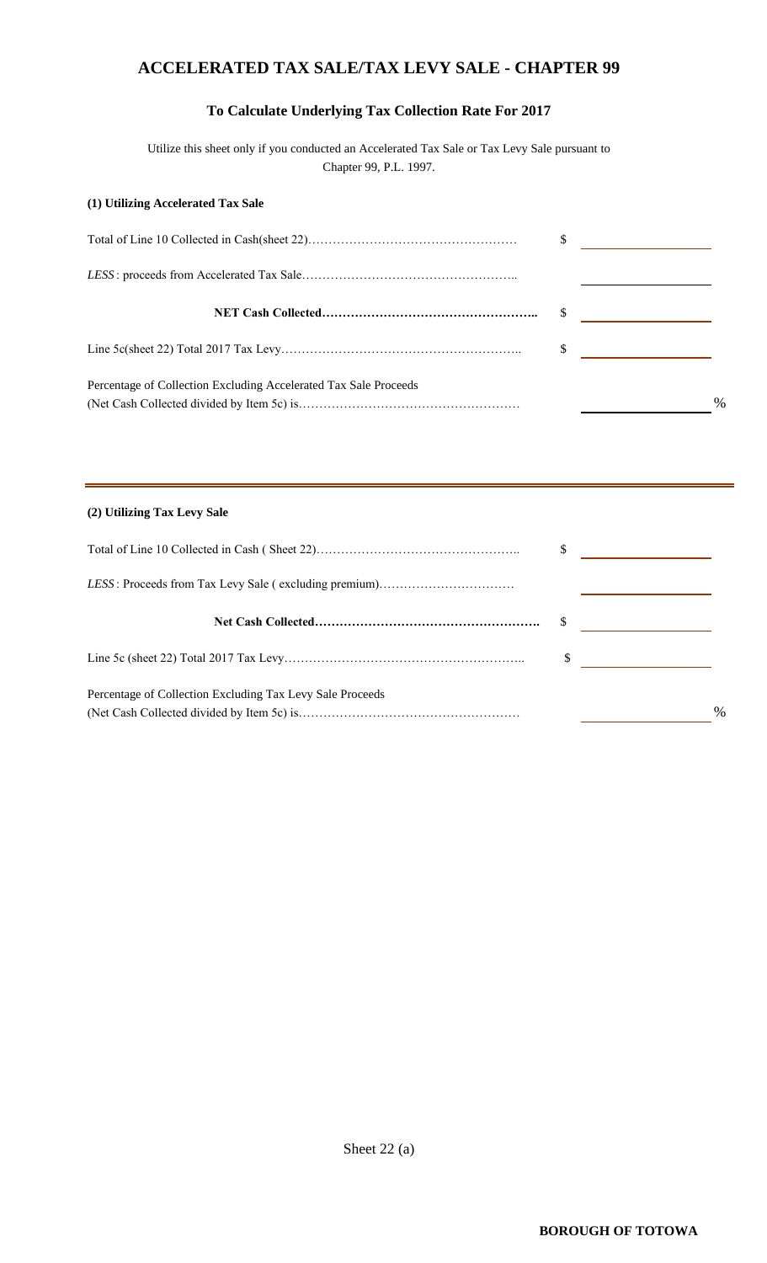### **ACCELERATED TAX SALE/TAX LEVY SALE - CHAPTER 99**

### **To Calculate Underlying Tax Collection Rate For 2017**

Utilize this sheet only if you conducted an Accelerated Tax Sale or Tax Levy Sale pursuant to Chapter 99, P.L. 1997.

#### **(1) Utilizing Accelerated Tax Sale**

| Percentage of Collection Excluding Accelerated Tax Sale Proceeds |  | $\frac{0}{0}$ |
|------------------------------------------------------------------|--|---------------|

#### **(2) Utilizing Tax Levy Sale**

| Percentage of Collection Excluding Tax Levy Sale Proceeds |  | $\%$ |
|-----------------------------------------------------------|--|------|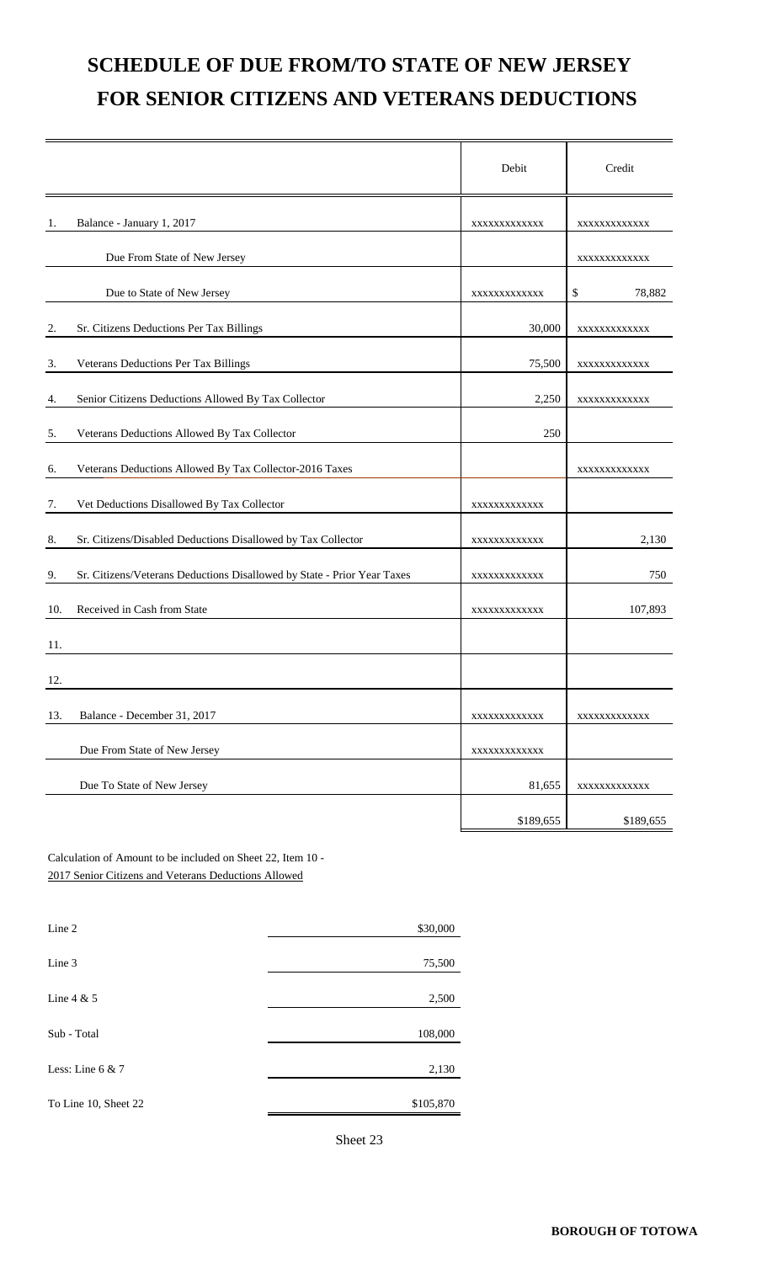# **SCHEDULE OF DUE FROM/TO STATE OF NEW JERSEY FOR SENIOR CITIZENS AND VETERANS DEDUCTIONS**

|     |                                                                         | Debit        | Credit       |
|-----|-------------------------------------------------------------------------|--------------|--------------|
| 1.  | Balance - January 1, 2017                                               | XXXXXXXXXXXX | XXXXXXXXXXXX |
|     | Due From State of New Jersey                                            |              | XXXXXXXXXXXX |
|     | Due to State of New Jersey                                              | XXXXXXXXXXXX | 78,882<br>\$ |
| 2.  | Sr. Citizens Deductions Per Tax Billings                                | 30,000       | XXXXXXXXXXXX |
| 3.  | Veterans Deductions Per Tax Billings                                    | 75,500       | XXXXXXXXXXXX |
| 4.  | Senior Citizens Deductions Allowed By Tax Collector                     | 2,250        | XXXXXXXXXXXX |
| 5.  | Veterans Deductions Allowed By Tax Collector                            | 250          |              |
| 6.  | Veterans Deductions Allowed By Tax Collector-2016 Taxes                 |              | XXXXXXXXXXXX |
| 7.  | Vet Deductions Disallowed By Tax Collector                              | XXXXXXXXXXXX |              |
| 8.  | Sr. Citizens/Disabled Deductions Disallowed by Tax Collector            | XXXXXXXXXXXX | 2,130        |
| 9.  | Sr. Citizens/Veterans Deductions Disallowed by State - Prior Year Taxes | XXXXXXXXXXXX | 750          |
| 10. | Received in Cash from State                                             | XXXXXXXXXXXX | 107,893      |
| 11. |                                                                         |              |              |
| 12. |                                                                         |              |              |
| 13. | Balance - December 31, 2017                                             | XXXXXXXXXXXX | XXXXXXXXXXXX |
|     | Due From State of New Jersey                                            | XXXXXXXXXXXX |              |
|     | Due To State of New Jersey                                              | 81,655       | XXXXXXXXXXXX |
|     |                                                                         | \$189,655    | \$189,655    |

Calculation of Amount to be included on Sheet 22, Item 10 - 2017 Senior Citizens and Veterans Deductions Allowed

| Line 2               | \$30,000  |
|----------------------|-----------|
|                      |           |
| Line 3               | 75,500    |
|                      |           |
| Line $4 & 5$         | 2,500     |
|                      |           |
| Sub - Total          | 108,000   |
|                      |           |
| Less: Line $6 & 7$   | 2,130     |
|                      |           |
| To Line 10, Sheet 22 | \$105,870 |
|                      |           |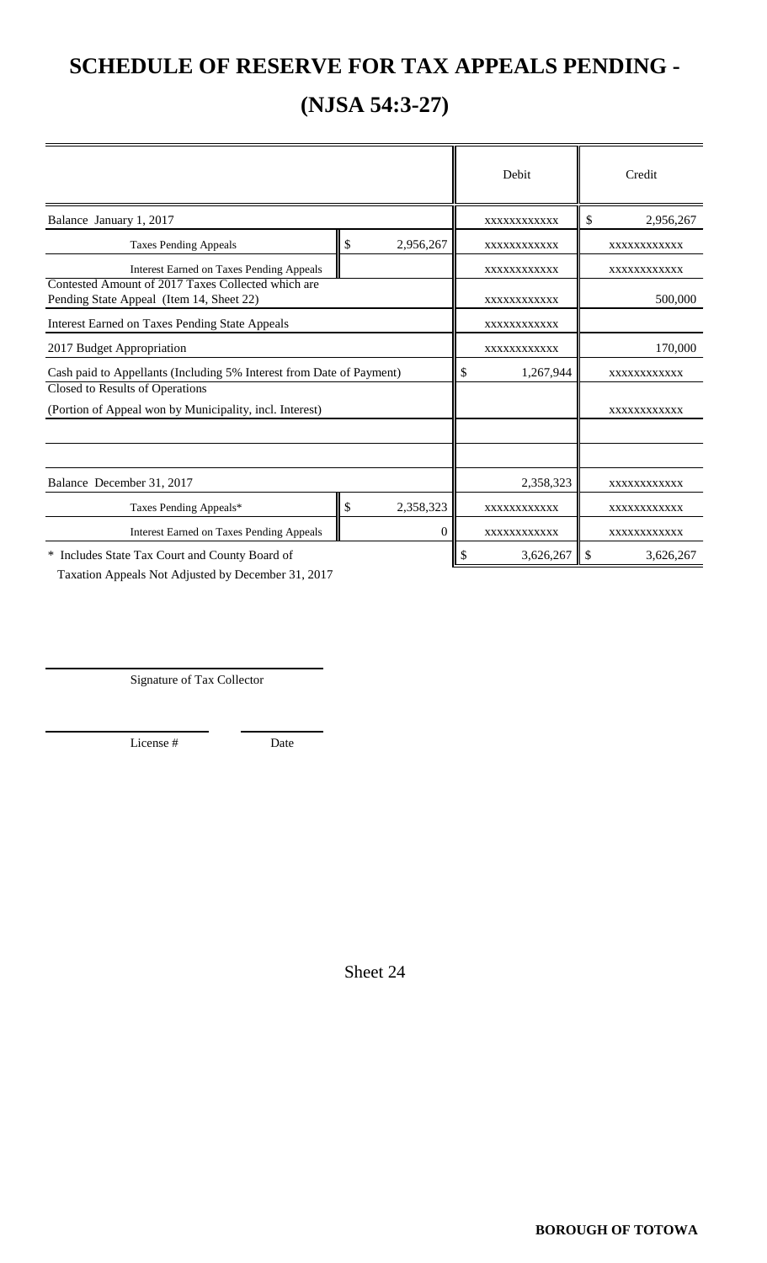## **SCHEDULE OF RESERVE FOR TAX APPEALS PENDING -**

## **(NJSA 54:3-27)**

|                                                                                                |    |             | Debit           |               | Credit      |
|------------------------------------------------------------------------------------------------|----|-------------|-----------------|---------------|-------------|
| Balance January 1, 2017                                                                        |    |             | XXXXXXXXXXX     | \$            | 2,956,267   |
| <b>Taxes Pending Appeals</b>                                                                   | \$ | 2,956,267   | XXXXXXXXXXX     |               | XXXXXXXXXXX |
| <b>Interest Earned on Taxes Pending Appeals</b>                                                |    |             | XXXXXXXXXXX     |               | XXXXXXXXXXX |
| Contested Amount of 2017 Taxes Collected which are<br>Pending State Appeal (Item 14, Sheet 22) |    |             | XXXXXXXXXXX     |               | 500,000     |
| <b>Interest Earned on Taxes Pending State Appeals</b>                                          |    | XXXXXXXXXXX |                 |               |             |
| 2017 Budget Appropriation                                                                      |    | XXXXXXXXXXX |                 | 170,000       |             |
| Cash paid to Appellants (Including 5% Interest from Date of Payment)                           |    |             | \$<br>1,267,944 |               | XXXXXXXXXXX |
| Closed to Results of Operations                                                                |    |             |                 |               |             |
| (Portion of Appeal won by Municipality, incl. Interest)                                        |    |             |                 |               | XXXXXXXXXXX |
|                                                                                                |    |             |                 |               |             |
| Balance December 31, 2017                                                                      |    |             | 2,358,323       |               | XXXXXXXXXXX |
| Taxes Pending Appeals*                                                                         | \$ | 2,358,323   | XXXXXXXXXXX     |               | XXXXXXXXXXX |
| <b>Interest Earned on Taxes Pending Appeals</b>                                                |    | $\theta$    | XXXXXXXXXXX     |               | XXXXXXXXXXX |
| * Includes State Tax Court and County Board of                                                 |    |             | \$<br>3,626,267 | <sup>\$</sup> | 3,626,267   |

Taxation Appeals Not Adjusted by December 31, 2017

Signature of Tax Collector

License # Date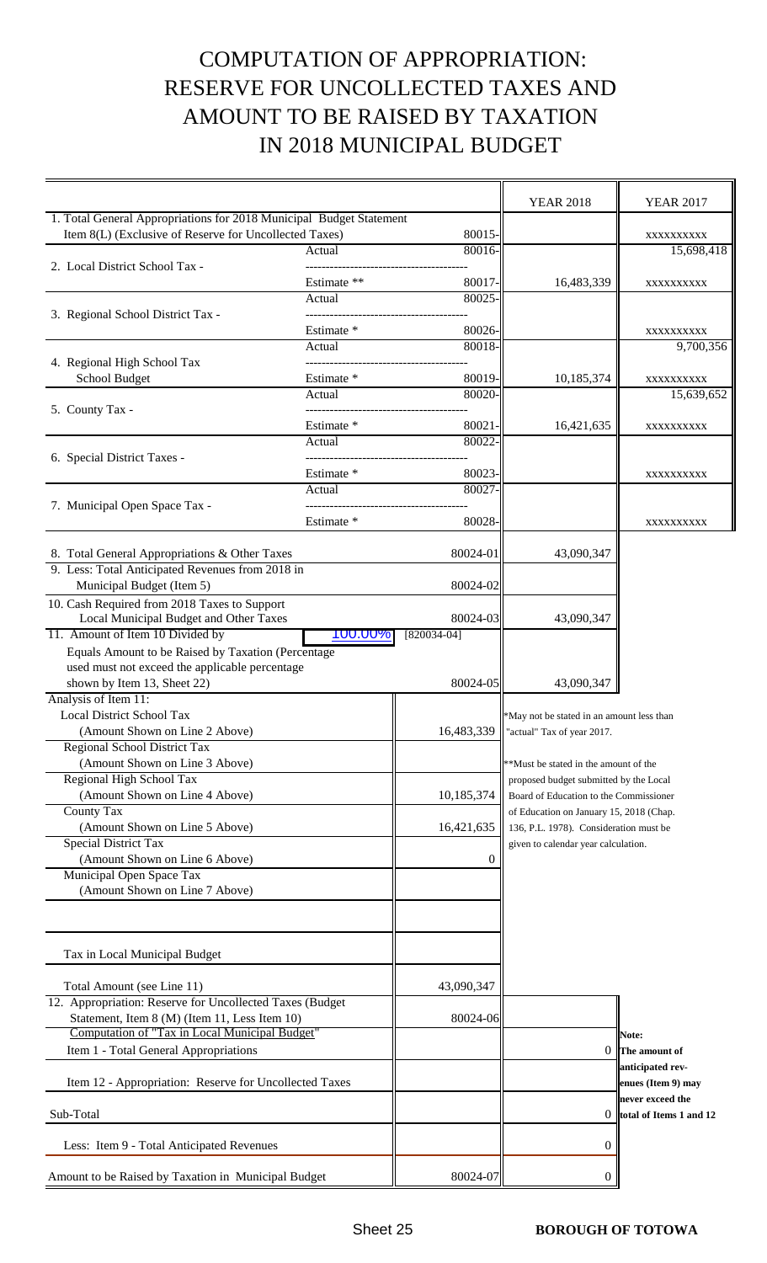# COMPUTATION OF APPROPRIATION: RESERVE FOR UNCOLLECTED TAXES AND AMOUNT TO BE RAISED BY TAXATION IN 2018 MUNICIPAL BUDGET

 $\overline{\phantom{a}}$ 

 $\overline{\mathbf{r}}$ 

|                                                                     |             |                              | <b>YEAR 2018</b>                          | <b>YEAR 2017</b>        |
|---------------------------------------------------------------------|-------------|------------------------------|-------------------------------------------|-------------------------|
| 1. Total General Appropriations for 2018 Municipal Budget Statement |             |                              |                                           |                         |
| Item 8(L) (Exclusive of Reserve for Uncollected Taxes)              |             | 80015-                       |                                           | XXXXXXXXX               |
|                                                                     | Actual      | 80016-                       |                                           | 15,698,418              |
| 2. Local District School Tax -                                      |             |                              |                                           |                         |
|                                                                     | Estimate ** | 80017-                       | 16,483,339                                | XXXXXXXXX               |
|                                                                     | Actual      | 80025                        |                                           |                         |
| 3. Regional School District Tax -                                   |             |                              |                                           |                         |
|                                                                     | Estimate *  | 80026-<br>80018-             |                                           | XXXXXXXXX               |
| 4. Regional High School Tax                                         | Actual      | ------------------------     |                                           | 9,700,356               |
| School Budget                                                       | Estimate *  | 80019-                       | 10,185,374                                | XXXXXXXXX               |
|                                                                     | Actual      | 80020-                       |                                           | 15,639,652              |
| 5. County Tax -                                                     |             | --------------------------   |                                           |                         |
|                                                                     | Estimate *  | 80021                        | 16,421,635                                | XXXXXXXXX               |
|                                                                     | Actual      | 80022                        |                                           |                         |
| 6. Special District Taxes -                                         |             | ---------------------------- |                                           |                         |
|                                                                     | Estimate *  | 80023-                       |                                           | XXXXXXXXXX              |
|                                                                     | Actual      | 80027                        |                                           |                         |
| 7. Municipal Open Space Tax -                                       |             |                              |                                           |                         |
|                                                                     | Estimate *  | 80028-                       |                                           | XXXXXXXXX               |
|                                                                     |             |                              |                                           |                         |
| 8. Total General Appropriations & Other Taxes                       |             | 80024-01                     | 43,090,347                                |                         |
| 9. Less: Total Anticipated Revenues from 2018 in                    |             |                              |                                           |                         |
| Municipal Budget (Item 5)                                           |             | 80024-02                     |                                           |                         |
| 10. Cash Required from 2018 Taxes to Support                        |             |                              |                                           |                         |
| Local Municipal Budget and Other Taxes                              |             | 80024-03                     | 43,090,347                                |                         |
| 11. Amount of Item 10 Divided by                                    | 100.00%     | $[820034-04]$                |                                           |                         |
| Equals Amount to be Raised by Taxation (Percentage                  |             |                              |                                           |                         |
| used must not exceed the applicable percentage                      |             |                              |                                           |                         |
| shown by Item 13, Sheet 22)                                         |             | 80024-05                     | 43,090,347                                |                         |
| Analysis of Item 11:                                                |             |                              |                                           |                         |
| <b>Local District School Tax</b>                                    |             |                              | *May not be stated in an amount less than |                         |
| (Amount Shown on Line 2 Above)                                      |             | 16,483,339                   | "actual" Tax of year 2017.                |                         |
| <b>Regional School District Tax</b>                                 |             |                              |                                           |                         |
| (Amount Shown on Line 3 Above)                                      |             |                              | **Must be stated in the amount of the     |                         |
| Regional High School Tax                                            |             |                              | proposed budget submitted by the Local    |                         |
| (Amount Shown on Line 4 Above)                                      |             | 10,185,374                   | Board of Education to the Commissioner    |                         |
| <b>County Tax</b>                                                   |             |                              | of Education on January 15, 2018 (Chap.   |                         |
| (Amount Shown on Line 5 Above)                                      |             | 16,421,635                   | 136, P.L. 1978). Consideration must be    |                         |
| <b>Special District Tax</b>                                         |             |                              | given to calendar year calculation.       |                         |
| (Amount Shown on Line 6 Above)                                      |             | $\theta$                     |                                           |                         |
| Municipal Open Space Tax                                            |             |                              |                                           |                         |
| (Amount Shown on Line 7 Above)                                      |             |                              |                                           |                         |
|                                                                     |             |                              |                                           |                         |
|                                                                     |             |                              |                                           |                         |
|                                                                     |             |                              |                                           |                         |
| Tax in Local Municipal Budget                                       |             |                              |                                           |                         |
|                                                                     |             |                              |                                           |                         |
| Total Amount (see Line 11)                                          |             | 43,090,347                   |                                           |                         |
| 12. Appropriation: Reserve for Uncollected Taxes (Budget)           |             |                              |                                           |                         |
| Statement, Item 8 (M) (Item 11, Less Item 10)                       |             | 80024-06                     |                                           |                         |
| Computation of "Tax in Local Municipal Budget"                      |             |                              |                                           | Note:                   |
| Item 1 - Total General Appropriations                               |             |                              | 0                                         | The amount of           |
|                                                                     |             |                              |                                           | anticipated rev-        |
| Item 12 - Appropriation: Reserve for Uncollected Taxes              |             |                              |                                           | enues (Item 9) may      |
|                                                                     |             |                              |                                           | never exceed the        |
| Sub-Total                                                           |             |                              | $\theta$                                  | total of Items 1 and 12 |
|                                                                     |             |                              |                                           |                         |
| Less: Item 9 - Total Anticipated Revenues                           |             |                              | 0                                         |                         |
|                                                                     |             |                              |                                           |                         |
| Amount to be Raised by Taxation in Municipal Budget                 |             | 80024-07                     |                                           |                         |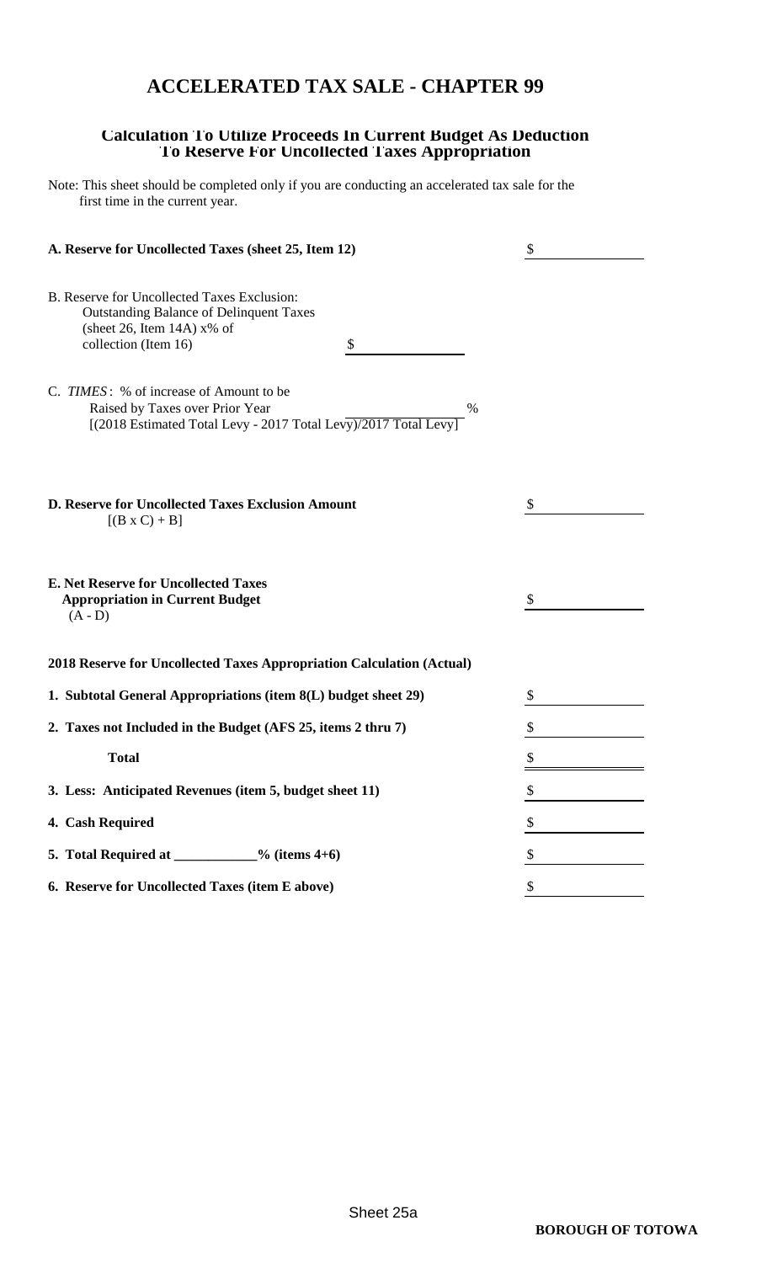### **ACCELERATED TAX SALE - CHAPTER 99**

#### **Calculation To Utilize Proceeds In Current Budget As Deduction To Reserve For Uncollected Taxes Appropriation**

Note: This sheet should be completed only if you are conducting an accelerated tax sale for the first time in the current year.

| A. Reserve for Uncollected Taxes (sheet 25, Item 12)                                                                                                                                                    | \$ |
|---------------------------------------------------------------------------------------------------------------------------------------------------------------------------------------------------------|----|
| B. Reserve for Uncollected Taxes Exclusion:<br><b>Outstanding Balance of Delinquent Taxes</b><br>(sheet 26, Item 14A) $x\%$ of<br>collection (Item 16)<br>\$<br>C. TIMES: % of increase of Amount to be |    |
| Raised by Taxes over Prior Year<br>$\%$<br>[(2018 Estimated Total Levy - 2017 Total Levy)/2017 Total Levy]                                                                                              |    |
| <b>D. Reserve for Uncollected Taxes Exclusion Amount</b><br>$[(B \times C) + B]$                                                                                                                        | \$ |
| <b>E. Net Reserve for Uncollected Taxes</b><br><b>Appropriation in Current Budget</b><br>$(A - D)$                                                                                                      | S  |
| 2018 Reserve for Uncollected Taxes Appropriation Calculation (Actual)                                                                                                                                   |    |
| 1. Subtotal General Appropriations (item 8(L) budget sheet 29)                                                                                                                                          | \$ |
| 2. Taxes not Included in the Budget (AFS 25, items 2 thru 7)                                                                                                                                            | \$ |
| <b>Total</b>                                                                                                                                                                                            |    |
| 3. Less: Anticipated Revenues (item 5, budget sheet 11)                                                                                                                                                 | \$ |
| 4. Cash Required                                                                                                                                                                                        | \$ |
| 5. Total Required at ___________% (items $4+6$ )                                                                                                                                                        | \$ |
| 6. Reserve for Uncollected Taxes (item E above)                                                                                                                                                         | \$ |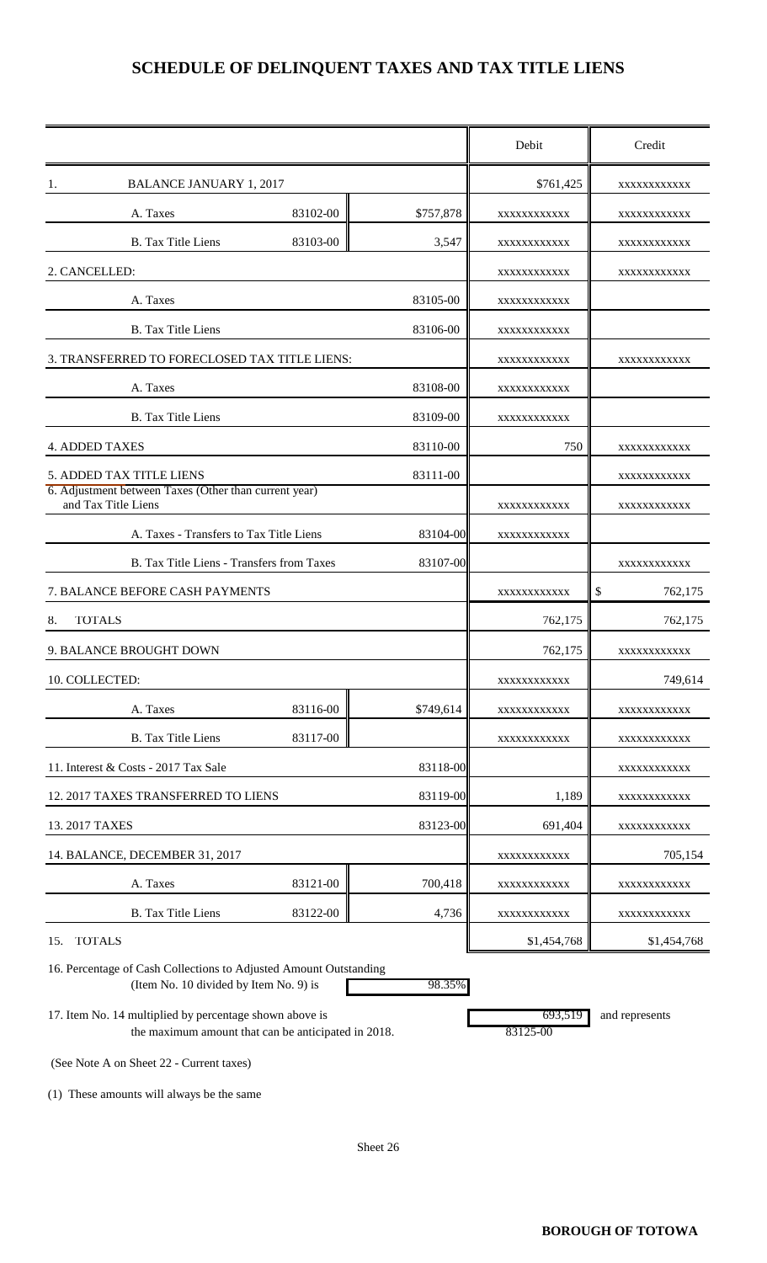### **SCHEDULE OF DELINQUENT TAXES AND TAX TITLE LIENS**

|                                                                                   |          |           | Debit       | Credit       |
|-----------------------------------------------------------------------------------|----------|-----------|-------------|--------------|
| <b>BALANCE JANUARY 1, 2017</b><br>Ι.                                              |          |           | \$761,425   | XXXXXXXXXXX  |
| A. Taxes                                                                          | 83102-00 | \$757,878 | XXXXXXXXXXX | XXXXXXXXXXX  |
| <b>B.</b> Tax Title Liens                                                         | 83103-00 | 3,547     | XXXXXXXXXXX | XXXXXXXXXXX  |
| 2. CANCELLED:                                                                     |          |           | XXXXXXXXXXX | XXXXXXXXXXX  |
| A. Taxes                                                                          |          | 83105-00  | XXXXXXXXXXX |              |
| <b>B.</b> Tax Title Liens                                                         |          | 83106-00  | XXXXXXXXXXX |              |
| 3. TRANSFERRED TO FORECLOSED TAX TITLE LIENS:                                     |          |           | XXXXXXXXXXX | XXXXXXXXXXX  |
| A. Taxes                                                                          |          | 83108-00  | XXXXXXXXXXX |              |
| <b>B.</b> Tax Title Liens                                                         |          | 83109-00  | XXXXXXXXXXX |              |
| <b>4. ADDED TAXES</b>                                                             |          | 83110-00  | 750         | XXXXXXXXXXX  |
| 5. ADDED TAX TITLE LIENS<br>6. Adjustment between Taxes (Other than current year) |          | 83111-00  |             | XXXXXXXXXXX  |
| and Tax Title Liens                                                               |          |           | XXXXXXXXXXX | XXXXXXXXXXX  |
| A. Taxes - Transfers to Tax Title Liens                                           |          | 83104-00  | XXXXXXXXXXX |              |
| B. Tax Title Liens - Transfers from Taxes                                         |          | 83107-00  |             | XXXXXXXXXXX  |
| 7. BALANCE BEFORE CASH PAYMENTS                                                   |          |           | XXXXXXXXXXX | S<br>762,175 |
| <b>TOTALS</b><br>8.                                                               |          |           | 762,175     | 762,175      |
| 9. BALANCE BROUGHT DOWN                                                           |          |           | 762,175     | XXXXXXXXXXX  |
| 10. COLLECTED:                                                                    |          |           | XXXXXXXXXXX | 749,614      |
| A. Taxes                                                                          | 83116-00 | \$749,614 | XXXXXXXXXXX | XXXXXXXXXXX  |
| <b>B.</b> Tax Title Liens                                                         | 83117-00 |           | XXXXXXXXXXX | XXXXXXXXXXX  |
| 11. Interest & Costs - 2017 Tax Sale                                              |          | 83118-00  |             | XXXXXXXXXXX  |
| 12. 2017 TAXES TRANSFERRED TO LIENS                                               |          | 83119-00  | 1,189       | XXXXXXXXXXX  |
| 13. 2017 TAXES                                                                    |          | 83123-00  | 691,404     | XXXXXXXXXXX  |
| 14. BALANCE, DECEMBER 31, 2017                                                    |          |           | XXXXXXXXXXX | 705,154      |
| A. Taxes                                                                          | 83121-00 | 700,418   | XXXXXXXXXXX | XXXXXXXXXXX  |
| <b>B.</b> Tax Title Liens                                                         | 83122-00 | 4,736     | XXXXXXXXXXX | XXXXXXXXXXX  |
| <b>TOTALS</b><br>15.                                                              |          |           | \$1,454,768 | \$1,454,768  |

16. Percentage of Cash Collections to Adjusted Amount Outstanding (Item No. 10 divided by Item No. 9) is 98.35%

17. Item No. 14 multiplied by percentage shown above is 693,519 and represents the maximum amount that can be anticipated in 2018. 83125-00

(See Note A on Sheet 22 - Current taxes)

(1) These amounts will always be the same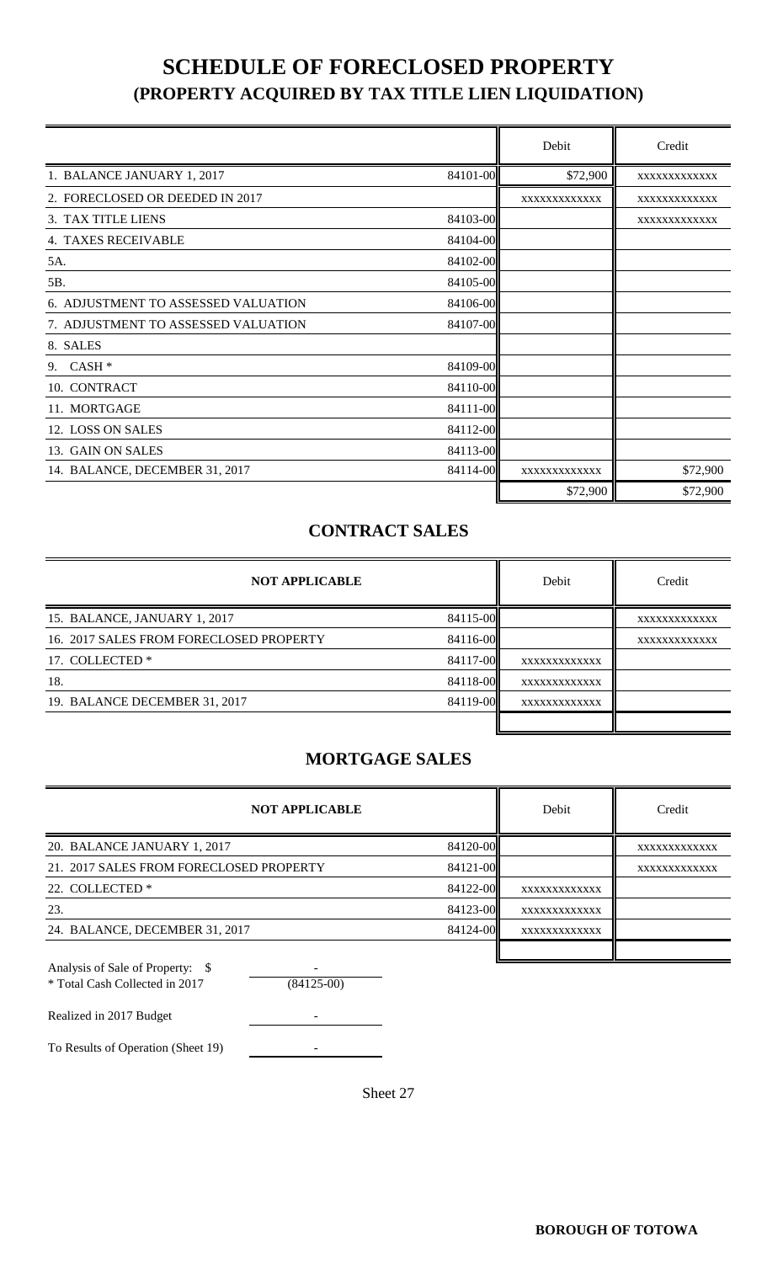### **SCHEDULE OF FORECLOSED PROPERTY (PROPERTY ACQUIRED BY TAX TITLE LIEN LIQUIDATION)**

|                                     |          | Debit        | Credit       |
|-------------------------------------|----------|--------------|--------------|
| 1. BALANCE JANUARY 1, 2017          | 84101-00 | \$72,900     | XXXXXXXXXXXX |
| 2. FORECLOSED OR DEEDED IN 2017     |          | XXXXXXXXXXXX | XXXXXXXXXXXX |
| 3. TAX TITLE LIENS                  | 84103-00 |              | XXXXXXXXXXXX |
| <b>4. TAXES RECEIVABLE</b>          | 84104-00 |              |              |
| 5A.                                 | 84102-00 |              |              |
| 5B.                                 | 84105-00 |              |              |
| 6. ADJUSTMENT TO ASSESSED VALUATION | 84106-00 |              |              |
| 7. ADJUSTMENT TO ASSESSED VALUATION | 84107-00 |              |              |
| 8. SALES                            |          |              |              |
| $CASH*$<br>9.                       | 84109-00 |              |              |
| 10. CONTRACT                        | 84110-00 |              |              |
| 11. MORTGAGE                        | 84111-00 |              |              |
| 12. LOSS ON SALES                   | 84112-00 |              |              |
| 13. GAIN ON SALES                   | 84113-00 |              |              |
| 14. BALANCE, DECEMBER 31, 2017      | 84114-00 | XXXXXXXXXXXX | \$72,900     |
|                                     |          | \$72,900     | \$72,900     |

#### **CONTRACT SALES**

| <b>NOT APPLICABLE</b>                   |          | Debit        | Credit       |
|-----------------------------------------|----------|--------------|--------------|
| 15. BALANCE, JANUARY 1, 2017            | 84115-00 |              | XXXXXXXXXXXX |
| 16. 2017 SALES FROM FORECLOSED PROPERTY | 84116-00 |              | XXXXXXXXXXXX |
| 17. COLLECTED *                         | 84117-00 | XXXXXXXXXXXX |              |
| 18.                                     | 84118-00 | XXXXXXXXXXXX |              |
| 19. BALANCE DECEMBER 31, 2017           | 84119-00 | XXXXXXXXXXXX |              |
|                                         |          |              |              |

#### **MORTGAGE SALES**

| <b>NOT APPLICABLE</b>                   |          | Debit        | Credit       |
|-----------------------------------------|----------|--------------|--------------|
| 20. BALANCE JANUARY 1, 2017             | 84120-00 |              | XXXXXXXXXXXX |
| 21. 2017 SALES FROM FORECLOSED PROPERTY | 84121-00 |              | XXXXXXXXXXXX |
| 22. COLLECTED *                         | 84122-00 | XXXXXXXXXXXX |              |
| 23.                                     | 84123-00 | XXXXXXXXXXXX |              |
| 24. BALANCE, DECEMBER 31, 2017          | 84124-00 | XXXXXXXXXXXX |              |
|                                         |          |              |              |

| * Total Cash Collected in 2017 | $(84125-00)$ |
|--------------------------------|--------------|
| Realized in 2017 Budget        |              |

To Results of Operation (Sheet 19) -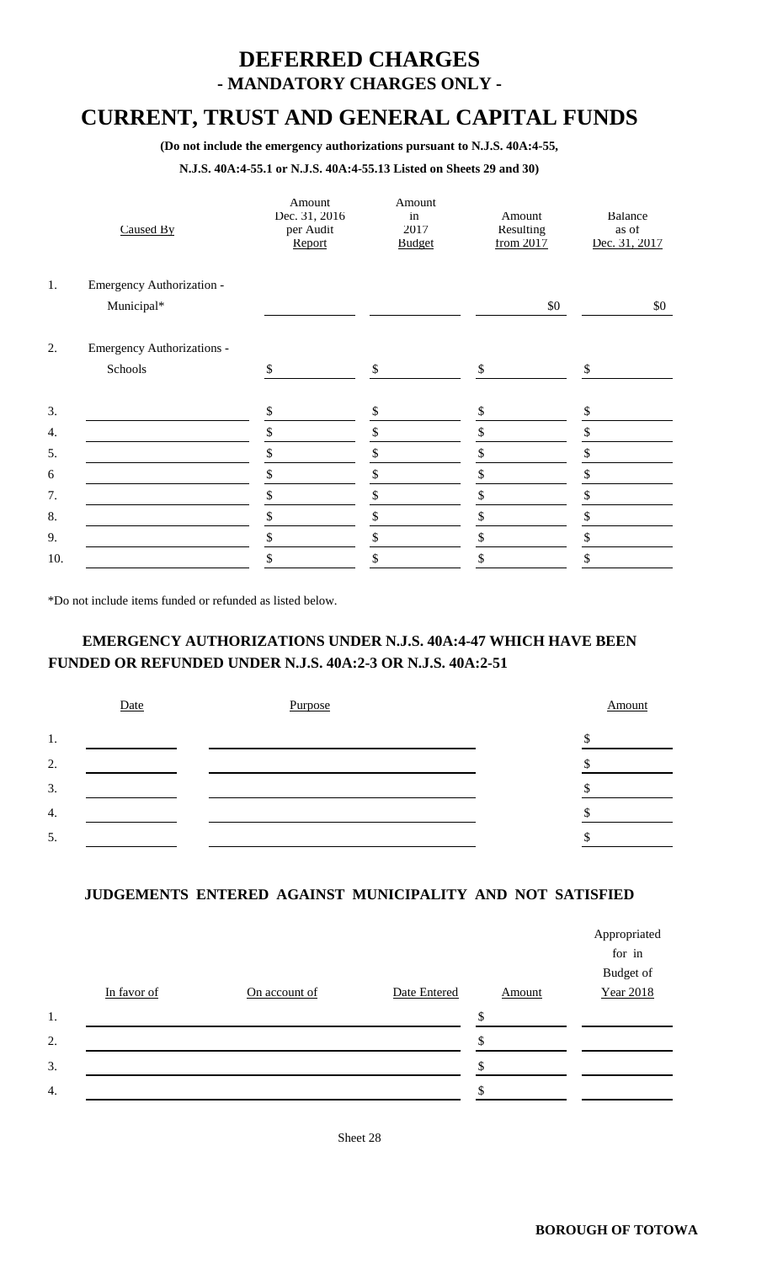### **DEFERRED CHARGES - MANDATORY CHARGES ONLY -**

### **CURRENT, TRUST AND GENERAL CAPITAL FUNDS**

**(Do not include the emergency authorizations pursuant to N.J.S. 40A:4-55,**

#### **N.J.S. 40A:4-55.1 or N.J.S. 40A:4-55.13 Listed on Sheets 29 and 30)**

|     | Caused By                         | Amount<br>Dec. 31, 2016<br>per Audit<br>Report | Amount<br>in<br>2017<br><b>Budget</b> | Amount<br>Resulting<br>from 2017 | Balance<br>as of<br>Dec. 31, 2017 |
|-----|-----------------------------------|------------------------------------------------|---------------------------------------|----------------------------------|-----------------------------------|
| 1.  | Emergency Authorization -         |                                                |                                       |                                  |                                   |
|     | Municipal*                        |                                                |                                       | \$0                              | \$0                               |
| 2.  | <b>Emergency Authorizations -</b> |                                                |                                       |                                  |                                   |
|     | Schools                           | \$                                             | \$                                    | \$                               | \$                                |
| 3.  |                                   | \$                                             | \$                                    | \$                               | S                                 |
| 4.  |                                   | \$                                             | \$                                    | \$                               | \$                                |
| 5.  |                                   | \$                                             | \$                                    | \$                               | \$                                |
| 6   |                                   | \$                                             | \$                                    | \$                               | \$                                |
| 7.  |                                   | \$                                             | \$                                    | \$                               | \$                                |
| 8.  |                                   | \$                                             | \$                                    | \$                               | \$                                |
| 9.  |                                   | \$                                             | \$                                    | \$                               | \$                                |
| 10. |                                   | \$                                             | \$                                    | \$                               | \$                                |

\*Do not include items funded or refunded as listed below.

#### **EMERGENCY AUTHORIZATIONS UNDER N.J.S. 40A:4-47 WHICH HAVE BEEN FUNDED OR REFUNDED UNDER N.J.S. 40A:2-3 OR N.J.S. 40A:2-51**

|                  | Date | Purpose | Amount |
|------------------|------|---------|--------|
| 1.               |      |         |        |
| 2.               |      |         |        |
| 3.               |      |         |        |
| $\overline{4}$ . |      |         |        |
| 5.               |      |         |        |

#### **JUDGEMENTS ENTERED AGAINST MUNICIPALITY AND NOT SATISFIED**

|                  |             |               |              |        | Appropriated     |
|------------------|-------------|---------------|--------------|--------|------------------|
|                  |             |               |              |        | for in           |
|                  |             |               |              |        | Budget of        |
|                  | In favor of | On account of | Date Entered | Amount | <b>Year 2018</b> |
| 1.               |             |               |              | \$     |                  |
| 2.               |             |               |              |        |                  |
| 3.               |             |               |              |        |                  |
| $\overline{4}$ . |             |               |              |        |                  |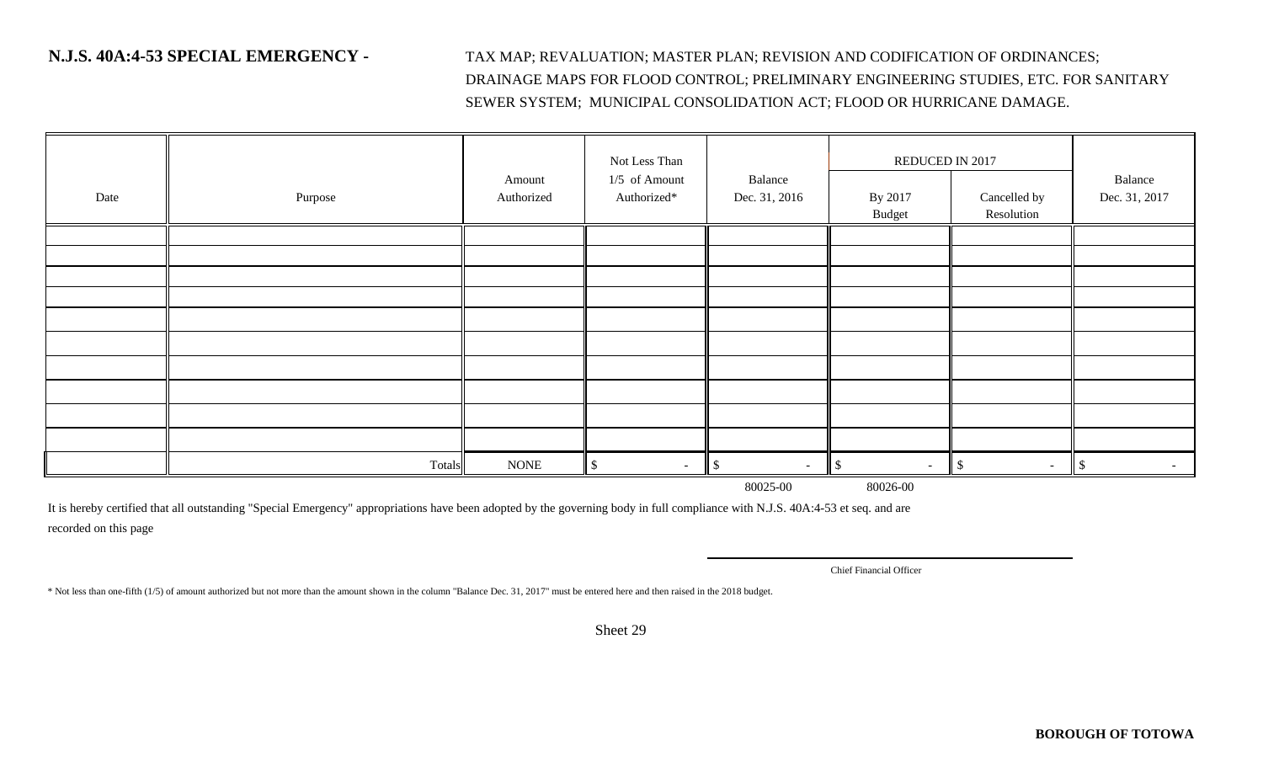**N.J.S. 40A:4-53 SPECIAL EMERGENCY -** TAX MAP; REVALUATION; MASTER PLAN; REVISION AND CODIFICATION OF ORDINANCES; DRAINAGE MAPS FOR FLOOD CONTROL; PRELIMINARY ENGINEERING STUDIES, ETC. FOR SANITARY SEWER SYSTEM; MUNICIPAL CONSOLIDATION ACT; FLOOD OR HURRICANE DAMAGE.

|      |         |             | Not Less Than   |                          | REDUCED IN 2017         |                        |                         |
|------|---------|-------------|-----------------|--------------------------|-------------------------|------------------------|-------------------------|
|      |         | Amount      | $1/5$ of Amount | Balance                  |                         |                        | Balance                 |
| Date | Purpose | Authorized  | Authorized*     | Dec. 31, 2016            | By 2017                 | Cancelled by           | Dec. 31, 2017           |
|      |         |             |                 |                          | Budget                  | Resolution             |                         |
|      |         |             |                 |                          |                         |                        |                         |
|      |         |             |                 |                          |                         |                        |                         |
|      |         |             |                 |                          |                         |                        |                         |
|      |         |             |                 |                          |                         |                        |                         |
|      |         |             |                 |                          |                         |                        |                         |
|      |         |             |                 |                          |                         |                        |                         |
|      |         |             |                 |                          |                         |                        |                         |
|      |         |             |                 |                          |                         |                        |                         |
|      |         |             |                 |                          |                         |                        |                         |
|      |         |             |                 |                          |                         |                        |                         |
|      | Totals  | <b>NONE</b> | \$<br>$\sim$    | $\parallel$ \$<br>$\sim$ | $\mathcal{S}$<br>$\sim$ | $\mathbb{S}$<br>$\sim$ | $\mathcal{S}$<br>$\sim$ |

80025-00 80026-00

It is hereby certified that all outstanding "Special Emergency" appropriations have been adopted by the governing body in full compliance with N.J.S. 40A:4-53 et seq. and are recorded on this page

Chief Financial Officer

\* Not less than one-fifth (1/5) of amount authorized but not more than the amount shown in the column "Balance Dec. 31, 2017" must be entered here and then raised in the 2018 budget.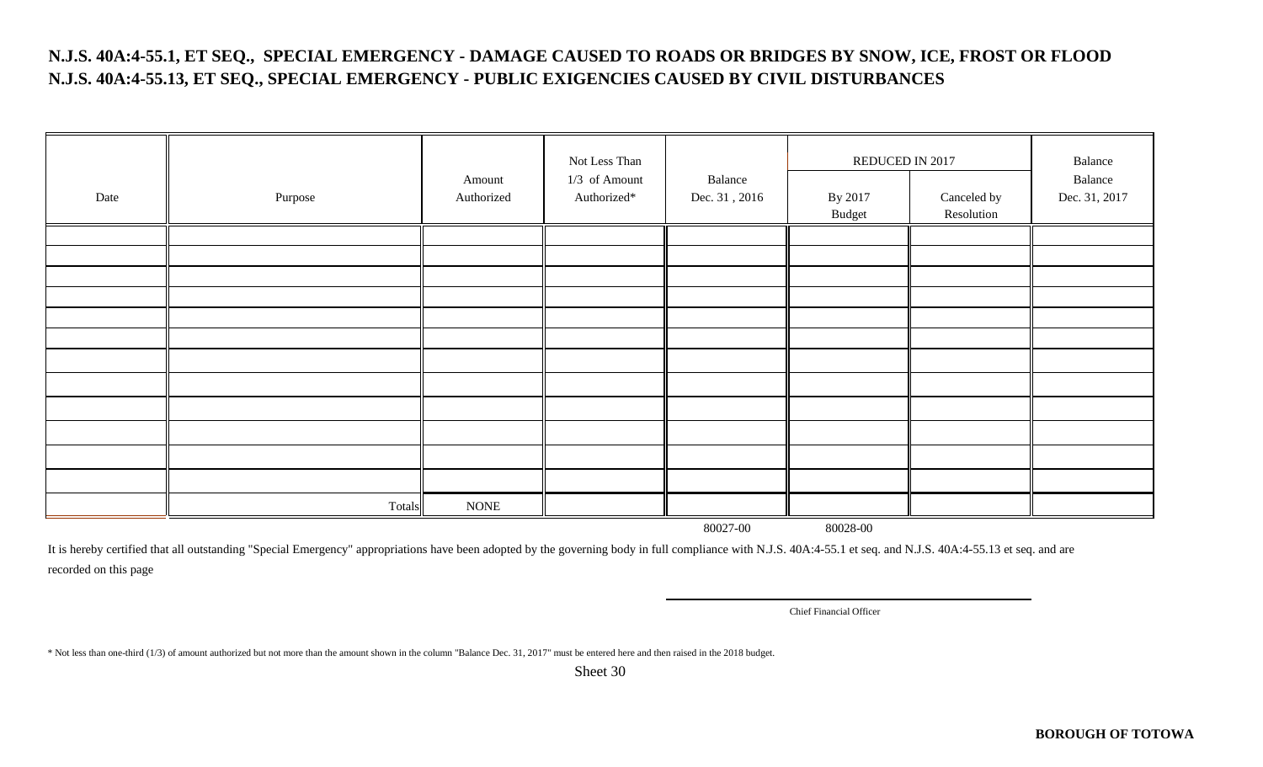#### **N.J.S. 40A:4-55.1, ET SEQ., SPECIAL EMERGENCY - DAMAGE CAUSED TO ROADS OR BRIDGES BY SNOW, ICE, FROST OR FLOOD N.J.S. 40A:4-55.13, ET SEQ., SPECIAL EMERGENCY - PUBLIC EXIGENCIES CAUSED BY CIVIL DISTURBANCES**

| Date | Purpose | Amount<br>Authorized | Not Less Than<br>$1/3$ of Amount<br>Authorized* | Balance<br>Dec. 31, 2016 | REDUCED IN 2017<br>By 2017<br>Budget | Canceled by<br>Resolution | Balance<br>Balance<br>Dec. 31, 2017 |
|------|---------|----------------------|-------------------------------------------------|--------------------------|--------------------------------------|---------------------------|-------------------------------------|
|      |         |                      |                                                 |                          |                                      |                           |                                     |
|      |         |                      |                                                 |                          |                                      |                           |                                     |
|      |         |                      |                                                 |                          |                                      |                           |                                     |
|      |         |                      |                                                 |                          |                                      |                           |                                     |
|      |         |                      |                                                 |                          |                                      |                           |                                     |
|      |         |                      |                                                 |                          |                                      |                           |                                     |
|      |         |                      |                                                 |                          |                                      |                           |                                     |
|      |         |                      |                                                 |                          |                                      |                           |                                     |
|      |         |                      |                                                 |                          |                                      |                           |                                     |
|      |         |                      |                                                 |                          |                                      |                           |                                     |
|      |         |                      |                                                 |                          |                                      |                           |                                     |
|      |         |                      |                                                 |                          |                                      |                           |                                     |
|      | Totals  | <b>NONE</b>          |                                                 |                          |                                      |                           |                                     |

80027-00 80028-00

It is hereby certified that all outstanding "Special Emergency" appropriations have been adopted by the governing body in full compliance with N.J.S. 40A:4-55.1 et seq. and N.J.S. 40A:4-55.13 et seq. and are recorded on this page

Chief Financial Officer

\* Not less than one-third (1/3) of amount authorized but not more than the amount shown in the column "Balance Dec. 31, 2017" must be entered here and then raised in the 2018 budget.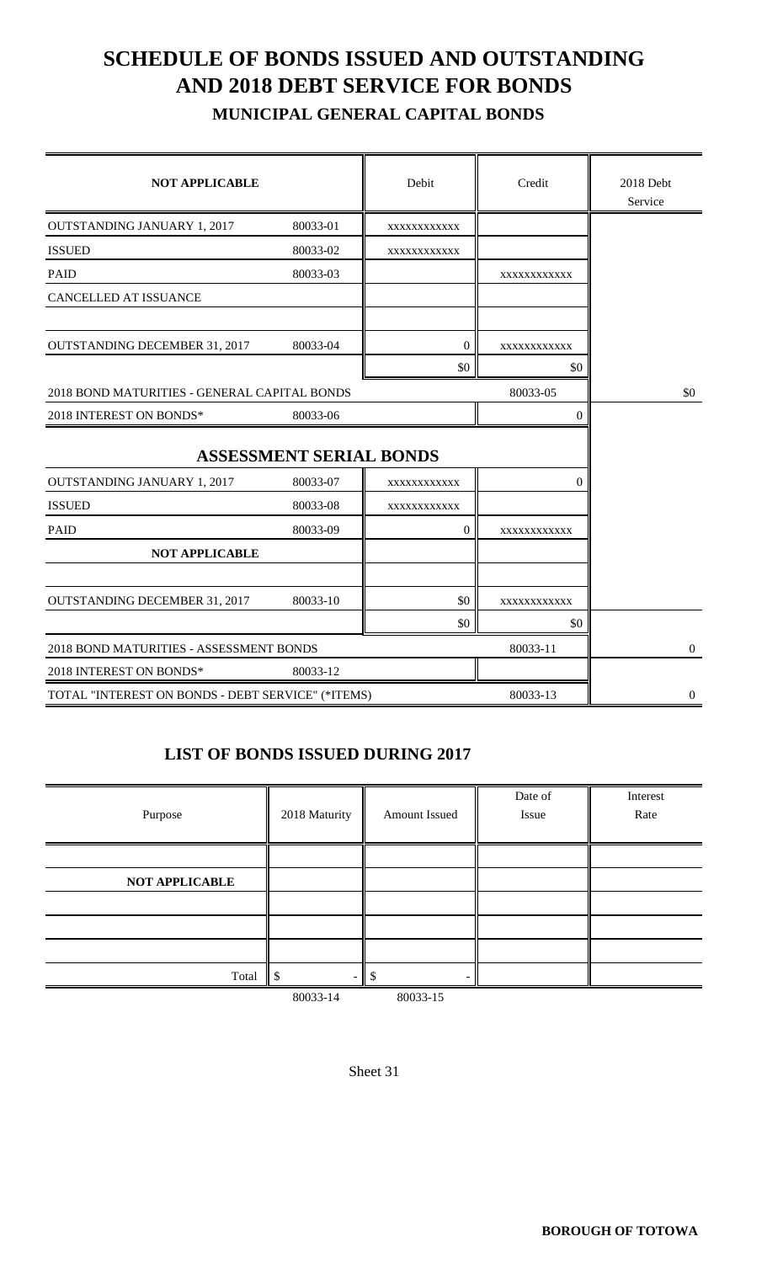# **SCHEDULE OF BONDS ISSUED AND OUTSTANDING AND 2018 DEBT SERVICE FOR BONDS**

 **MUNICIPAL GENERAL CAPITAL BONDS**

| <b>NOT APPLICABLE</b>                             |                                | Debit          | Credit      | 2018 Debt<br>Service |
|---------------------------------------------------|--------------------------------|----------------|-------------|----------------------|
| <b>OUTSTANDING JANUARY 1, 2017</b>                | 80033-01                       | XXXXXXXXXXXX   |             |                      |
| <b>ISSUED</b>                                     | 80033-02                       | XXXXXXXXXXX    |             |                      |
| <b>PAID</b>                                       | 80033-03                       |                | XXXXXXXXXXX |                      |
| CANCELLED AT ISSUANCE                             |                                |                |             |                      |
| <b>OUTSTANDING DECEMBER 31, 2017</b>              | 80033-04                       | $\mathbf{0}$   | XXXXXXXXXXX |                      |
|                                                   |                                | \$0            | \$0         |                      |
| 2018 BOND MATURITIES - GENERAL CAPITAL BONDS      |                                |                | 80033-05    | \$0                  |
| 2018 INTEREST ON BONDS*                           | 80033-06                       |                | $\Omega$    |                      |
|                                                   | <b>ASSESSMENT SERIAL BONDS</b> |                |             |                      |
| <b>OUTSTANDING JANUARY 1, 2017</b>                | 80033-07                       | XXXXXXXXXXXX   | $\Omega$    |                      |
| <b>ISSUED</b>                                     | 80033-08                       | XXXXXXXXXXX    |             |                      |
| <b>PAID</b>                                       | 80033-09                       | $\overline{0}$ | XXXXXXXXXXX |                      |
| <b>NOT APPLICABLE</b>                             |                                |                |             |                      |
| <b>OUTSTANDING DECEMBER 31, 2017</b>              | 80033-10                       | \$0            | XXXXXXXXXXX |                      |
|                                                   |                                | \$0            | \$0         |                      |
| 2018 BOND MATURITIES - ASSESSMENT BONDS           |                                |                | 80033-11    | $\mathbf{0}$         |
| 2018 INTEREST ON BONDS*                           | 80033-12                       |                |             |                      |
| TOTAL "INTEREST ON BONDS - DEBT SERVICE" (*ITEMS) |                                |                | 80033-13    | $\boldsymbol{0}$     |

#### **LIST OF BONDS ISSUED DURING 2017**

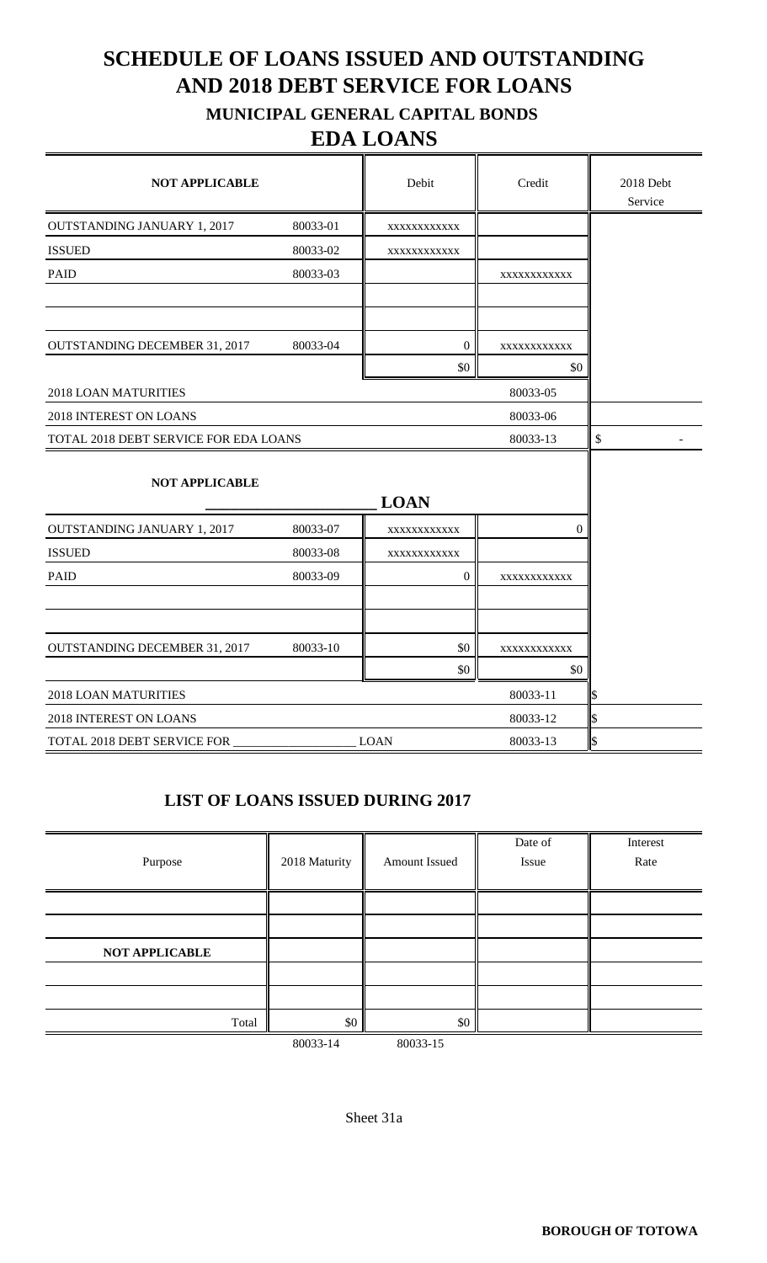### **SCHEDULE OF LOANS ISSUED AND OUTSTANDING AND 2018 DEBT SERVICE FOR LOANS MUNICIPAL GENERAL CAPITAL BONDS**

### **EDA LOANS**

| <b>NOT APPLICABLE</b>                 |          | Debit            | Credit      | 2018 Debt<br>Service |
|---------------------------------------|----------|------------------|-------------|----------------------|
| <b>OUTSTANDING JANUARY 1, 2017</b>    | 80033-01 | XXXXXXXXXXX      |             |                      |
| <b>ISSUED</b>                         | 80033-02 | XXXXXXXXXXXX     |             |                      |
| <b>PAID</b>                           | 80033-03 |                  | XXXXXXXXXXX |                      |
|                                       |          |                  |             |                      |
| <b>OUTSTANDING DECEMBER 31, 2017</b>  | 80033-04 | $\boldsymbol{0}$ | XXXXXXXXXXX |                      |
|                                       |          | \$0              | \$0         |                      |
| <b>2018 LOAN MATURITIES</b>           |          |                  | 80033-05    |                      |
| 2018 INTEREST ON LOANS                |          |                  |             |                      |
| TOTAL 2018 DEBT SERVICE FOR EDA LOANS | 80033-13 | \$               |             |                      |
| <b>NOT APPLICABLE</b>                 |          | <b>LOAN</b>      |             |                      |
| <b>OUTSTANDING JANUARY 1, 2017</b>    | 80033-07 | XXXXXXXXXXXX     | $\theta$    |                      |
| <b>ISSUED</b>                         | 80033-08 | XXXXXXXXXXX      |             |                      |
| <b>PAID</b>                           | 80033-09 | 0                | XXXXXXXXXXX |                      |
| <b>OUTSTANDING DECEMBER 31, 2017</b>  | 80033-10 | \$0              | XXXXXXXXXXX |                      |
|                                       |          | \$0              | \$0         |                      |
| 2018 LOAN MATURITIES                  |          |                  | 80033-11    |                      |
| 2018 INTEREST ON LOANS                |          |                  | 80033-12    |                      |
| TOTAL 2018 DEBT SERVICE FOR           |          | <b>LOAN</b>      | 80033-13    | \$                   |

#### **LIST OF LOANS ISSUED DURING 2017**

| Purpose               | 2018 Maturity | Amount Issued | Date of<br>Issue | Interest<br>Rate |
|-----------------------|---------------|---------------|------------------|------------------|
|                       |               |               |                  |                  |
|                       |               |               |                  |                  |
| <b>NOT APPLICABLE</b> |               |               |                  |                  |
|                       |               |               |                  |                  |
|                       |               |               |                  |                  |
| Total                 | $\$0$         | \$0           |                  |                  |
|                       | 80033-14      | 80033-15      |                  |                  |

Sheet 31a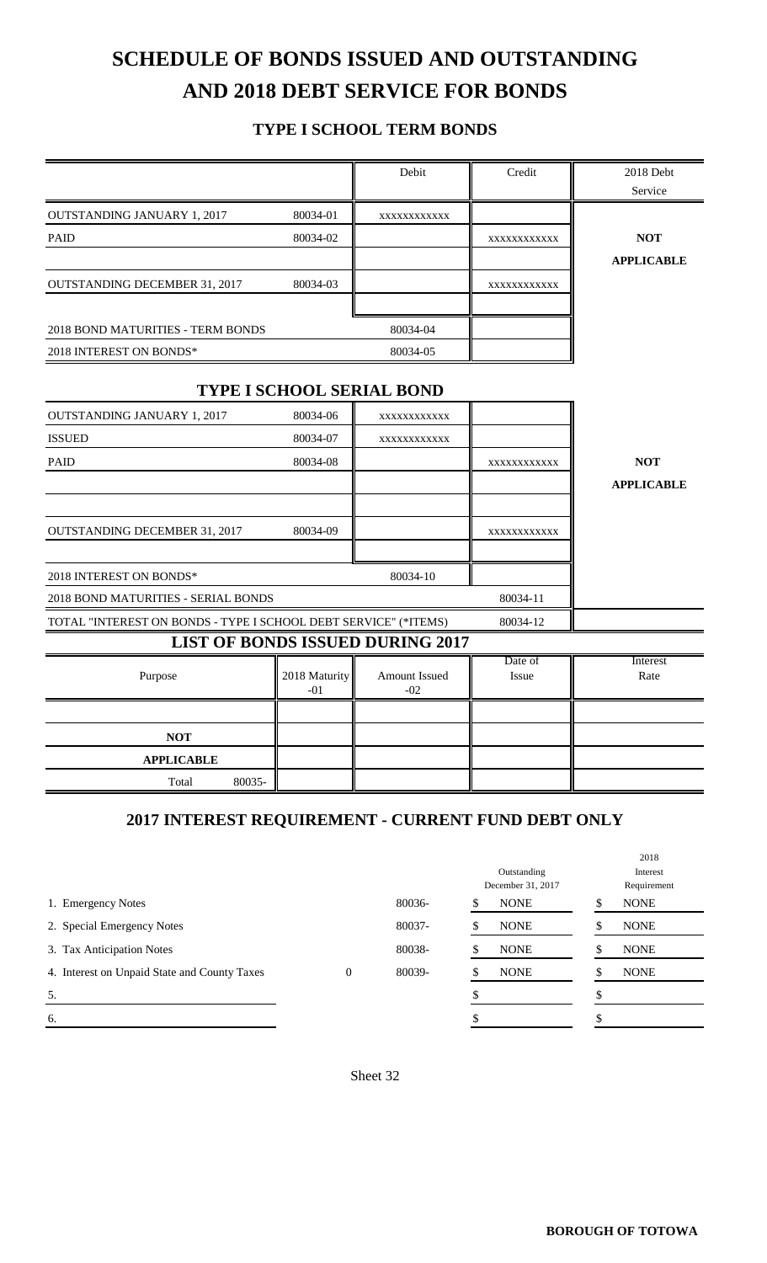# **SCHEDULE OF BONDS ISSUED AND OUTSTANDING AND 2018 DEBT SERVICE FOR BONDS**

#### **TYPE I SCHOOL TERM BONDS**

|                                                                 |                        | Debit                                   | Credit           | 2018 Debt<br>Service |
|-----------------------------------------------------------------|------------------------|-----------------------------------------|------------------|----------------------|
| <b>OUTSTANDING JANUARY 1, 2017</b>                              | 80034-01               | XXXXXXXXXXX                             |                  |                      |
| <b>PAID</b>                                                     | 80034-02               |                                         | XXXXXXXXXXX      | <b>NOT</b>           |
|                                                                 |                        |                                         |                  | <b>APPLICABLE</b>    |
| <b>OUTSTANDING DECEMBER 31, 2017</b>                            | 80034-03               |                                         | XXXXXXXXXXX      |                      |
| <b>2018 BOND MATURITIES - TERM BONDS</b>                        |                        | 80034-04                                |                  |                      |
| 2018 INTEREST ON BONDS*                                         |                        | 80034-05                                |                  |                      |
|                                                                 |                        | <b>TYPE I SCHOOL SERIAL BOND</b>        |                  |                      |
| <b>OUTSTANDING JANUARY 1, 2017</b>                              | 80034-06               | XXXXXXXXXXX                             |                  |                      |
| <b>ISSUED</b>                                                   | 80034-07               | XXXXXXXXXXX                             |                  |                      |
| <b>PAID</b>                                                     | 80034-08               |                                         | XXXXXXXXXXX      | <b>NOT</b>           |
|                                                                 |                        |                                         |                  | <b>APPLICABLE</b>    |
|                                                                 |                        |                                         |                  |                      |
| <b>OUTSTANDING DECEMBER 31, 2017</b>                            | 80034-09               |                                         | XXXXXXXXXXX      |                      |
| 2018 INTEREST ON BONDS*                                         |                        | 80034-10                                |                  |                      |
| 2018 BOND MATURITIES - SERIAL BONDS                             |                        |                                         | 80034-11         |                      |
| TOTAL "INTEREST ON BONDS - TYPE I SCHOOL DEBT SERVICE" (*ITEMS) |                        |                                         | 80034-12         |                      |
|                                                                 |                        | <b>LIST OF BONDS ISSUED DURING 2017</b> |                  |                      |
| Purpose                                                         | 2018 Maturity<br>$-01$ | Amount Issued<br>$-02$                  | Date of<br>Issue | Interest<br>Rate     |
|                                                                 |                        |                                         |                  |                      |
| <b>NOT</b>                                                      |                        |                                         |                  |                      |
| <b>APPLICABLE</b>                                               |                        |                                         |                  |                      |
| 80035-<br>Total                                                 |                        |                                         |                  |                      |

#### **2017 INTEREST REQUIREMENT - CURRENT FUND DEBT ONLY**

|                                              |          |        |                   | 2018        |
|----------------------------------------------|----------|--------|-------------------|-------------|
|                                              |          |        | Outstanding       | Interest    |
|                                              |          |        | December 31, 2017 | Requirement |
| 1. Emergency Notes                           |          | 80036- | <b>NONE</b>       | <b>NONE</b> |
| 2. Special Emergency Notes                   |          | 80037- | <b>NONE</b>       | <b>NONE</b> |
| 3. Tax Anticipation Notes                    |          | 80038- | <b>NONE</b>       | <b>NONE</b> |
| 4. Interest on Unpaid State and County Taxes | $\theta$ | 80039- | <b>NONE</b>       | <b>NONE</b> |
| 5.                                           |          |        |                   |             |
| 6.                                           |          |        |                   |             |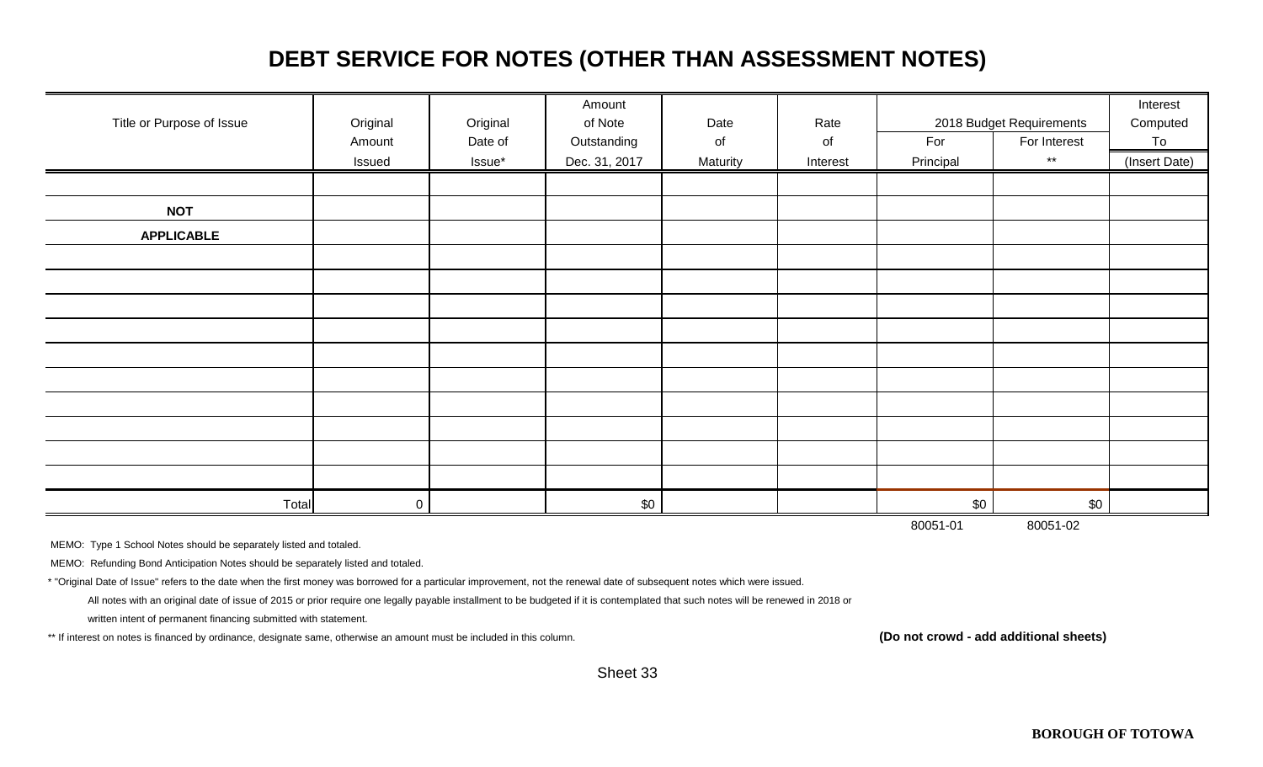### **DEBT SERVICE FOR NOTES (OTHER THAN ASSESSMENT NOTES)**

|                           |          |          | Amount        |          |          |           |                          | Interest      |
|---------------------------|----------|----------|---------------|----------|----------|-----------|--------------------------|---------------|
| Title or Purpose of Issue | Original | Original | of Note       | Date     | Rate     |           | 2018 Budget Requirements | Computed      |
|                           | Amount   | Date of  | Outstanding   | of       | of       | For       | For Interest             | To            |
|                           | Issued   | Issue*   | Dec. 31, 2017 | Maturity | Interest | Principal | $\star\star$             | (Insert Date) |
|                           |          |          |               |          |          |           |                          |               |
| <b>NOT</b>                |          |          |               |          |          |           |                          |               |
| <b>APPLICABLE</b>         |          |          |               |          |          |           |                          |               |
|                           |          |          |               |          |          |           |                          |               |
|                           |          |          |               |          |          |           |                          |               |
|                           |          |          |               |          |          |           |                          |               |
|                           |          |          |               |          |          |           |                          |               |
|                           |          |          |               |          |          |           |                          |               |
|                           |          |          |               |          |          |           |                          |               |
|                           |          |          |               |          |          |           |                          |               |
|                           |          |          |               |          |          |           |                          |               |
|                           |          |          |               |          |          |           |                          |               |
|                           |          |          |               |          |          |           |                          |               |
| Total                     | 0        |          | \$0           |          |          | \$0       | \$0                      |               |
|                           |          |          |               |          |          | 80051-01  | 80051-02                 |               |

MEMO: Type 1 School Notes should be separately listed and totaled.

MEMO: Refunding Bond Anticipation Notes should be separately listed and totaled.

\* "Original Date of Issue" refers to the date when the first money was borrowed for a particular improvement, not the renewal date of subsequent notes which were issued.

All notes with an original date of issue of 2015 or prior require one legally payable installment to be budgeted if it is contemplated that such notes will be renewed in 2018 or

written intent of permanent financing submitted with statement.

\*\* If interest on notes is financed by ordinance, designate same, otherwise an amount must be included in this column. **(Do not crowd - add additional sheets)**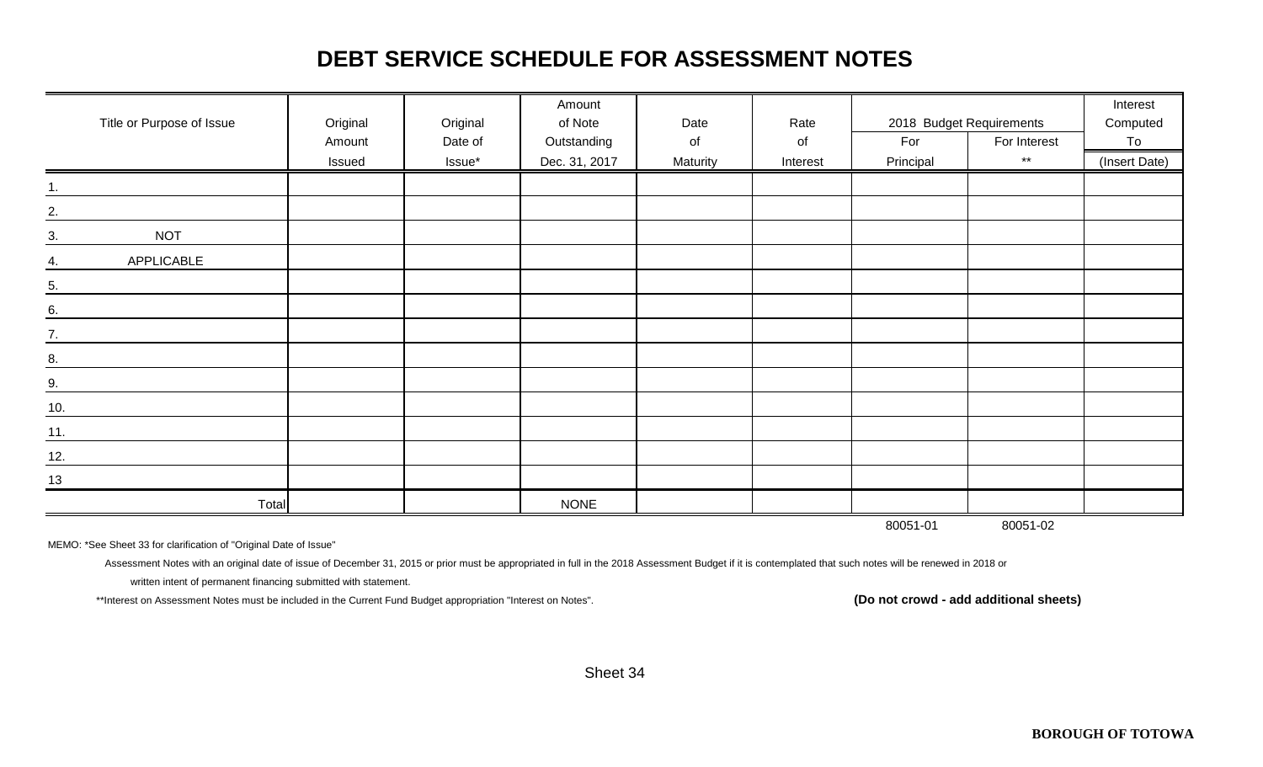### **DEBT SERVICE SCHEDULE FOR ASSESSMENT NOTES**

| Title or Purpose of Issue | Original | Original | Amount<br>of Note | Date     | Rate     |           | 2018 Budget Requirements | Interest<br>Computed |
|---------------------------|----------|----------|-------------------|----------|----------|-----------|--------------------------|----------------------|
|                           | Amount   | Date of  | Outstanding       | of       | of       | For       | For Interest             | To                   |
|                           | Issued   | Issue*   | Dec. 31, 2017     | Maturity | Interest | Principal | $\star\star$             | (Insert Date)        |
| 1.                        |          |          |                   |          |          |           |                          |                      |
| 2.                        |          |          |                   |          |          |           |                          |                      |
| <b>NOT</b><br>3.          |          |          |                   |          |          |           |                          |                      |
| APPLICABLE<br>4.          |          |          |                   |          |          |           |                          |                      |
| $\overline{5}$ .          |          |          |                   |          |          |           |                          |                      |
| 6.                        |          |          |                   |          |          |           |                          |                      |
| $\frac{7}{2}$             |          |          |                   |          |          |           |                          |                      |
| 8.                        |          |          |                   |          |          |           |                          |                      |
| 9.                        |          |          |                   |          |          |           |                          |                      |
| 10.                       |          |          |                   |          |          |           |                          |                      |
| 11.                       |          |          |                   |          |          |           |                          |                      |
| 12.                       |          |          |                   |          |          |           |                          |                      |
| 13                        |          |          |                   |          |          |           |                          |                      |
| <b>Total</b>              |          |          | <b>NONE</b>       |          |          |           |                          |                      |
|                           |          |          |                   |          |          | 80051-01  | 80051-02                 |                      |

MEMO: \*See Sheet 33 for clarification of "Original Date of Issue"

Assessment Notes with an original date of issue of December 31, 2015 or prior must be appropriated in full in the 2018 Assessment Budget if it is contemplated that such notes will be renewed in 2018 or

written intent of permanent financing submitted with statement.

\*\*Interest on Assessment Notes must be included in the Current Fund Budget appropriation "Interest on Notes". **(Do not crowd - add additional sheets)**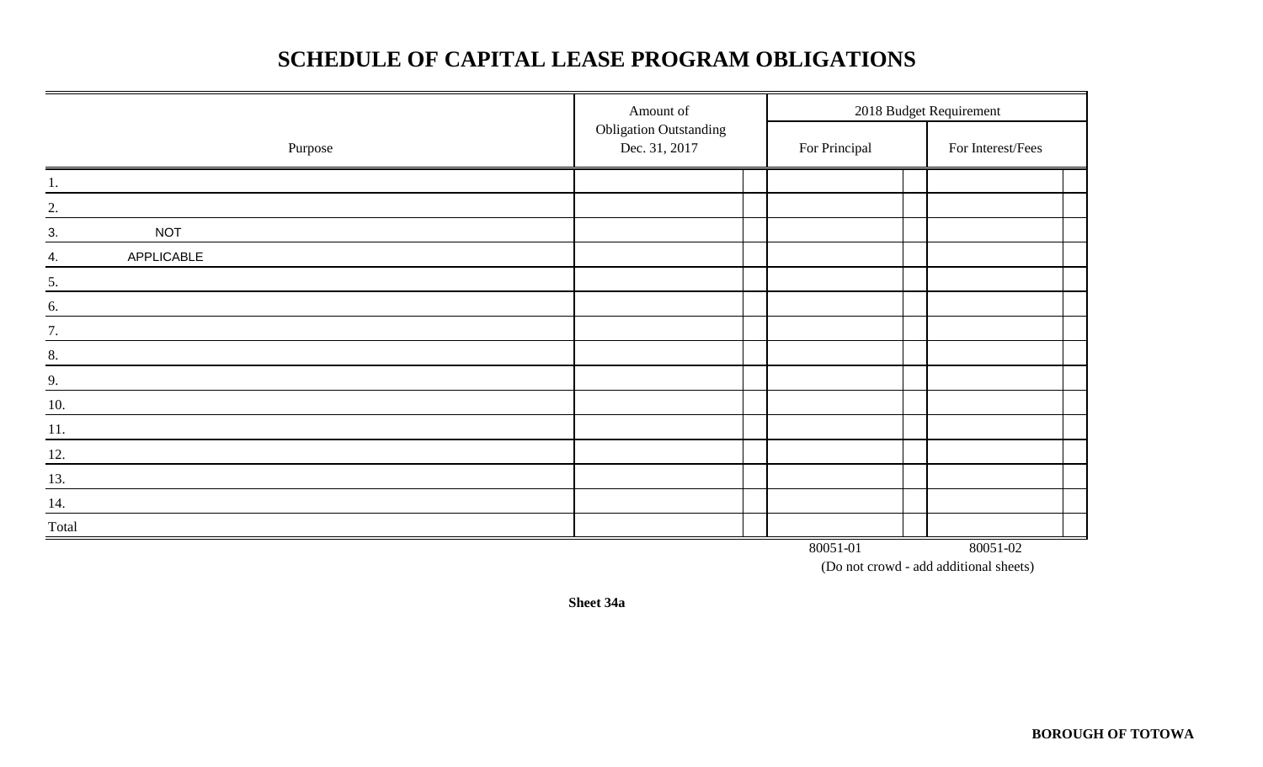### **SCHEDULE OF CAPITAL LEASE PROGRAM OBLIGATIONS**

|                    | Amount of                                      |               | 2018 Budget Requirement |
|--------------------|------------------------------------------------|---------------|-------------------------|
| Purpose            | <b>Obligation Outstanding</b><br>Dec. 31, 2017 | For Principal | For Interest/Fees       |
| 1.                 |                                                |               |                         |
| 2.                 |                                                |               |                         |
| <b>NOT</b><br>3.   |                                                |               |                         |
| APPLICABLE<br>4.   |                                                |               |                         |
| 5.                 |                                                |               |                         |
| 6.                 |                                                |               |                         |
| 7.                 |                                                |               |                         |
| 8.                 |                                                |               |                         |
| 9.                 |                                                |               |                         |
| 10.                |                                                |               |                         |
| 11.                |                                                |               |                         |
| $\underline{12}$ . |                                                |               |                         |
| 13.                |                                                |               |                         |
| 14.                |                                                |               |                         |
| Total              |                                                |               |                         |
|                    |                                                | 80051-01      | 80051-02                |

(Do not crowd - add additional sheets)

**Sheet 34a**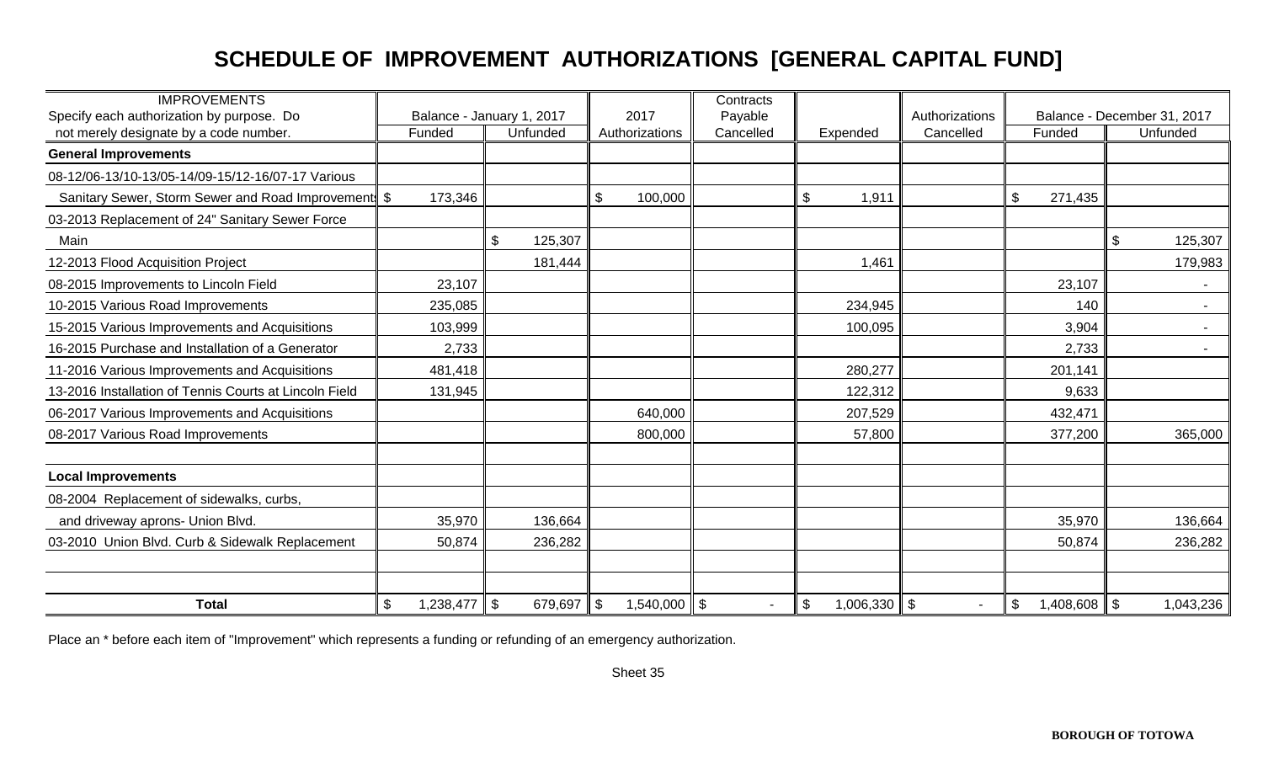## **SCHEDULE OF IMPROVEMENT AUTHORIZATIONS [GENERAL CAPITAL FUND]**

| <b>IMPROVEMENTS</b>                                                                 |                 |                                       |                                             | Contracts            |                        |                             |                                        |                                         |
|-------------------------------------------------------------------------------------|-----------------|---------------------------------------|---------------------------------------------|----------------------|------------------------|-----------------------------|----------------------------------------|-----------------------------------------|
| Specify each authorization by purpose. Do<br>not merely designate by a code number. | Funded          | Balance - January 1, 2017<br>Unfunded | 2017<br>Authorizations                      | Payable<br>Cancelled | Expended               | Authorizations<br>Cancelled | Funded                                 | Balance - December 31, 2017<br>Unfunded |
| <b>General Improvements</b>                                                         |                 |                                       |                                             |                      |                        |                             |                                        |                                         |
| 08-12/06-13/10-13/05-14/09-15/12-16/07-17 Various                                   |                 |                                       |                                             |                      |                        |                             |                                        |                                         |
| Sanitary Sewer, Storm Sewer and Road Improvement \$                                 | 173,346         |                                       | \$<br>100,000                               |                      | \$<br>1,911            |                             | $\mathfrak{S}$<br>271,435              |                                         |
| 03-2013 Replacement of 24" Sanitary Sewer Force                                     |                 |                                       |                                             |                      |                        |                             |                                        |                                         |
| Main                                                                                |                 | $\boldsymbol{\mathsf{S}}$<br>125,307  |                                             |                      |                        |                             |                                        | \$<br>125,307                           |
| 12-2013 Flood Acquisition Project                                                   |                 | 181,444                               |                                             |                      | 1,461                  |                             |                                        | 179,983                                 |
| 08-2015 Improvements to Lincoln Field                                               | 23,107          |                                       |                                             |                      |                        |                             | 23,107                                 |                                         |
| 10-2015 Various Road Improvements                                                   | 235,085         |                                       |                                             |                      | 234,945                |                             | 140                                    |                                         |
| 15-2015 Various Improvements and Acquisitions                                       | 103,999         |                                       |                                             |                      | 100,095                |                             | 3,904                                  |                                         |
| 16-2015 Purchase and Installation of a Generator                                    | 2,733           |                                       |                                             |                      |                        |                             | 2,733                                  |                                         |
| 11-2016 Various Improvements and Acquisitions                                       | 481,418         |                                       |                                             |                      | 280,277                |                             | 201,141                                |                                         |
| 13-2016 Installation of Tennis Courts at Lincoln Field                              | 131,945         |                                       |                                             |                      | 122,312                |                             | 9,633                                  |                                         |
| 06-2017 Various Improvements and Acquisitions                                       |                 |                                       | 640,000                                     |                      | 207,529                |                             | 432,471                                |                                         |
| 08-2017 Various Road Improvements                                                   |                 |                                       | 800,000                                     |                      | 57,800                 |                             | 377,200                                | 365,000                                 |
| <b>Local Improvements</b>                                                           |                 |                                       |                                             |                      |                        |                             |                                        |                                         |
| 08-2004 Replacement of sidewalks, curbs,                                            |                 |                                       |                                             |                      |                        |                             |                                        |                                         |
| and driveway aprons- Union Blvd.                                                    | 35,970          | 136,664                               |                                             |                      |                        |                             | 35,970                                 | 136,664                                 |
| 03-2010 Union Blvd. Curb & Sidewalk Replacement                                     | 50,874          | 236,282                               |                                             |                      |                        |                             | 50,874                                 | 236,282                                 |
|                                                                                     |                 |                                       |                                             |                      |                        |                             |                                        |                                         |
|                                                                                     |                 |                                       |                                             |                      |                        |                             |                                        |                                         |
| <b>Total</b>                                                                        | \$<br>1,238,477 | $\mathfrak{S}$<br>679,697             | $1,540,000$ \$<br>$\boldsymbol{\mathsf{S}}$ | $\blacksquare$       | $1,006,330$   \$<br>\$ |                             | $\boldsymbol{\mathsf{S}}$<br>1,408,608 | l \$<br>1,043,236                       |

Place an \* before each item of "Improvement" which represents a funding or refunding of an emergency authorization.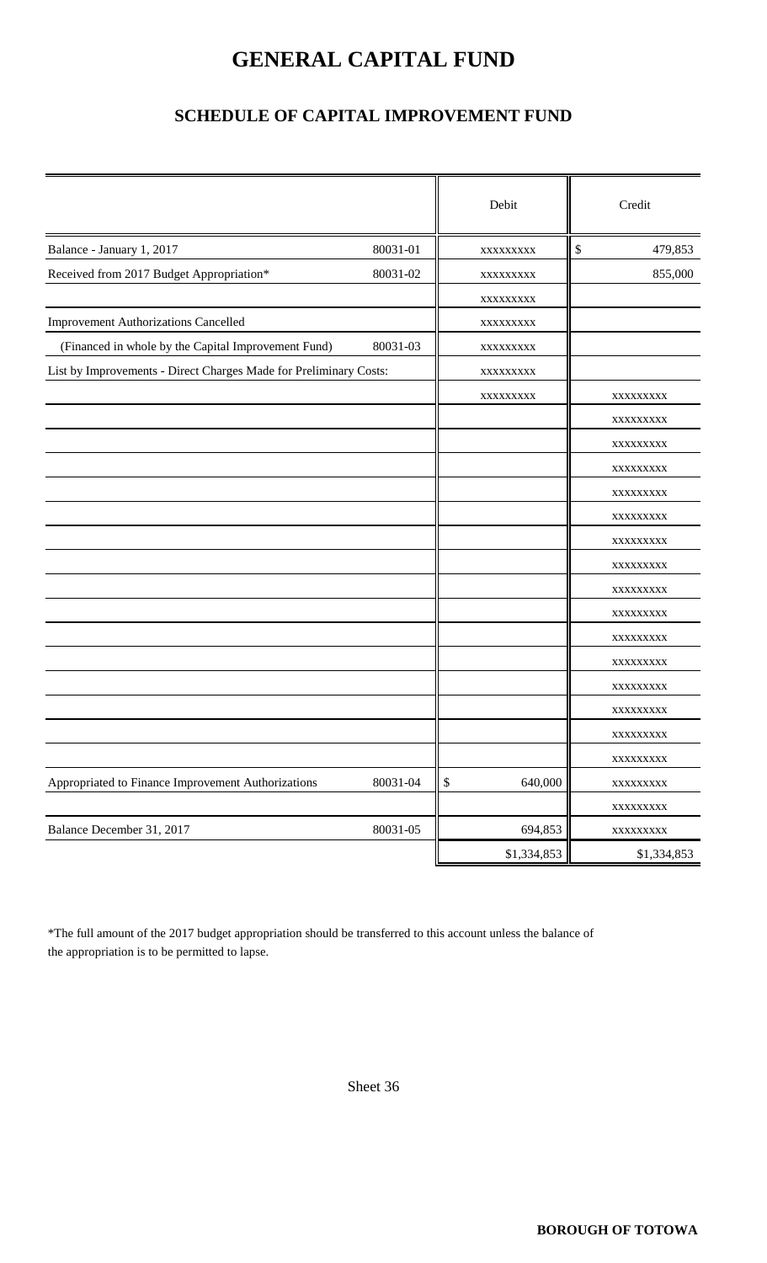### **GENERAL CAPITAL FUND**

### **SCHEDULE OF CAPITAL IMPROVEMENT FUND**

|                                                                   |          | Debit         | Credit        |
|-------------------------------------------------------------------|----------|---------------|---------------|
| Balance - January 1, 2017                                         | 80031-01 | XXXXXXXXX     | \$<br>479,853 |
| Received from 2017 Budget Appropriation*                          | 80031-02 | XXXXXXXXX     | 855,000       |
|                                                                   |          | XXXXXXXXX     |               |
| <b>Improvement Authorizations Cancelled</b>                       |          | XXXXXXXX      |               |
| (Financed in whole by the Capital Improvement Fund)               | 80031-03 | XXXXXXXXX     |               |
| List by Improvements - Direct Charges Made for Preliminary Costs: |          | XXXXXXXXX     |               |
|                                                                   |          | XXXXXXXXX     | XXXXXXXX      |
|                                                                   |          |               | XXXXXXXX      |
|                                                                   |          |               | XXXXXXXXX     |
|                                                                   |          |               | XXXXXXXX      |
|                                                                   |          |               | XXXXXXXX      |
|                                                                   |          |               | XXXXXXXX      |
|                                                                   |          |               | XXXXXXXX      |
|                                                                   |          |               | XXXXXXXX      |
|                                                                   |          |               | XXXXXXXX      |
|                                                                   |          |               | XXXXXXXX      |
|                                                                   |          |               | XXXXXXXXX     |
|                                                                   |          |               | XXXXXXXX      |
|                                                                   |          |               | XXXXXXXXX     |
|                                                                   |          |               | XXXXXXXX      |
|                                                                   |          |               | XXXXXXXX      |
|                                                                   |          |               | XXXXXXXXX     |
| Appropriated to Finance Improvement Authorizations                | 80031-04 | \$<br>640,000 | XXXXXXXXX     |
|                                                                   |          |               | XXXXXXXXX     |
| Balance December 31, 2017                                         | 80031-05 | 694,853       | XXXXXXXXX     |
|                                                                   |          | \$1,334,853   | \$1,334,853   |

\*The full amount of the 2017 budget appropriation should be transferred to this account unless the balance of the appropriation is to be permitted to lapse.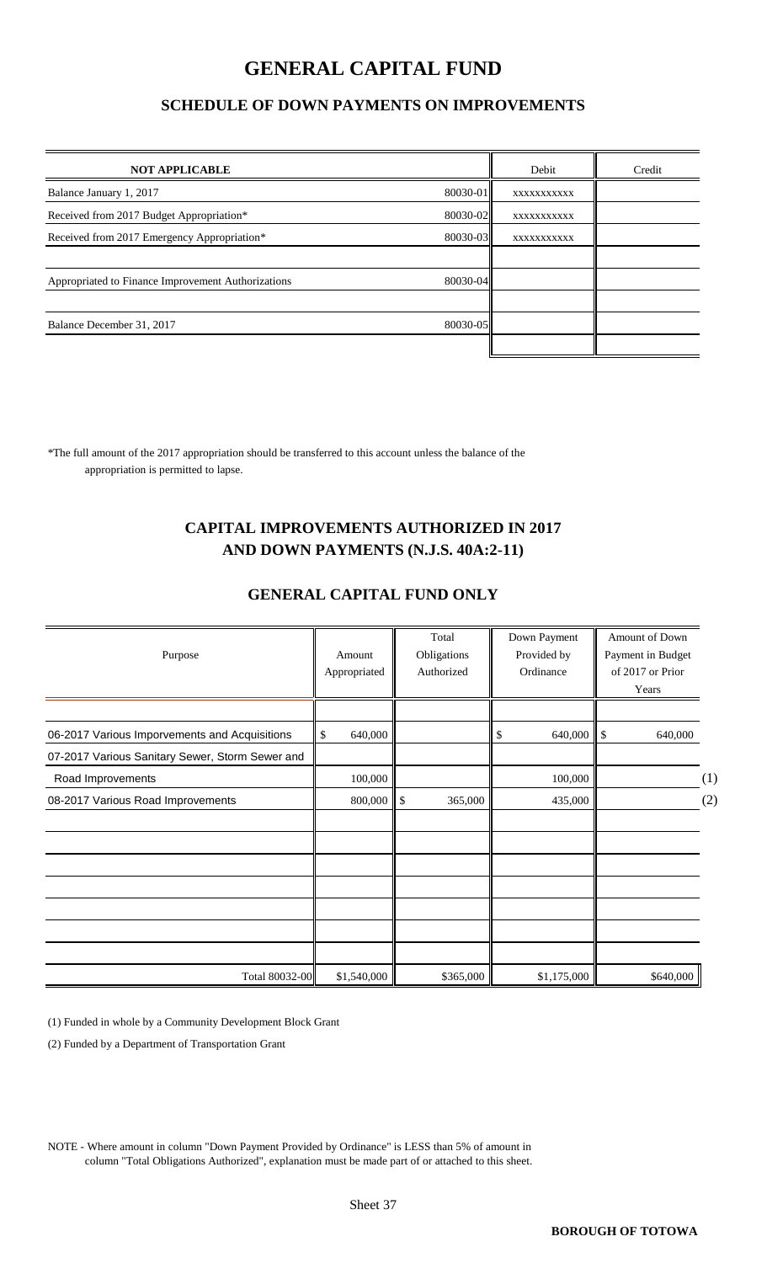### **GENERAL CAPITAL FUND**

#### **SCHEDULE OF DOWN PAYMENTS ON IMPROVEMENTS**

| <b>NOT APPLICABLE</b>                              |          | Debit      | Credit |
|----------------------------------------------------|----------|------------|--------|
| Balance January 1, 2017                            | 80030-01 | XXXXXXXXXX |        |
| Received from 2017 Budget Appropriation*           | 80030-02 | XXXXXXXXXX |        |
| Received from 2017 Emergency Appropriation*        | 80030-03 | XXXXXXXXXX |        |
|                                                    |          |            |        |
| Appropriated to Finance Improvement Authorizations | 80030-04 |            |        |
|                                                    |          |            |        |
| Balance December 31, 2017                          | 80030-05 |            |        |
|                                                    |          |            |        |

\*The full amount of the 2017 appropriation should be transferred to this account unless the balance of the appropriation is permitted to lapse.

#### **CAPITAL IMPROVEMENTS AUTHORIZED IN 2017 AND DOWN PAYMENTS (N.J.S. 40A:2-11)**

| Purpose                                         | Amount<br>Appropriated |             | Total<br>Obligations<br>Authorized |           | Down Payment<br>Provided by<br>Ordinance |             | Amount of Down<br>Payment in Budget<br>of 2017 or Prior<br>Years |           |     |
|-------------------------------------------------|------------------------|-------------|------------------------------------|-----------|------------------------------------------|-------------|------------------------------------------------------------------|-----------|-----|
| 06-2017 Various Imporvements and Acquisitions   | \$                     | 640,000     |                                    |           | \$                                       | 640,000     | \$                                                               | 640,000   |     |
| 07-2017 Various Sanitary Sewer, Storm Sewer and |                        |             |                                    |           |                                          |             |                                                                  |           |     |
| Road Improvements                               |                        | 100,000     |                                    |           |                                          | 100,000     |                                                                  |           | (1) |
| 08-2017 Various Road Improvements               |                        | 800,000     | $\parallel$ \$                     | 365,000   |                                          | 435,000     |                                                                  |           | (2) |
|                                                 |                        |             |                                    |           |                                          |             |                                                                  |           |     |
|                                                 |                        |             |                                    |           |                                          |             |                                                                  |           |     |
|                                                 |                        |             |                                    |           |                                          |             |                                                                  |           |     |
|                                                 |                        |             |                                    |           |                                          |             |                                                                  |           |     |
|                                                 |                        |             |                                    |           |                                          |             |                                                                  |           |     |
| Total 80032-00                                  |                        | \$1,540,000 |                                    | \$365,000 |                                          | \$1,175,000 |                                                                  | \$640,000 |     |

#### **GENERAL CAPITAL FUND ONLY**

(1) Funded in whole by a Community Development Block Grant

(2) Funded by a Department of Transportation Grant

NOTE - Where amount in column "Down Payment Provided by Ordinance" is LESS than 5% of amount in column "Total Obligations Authorized", explanation must be made part of or attached to this sheet.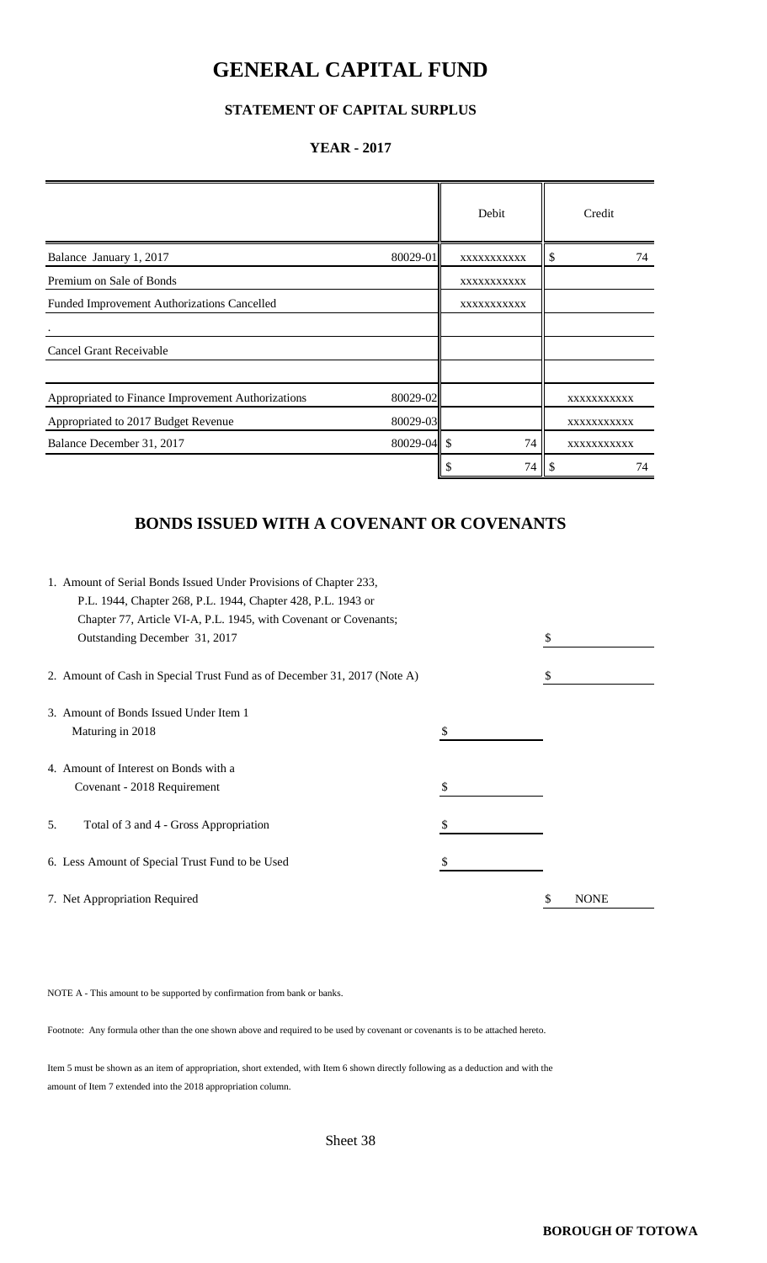### **GENERAL CAPITAL FUND**

#### **STATEMENT OF CAPITAL SURPLUS**

#### **YEAR - 2017**

|                                                    |                 | Debit       | Credit      |    |
|----------------------------------------------------|-----------------|-------------|-------------|----|
| Balance January 1, 2017                            | 80029-01        | XXXXXXXXXX  | \$          | 74 |
| Premium on Sale of Bonds                           |                 | XXXXXXXXXXX |             |    |
| Funded Improvement Authorizations Cancelled        |                 | XXXXXXXXXXX |             |    |
|                                                    |                 |             |             |    |
| <b>Cancel Grant Receivable</b>                     |                 |             |             |    |
|                                                    |                 |             |             |    |
| Appropriated to Finance Improvement Authorizations | 80029-02        |             | XXXXXXXXXXX |    |
| Appropriated to 2017 Budget Revenue                | 80029-03        |             | XXXXXXXXXXX |    |
| Balance December 31, 2017                          | $80029 - 04$ \$ | 74          | XXXXXXXXXXX |    |
|                                                    |                 | 74          | \$.         | 74 |

#### **BONDS ISSUED WITH A COVENANT OR COVENANTS**

|    | 1. Amount of Serial Bonds Issued Under Provisions of Chapter 233,        |    |             |
|----|--------------------------------------------------------------------------|----|-------------|
|    | P.L. 1944, Chapter 268, P.L. 1944, Chapter 428, P.L. 1943 or             |    |             |
|    | Chapter 77, Article VI-A, P.L. 1945, with Covenant or Covenants;         |    |             |
|    | Outstanding December 31, 2017                                            |    |             |
|    | 2. Amount of Cash in Special Trust Fund as of December 31, 2017 (Note A) | \$ |             |
|    | 3. Amount of Bonds Issued Under Item 1                                   |    |             |
|    | Maturing in 2018                                                         |    |             |
|    | 4. Amount of Interest on Bonds with a                                    |    |             |
|    | Covenant - 2018 Requirement                                              |    |             |
| 5. | Total of 3 and 4 - Gross Appropriation                                   |    |             |
|    | 6. Less Amount of Special Trust Fund to be Used                          | \$ |             |
|    | 7. Net Appropriation Required                                            |    | <b>NONE</b> |

NOTE A - This amount to be supported by confirmation from bank or banks.

Footnote: Any formula other than the one shown above and required to be used by covenant or covenants is to be attached hereto.

Item 5 must be shown as an item of appropriation, short extended, with Item 6 shown directly following as a deduction and with the amount of Item 7 extended into the 2018 appropriation column.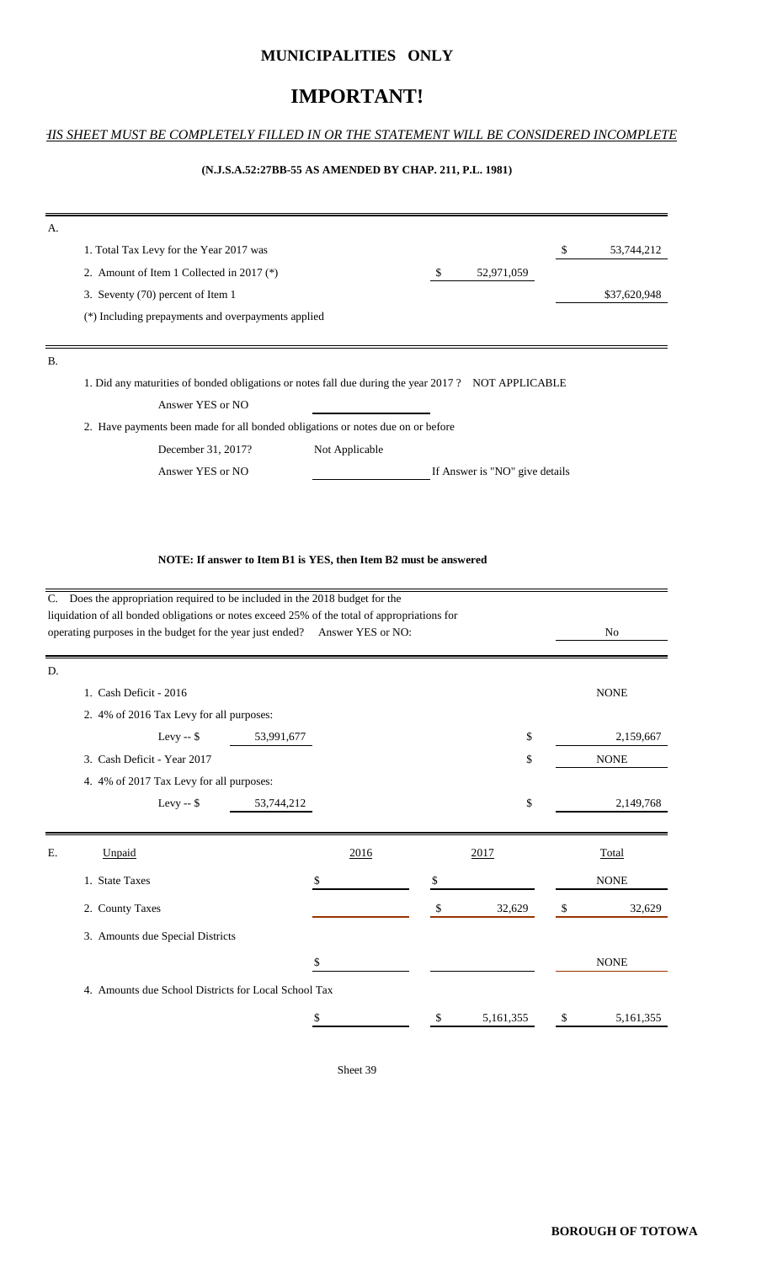#### **MUNICIPALITIES ONLY**

#### **IMPORTANT!**

#### *THIS SHEET MUST BE COMPLETELY FILLED IN OR THE STATEMENT WILL BE CONSIDERED INCOMPLETE*

#### **(N.J.S.A.52:27BB-55 AS AMENDED BY CHAP. 211, P.L. 1981)**

| 1. Total Tax Levy for the Year 2017 was   |                |                                                    |                                                                                 | \$<br>53,744,212                                                                                   |
|-------------------------------------------|----------------|----------------------------------------------------|---------------------------------------------------------------------------------|----------------------------------------------------------------------------------------------------|
| 2. Amount of Item 1 Collected in 2017 (*) |                | S                                                  | 52,971,059                                                                      |                                                                                                    |
| 3. Seventy (70) percent of Item 1         |                |                                                    |                                                                                 | \$37,620,948                                                                                       |
|                                           |                |                                                    |                                                                                 |                                                                                                    |
|                                           |                |                                                    |                                                                                 |                                                                                                    |
|                                           |                |                                                    |                                                                                 |                                                                                                    |
|                                           |                |                                                    |                                                                                 |                                                                                                    |
| Answer YES or NO                          |                |                                                    |                                                                                 |                                                                                                    |
|                                           |                |                                                    |                                                                                 |                                                                                                    |
| December 31, 2017?                        | Not Applicable |                                                    |                                                                                 |                                                                                                    |
|                                           |                |                                                    |                                                                                 |                                                                                                    |
|                                           |                | (*) Including prepayments and overpayments applied | 2. Have payments been made for all bonded obligations or notes due on or before | 1. Did any maturities of bonded obligations or notes fall due during the year 2017? NOT APPLICABLE |

**NOTE: If answer to Item B1 is YES, then Item B2 must be answered**

|    | C. Does the appropriation required to be included in the 2018 budget for the<br>liquidation of all bonded obligations or notes exceed 25% of the total of appropriations for |            |                 |    |             |
|----|------------------------------------------------------------------------------------------------------------------------------------------------------------------------------|------------|-----------------|----|-------------|
|    | operating purposes in the budget for the year just ended? Answer YES or NO:                                                                                                  |            |                 |    | No          |
| D. |                                                                                                                                                                              |            |                 |    |             |
|    | 1. Cash Deficit - 2016                                                                                                                                                       |            |                 |    | <b>NONE</b> |
|    | 2. 4% of 2016 Tax Levy for all purposes:                                                                                                                                     |            |                 |    |             |
|    | Levy $-$ \$                                                                                                                                                                  | 53,991,677 | \$              |    | 2,159,667   |
|    | 3. Cash Deficit - Year 2017                                                                                                                                                  |            | \$              |    | <b>NONE</b> |
|    | 4. 4% of 2017 Tax Levy for all purposes:                                                                                                                                     |            |                 |    |             |
|    | Levy -- $$$                                                                                                                                                                  | 53,744,212 | \$              |    | 2,149,768   |
|    |                                                                                                                                                                              |            |                 |    |             |
| Ε. | Unpaid                                                                                                                                                                       | 2016       | 2017            |    | Total       |
|    | 1. State Taxes                                                                                                                                                               | \$         | \$              |    | <b>NONE</b> |
|    | 2. County Taxes                                                                                                                                                              |            | \$<br>32,629    | -S | 32,629      |
|    | 3. Amounts due Special Districts                                                                                                                                             |            |                 |    |             |
|    |                                                                                                                                                                              | \$         |                 |    | <b>NONE</b> |
|    | 4. Amounts due School Districts for Local School Tax                                                                                                                         |            |                 |    |             |
|    |                                                                                                                                                                              | \$         | \$<br>5,161,355 | \$ | 5,161,355   |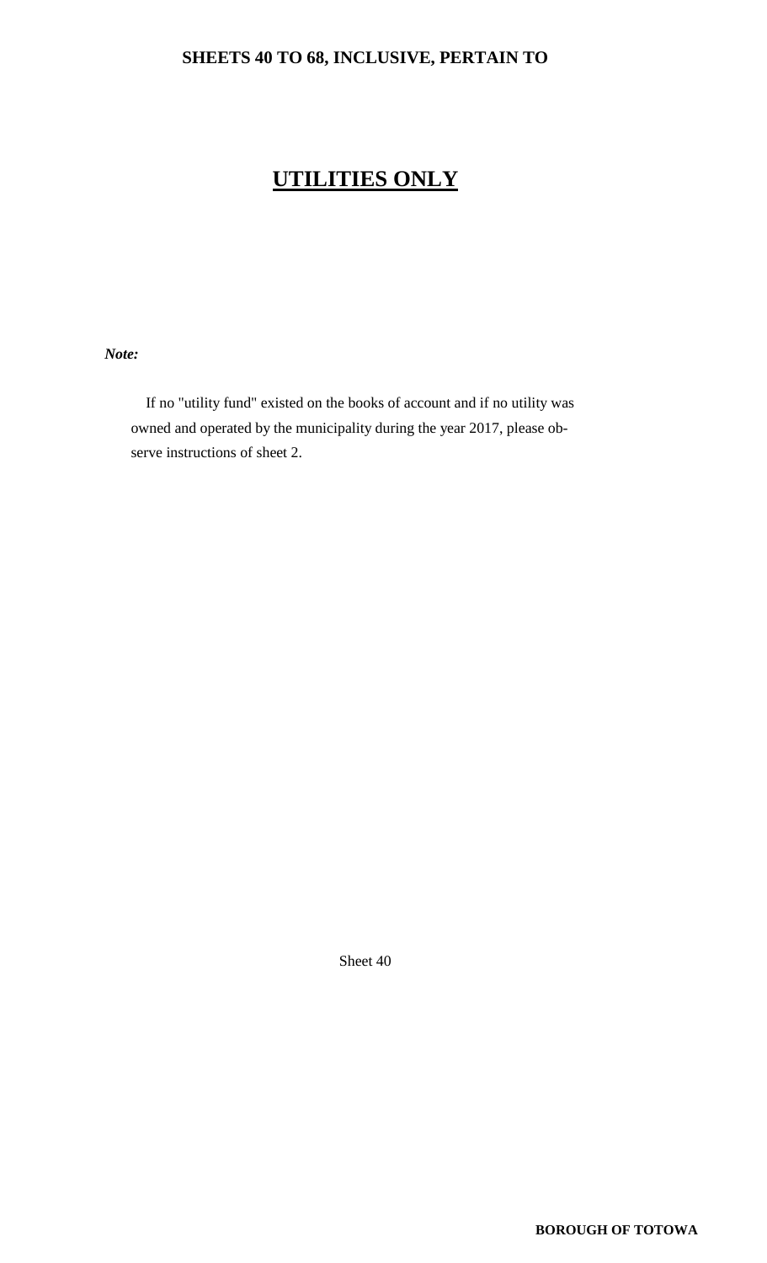### **SHEETS 40 TO 68, INCLUSIVE, PERTAIN TO**

### **UTILITIES ONLY**

 *Note:*

 If no "utility fund" existed on the books of account and if no utility was owned and operated by the municipality during the year 2017, please ob serve instructions of sheet 2.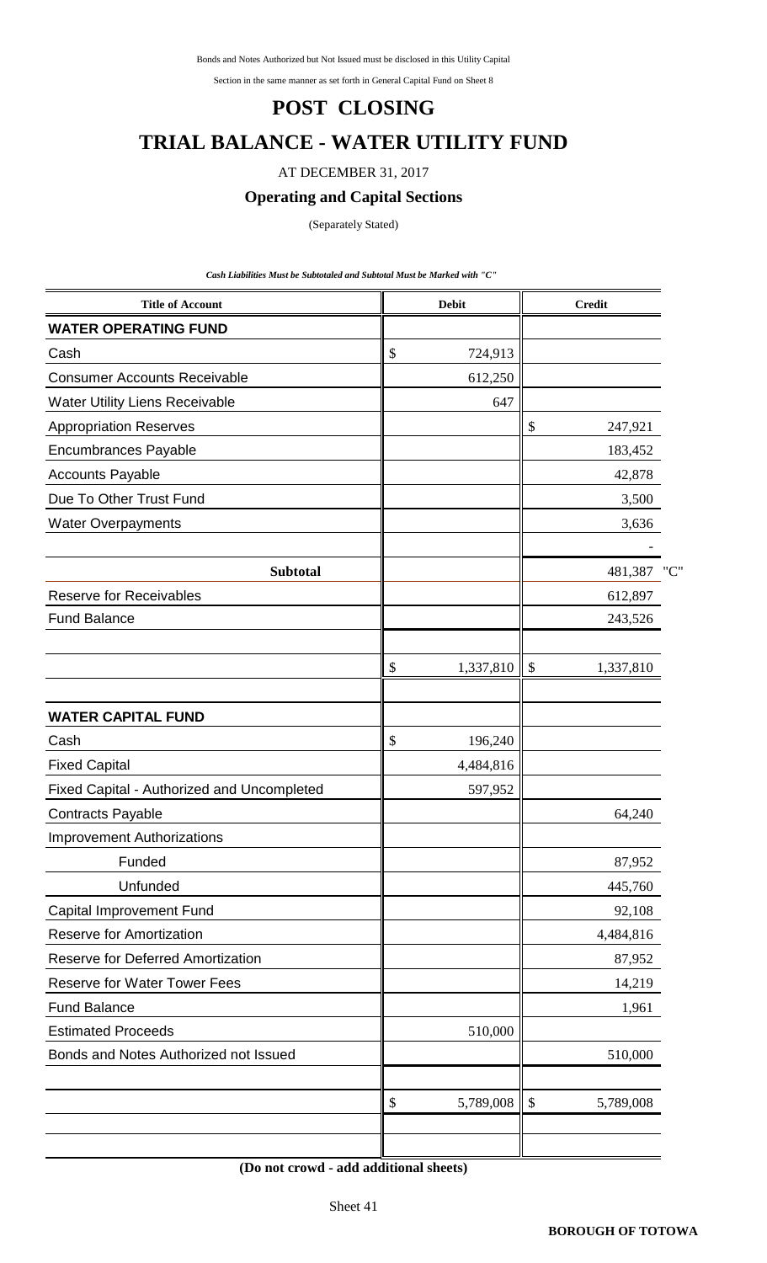Bonds and Notes Authorized but Not Issued must be disclosed in this Utility Capital

Section in the same manner as set forth in General Capital Fund on Sheet 8

#### **POST CLOSING**

### **TRIAL BALANCE - WATER UTILITY FUND**

#### AT DECEMBER 31, 2017

#### **Operating and Capital Sections**

(Separately Stated)

*Cash Liabilities Must be Subtotaled and Subtotal Must be Marked with "C"* 

| <b>Title of Account</b>                    | <b>Debit</b>    |               | <b>Credit</b> |     |
|--------------------------------------------|-----------------|---------------|---------------|-----|
| <b>WATER OPERATING FUND</b>                |                 |               |               |     |
| Cash                                       | \$<br>724,913   |               |               |     |
| <b>Consumer Accounts Receivable</b>        | 612,250         |               |               |     |
| Water Utility Liens Receivable             | 647             |               |               |     |
| <b>Appropriation Reserves</b>              |                 | \$            | 247,921       |     |
| <b>Encumbrances Payable</b>                |                 |               | 183,452       |     |
| <b>Accounts Payable</b>                    |                 |               | 42,878        |     |
| Due To Other Trust Fund                    |                 |               | 3,500         |     |
| <b>Water Overpayments</b>                  |                 |               | 3,636         |     |
|                                            |                 |               |               |     |
| <b>Subtotal</b>                            |                 |               | 481,387       | "C" |
| <b>Reserve for Receivables</b>             |                 |               | 612,897       |     |
| <b>Fund Balance</b>                        |                 |               | 243,526       |     |
|                                            | \$<br>1,337,810 | $\mathcal{S}$ | 1,337,810     |     |
|                                            |                 |               |               |     |
| <b>WATER CAPITAL FUND</b>                  |                 |               |               |     |
| Cash                                       | \$<br>196,240   |               |               |     |
| <b>Fixed Capital</b>                       | 4,484,816       |               |               |     |
| Fixed Capital - Authorized and Uncompleted | 597,952         |               |               |     |
| <b>Contracts Payable</b>                   |                 |               | 64,240        |     |
| <b>Improvement Authorizations</b>          |                 |               |               |     |
| Funded                                     |                 |               | 87,952        |     |
| Unfunded                                   |                 |               | 445,760       |     |
| Capital Improvement Fund                   |                 |               | 92,108        |     |
| <b>Reserve for Amortization</b>            |                 |               | 4,484,816     |     |
| <b>Reserve for Deferred Amortization</b>   |                 |               | 87,952        |     |
| <b>Reserve for Water Tower Fees</b>        |                 |               | 14,219        |     |
| <b>Fund Balance</b>                        |                 |               | 1,961         |     |
| <b>Estimated Proceeds</b>                  | 510,000         |               |               |     |
| Bonds and Notes Authorized not Issued      |                 |               | 510,000       |     |
|                                            | \$<br>5,789,008 | \$            | 5,789,008     |     |
|                                            |                 |               |               |     |

**(Do not crowd - add additional sheets)**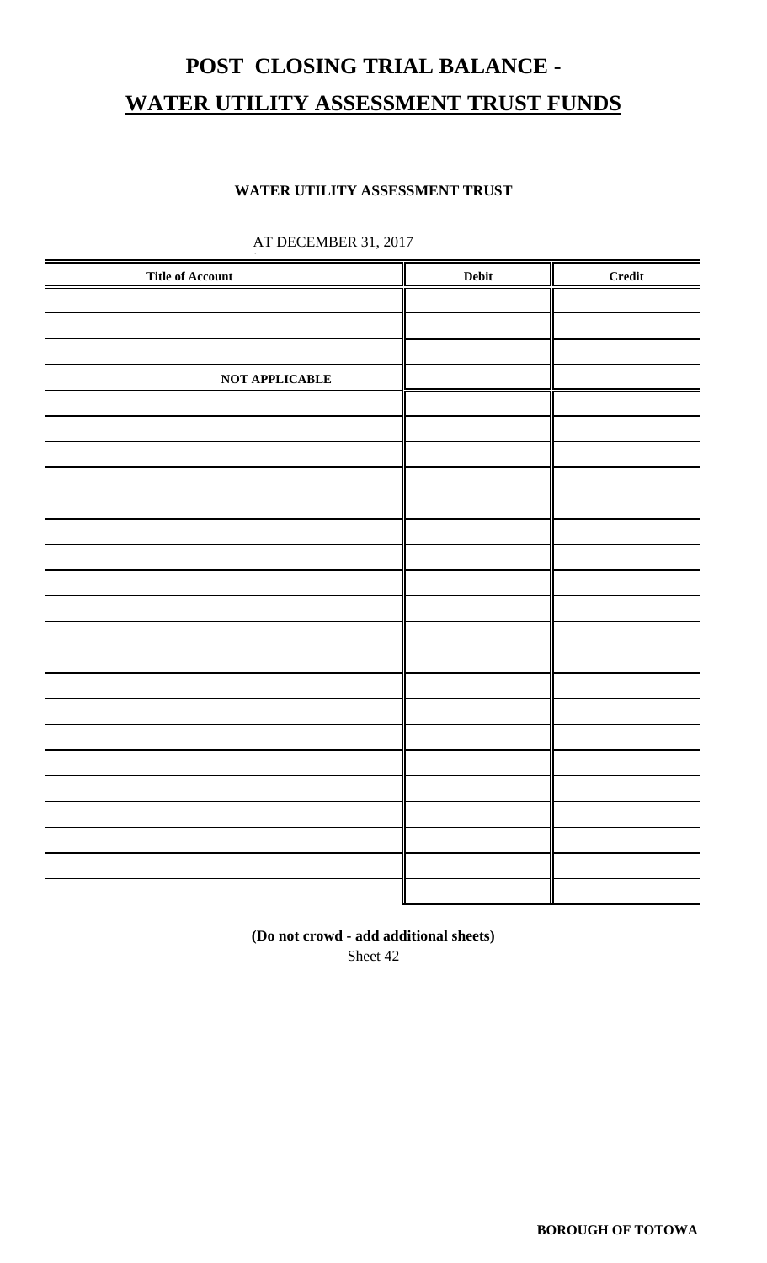# **POST CLOSING TRIAL BALANCE - WATER UTILITY ASSESSMENT TRUST FUNDS**

#### **WATER UTILITY ASSESSMENT TRUST**

| <b>Title of Account</b> | ${\bf Debit}$ | <b>Credit</b> |
|-------------------------|---------------|---------------|
|                         |               |               |
|                         |               |               |
|                         |               |               |
|                         |               |               |
| NOT APPLICABLE          |               |               |
|                         |               |               |
|                         |               |               |
|                         |               |               |
|                         |               |               |
|                         |               |               |
|                         |               |               |
|                         |               |               |
|                         |               |               |
|                         |               |               |
|                         |               |               |
|                         |               |               |
|                         |               |               |
|                         |               |               |
|                         |               |               |
|                         |               |               |
|                         |               |               |
|                         |               |               |
|                         |               |               |
|                         |               |               |
|                         |               |               |
|                         |               |               |
|                         |               |               |

### AT DECEMBER 31, 2017 **.**

Sheet 42 **(Do not crowd - add additional sheets)**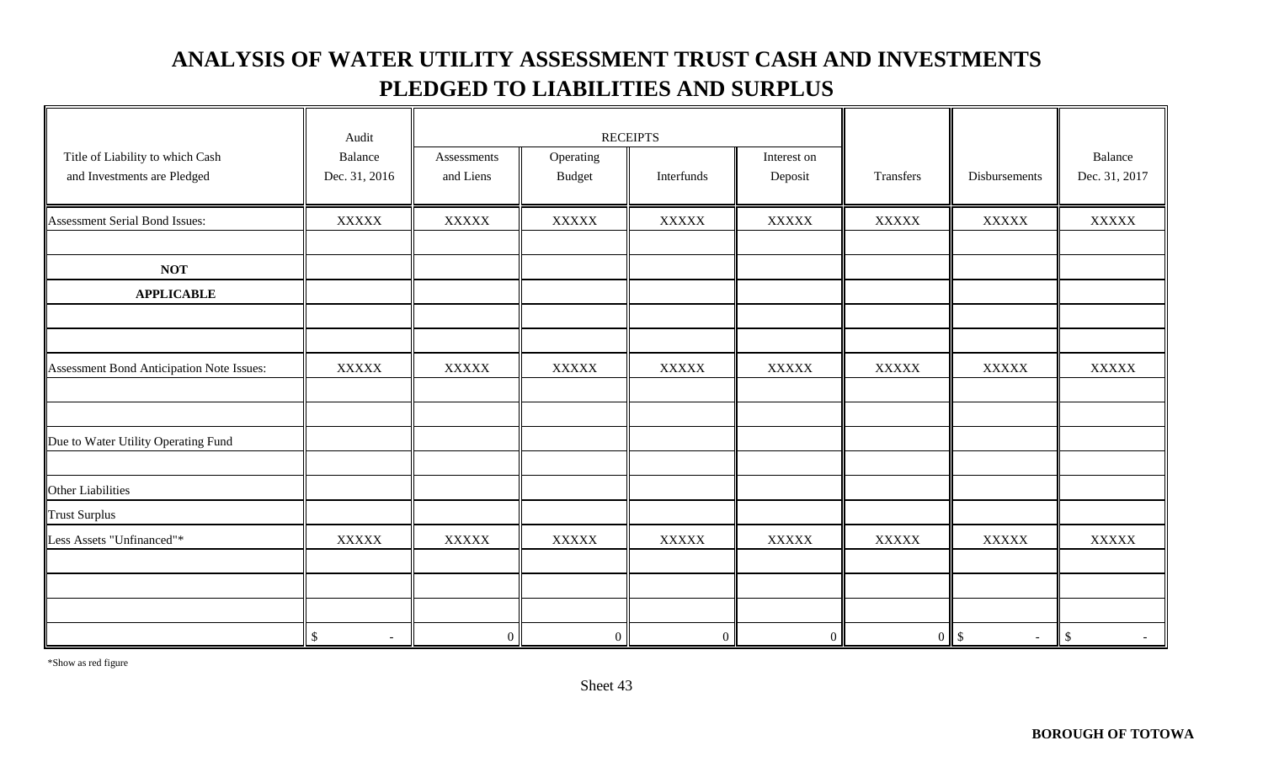### **ANALYSIS OF WATER UTILITY ASSESSMENT TRUST CASH AND INVESTMENTS PLEDGED TO LIABILITIES AND SURPLUS**

|                                           | Audit                          | <b>RECEIPTS</b> |                |                |              |              |                        |                |
|-------------------------------------------|--------------------------------|-----------------|----------------|----------------|--------------|--------------|------------------------|----------------|
| Title of Liability to which Cash          | Balance                        | Assessments     | Operating      |                | Interest on  |              |                        | Balance        |
| and Investments are Pledged               | Dec. 31, 2016                  | and Liens       | <b>Budget</b>  | Interfunds     | Deposit      | Transfers    | Disbursements          | Dec. 31, 2017  |
|                                           |                                |                 |                |                |              |              |                        |                |
| Assessment Serial Bond Issues:            | <b>XXXXX</b>                   | <b>XXXXX</b>    | <b>XXXXX</b>   | <b>XXXXX</b>   | <b>XXXXX</b> | <b>XXXXX</b> | <b>XXXXX</b>           | $\bold{XXXXX}$ |
|                                           |                                |                 |                |                |              |              |                        |                |
| <b>NOT</b>                                |                                |                 |                |                |              |              |                        |                |
| <b>APPLICABLE</b>                         |                                |                 |                |                |              |              |                        |                |
|                                           |                                |                 |                |                |              |              |                        |                |
|                                           |                                |                 |                |                |              |              |                        |                |
| Assessment Bond Anticipation Note Issues: | <b>XXXXX</b>                   | <b>XXXXX</b>    | <b>XXXXX</b>   | <b>XXXXX</b>   | <b>XXXXX</b> | <b>XXXXX</b> | <b>XXXXX</b>           | <b>XXXXX</b>   |
|                                           |                                |                 |                |                |              |              |                        |                |
|                                           |                                |                 |                |                |              |              |                        |                |
| Due to Water Utility Operating Fund       |                                |                 |                |                |              |              |                        |                |
|                                           |                                |                 |                |                |              |              |                        |                |
| Other Liabilities                         |                                |                 |                |                |              |              |                        |                |
| <b>Trust Surplus</b>                      |                                |                 |                |                |              |              |                        |                |
| Less Assets "Unfinanced"*                 | <b>XXXXX</b>                   | <b>XXXXX</b>    | <b>XXXXX</b>   | <b>XXXXX</b>   | <b>XXXXX</b> | <b>XXXXX</b> | <b>XXXXX</b>           | <b>XXXXX</b>   |
|                                           |                                |                 |                |                |              |              |                        |                |
|                                           |                                |                 |                |                |              |              |                        |                |
|                                           |                                |                 |                |                |              |              |                        |                |
|                                           | \$<br>$\overline{\phantom{a}}$ | $\overline{0}$  | $\overline{0}$ | $\overline{0}$ | $\mathbf{0}$ |              | $0 \quad$ \$<br>$\sim$ | $\mathcal{S}$  |

\*Show as red figure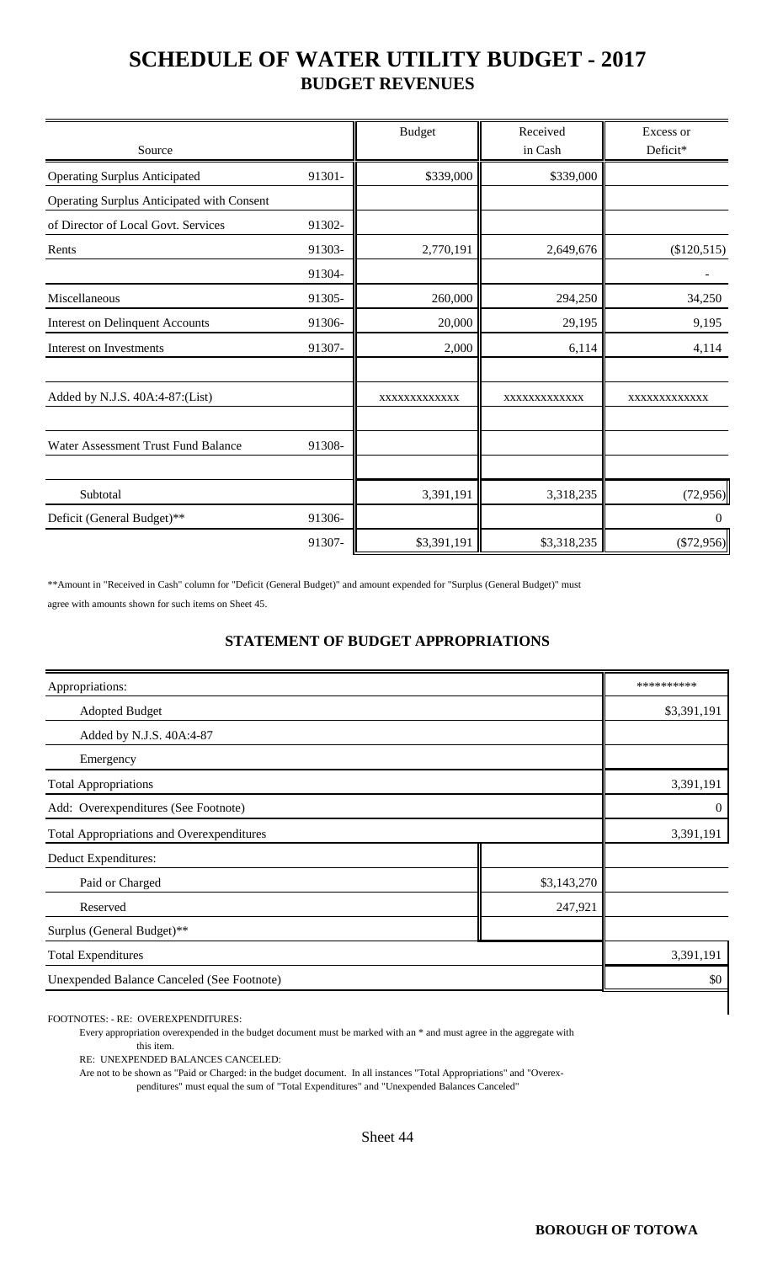### **SCHEDULE OF WATER UTILITY BUDGET - 2017 BUDGET REVENUES**

| Source                                     |        | <b>Budget</b> | Received<br>in Cash | Excess or<br>Deficit* |
|--------------------------------------------|--------|---------------|---------------------|-----------------------|
| <b>Operating Surplus Anticipated</b>       | 91301- | \$339,000     | \$339,000           |                       |
| Operating Surplus Anticipated with Consent |        |               |                     |                       |
| of Director of Local Govt. Services        | 91302- |               |                     |                       |
| Rents                                      | 91303- | 2,770,191     | 2,649,676           | (\$120,515)           |
|                                            | 91304- |               |                     |                       |
| Miscellaneous                              | 91305- | 260,000       | 294,250             | 34,250                |
| <b>Interest on Delinquent Accounts</b>     | 91306- | 20,000        | 29,195              | 9,195                 |
| Interest on Investments                    | 91307- | 2,000         | 6,114               | 4,114                 |
| Added by N.J.S. 40A:4-87:(List)            |        | XXXXXXXXXXXX  | XXXXXXXXXXXX        | XXXXXXXXXXXX          |
| Water Assessment Trust Fund Balance        | 91308- |               |                     |                       |
| Subtotal                                   |        | 3,391,191     | 3,318,235           | (72, 956)             |
| Deficit (General Budget)**                 | 91306- |               |                     | $\theta$              |
|                                            | 91307- | \$3,391,191   | \$3,318,235         | $(\$72,956)$          |

\*\*Amount in "Received in Cash" column for "Deficit (General Budget)" and amount expended for "Surplus (General Budget)" must agree with amounts shown for such items on Sheet 45.

#### **STATEMENT OF BUDGET APPROPRIATIONS**

| Appropriations:                                  |             | **********  |  |  |
|--------------------------------------------------|-------------|-------------|--|--|
| <b>Adopted Budget</b>                            |             | \$3,391,191 |  |  |
| Added by N.J.S. 40A:4-87                         |             |             |  |  |
| Emergency                                        |             |             |  |  |
| <b>Total Appropriations</b>                      | 3,391,191   |             |  |  |
| Add: Overexpenditures (See Footnote)             |             |             |  |  |
| <b>Total Appropriations and Overexpenditures</b> |             | 3,391,191   |  |  |
| Deduct Expenditures:                             |             |             |  |  |
| Paid or Charged                                  | \$3,143,270 |             |  |  |
| Reserved                                         | 247,921     |             |  |  |
| Surplus (General Budget)**                       |             |             |  |  |
| <b>Total Expenditures</b>                        | 3,391,191   |             |  |  |
| Unexpended Balance Canceled (See Footnote)       |             | \$0         |  |  |
|                                                  |             |             |  |  |

FOOTNOTES: - RE: OVEREXPENDITURES:

Every appropriation overexpended in the budget document must be marked with an \* and must agree in the aggregate with this item.

RE: UNEXPENDED BALANCES CANCELED:

Are not to be shown as "Paid or Charged: in the budget document. In all instances "Total Appropriations" and "Overex-

penditures" must equal the sum of "Total Expenditures" and "Unexpended Balances Canceled"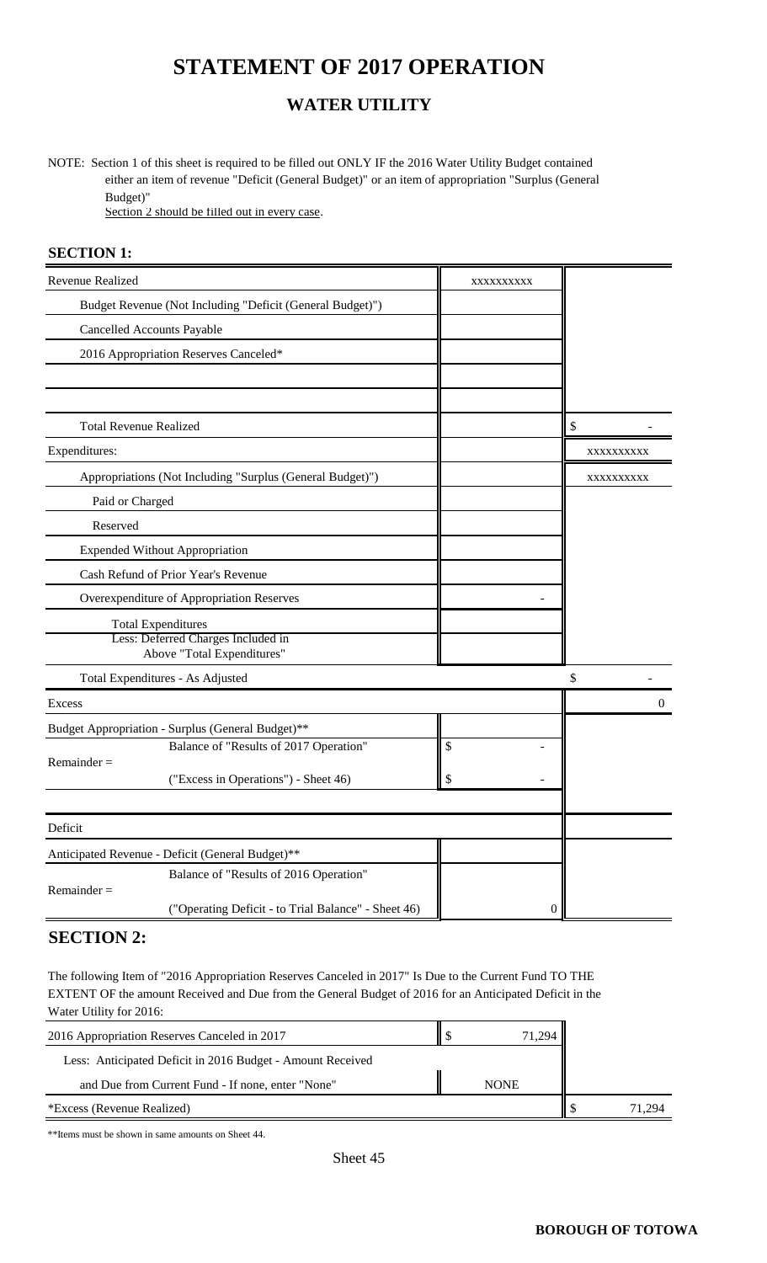### **STATEMENT OF 2017 OPERATION**

#### **WATER UTILITY**

NOTE: Section 1 of this sheet is required to be filled out ONLY IF the 2016 Water Utility Budget contained either an item of revenue "Deficit (General Budget)" or an item of appropriation "Surplus (General Budget)"

Section 2 should be filled out in every case.

#### **SECTION 1:**

| Revenue Realized                                                     | XXXXXXXXX                |            |
|----------------------------------------------------------------------|--------------------------|------------|
| Budget Revenue (Not Including "Deficit (General Budget)")            |                          |            |
| <b>Cancelled Accounts Payable</b>                                    |                          |            |
| 2016 Appropriation Reserves Canceled*                                |                          |            |
|                                                                      |                          |            |
|                                                                      |                          |            |
| <b>Total Revenue Realized</b>                                        |                          | \$         |
| Expenditures:                                                        |                          | XXXXXXXXXX |
| Appropriations (Not Including "Surplus (General Budget)")            |                          | XXXXXXXXXX |
| Paid or Charged                                                      |                          |            |
| Reserved                                                             |                          |            |
| <b>Expended Without Appropriation</b>                                |                          |            |
| Cash Refund of Prior Year's Revenue                                  |                          |            |
| Overexpenditure of Appropriation Reserves                            |                          |            |
| <b>Total Expenditures</b>                                            |                          |            |
| Less: Deferred Charges Included in<br>Above "Total Expenditures"     |                          |            |
| Total Expenditures - As Adjusted                                     |                          | \$         |
| Excess                                                               |                          | $\Omega$   |
| Budget Appropriation - Surplus (General Budget)**                    |                          |            |
| Balance of "Results of 2017 Operation"                               | $\overline{\mathcal{S}}$ |            |
| $Remainder =$<br>("Excess in Operations") - Sheet 46)                | \$                       |            |
|                                                                      |                          |            |
| Deficit                                                              |                          |            |
| Anticipated Revenue - Deficit (General Budget)**                     |                          |            |
| Balance of "Results of 2016 Operation"                               |                          |            |
| $Remainder =$<br>("Operating Deficit - to Trial Balance" - Sheet 46) | $\overline{0}$           |            |

#### **SECTION 2:**

The following Item of "2016 Appropriation Reserves Canceled in 2017" Is Due to the Current Fund TO THE EXTENT OF the amount Received and Due from the General Budget of 2016 for an Anticipated Deficit in the Water Utility for 2016:

| 2016 Appropriation Reserves Canceled in 2017               | 71.294      |        |
|------------------------------------------------------------|-------------|--------|
| Less: Anticipated Deficit in 2016 Budget - Amount Received |             |        |
| and Due from Current Fund - If none, enter "None"          | <b>NONE</b> |        |
| *Excess (Revenue Realized)                                 |             | 71 294 |

\*\*Items must be shown in same amounts on Sheet 44.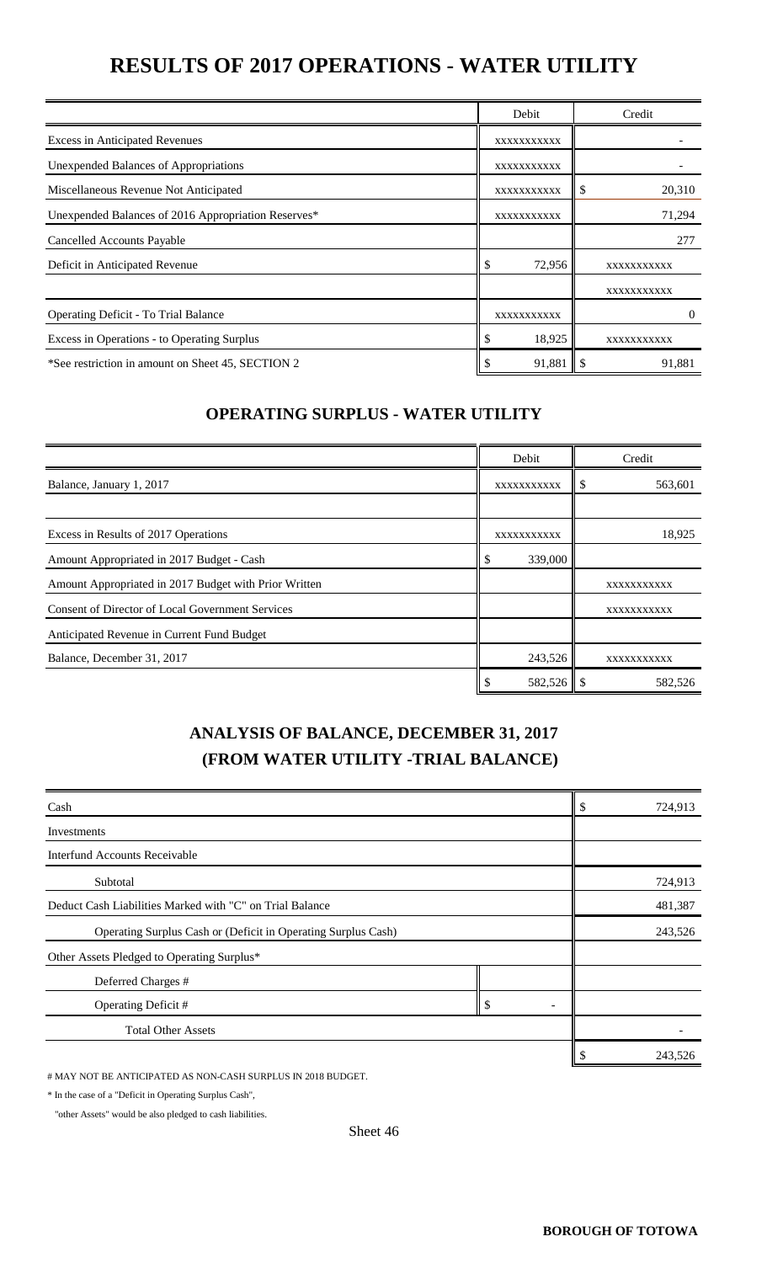### **RESULTS OF 2017 OPERATIONS - WATER UTILITY**

|                                                     | Debit        | Credit      |
|-----------------------------------------------------|--------------|-------------|
| <b>Excess in Anticipated Revenues</b>               | XXXXXXXXXXX  |             |
| Unexpended Balances of Appropriations               | XXXXXXXXXXX  |             |
| Miscellaneous Revenue Not Anticipated               | XXXXXXXXXX   | 20,310<br>P |
| Unexpended Balances of 2016 Appropriation Reserves* | XXXXXXXXXXX  | 71,294      |
| Cancelled Accounts Payable                          |              | 277         |
| Deficit in Anticipated Revenue                      | \$<br>72,956 | XXXXXXXXXXX |
|                                                     |              | XXXXXXXXXX  |
| <b>Operating Deficit - To Trial Balance</b>         | XXXXXXXXXXX  | $\theta$    |
| Excess in Operations - to Operating Surplus         | \$<br>18,925 | XXXXXXXXXX  |
| *See restriction in amount on Sheet 45, SECTION 2   | 91,881       | 91,881      |

#### **OPERATING SURPLUS - WATER UTILITY**

|                                                       |    | Debit       | Credit      |
|-------------------------------------------------------|----|-------------|-------------|
| Balance, January 1, 2017                              |    | XXXXXXXXXXX | 563,601     |
|                                                       |    |             |             |
| Excess in Results of 2017 Operations                  |    | XXXXXXXXXXX | 18,925      |
| Amount Appropriated in 2017 Budget - Cash             | \$ | 339,000     |             |
| Amount Appropriated in 2017 Budget with Prior Written |    |             | XXXXXXXXXXX |
| Consent of Director of Local Government Services      |    |             | XXXXXXXXXXX |
| Anticipated Revenue in Current Fund Budget            |    |             |             |
| Balance, December 31, 2017                            |    | 243,526     | XXXXXXXXXX  |
|                                                       | ۰D |             | 582,526     |

### **ANALYSIS OF BALANCE, DECEMBER 31, 2017 (FROM WATER UTILITY -TRIAL BALANCE)**

| Cash                                                          |    |  | 724,913 |
|---------------------------------------------------------------|----|--|---------|
| Investments                                                   |    |  |         |
| <b>Interfund Accounts Receivable</b>                          |    |  |         |
| Subtotal                                                      |    |  | 724,913 |
| Deduct Cash Liabilities Marked with "C" on Trial Balance      |    |  | 481,387 |
| Operating Surplus Cash or (Deficit in Operating Surplus Cash) |    |  | 243,526 |
| Other Assets Pledged to Operating Surplus*                    |    |  |         |
| Deferred Charges #                                            |    |  |         |
| Operating Deficit #                                           | \$ |  |         |
| <b>Total Other Assets</b>                                     |    |  |         |
|                                                               |    |  | 243,526 |

# MAY NOT BE ANTICIPATED AS NON-CASH SURPLUS IN 2018 BUDGET.

\* In the case of a "Deficit in Operating Surplus Cash",

"other Assets" would be also pledged to cash liabilities.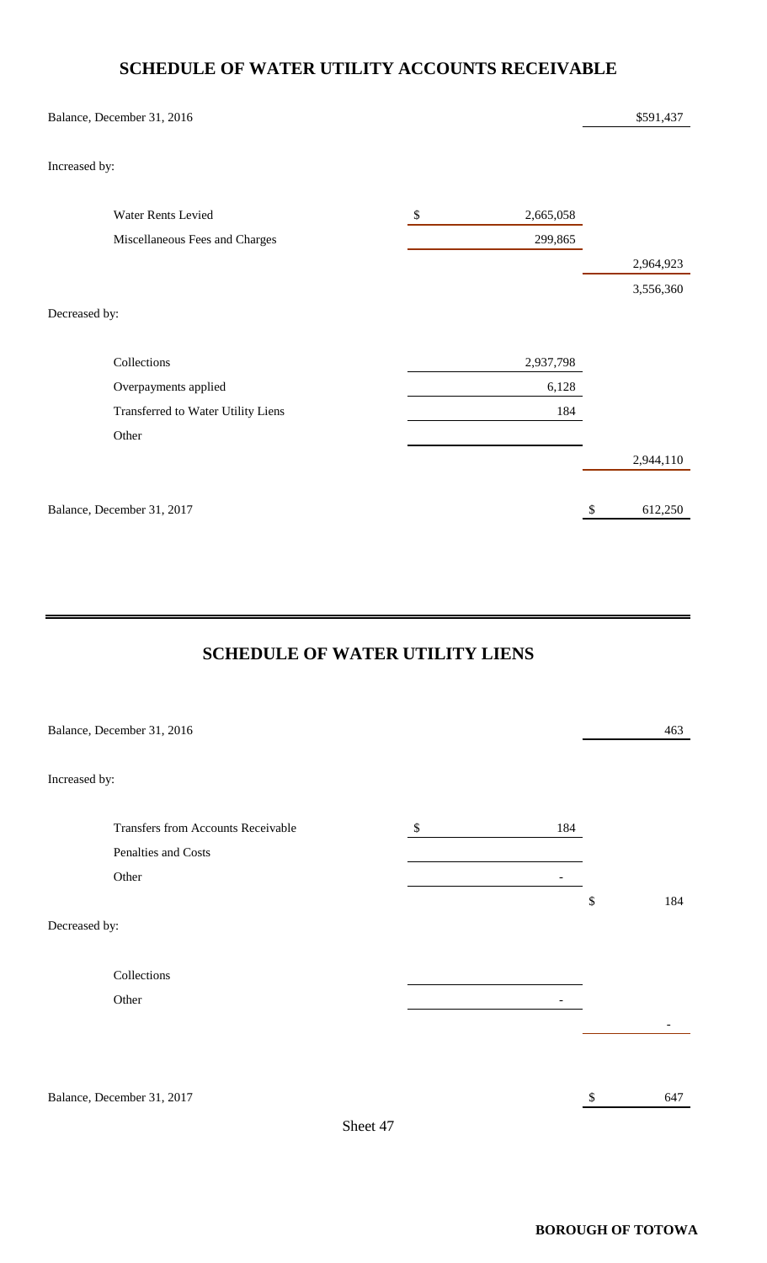#### **SCHEDULE OF WATER UTILITY ACCOUNTS RECEIVABLE**

| Balance, December 31, 2016         |                     | \$591,437                            |
|------------------------------------|---------------------|--------------------------------------|
| Increased by:                      |                     |                                      |
| Water Rents Levied                 | $\$\,$<br>2,665,058 |                                      |
| Miscellaneous Fees and Charges     | 299,865             |                                      |
|                                    |                     | 2,964,923                            |
|                                    |                     | 3,556,360                            |
| Decreased by:                      |                     |                                      |
| Collections                        | 2,937,798           |                                      |
| Overpayments applied               | 6,128               |                                      |
| Transferred to Water Utility Liens | 184                 |                                      |
| Other                              |                     |                                      |
|                                    |                     | 2,944,110                            |
| Balance, December 31, 2017         |                     | 612,250<br>$\boldsymbol{\mathsf{S}}$ |

#### **SCHEDULE OF WATER UTILITY LIENS**

| Balance, December 31, 2016         |          |               |                          | 463         |  |
|------------------------------------|----------|---------------|--------------------------|-------------|--|
| Increased by:                      |          |               |                          |             |  |
| Transfers from Accounts Receivable |          | $\frac{1}{2}$ | 184                      |             |  |
| Penalties and Costs<br>Other       |          |               | $\overline{\phantom{a}}$ |             |  |
| Decreased by:                      |          |               |                          | $\$$<br>184 |  |
| Collections                        |          |               |                          |             |  |
| Other                              |          |               |                          |             |  |
|                                    |          |               |                          |             |  |
| Balance, December 31, 2017         |          |               |                          | 647<br>\$   |  |
|                                    | Sheet 47 |               |                          |             |  |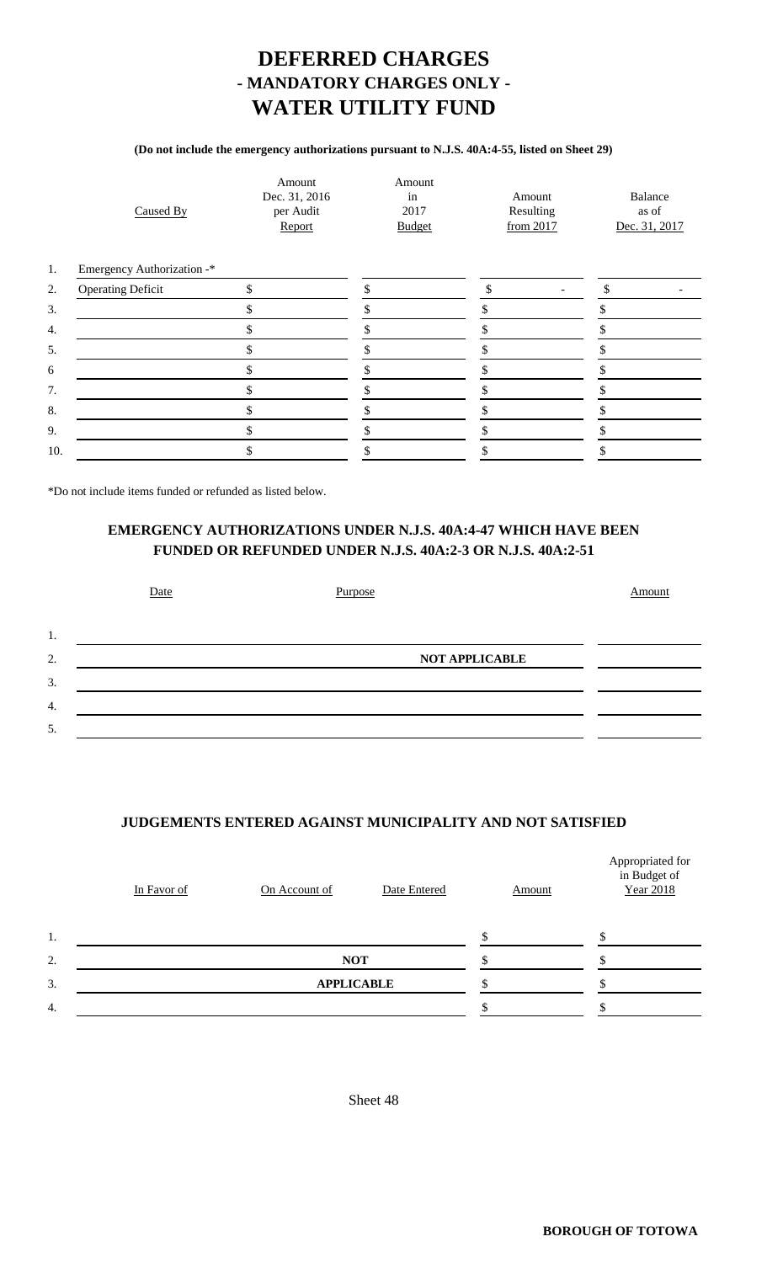### **DEFERRED CHARGES - MANDATORY CHARGES ONLY - WATER UTILITY FUND**

#### **(Do not include the emergency authorizations pursuant to N.J.S. 40A:4-55, listed on Sheet 29)**

|     | Caused By                  | Amount<br>Dec. 31, 2016<br>per Audit<br>Report | Amount<br>in<br>2017<br><b>Budget</b> | Amount<br>Resulting<br>from 2017 | Balance<br>as of<br>Dec. 31, 2017 |
|-----|----------------------------|------------------------------------------------|---------------------------------------|----------------------------------|-----------------------------------|
| 1.  | Emergency Authorization -* |                                                |                                       |                                  |                                   |
| 2.  | <b>Operating Deficit</b>   | \$                                             | \$                                    | \$<br>$\overline{\phantom{a}}$   | $\mathcal{S}$                     |
| 3.  |                            | \$                                             |                                       |                                  |                                   |
| 4.  |                            |                                                |                                       |                                  |                                   |
| 5.  |                            | \$                                             |                                       |                                  |                                   |
| 6   |                            | \$                                             |                                       |                                  |                                   |
| 7.  |                            | ъ.                                             |                                       |                                  |                                   |
| 8.  |                            | Æ,                                             |                                       |                                  |                                   |
| 9.  |                            | S.                                             |                                       |                                  |                                   |
| 10. |                            |                                                |                                       |                                  |                                   |
|     |                            |                                                |                                       |                                  |                                   |

\*Do not include items funded or refunded as listed below.

#### **EMERGENCY AUTHORIZATIONS UNDER N.J.S. 40A:4-47 WHICH HAVE BEEN FUNDED OR REFUNDED UNDER N.J.S. 40A:2-3 OR N.J.S. 40A:2-51**

|    | Date | Purpose               | Amount |
|----|------|-----------------------|--------|
| 1. |      |                       |        |
| 2. |      | <b>NOT APPLICABLE</b> |        |
| 3. |      |                       |        |
| 4. |      |                       |        |
| 5. |      |                       |        |

#### **JUDGEMENTS ENTERED AGAINST MUNICIPALITY AND NOT SATISFIED**

|    | In Favor of | On Account of     | Date Entered | Amount | Appropriated for<br>in Budget of<br><b>Year 2018</b> |
|----|-------------|-------------------|--------------|--------|------------------------------------------------------|
| 1. |             |                   |              |        |                                                      |
| 2. | <b>NOT</b>  |                   |              |        |                                                      |
| 3. |             | <b>APPLICABLE</b> |              |        |                                                      |
| 4. |             |                   |              |        |                                                      |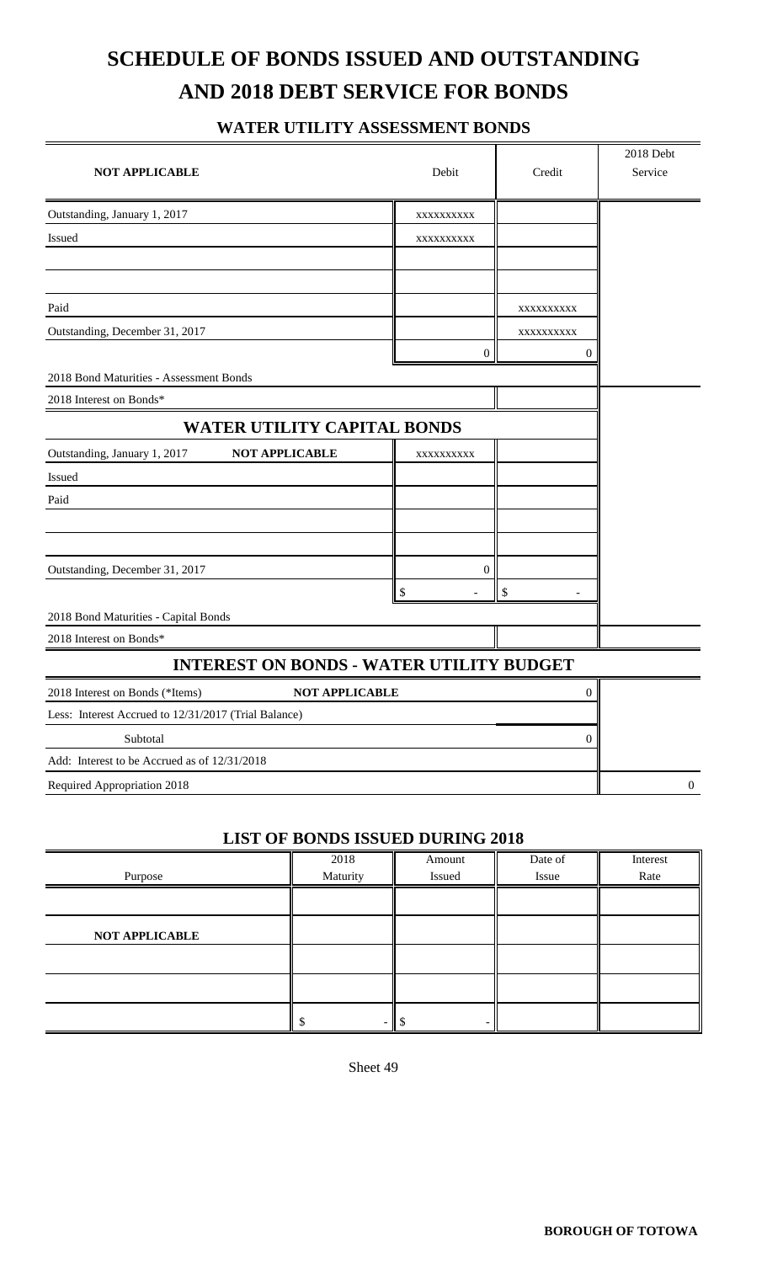# **SCHEDULE OF BONDS ISSUED AND OUTSTANDING AND 2018 DEBT SERVICE FOR BONDS**

#### **WATER UTILITY ASSESSMENT BONDS**

| <b>NOT APPLICABLE</b>                                    | Debit            | Credit           | 2018 Debt<br>Service |
|----------------------------------------------------------|------------------|------------------|----------------------|
| Outstanding, January 1, 2017                             | XXXXXXXXXX       |                  |                      |
| Issued                                                   | XXXXXXXXXX       |                  |                      |
|                                                          |                  |                  |                      |
|                                                          |                  |                  |                      |
| Paid                                                     |                  | XXXXXXXXX        |                      |
| Outstanding, December 31, 2017                           |                  | XXXXXXXXX        |                      |
|                                                          | 0                | 0                |                      |
| 2018 Bond Maturities - Assessment Bonds                  |                  |                  |                      |
| 2018 Interest on Bonds*                                  |                  |                  |                      |
| WATER UTILITY CAPITAL BONDS                              |                  |                  |                      |
| Outstanding, January 1, 2017<br><b>NOT APPLICABLE</b>    | XXXXXXXXX        |                  |                      |
| Issued                                                   |                  |                  |                      |
| Paid                                                     |                  |                  |                      |
|                                                          |                  |                  |                      |
|                                                          |                  |                  |                      |
| Outstanding, December 31, 2017                           | $\boldsymbol{0}$ |                  |                      |
|                                                          | S                | \$               |                      |
| 2018 Bond Maturities - Capital Bonds                     |                  |                  |                      |
| 2018 Interest on Bonds*                                  |                  |                  |                      |
| <b>INTEREST ON BONDS - WATER UTILITY BUDGET</b>          |                  |                  |                      |
| <b>NOT APPLICABLE</b><br>2018 Interest on Bonds (*Items) |                  | 0                |                      |
| Less: Interest Accrued to 12/31/2017 (Trial Balance)     |                  |                  |                      |
| Subtotal                                                 |                  | $\boldsymbol{0}$ |                      |
| Add: Interest to be Accrued as of 12/31/2018             |                  |                  |                      |
| Required Appropriation 2018                              |                  |                  | $\boldsymbol{0}$     |

#### **LIST OF BONDS ISSUED DURING 2018**

|                       | 2018     | Amount | Date of | Interest |
|-----------------------|----------|--------|---------|----------|
| Purpose               | Maturity | Issued | Issue   | Rate     |
|                       |          |        |         |          |
|                       |          |        |         |          |
| <b>NOT APPLICABLE</b> |          |        |         |          |
|                       |          |        |         |          |
|                       |          |        |         |          |
|                       |          |        |         |          |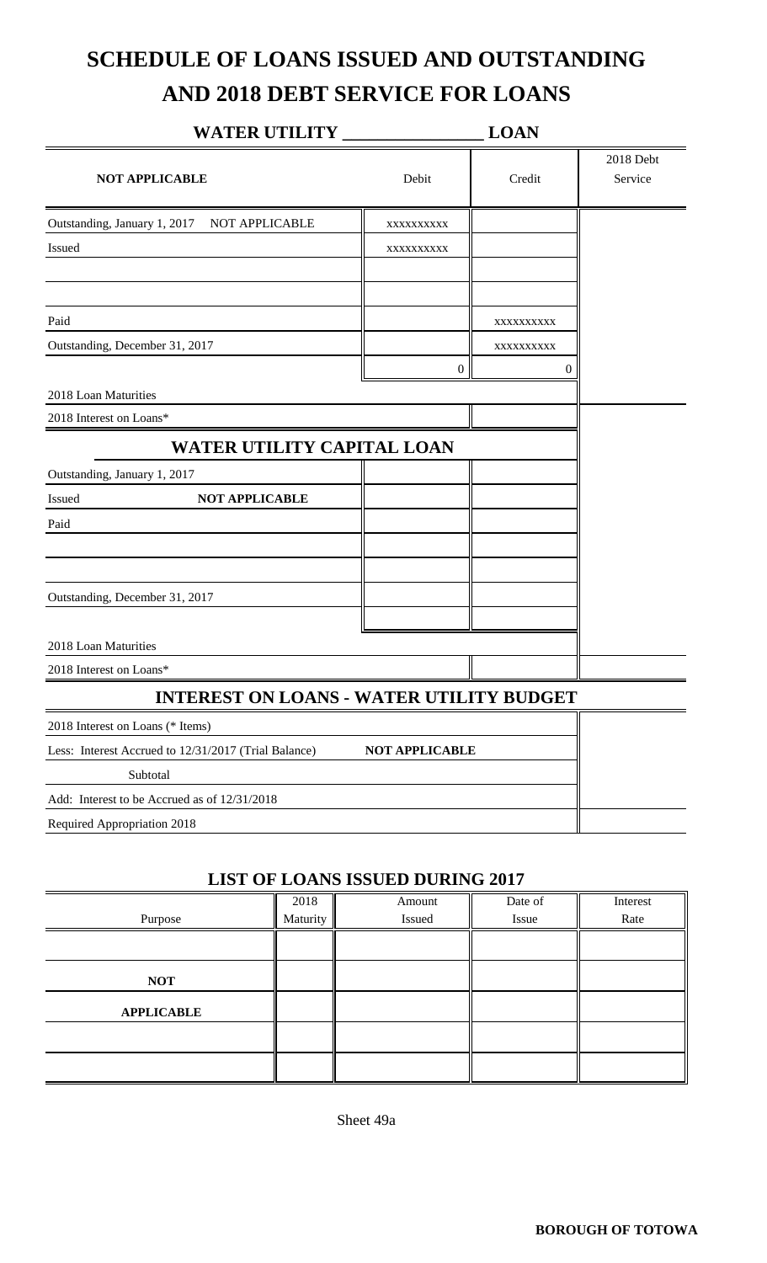# **SCHEDULE OF LOANS ISSUED AND OUTSTANDING AND 2018 DEBT SERVICE FOR LOANS**

| <b>WATER UTILITY</b>                                 |                       | <b>LOAN</b>      |                      |
|------------------------------------------------------|-----------------------|------------------|----------------------|
| <b>NOT APPLICABLE</b>                                | Debit                 | Credit           | 2018 Debt<br>Service |
| Outstanding, January 1, 2017<br>NOT APPLICABLE       | XXXXXXXXX             |                  |                      |
| Issued                                               | XXXXXXXXX             |                  |                      |
|                                                      |                       |                  |                      |
| Paid                                                 |                       | XXXXXXXXX        |                      |
| Outstanding, December 31, 2017                       |                       | XXXXXXXXX        |                      |
|                                                      | $\boldsymbol{0}$      | $\boldsymbol{0}$ |                      |
| 2018 Loan Maturities                                 |                       |                  |                      |
| 2018 Interest on Loans*                              |                       |                  |                      |
| <b>WATER UTILITY CAPITAL LOAN</b>                    |                       |                  |                      |
| Outstanding, January 1, 2017                         |                       |                  |                      |
| <b>NOT APPLICABLE</b><br>Issued                      |                       |                  |                      |
| Paid                                                 |                       |                  |                      |
|                                                      |                       |                  |                      |
| Outstanding, December 31, 2017                       |                       |                  |                      |
|                                                      |                       |                  |                      |
| 2018 Loan Maturities                                 |                       |                  |                      |
| 2018 Interest on Loans*                              |                       |                  |                      |
| <b>INTEREST ON LOANS - WATER UTILITY BUDGET</b>      |                       |                  |                      |
| 2018 Interest on Loans (* Items)                     |                       |                  |                      |
| Less: Interest Accrued to 12/31/2017 (Trial Balance) | <b>NOT APPLICABLE</b> |                  |                      |
| Subtotal                                             |                       |                  |                      |
| Add: Interest to be Accrued as of 12/31/2018         |                       |                  |                      |
| Required Appropriation 2018                          |                       |                  |                      |
|                                                      |                       |                  |                      |

#### **LIST OF LOANS ISSUED DURING 2017**

| Purpose           | 2018<br>Maturity | Amount<br>Issued | Date of<br>Issue | Interest<br>Rate |
|-------------------|------------------|------------------|------------------|------------------|
|                   |                  |                  |                  |                  |
|                   |                  |                  |                  |                  |
| <b>NOT</b>        |                  |                  |                  |                  |
| <b>APPLICABLE</b> |                  |                  |                  |                  |
|                   |                  |                  |                  |                  |
|                   |                  |                  |                  |                  |

Sheet 49a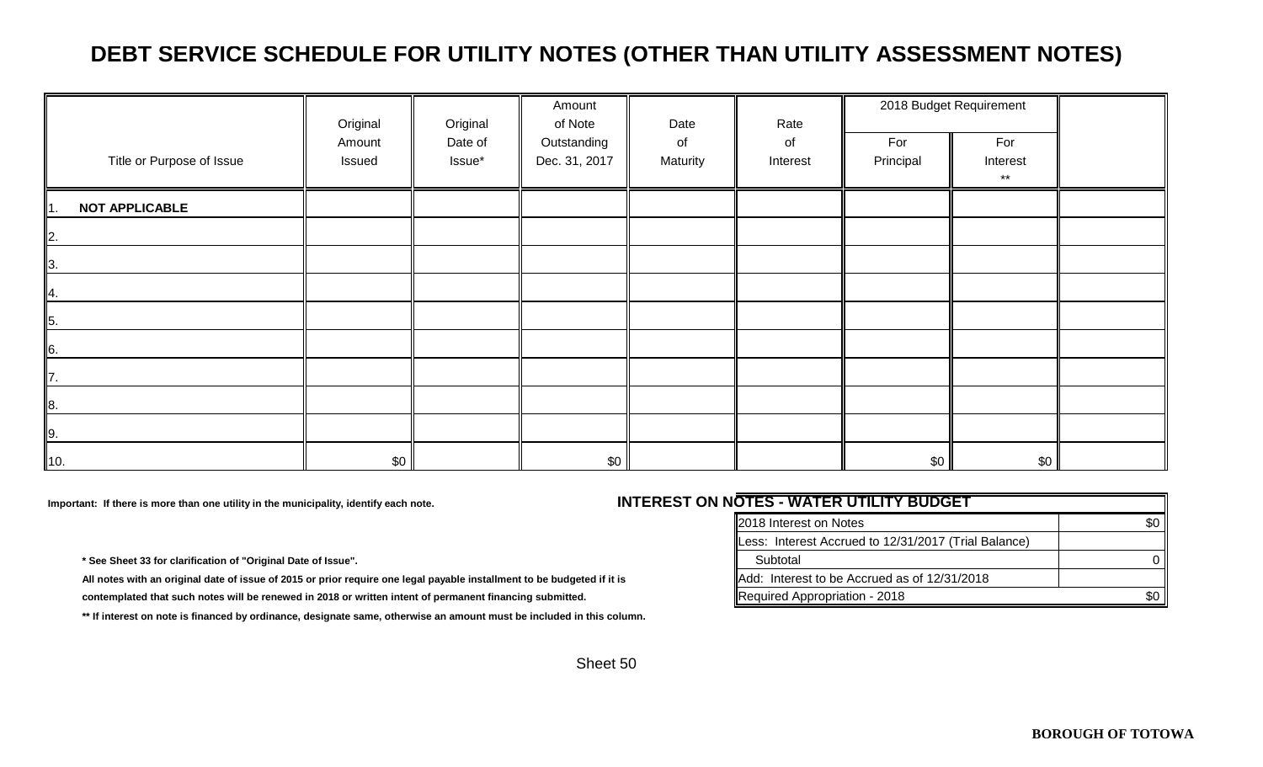### **DEBT SERVICE SCHEDULE FOR UTILITY NOTES (OTHER THAN UTILITY ASSESSMENT NOTES)**

|                               | Original         | Original          | Amount<br>of Note            | Date           | Rate           |                  | 2018 Budget Requirement         |  |
|-------------------------------|------------------|-------------------|------------------------------|----------------|----------------|------------------|---------------------------------|--|
| Title or Purpose of Issue     | Amount<br>Issued | Date of<br>Issue* | Outstanding<br>Dec. 31, 2017 | of<br>Maturity | of<br>Interest | For<br>Principal | For<br>Interest<br>$\star\star$ |  |
| <b>NOT APPLICABLE</b><br>II1. |                  |                   |                              |                |                |                  |                                 |  |
| $\mathbb{Z}$                  |                  |                   |                              |                |                |                  |                                 |  |
| $\mathbf{I}$ 3.               |                  |                   |                              |                |                |                  |                                 |  |
| <b>1</b> 4.                   |                  |                   |                              |                |                |                  |                                 |  |
| $\overline{5}$ .              |                  |                   |                              |                |                |                  |                                 |  |
| 6.                            |                  |                   |                              |                |                |                  |                                 |  |
| IZ.                           |                  |                   |                              |                |                |                  |                                 |  |
| $\vert$ 8.                    |                  |                   |                              |                |                |                  |                                 |  |
| 9.                            |                  |                   |                              |                |                |                  |                                 |  |
| 10.                           | \$0              |                   | \$0                          |                |                | \$0              | \$0 <sub>1</sub>                |  |

Important: If there is more than one utility in the municipality, identify each note.<br> **INTER** 

\* See Sheet 33 for clarification of "Original Date of Issue".

All notes with an original date of issue of 2015 or prior require one legal payable installment to be budgeted if it is contemplated that such notes will be renewed in 2018 or written intent of permanent financing submitted.

 **\*\* If interest on note is financed by ordinance, designate same, otherwise an amount must be included in this column.**

| EST ON NOTES - WATER UTILITY BUDGET                  |     |
|------------------------------------------------------|-----|
| 2018 Interest on Notes                               | \$0 |
| Less: Interest Accrued to 12/31/2017 (Trial Balance) |     |
| Subtotal                                             |     |
| Add: Interest to be Accrued as of 12/31/2018         |     |
| Required Appropriation - 2018                        | \$0 |
|                                                      |     |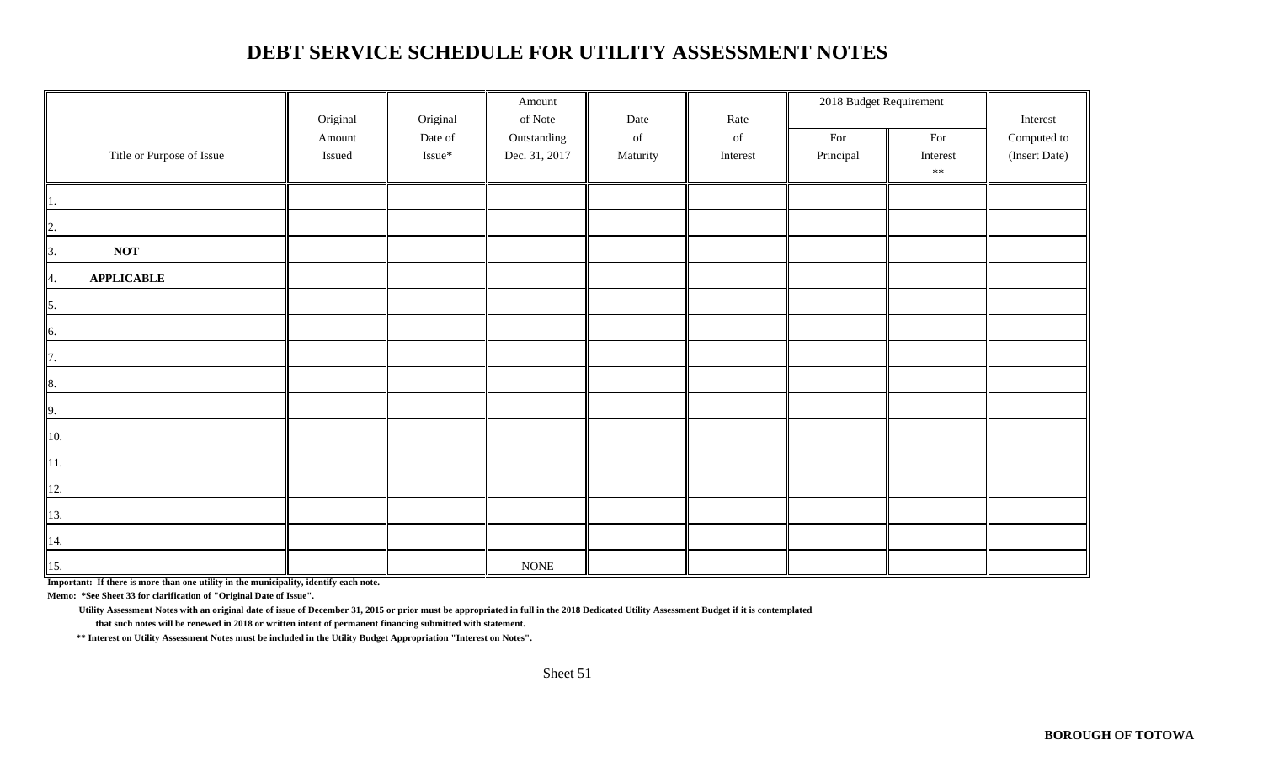### **DEBT SERVICE SCHEDULE FOR UTILITY ASSESSMENT NOTES**

|                           |          |          | Amount        |          |                                                                                                    | 2018 Budget Requirement |          |               |
|---------------------------|----------|----------|---------------|----------|----------------------------------------------------------------------------------------------------|-------------------------|----------|---------------|
|                           | Original | Original | of Note       | Date     | Rate                                                                                               |                         |          | Interest      |
|                           | Amount   | Date of  | Outstanding   | of       | $% \left( \left( \mathcal{A},\mathcal{A}\right) \right) =\left( \mathcal{A},\mathcal{A}\right)$ of | For                     | For      | Computed to   |
| Title or Purpose of Issue | Issued   | Issue*   | Dec. 31, 2017 | Maturity | Interest                                                                                           | Principal               | Interest | (Insert Date) |
|                           |          |          |               |          |                                                                                                    |                         | $***$    |               |
|                           |          |          |               |          |                                                                                                    |                         |          |               |
| $\overline{2}$            |          |          |               |          |                                                                                                    |                         |          |               |
| <b>NOT</b><br>3.          |          |          |               |          |                                                                                                    |                         |          |               |
| <b>APPLICABLE</b><br>4.   |          |          |               |          |                                                                                                    |                         |          |               |
| 5.                        |          |          |               |          |                                                                                                    |                         |          |               |
| 6.                        |          |          |               |          |                                                                                                    |                         |          |               |
| 7.                        |          |          |               |          |                                                                                                    |                         |          |               |
| 8.                        |          |          |               |          |                                                                                                    |                         |          |               |
| 9.                        |          |          |               |          |                                                                                                    |                         |          |               |
| 10.                       |          |          |               |          |                                                                                                    |                         |          |               |
| 11.                       |          |          |               |          |                                                                                                    |                         |          |               |
| 12.                       |          |          |               |          |                                                                                                    |                         |          |               |
| 13.                       |          |          |               |          |                                                                                                    |                         |          |               |
| 14.                       |          |          |               |          |                                                                                                    |                         |          |               |
| 15.                       |          |          | $\rm{NONE}$   |          |                                                                                                    |                         |          |               |

**Important: If there is more than one utility in the municipality, identify each note.**

**Memo: \*See Sheet 33 for clarification of "Original Date of Issue".**

 **Utility Assessment Notes with an original date of issue of December 31, 2015 or prior must be appropriated in full in the 2018 Dedicated Utility Assessment Budget if it is contemplated** 

 **that such notes will be renewed in 2018 or written intent of permanent financing submitted with statement.**

 **\*\* Interest on Utility Assessment Notes must be included in the Utility Budget Appropriation "Interest on Notes".**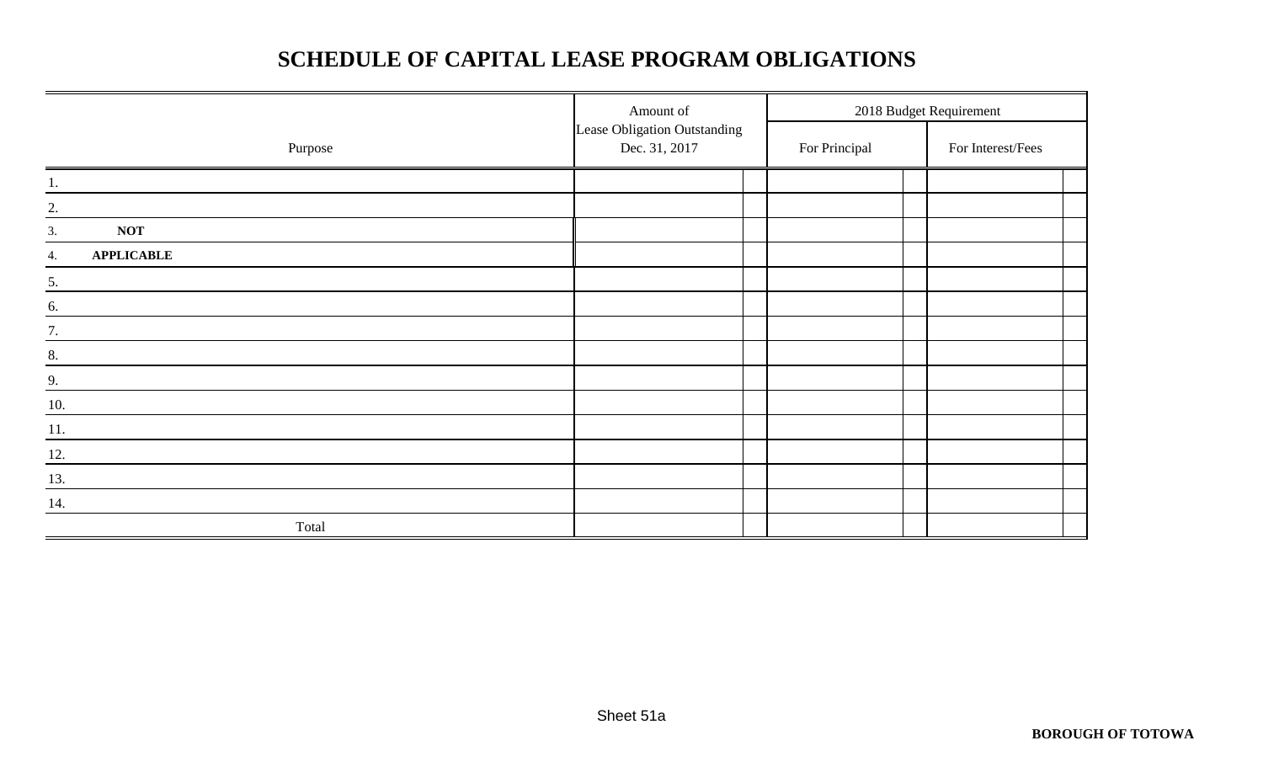### **SCHEDULE OF CAPITAL LEASE PROGRAM OBLIGATIONS**

|                         | Amount of                                     | 2018 Budget Requirement |  |  |                   |
|-------------------------|-----------------------------------------------|-------------------------|--|--|-------------------|
| Purpose                 | Lease Obligation Outstanding<br>Dec. 31, 2017 | For Principal           |  |  | For Interest/Fees |
| 1.                      |                                               |                         |  |  |                   |
| 2.                      |                                               |                         |  |  |                   |
| <b>NOT</b><br>3.        |                                               |                         |  |  |                   |
| <b>APPLICABLE</b><br>4. |                                               |                         |  |  |                   |
| 5.                      |                                               |                         |  |  |                   |
| 6.                      |                                               |                         |  |  |                   |
| 7.                      |                                               |                         |  |  |                   |
| 8.                      |                                               |                         |  |  |                   |
| 9.                      |                                               |                         |  |  |                   |
| 10.                     |                                               |                         |  |  |                   |
| 11.                     |                                               |                         |  |  |                   |
| 12.                     |                                               |                         |  |  |                   |
| $\underline{13}$ .      |                                               |                         |  |  |                   |
| 14.                     |                                               |                         |  |  |                   |
| Total                   |                                               |                         |  |  |                   |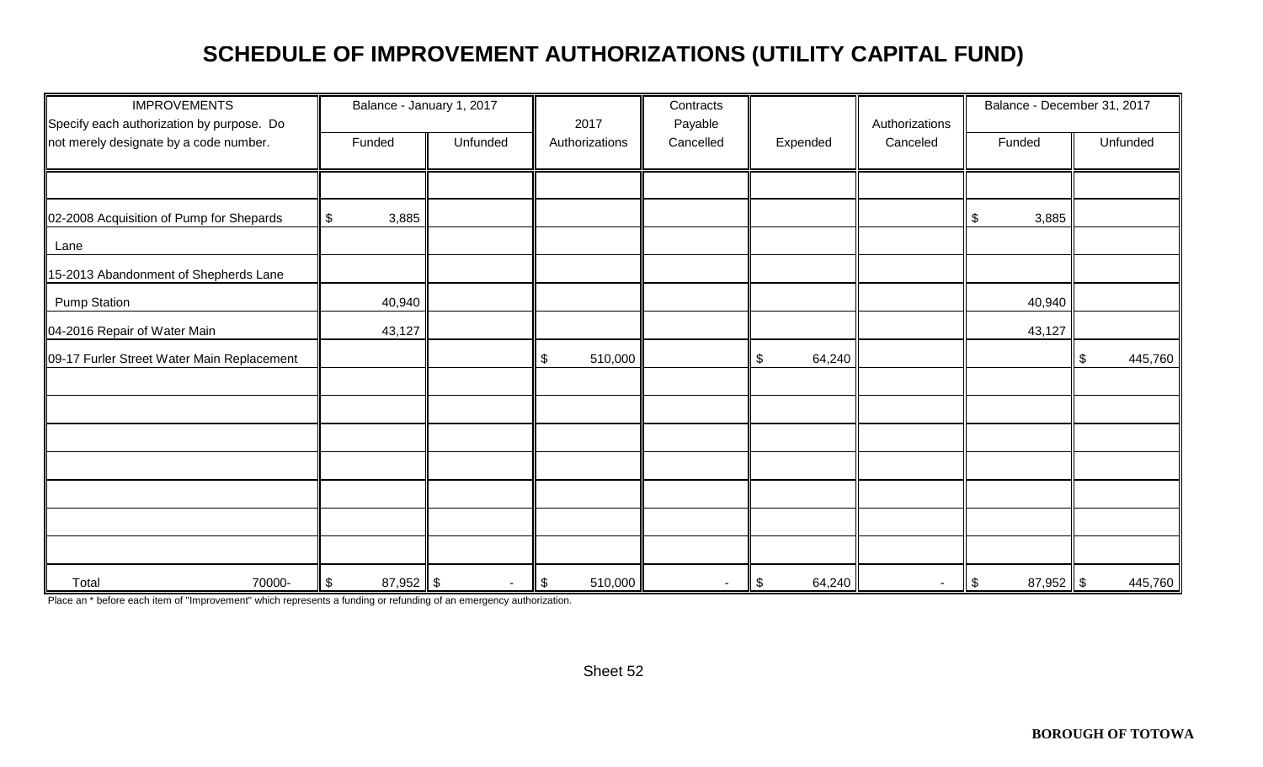### **SCHEDULE OF IMPROVEMENT AUTHORIZATIONS (UTILITY CAPITAL FUND)**

| <b>IMPROVEMENTS</b><br>Specify each authorization by purpose. Do | Balance - January 1, 2017 |          | 2017                                  | Contracts<br>Payable     |                         | Authorizations | Balance - December 31, 2017 |               |
|------------------------------------------------------------------|---------------------------|----------|---------------------------------------|--------------------------|-------------------------|----------------|-----------------------------|---------------|
| not merely designate by a code number.                           | Funded                    | Unfunded | Authorizations                        | Cancelled                | Expended                | Canceled       | Funded                      | Unfunded      |
|                                                                  |                           |          |                                       |                          |                         |                |                             |               |
| 02-2008 Acquisition of Pump for Shepards                         | \$<br>3,885               |          |                                       |                          |                         |                | 3,885<br>\$                 |               |
| Lane                                                             |                           |          |                                       |                          |                         |                |                             |               |
| 15-2013 Abandonment of Shepherds Lane                            |                           |          |                                       |                          |                         |                |                             |               |
| <b>Pump Station</b>                                              | 40,940                    |          |                                       |                          |                         |                | 40,940                      |               |
| 04-2016 Repair of Water Main                                     | 43,127                    |          |                                       |                          |                         |                | 43,127                      |               |
| 09-17 Furler Street Water Main Replacement                       |                           |          | \$<br>510,000                         |                          | 64,240<br>\$            |                |                             | 445,760<br>\$ |
|                                                                  |                           |          |                                       |                          |                         |                |                             |               |
|                                                                  |                           |          |                                       |                          |                         |                |                             |               |
|                                                                  |                           |          |                                       |                          |                         |                |                             |               |
|                                                                  |                           |          |                                       |                          |                         |                |                             |               |
|                                                                  |                           |          |                                       |                          |                         |                |                             |               |
|                                                                  |                           |          |                                       |                          |                         |                |                             |               |
|                                                                  |                           |          |                                       |                          |                         |                |                             |               |
| Total<br>70000-                                                  | \$<br>$87,952$ \$         |          | $\boldsymbol{\mathsf{\$}}$<br>510,000 | $\overline{\phantom{a}}$ | 64,240<br>$\frac{1}{2}$ | $\blacksquare$ | $87,952$ \$<br>$\sqrt{3}$   | 445,760       |

Place an \* before each item of "Improvement" which represents a funding or refunding of an emergency authorization.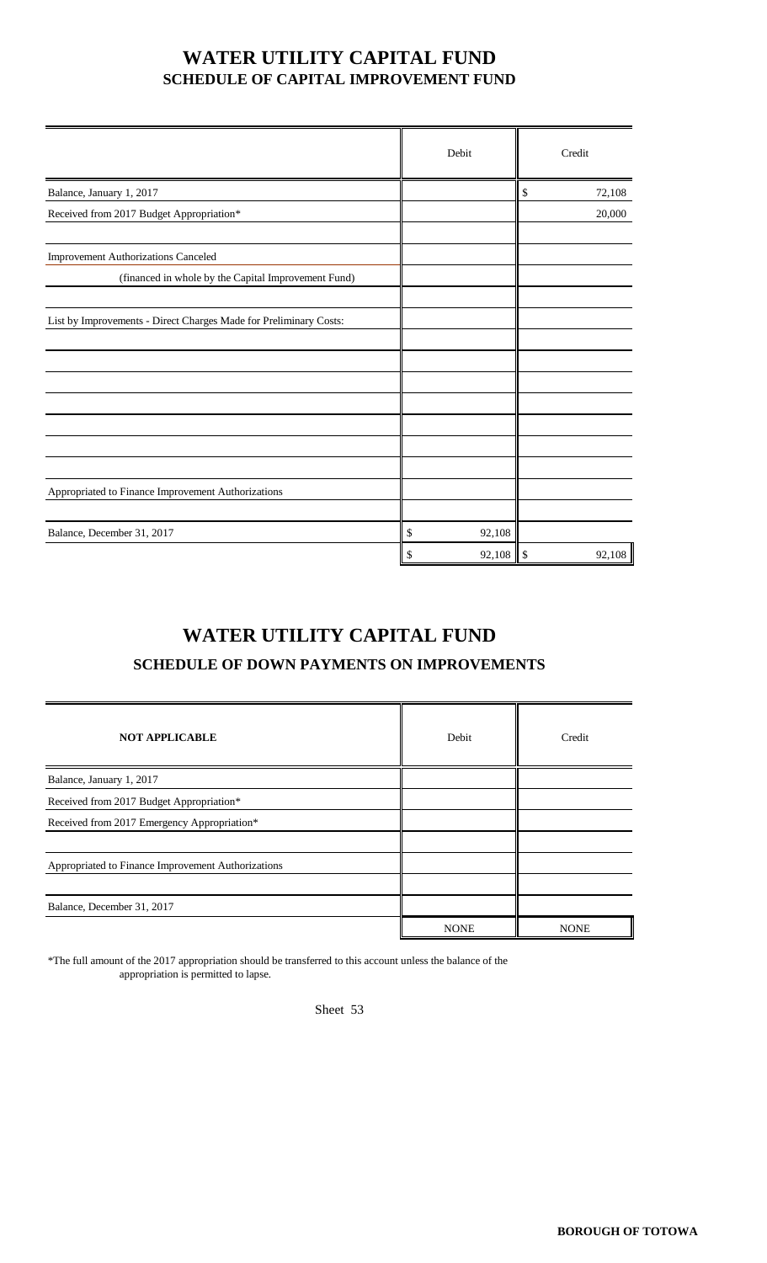#### **WATER UTILITY CAPITAL FUND SCHEDULE OF CAPITAL IMPROVEMENT FUND**

|                                                                   | Debit        | Credit         |
|-------------------------------------------------------------------|--------------|----------------|
| Balance, January 1, 2017                                          |              | \$<br>72,108   |
| Received from 2017 Budget Appropriation*                          |              | 20,000         |
| <b>Improvement Authorizations Canceled</b>                        |              |                |
| (financed in whole by the Capital Improvement Fund)               |              |                |
| List by Improvements - Direct Charges Made for Preliminary Costs: |              |                |
|                                                                   |              |                |
|                                                                   |              |                |
|                                                                   |              |                |
|                                                                   |              |                |
| Appropriated to Finance Improvement Authorizations                |              |                |
| Balance, December 31, 2017                                        | \$<br>92,108 |                |
|                                                                   | \$<br>92,108 | 92,108<br>$\$$ |

### **WATER UTILITY CAPITAL FUND**

#### **SCHEDULE OF DOWN PAYMENTS ON IMPROVEMENTS**

| <b>NOT APPLICABLE</b>                              | Debit       | Credit      |
|----------------------------------------------------|-------------|-------------|
| Balance, January 1, 2017                           |             |             |
| Received from 2017 Budget Appropriation*           |             |             |
| Received from 2017 Emergency Appropriation*        |             |             |
|                                                    |             |             |
| Appropriated to Finance Improvement Authorizations |             |             |
|                                                    |             |             |
| Balance, December 31, 2017                         |             |             |
|                                                    | <b>NONE</b> | <b>NONE</b> |

\*The full amount of the 2017 appropriation should be transferred to this account unless the balance of the appropriation is permitted to lapse.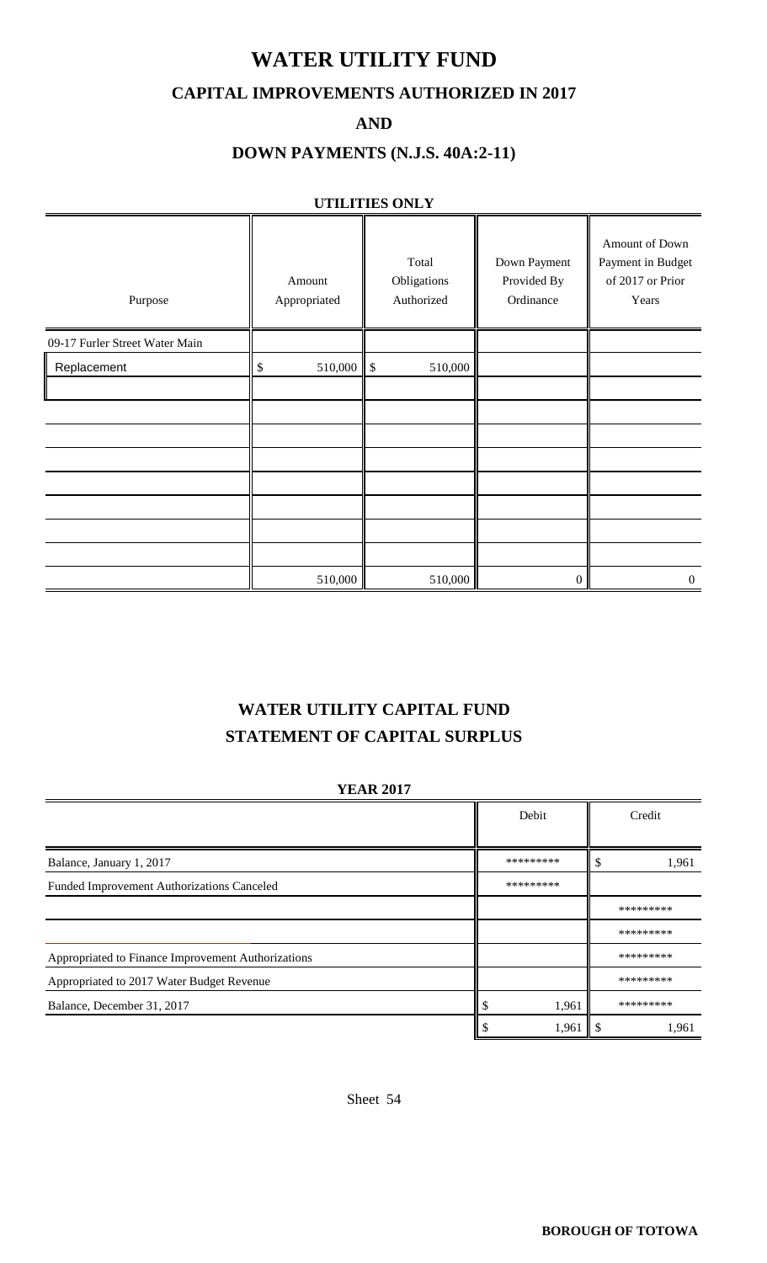### **WATER UTILITY FUND**

#### **CAPITAL IMPROVEMENTS AUTHORIZED IN 2017**

**AND**

#### **DOWN PAYMENTS (N.J.S. 40A:2-11)**

#### **UTILITIES ONLY**

| Purpose                        | Amount<br>Appropriated | Total<br>Obligations<br>Authorized | Down Payment<br>Provided By<br>Ordinance | Amount of Down<br>Payment in Budget<br>of 2017 or Prior<br>Years |
|--------------------------------|------------------------|------------------------------------|------------------------------------------|------------------------------------------------------------------|
| 09-17 Furler Street Water Main |                        |                                    |                                          |                                                                  |
| Replacement                    | 510,000<br>\$          | $\sqrt{3}$<br>510,000              |                                          |                                                                  |
|                                |                        |                                    |                                          |                                                                  |
|                                |                        |                                    |                                          |                                                                  |
|                                |                        |                                    |                                          |                                                                  |
|                                |                        |                                    |                                          |                                                                  |
|                                |                        |                                    |                                          |                                                                  |
|                                |                        |                                    |                                          |                                                                  |
|                                |                        |                                    |                                          |                                                                  |
|                                |                        |                                    |                                          |                                                                  |
|                                | 510,000                | 510,000                            | $\Omega$                                 | $\overline{0}$                                                   |

### **WATER UTILITY CAPITAL FUND STATEMENT OF CAPITAL SURPLUS**

#### **YEAR 2017**

|                                                    | Debit     | Credit    |
|----------------------------------------------------|-----------|-----------|
| Balance, January 1, 2017                           | ********* | 1,961     |
| Funded Improvement Authorizations Canceled         | ********* |           |
|                                                    |           | ********* |
|                                                    |           | ********* |
| Appropriated to Finance Improvement Authorizations |           | ********* |
| Appropriated to 2017 Water Budget Revenue          |           | ********* |
| Balance, December 31, 2017                         | 1,961     | ********* |
|                                                    | 1,961     | 1,961     |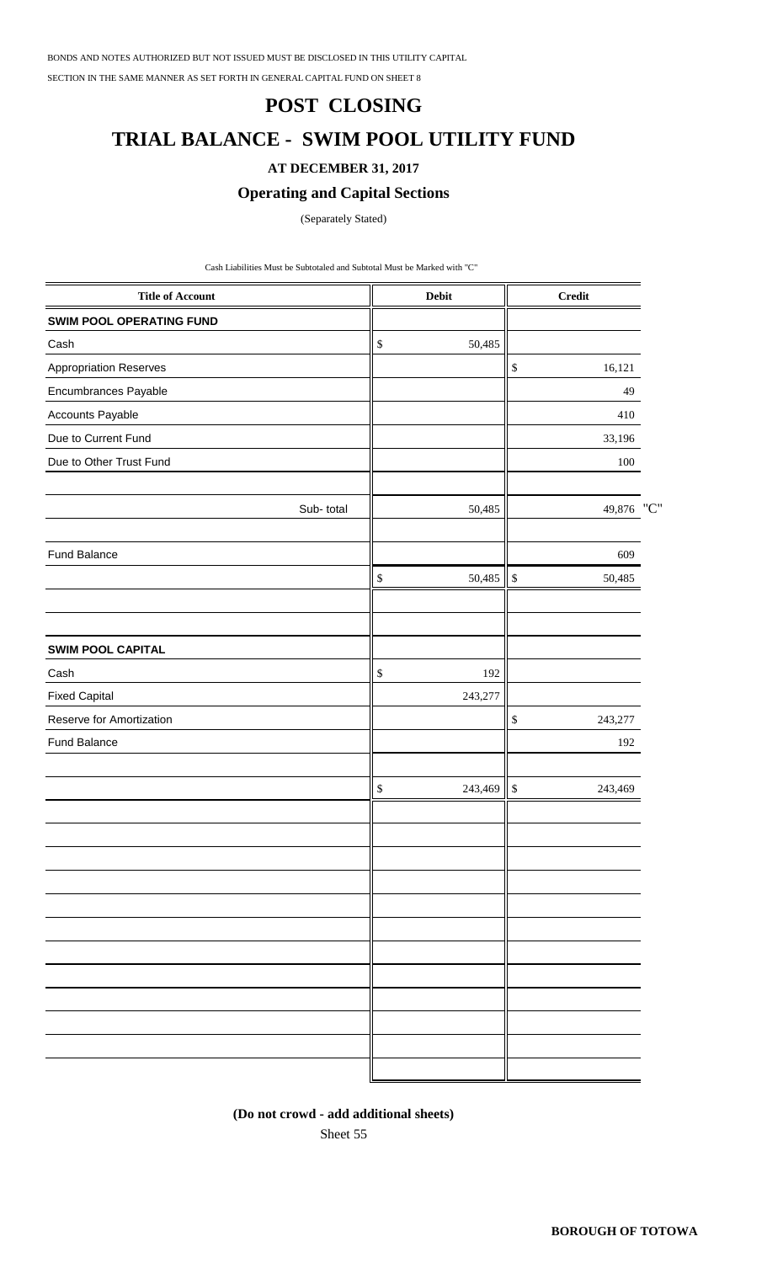BONDS AND NOTES AUTHORIZED BUT NOT ISSUED MUST BE DISCLOSED IN THIS UTILITY CAPITAL

SECTION IN THE SAME MANNER AS SET FORTH IN GENERAL CAPITAL FUND ON SHEET 8

#### **POST CLOSING**

### **TRIAL BALANCE - SWIM POOL UTILITY FUND**

#### **AT DECEMBER 31, 2017**

#### **Operating and Capital Sections**

(Separately Stated)

Cash Liabilities Must be Subtotaled and Subtotal Must be Marked with "C"

| <b>Title of Account</b>         | Debit                     | <b>Credit</b>           |  |
|---------------------------------|---------------------------|-------------------------|--|
| <b>SWIM POOL OPERATING FUND</b> |                           |                         |  |
| Cash                            | $\$$<br>50,485            |                         |  |
| <b>Appropriation Reserves</b>   |                           | 16,121<br>\$            |  |
| Encumbrances Payable            |                           | 49                      |  |
| Accounts Payable                |                           | 410                     |  |
| Due to Current Fund             |                           | 33,196                  |  |
| Due to Other Trust Fund         |                           | 100                     |  |
| Sub-total                       | 50,485                    | 49,876 "C"              |  |
| Fund Balance                    |                           | 609                     |  |
|                                 | $\mathbb{S}$<br>50,485 \$ | 50,485                  |  |
| <b>SWIM POOL CAPITAL</b>        |                           |                         |  |
| Cash                            | $\mathbb{S}$<br>192       |                         |  |
| <b>Fixed Capital</b>            | 243,277                   |                         |  |
| Reserve for Amortization        |                           | $\mathbb{S}$<br>243,277 |  |
| Fund Balance                    |                           | 192                     |  |
|                                 | $\mathbb{S}$<br>243,469   | $\mathbb{S}$<br>243,469 |  |
|                                 |                           |                         |  |
|                                 |                           |                         |  |
|                                 |                           |                         |  |
|                                 |                           |                         |  |
|                                 |                           |                         |  |
|                                 |                           |                         |  |
|                                 |                           |                         |  |
|                                 |                           |                         |  |
|                                 |                           |                         |  |

**(Do not crowd - add additional sheets)**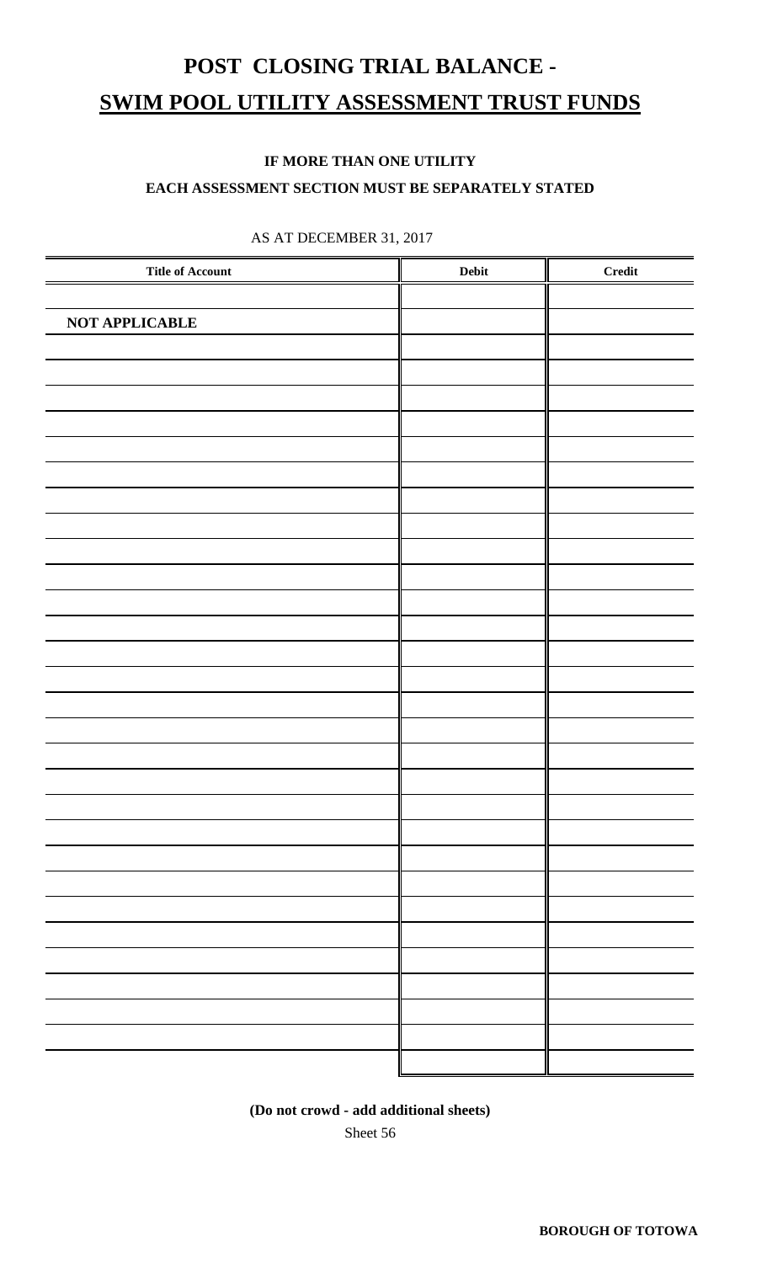# **POST CLOSING TRIAL BALANCE - SWIM POOL UTILITY ASSESSMENT TRUST FUNDS**

#### **IF MORE THAN ONE UTILITY**

#### **EACH ASSESSMENT SECTION MUST BE SEPARATELY STATED**

| <b>Title of Account</b> | Debit | <b>Credit</b> |
|-------------------------|-------|---------------|
|                         |       |               |
| NOT APPLICABLE          |       |               |
|                         |       |               |
|                         |       |               |
|                         |       |               |
|                         |       |               |
|                         |       |               |
|                         |       |               |
|                         |       |               |
|                         |       |               |
|                         |       |               |
|                         |       |               |
|                         |       |               |
|                         |       |               |
|                         |       |               |
|                         |       |               |
|                         |       |               |
|                         |       |               |
|                         |       |               |
|                         |       |               |
|                         |       |               |
|                         |       |               |
|                         |       |               |
|                         |       |               |
|                         |       |               |
|                         |       |               |
|                         |       |               |
|                         |       |               |
|                         |       |               |
|                         |       |               |
|                         |       |               |

#### AS AT DECEMBER 31, 2017

Sheet 56 **(Do not crowd - add additional sheets)**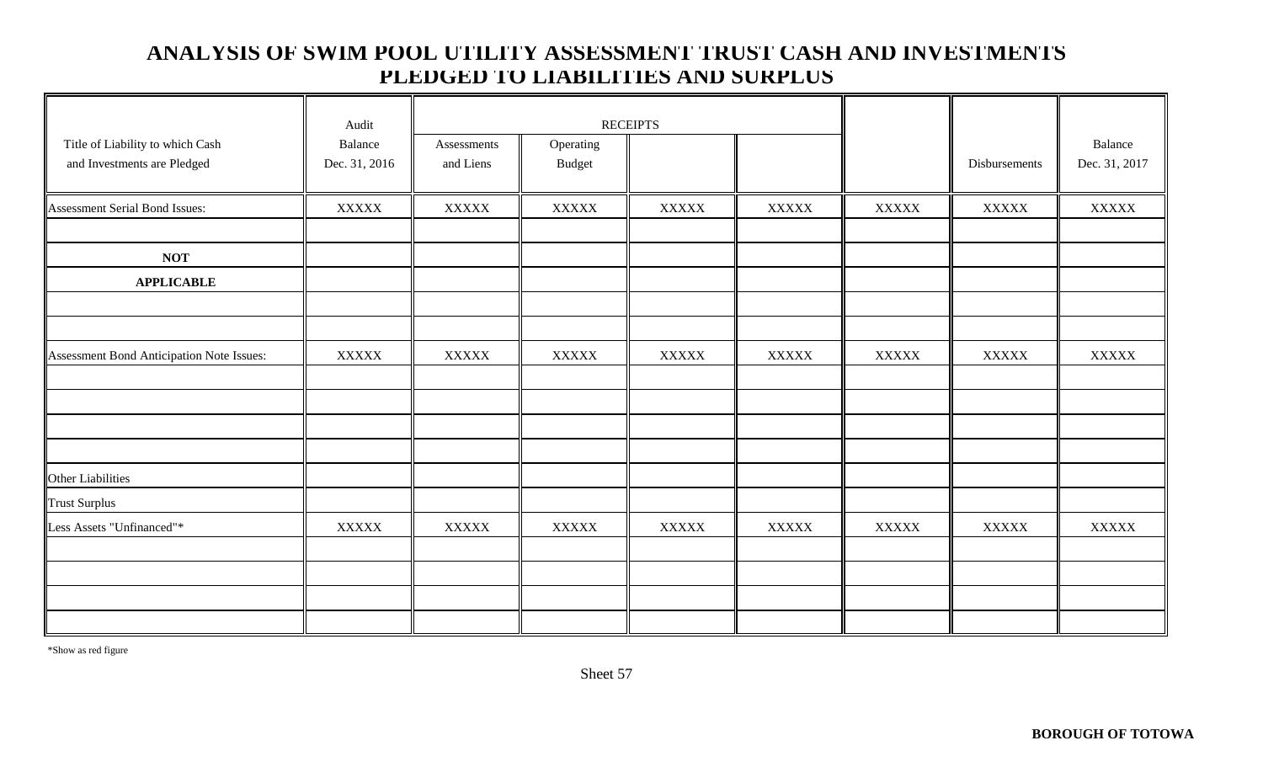### **ANALYSIS OF SWIM POOL UTILITY ASSESSMENT TRUST CASH AND INVESTMENTS PLEDGED TO LIABILITIES AND SURPLUS**

| Title of Liability to which Cash<br>and Investments are Pledged | Audit<br>Balance<br>Dec. 31, 2016 | Assessments<br>and Liens | Operating<br>Budget | <b>RECEIPTS</b> |              |              | Disbursements | Balance<br>Dec. 31, 2017 |
|-----------------------------------------------------------------|-----------------------------------|--------------------------|---------------------|-----------------|--------------|--------------|---------------|--------------------------|
| Assessment Serial Bond Issues:                                  | $\bold{XXXXX}$                    | <b>XXXXX</b>             | $\bold{XXXXX}$      | <b>XXXXX</b>    | <b>XXXXX</b> | <b>XXXXX</b> | <b>XXXXX</b>  | <b>XXXXX</b>             |
|                                                                 |                                   |                          |                     |                 |              |              |               |                          |
| <b>NOT</b>                                                      |                                   |                          |                     |                 |              |              |               |                          |
| <b>APPLICABLE</b>                                               |                                   |                          |                     |                 |              |              |               |                          |
|                                                                 |                                   |                          |                     |                 |              |              |               |                          |
|                                                                 |                                   |                          |                     |                 |              |              |               |                          |
| Assessment Bond Anticipation Note Issues:                       | <b>XXXXX</b>                      | <b>XXXXX</b>             | <b>XXXXX</b>        | <b>XXXXX</b>    | <b>XXXXX</b> | <b>XXXXX</b> | <b>XXXXX</b>  | <b>XXXXX</b>             |
|                                                                 |                                   |                          |                     |                 |              |              |               |                          |
|                                                                 |                                   |                          |                     |                 |              |              |               |                          |
|                                                                 |                                   |                          |                     |                 |              |              |               |                          |
|                                                                 |                                   |                          |                     |                 |              |              |               |                          |
| Other Liabilities                                               |                                   |                          |                     |                 |              |              |               |                          |
| <b>Trust Surplus</b>                                            |                                   |                          |                     |                 |              |              |               |                          |
| Less Assets "Unfinanced"*                                       | <b>XXXXX</b>                      | <b>XXXXX</b>             | <b>XXXXX</b>        | <b>XXXXX</b>    | <b>XXXXX</b> | <b>XXXXX</b> | <b>XXXXX</b>  | <b>XXXXX</b>             |
|                                                                 |                                   |                          |                     |                 |              |              |               |                          |
|                                                                 |                                   |                          |                     |                 |              |              |               |                          |
|                                                                 |                                   |                          |                     |                 |              |              |               |                          |
|                                                                 |                                   |                          |                     |                 |              |              |               |                          |

\*Show as red figure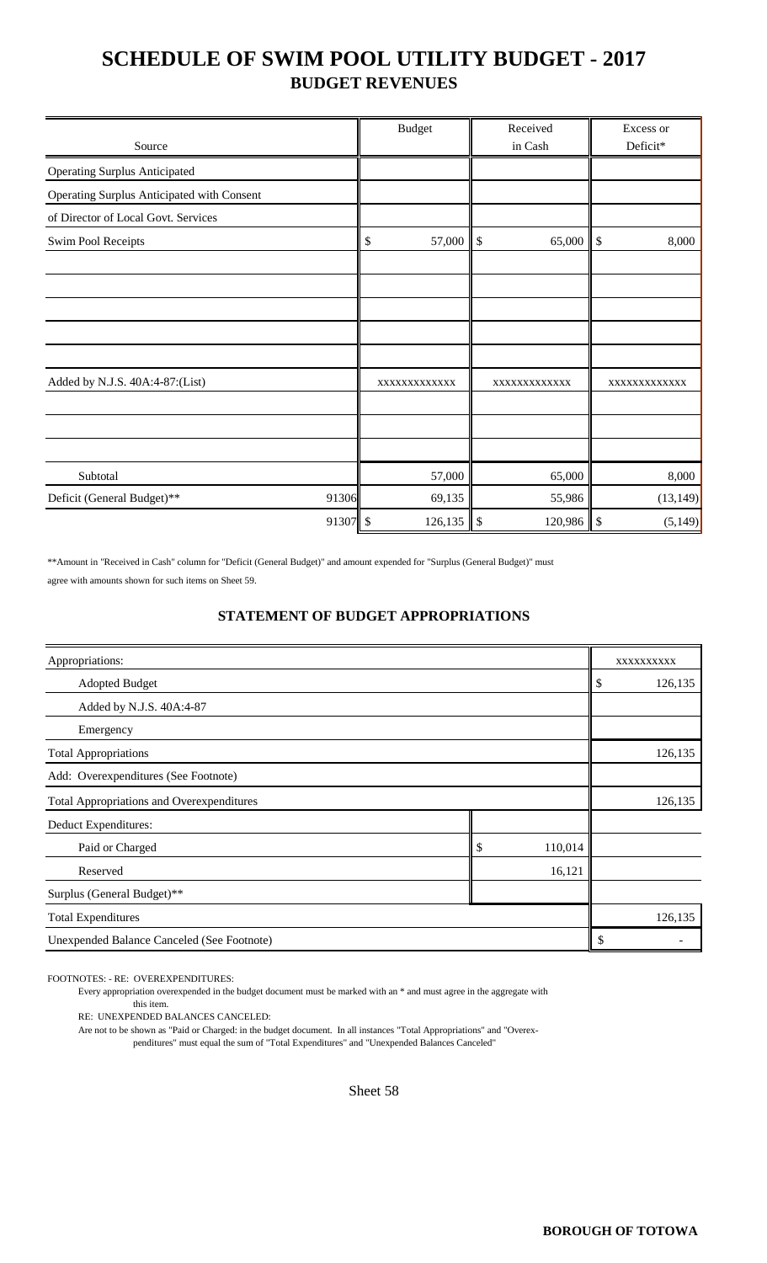## **SCHEDULE OF SWIM POOL UTILITY BUDGET - 2017 BUDGET REVENUES**

|                                            |          | <b>Budget</b> | Received                            | Excess or      |
|--------------------------------------------|----------|---------------|-------------------------------------|----------------|
| Source                                     |          |               | in Cash                             | Deficit*       |
| <b>Operating Surplus Anticipated</b>       |          |               |                                     |                |
| Operating Surplus Anticipated with Consent |          |               |                                     |                |
| of Director of Local Govt. Services        |          |               |                                     |                |
| <b>Swim Pool Receipts</b>                  |          | 57,000<br>\$  | $\boldsymbol{\mathsf{S}}$<br>65,000 | \$<br>8,000    |
|                                            |          |               |                                     |                |
|                                            |          |               |                                     |                |
|                                            |          |               |                                     |                |
|                                            |          |               |                                     |                |
|                                            |          |               |                                     |                |
| Added by N.J.S. 40A:4-87:(List)            |          | XXXXXXXXXXXX  | XXXXXXXXXXXX                        | XXXXXXXXXXXX   |
|                                            |          |               |                                     |                |
|                                            |          |               |                                     |                |
|                                            |          |               |                                     |                |
| Subtotal                                   |          | 57,000        | 65,000                              | 8,000          |
| Deficit (General Budget)**                 | 91306    | 69,135        | 55,986                              | (13, 149)      |
|                                            | 91307 \$ | 126,135       | $\mathsf{I}$<br>120,986             | \$<br>(5, 149) |

\*\*Amount in "Received in Cash" column for "Deficit (General Budget)" and amount expended for "Surplus (General Budget)" must agree with amounts shown for such items on Sheet 59.

#### **STATEMENT OF BUDGET APPROPRIATIONS**

| Appropriations:                                  |               |    | XXXXXXXXXX |
|--------------------------------------------------|---------------|----|------------|
| <b>Adopted Budget</b>                            |               | \$ | 126,135    |
| Added by N.J.S. 40A:4-87                         |               |    |            |
| Emergency                                        |               |    |            |
| <b>Total Appropriations</b>                      |               |    | 126,135    |
| Add: Overexpenditures (See Footnote)             |               |    |            |
| <b>Total Appropriations and Overexpenditures</b> |               |    | 126,135    |
| Deduct Expenditures:                             |               |    |            |
| Paid or Charged                                  | 110,014<br>\$ |    |            |
| 16,121<br>Reserved                               |               |    |            |
| Surplus (General Budget)**                       |               |    |            |
| <b>Total Expenditures</b>                        |               |    | 126,135    |
| Unexpended Balance Canceled (See Footnote)       |               | \$ |            |

FOOTNOTES: - RE: OVEREXPENDITURES:

Every appropriation overexpended in the budget document must be marked with an \* and must agree in the aggregate with

this item.

RE: UNEXPENDED BALANCES CANCELED:

Are not to be shown as "Paid or Charged: in the budget document. In all instances "Total Appropriations" and "Overexpenditures" must equal the sum of "Total Expenditures" and "Unexpended Balances Canceled"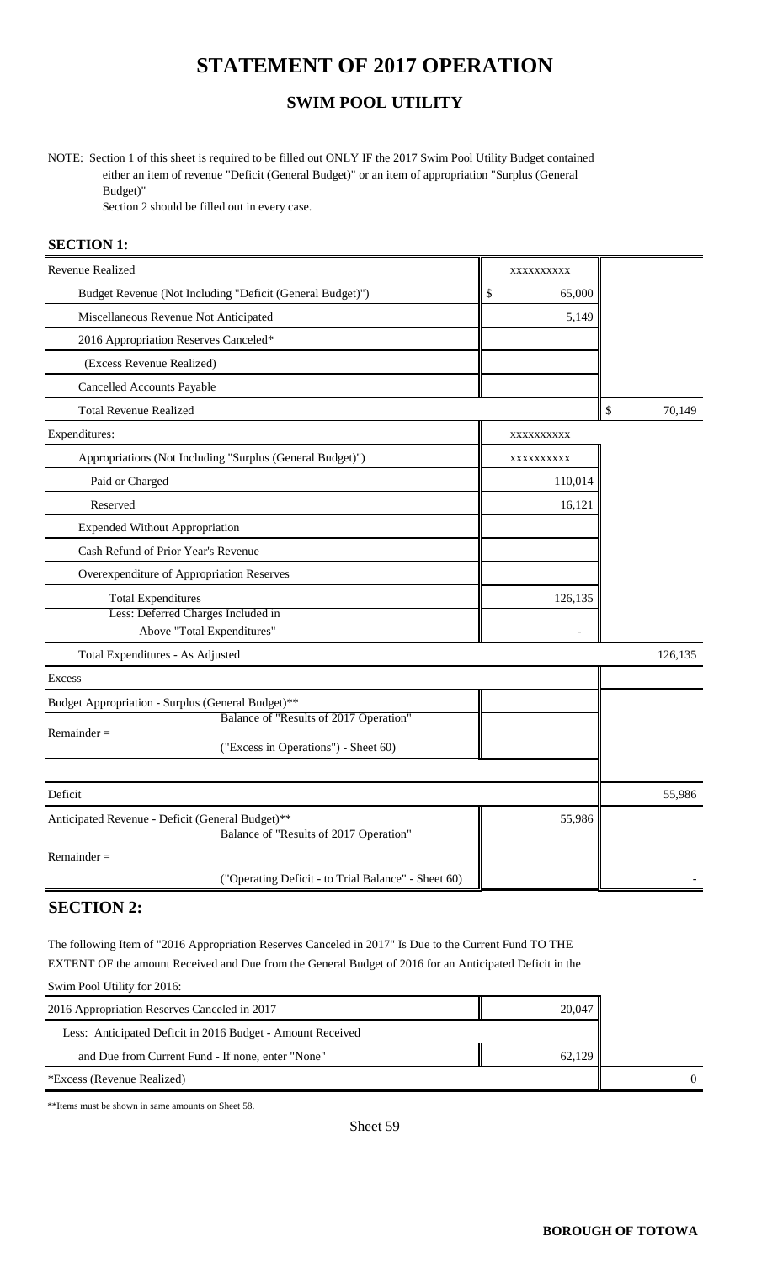## **STATEMENT OF 2017 OPERATION**

## **SWIM POOL UTILITY**

NOTE: Section 1 of this sheet is required to be filled out ONLY IF the 2017 Swim Pool Utility Budget contained either an item of revenue "Deficit (General Budget)" or an item of appropriation "Surplus (General Budget)"

Section 2 should be filled out in every case.

#### **SECTION 1:**

| Revenue Realized                                          | XXXXXXXXXX   |              |
|-----------------------------------------------------------|--------------|--------------|
| Budget Revenue (Not Including "Deficit (General Budget)") | \$<br>65,000 |              |
| Miscellaneous Revenue Not Anticipated                     | 5,149        |              |
| 2016 Appropriation Reserves Canceled*                     |              |              |
| (Excess Revenue Realized)                                 |              |              |
| Cancelled Accounts Payable                                |              |              |
| <b>Total Revenue Realized</b>                             |              | \$<br>70,149 |
| Expenditures:                                             | XXXXXXXXX    |              |
| Appropriations (Not Including "Surplus (General Budget)") | XXXXXXXXXX   |              |
| Paid or Charged                                           | 110,014      |              |
| Reserved                                                  | 16,121       |              |
| <b>Expended Without Appropriation</b>                     |              |              |
| Cash Refund of Prior Year's Revenue                       |              |              |
| Overexpenditure of Appropriation Reserves                 |              |              |
| <b>Total Expenditures</b>                                 | 126,135      |              |
| Less: Deferred Charges Included in                        |              |              |
| Above "Total Expenditures"                                |              |              |
| Total Expenditures - As Adjusted                          |              | 126,135      |
| Excess                                                    |              |              |
| Budget Appropriation - Surplus (General Budget)**         |              |              |
| Balance of "Results of 2017 Operation"<br>$Remainder =$   |              |              |
| ("Excess in Operations") - Sheet 60)                      |              |              |
|                                                           |              |              |
| Deficit                                                   |              | 55,986       |
| Anticipated Revenue - Deficit (General Budget)**          | 55,986       |              |
| Balance of "Results of 2017 Operation"                    |              |              |
| $Remainder =$                                             |              |              |
| ("Operating Deficit - to Trial Balance" - Sheet 60)       |              |              |

### **SECTION 2:**

The following Item of "2016 Appropriation Reserves Canceled in 2017" Is Due to the Current Fund TO THE EXTENT OF the amount Received and Due from the General Budget of 2016 for an Anticipated Deficit in the Swim Pool Utility for 2016:

| 2016 Appropriation Reserves Canceled in 2017               | 20,047 |  |
|------------------------------------------------------------|--------|--|
| Less: Anticipated Deficit in 2016 Budget - Amount Received |        |  |
| and Due from Current Fund - If none, enter "None"          | 62.129 |  |
| *Excess (Revenue Realized)                                 |        |  |

\*\*Items must be shown in same amounts on Sheet 58.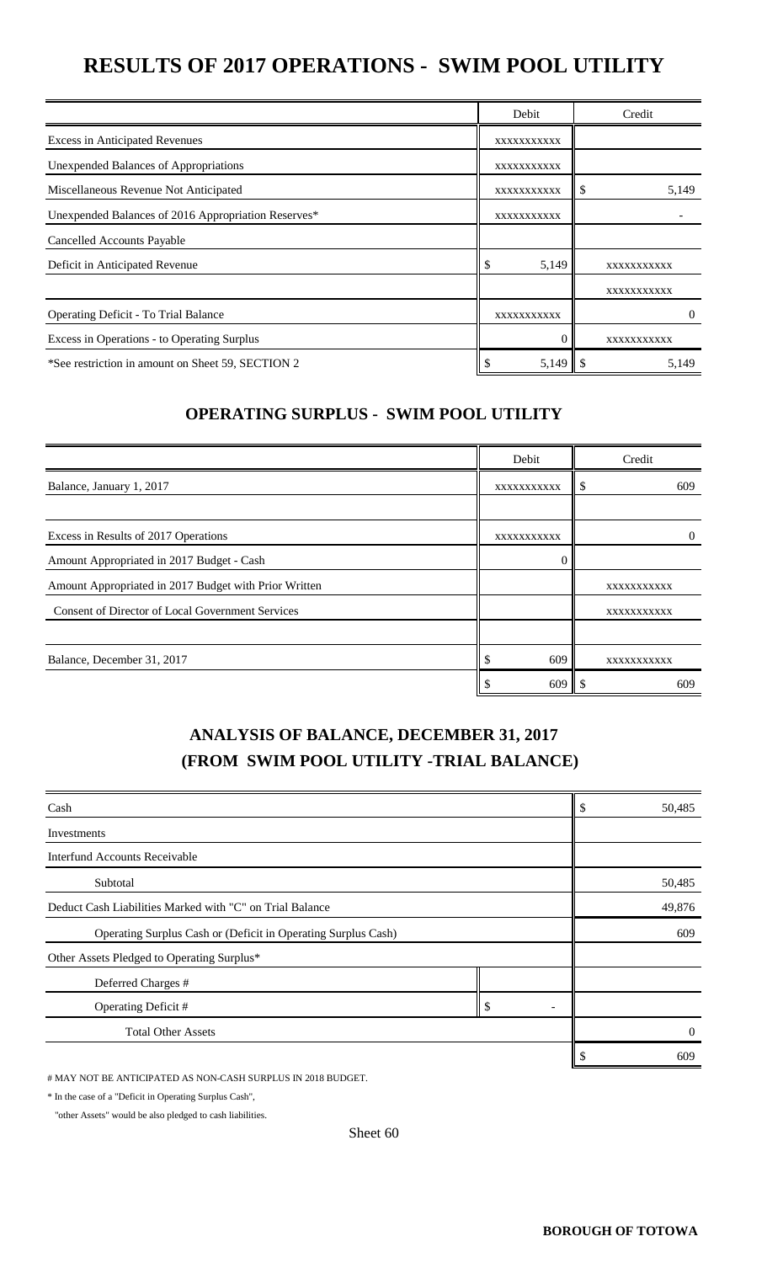# **RESULTS OF 2017 OPERATIONS - SWIM POOL UTILITY**

|                                                     | Debit       | Credit      |
|-----------------------------------------------------|-------------|-------------|
| <b>Excess in Anticipated Revenues</b>               | XXXXXXXXXXX |             |
| Unexpended Balances of Appropriations               | XXXXXXXXXXX |             |
| Miscellaneous Revenue Not Anticipated               | XXXXXXXXXXX | 5,149<br>Ъ. |
| Unexpended Balances of 2016 Appropriation Reserves* | XXXXXXXXXXX |             |
| Cancelled Accounts Payable                          |             |             |
| Deficit in Anticipated Revenue                      | \$<br>5,149 | XXXXXXXXXXX |
|                                                     |             | XXXXXXXXXXX |
| Operating Deficit - To Trial Balance                | XXXXXXXXXX  | $\theta$    |
| Excess in Operations - to Operating Surplus         |             | XXXXXXXXXXX |
| *See restriction in amount on Sheet 59, SECTION 2   | 5,149       | 5,149       |

#### **OPERATING SURPLUS - SWIM POOL UTILITY**

|                                                         | Debit       | Credit      |
|---------------------------------------------------------|-------------|-------------|
| Balance, January 1, 2017                                | XXXXXXXXXX  | 609<br>ъD   |
|                                                         |             |             |
| Excess in Results of 2017 Operations                    | XXXXXXXXXXX |             |
| Amount Appropriated in 2017 Budget - Cash               |             |             |
| Amount Appropriated in 2017 Budget with Prior Written   |             | XXXXXXXXXXX |
| <b>Consent of Director of Local Government Services</b> |             | XXXXXXXXXXX |
|                                                         |             |             |
| Balance, December 31, 2017                              | 609         | XXXXXXXXXXX |
|                                                         | 609         | 609         |

## **ANALYSIS OF BALANCE, DECEMBER 31, 2017 (FROM SWIM POOL UTILITY -TRIAL BALANCE)**

| Cash                                                          | ٠D | 50,485 |          |
|---------------------------------------------------------------|----|--------|----------|
| Investments                                                   |    |        |          |
| Interfund Accounts Receivable                                 |    |        |          |
| Subtotal                                                      |    |        | 50,485   |
| Deduct Cash Liabilities Marked with "C" on Trial Balance      |    |        | 49,876   |
| Operating Surplus Cash or (Deficit in Operating Surplus Cash) |    |        | 609      |
| Other Assets Pledged to Operating Surplus*                    |    |        |          |
| Deferred Charges #                                            |    |        |          |
| Operating Deficit #                                           |    |        |          |
| <b>Total Other Assets</b>                                     |    |        | $\Omega$ |
|                                                               |    |        | 609      |

# MAY NOT BE ANTICIPATED AS NON-CASH SURPLUS IN 2018 BUDGET.

 $^\ast$  In the case of a "Deficit in Operating Surplus Cash",

"other Assets" would be also pledged to cash liabilities.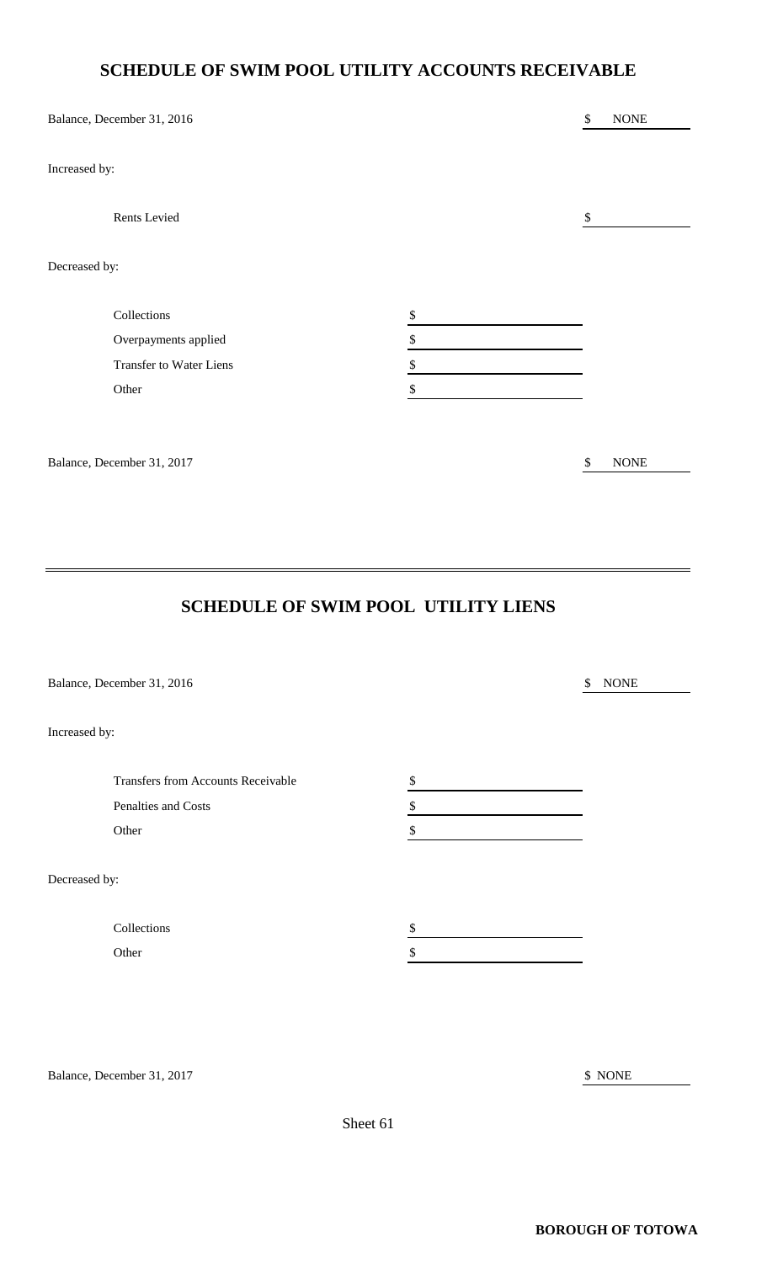## **SCHEDULE OF SWIM POOL UTILITY ACCOUNTS RECEIVABLE**

|               | Balance, December 31, 2016     |              | \$                        | <b>NONE</b> |
|---------------|--------------------------------|--------------|---------------------------|-------------|
| Increased by: |                                |              |                           |             |
|               | Rents Levied                   |              | $\boldsymbol{\mathsf{S}}$ |             |
| Decreased by: |                                |              |                           |             |
|               | Collections                    | $\mathbb{S}$ |                           |             |
|               | Overpayments applied           | \$           |                           |             |
|               | <b>Transfer to Water Liens</b> | \$           |                           |             |
|               | Other                          | \$           |                           |             |
|               |                                |              |                           |             |
|               | Balance, December 31, 2017     |              | \$                        | $\rm{NONE}$ |

## **SCHEDULE OF SWIM POOL UTILITY LIENS**

|               | Balance, December 31, 2016         | \$ | <b>NONE</b> |
|---------------|------------------------------------|----|-------------|
| Increased by: |                                    |    |             |
|               | Transfers from Accounts Receivable | \$ |             |
|               | Penalties and Costs                | \$ |             |
|               | Other                              | \$ |             |
| Decreased by: |                                    |    |             |
|               | Collections                        | \$ |             |
|               | Other                              | \$ |             |
|               |                                    |    |             |
|               |                                    |    |             |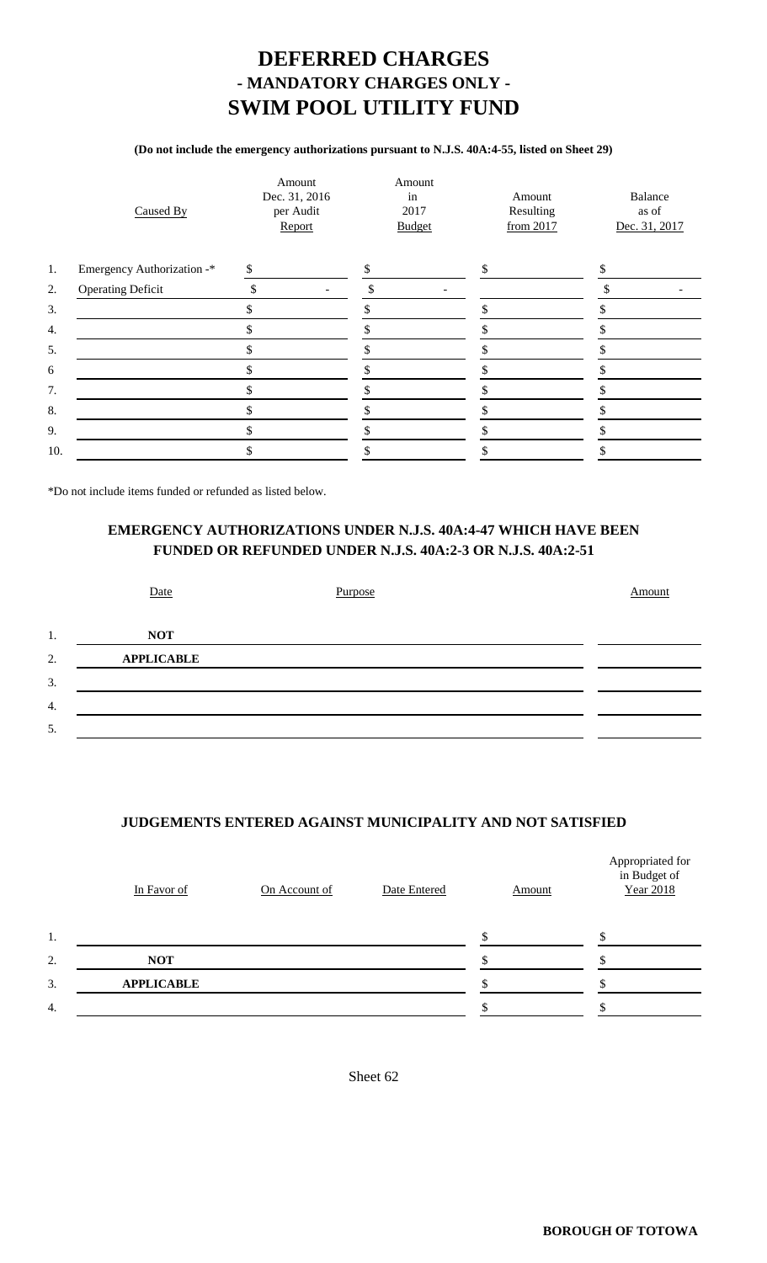## **DEFERRED CHARGES - MANDATORY CHARGES ONLY - SWIM POOL UTILITY FUND**

#### **(Do not include the emergency authorizations pursuant to N.J.S. 40A:4-55, listed on Sheet 29)**

|     | Caused By                  | Amount<br>Dec. 31, 2016<br>per Audit<br>Report | Amount<br>in<br>2017<br><b>Budget</b> | Amount<br>Resulting<br>from 2017 | Balance<br>as of<br>Dec. 31, 2017 |
|-----|----------------------------|------------------------------------------------|---------------------------------------|----------------------------------|-----------------------------------|
| 1.  | Emergency Authorization -* | \$                                             |                                       | \$                               |                                   |
| 2.  | <b>Operating Deficit</b>   | \$<br>$\overline{\phantom{a}}$                 | \$<br>$\overline{\phantom{a}}$        |                                  |                                   |
| 3.  |                            | \$                                             |                                       |                                  |                                   |
| 4.  |                            | J)                                             |                                       |                                  |                                   |
| 5.  |                            | \$                                             |                                       |                                  |                                   |
| 6   |                            |                                                |                                       |                                  |                                   |
| 7.  |                            |                                                |                                       |                                  |                                   |
| 8.  |                            | \$                                             |                                       |                                  |                                   |
| 9.  |                            | J.                                             |                                       |                                  |                                   |
| 10. |                            | \$                                             |                                       |                                  |                                   |
|     |                            |                                                |                                       |                                  |                                   |

\*Do not include items funded or refunded as listed below.

#### **EMERGENCY AUTHORIZATIONS UNDER N.J.S. 40A:4-47 WHICH HAVE BEEN FUNDED OR REFUNDED UNDER N.J.S. 40A:2-3 OR N.J.S. 40A:2-51**

|    | Date              | Purpose | Amount |
|----|-------------------|---------|--------|
| 1. | <b>NOT</b>        |         |        |
| 2. | <b>APPLICABLE</b> |         |        |
| 3. |                   |         |        |
| 4. |                   |         |        |
| 5. |                   |         |        |
|    |                   |         |        |

#### **JUDGEMENTS ENTERED AGAINST MUNICIPALITY AND NOT SATISFIED**

|    | In Favor of       | On Account of | Date Entered | Amount | Appropriated for<br>in Budget of<br><b>Year 2018</b> |
|----|-------------------|---------------|--------------|--------|------------------------------------------------------|
| 1. |                   |               |              |        |                                                      |
| 2. | <b>NOT</b>        |               |              |        |                                                      |
| 3. | <b>APPLICABLE</b> |               |              |        |                                                      |
| 4. |                   |               |              |        |                                                      |
|    |                   |               |              |        |                                                      |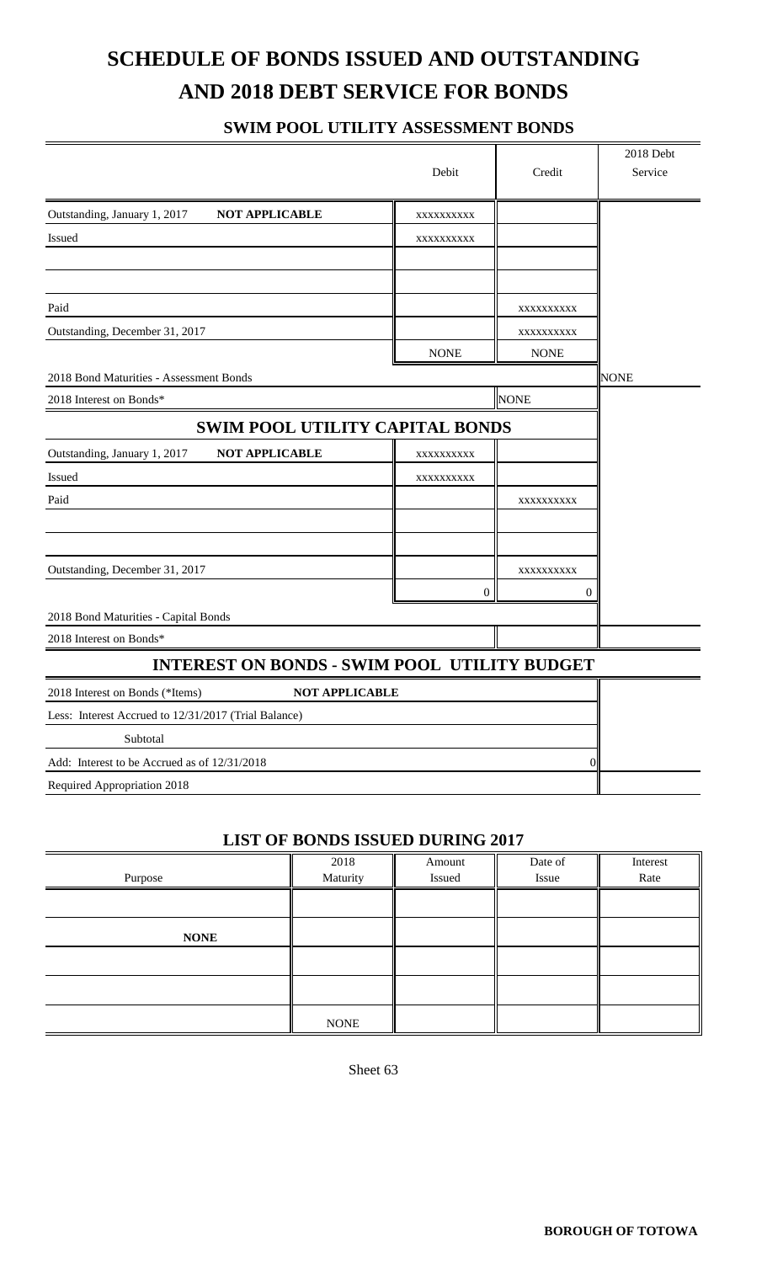# **SCHEDULE OF BONDS ISSUED AND OUTSTANDING AND 2018 DEBT SERVICE FOR BONDS**

### **SWIM POOL UTILITY ASSESSMENT BONDS**

|                                                          |             |                | 2018 Debt   |
|----------------------------------------------------------|-------------|----------------|-------------|
|                                                          | Debit       | Credit         | Service     |
| <b>NOT APPLICABLE</b><br>Outstanding, January 1, 2017    | XXXXXXXXX   |                |             |
| Issued                                                   | XXXXXXXXXX  |                |             |
|                                                          |             |                |             |
|                                                          |             |                |             |
| Paid                                                     |             | XXXXXXXXX      |             |
| Outstanding, December 31, 2017                           |             | XXXXXXXXXX     |             |
|                                                          | <b>NONE</b> | <b>NONE</b>    |             |
| 2018 Bond Maturities - Assessment Bonds                  |             |                | <b>NONE</b> |
| 2018 Interest on Bonds*                                  |             |                |             |
| SWIM POOL UTILITY CAPITAL BONDS                          |             |                |             |
| Outstanding, January 1, 2017<br><b>NOT APPLICABLE</b>    | XXXXXXXXX   |                |             |
| Issued                                                   | XXXXXXXXX   |                |             |
| Paid                                                     |             | XXXXXXXXXX     |             |
|                                                          |             |                |             |
|                                                          |             |                |             |
| Outstanding, December 31, 2017                           |             | XXXXXXXXXX     |             |
|                                                          | 0           | $\overline{0}$ |             |
| 2018 Bond Maturities - Capital Bonds                     |             |                |             |
| 2018 Interest on Bonds*                                  |             |                |             |
| <b>INTEREST ON BONDS - SWIM POOL UTILITY BUDGET</b>      |             |                |             |
| 2018 Interest on Bonds (*Items)<br><b>NOT APPLICABLE</b> |             |                |             |
| Less: Interest Accrued to 12/31/2017 (Trial Balance)     |             |                |             |
| Subtotal                                                 |             |                |             |
| Add: Interest to be Accrued as of 12/31/2018             | $\Omega$    |                |             |
| Required Appropriation 2018                              |             |                |             |

#### **LIST OF BONDS ISSUED DURING 2017**

| Purpose     | 2018<br>Maturity | Amount<br>Issued | Date of<br>Issue | Interest<br>Rate |
|-------------|------------------|------------------|------------------|------------------|
|             |                  |                  |                  |                  |
| <b>NONE</b> |                  |                  |                  |                  |
|             |                  |                  |                  |                  |
|             |                  |                  |                  |                  |
|             | <b>NONE</b>      |                  |                  |                  |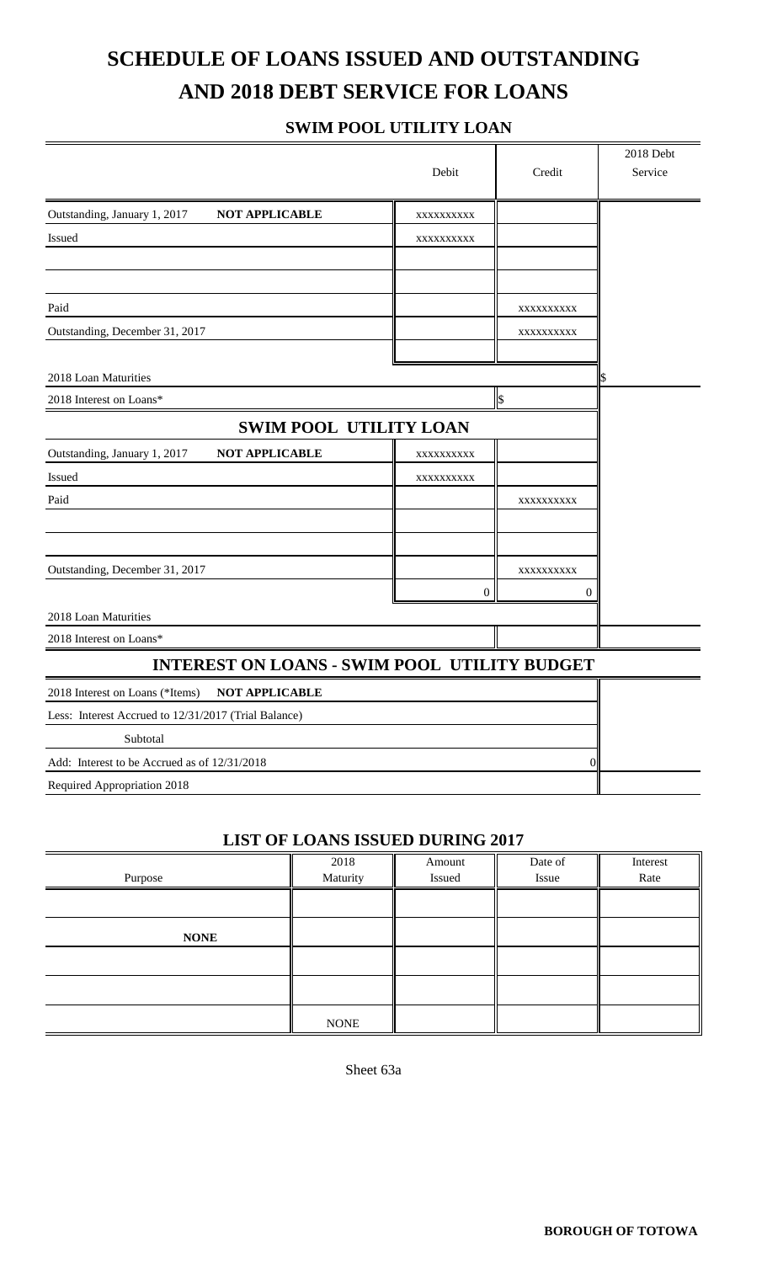# **SCHEDULE OF LOANS ISSUED AND OUTSTANDING AND 2018 DEBT SERVICE FOR LOANS**

### **SWIM POOL UTILITY LOAN**

|                                                          |                  |            | 2018 Debt |
|----------------------------------------------------------|------------------|------------|-----------|
|                                                          | Debit            | Credit     | Service   |
| Outstanding, January 1, 2017<br><b>NOT APPLICABLE</b>    | XXXXXXXXX        |            |           |
| <b>Issued</b>                                            | XXXXXXXXXX       |            |           |
|                                                          |                  |            |           |
|                                                          |                  |            |           |
| Paid                                                     |                  | XXXXXXXXXX |           |
| Outstanding, December 31, 2017                           |                  | XXXXXXXXX  |           |
|                                                          |                  |            |           |
| 2018 Loan Maturities                                     |                  |            |           |
| 2018 Interest on Loans*                                  |                  | \$         |           |
| <b>SWIM POOL UTILITY LOAN</b>                            |                  |            |           |
| <b>NOT APPLICABLE</b><br>Outstanding, January 1, 2017    | XXXXXXXXXX       |            |           |
| Issued                                                   | XXXXXXXXX        |            |           |
| Paid                                                     |                  | XXXXXXXXX  |           |
|                                                          |                  |            |           |
| Outstanding, December 31, 2017                           |                  | XXXXXXXXX  |           |
|                                                          | $\boldsymbol{0}$ | 0          |           |
| 2018 Loan Maturities                                     |                  |            |           |
| 2018 Interest on Loans*                                  |                  |            |           |
| <b>INTEREST ON LOANS - SWIM POOL UTILITY BUDGET</b>      |                  |            |           |
| <b>NOT APPLICABLE</b><br>2018 Interest on Loans (*Items) |                  |            |           |
| Less: Interest Accrued to 12/31/2017 (Trial Balance)     |                  |            |           |
| Subtotal                                                 |                  |            |           |
| Add: Interest to be Accrued as of 12/31/2018             | 0                |            |           |
| Required Appropriation 2018                              |                  |            |           |
|                                                          |                  |            |           |

#### **LIST OF LOANS ISSUED DURING 2017**

|             | 2018        | Amount | Date of | Interest |
|-------------|-------------|--------|---------|----------|
| Purpose     | Maturity    | Issued | Issue   | Rate     |
|             |             |        |         |          |
| <b>NONE</b> |             |        |         |          |
|             |             |        |         |          |
|             |             |        |         |          |
|             | <b>NONE</b> |        |         |          |

Sheet 63a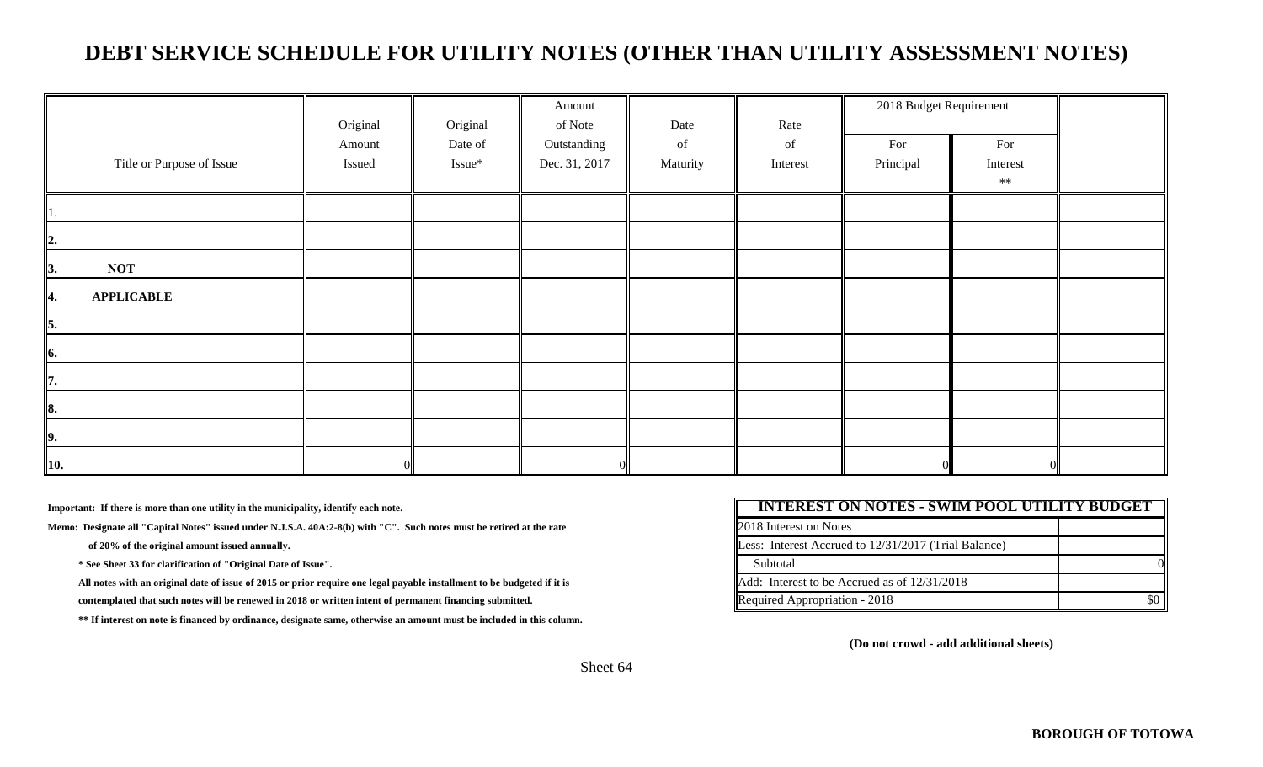## **DEBT SERVICE SCHEDULE FOR UTILITY NOTES (OTHER THAN UTILITY ASSESSMENT NOTES)**

|                           | Original         | Original          | Amount<br>of Note            | Date           | Rate           | 2018 Budget Requirement |                 |  |
|---------------------------|------------------|-------------------|------------------------------|----------------|----------------|-------------------------|-----------------|--|
| Title or Purpose of Issue | Amount<br>Issued | Date of<br>Issue* | Outstanding<br>Dec. 31, 2017 | of<br>Maturity | of<br>Interest | For<br>Principal        | For<br>Interest |  |
|                           |                  |                   |                              |                |                |                         | $**$            |  |
| 41.                       |                  |                   |                              |                |                |                         |                 |  |
| $\mathbf{2}$ .            |                  |                   |                              |                |                |                         |                 |  |
| <b>NOT</b><br>  3.        |                  |                   |                              |                |                |                         |                 |  |
| <b>APPLICABLE</b><br>4.   |                  |                   |                              |                |                |                         |                 |  |
| $\vert$ <sub>5</sub> .    |                  |                   |                              |                |                |                         |                 |  |
| 6.                        |                  |                   |                              |                |                |                         |                 |  |
| $\vert$ 7.                |                  |                   |                              |                |                |                         |                 |  |
| 8.                        |                  |                   |                              |                |                |                         |                 |  |
| $\vert$ 9.                |                  |                   |                              |                |                |                         |                 |  |
| $\vert$ 10.               |                  |                   |                              |                |                |                         |                 |  |

**Important: If there is more than one utility in the municipality, identify each note.**

Memo: Designate all "Capital Notes" issued under N.J.S.A. 40A:2-8(b) with "C". Such notes must be retired at the rate

of 20% of the original amount issued annually.

\* See Sheet 33 for clarification of "Original Date of Issue".

All notes with an original date of issue of 2015 or prior require one legal payable installment to be budgeted if it is

contemplated that such notes will be renewed in 2018 or written intent of permanent financing submitted.

 **\*\* If interest on note is financed by ordinance, designate same, otherwise an amount must be included in this column.**

| <b>INTEREST ON NOTES - SWIM POOL UTILITY BUDGET</b>  |  |  |
|------------------------------------------------------|--|--|
| <b>2018</b> Interest on Notes                        |  |  |
| Less: Interest Accrued to 12/31/2017 (Trial Balance) |  |  |
| Subtotal                                             |  |  |
| Add: Interest to be Accrued as of 12/31/2018         |  |  |
| Required Appropriation - 2018                        |  |  |

**(Do not crowd - add additional sheets)**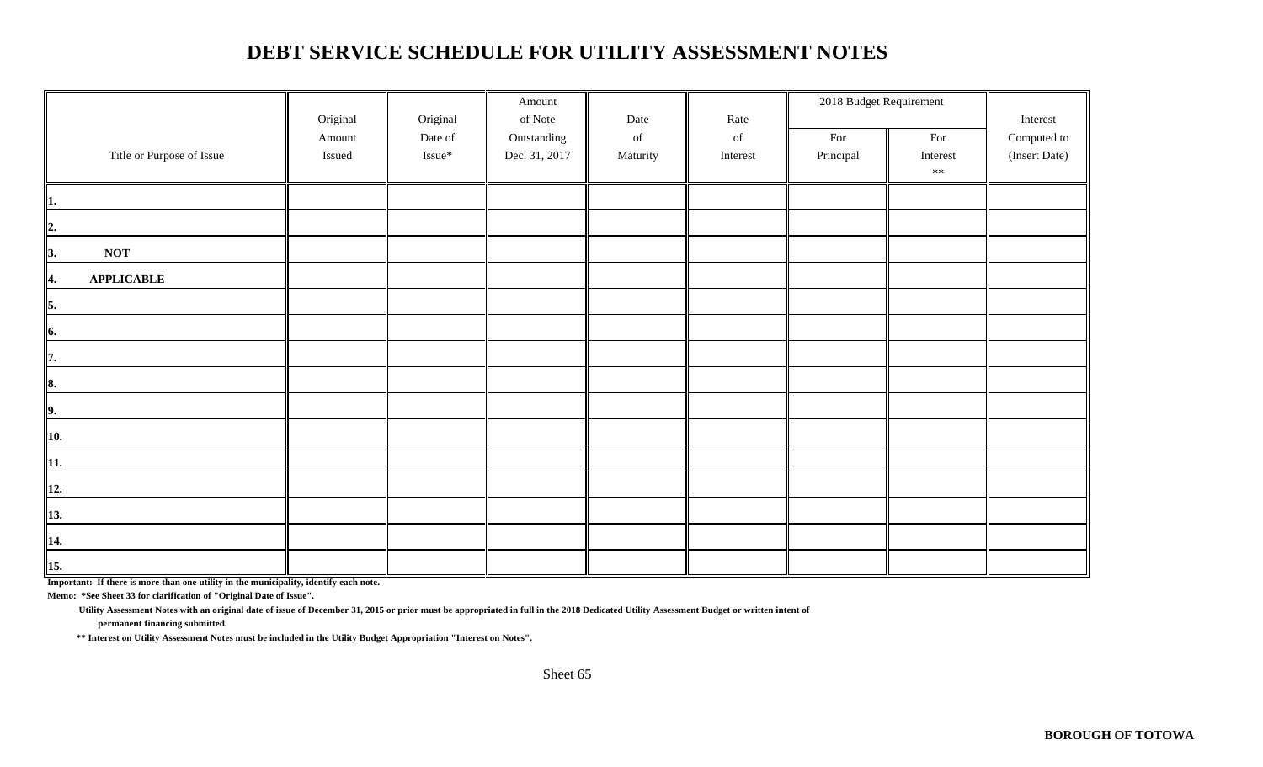## **DEBT SERVICE SCHEDULE FOR UTILITY ASSESSMENT NOTES**

|                           |          |          | Amount        |          |          | 2018 Budget Requirement |            |               |
|---------------------------|----------|----------|---------------|----------|----------|-------------------------|------------|---------------|
|                           | Original | Original | of Note       | Date     | Rate     |                         |            | Interest      |
|                           | Amount   | Date of  | Outstanding   | of       | of       | For                     | For        | Computed to   |
| Title or Purpose of Issue | Issued   | Issue*   | Dec. 31, 2017 | Maturity | Interest | Principal               | Interest   | (Insert Date) |
|                           |          |          |               |          |          |                         | $\ast\ast$ |               |
| 1.                        |          |          |               |          |          |                         |            |               |
| $\overline{2}$ .          |          |          |               |          |          |                         |            |               |
| <b>NOT</b><br>I3.         |          |          |               |          |          |                         |            |               |
| <b>APPLICABLE</b><br>H4.  |          |          |               |          |          |                         |            |               |
| 5.                        |          |          |               |          |          |                         |            |               |
| 6.                        |          |          |               |          |          |                         |            |               |
| 17.                       |          |          |               |          |          |                         |            |               |
| 8.                        |          |          |               |          |          |                         |            |               |
| 9.                        |          |          |               |          |          |                         |            |               |
| 10.                       |          |          |               |          |          |                         |            |               |
| 11.                       |          |          |               |          |          |                         |            |               |
| 12.                       |          |          |               |          |          |                         |            |               |
| 13.                       |          |          |               |          |          |                         |            |               |
| 14.                       |          |          |               |          |          |                         |            |               |
| 15.                       |          |          |               |          |          |                         |            |               |

**Important: If there is more than one utility in the municipality, identify each note.**

**Memo: \*See Sheet 33 for clarification of "Original Date of Issue".**

 **Utility Assessment Notes with an original date of issue of December 31, 2015 or prior must be appropriated in full in the 2018 Dedicated Utility Assessment Budget or written intent of**

 **permanent financing submitted.**

 **\*\* Interest on Utility Assessment Notes must be included in the Utility Budget Appropriation "Interest on Notes".**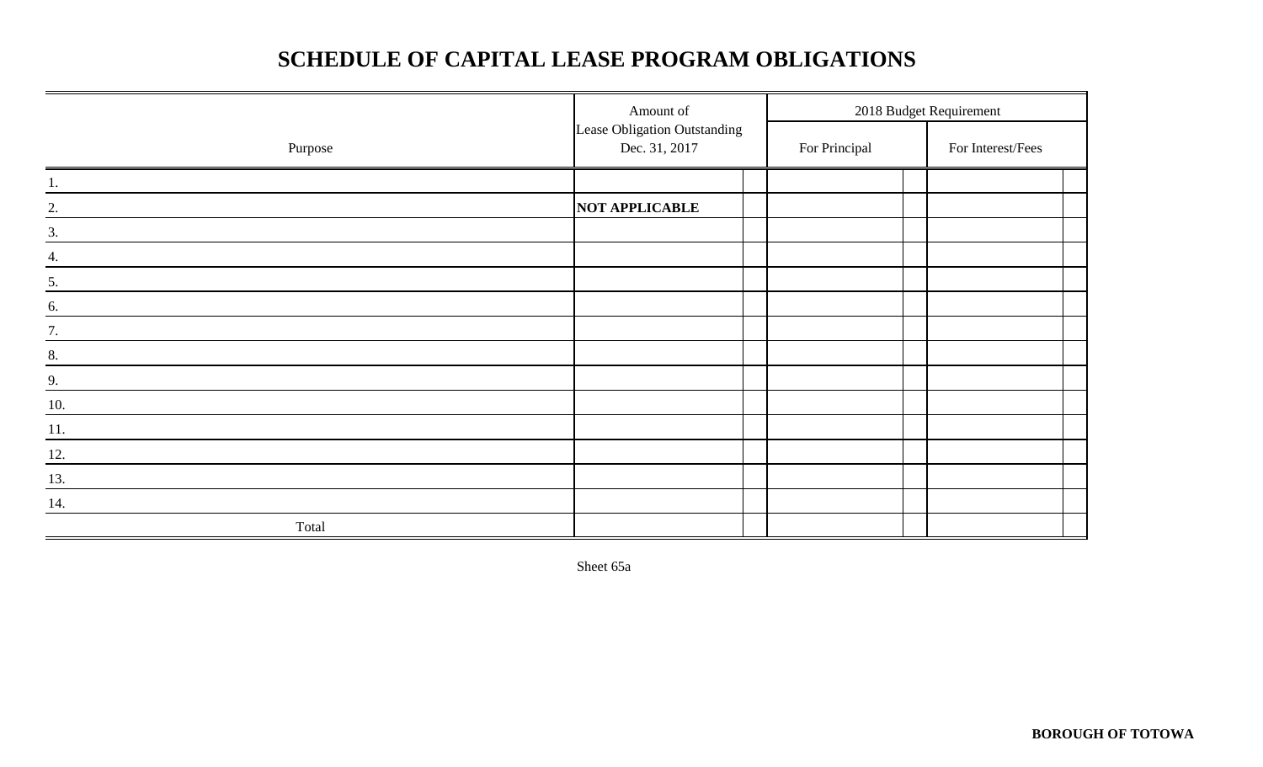# **SCHEDULE OF CAPITAL LEASE PROGRAM OBLIGATIONS**

|                   | Amount of                                     |               | 2018 Budget Requirement |
|-------------------|-----------------------------------------------|---------------|-------------------------|
| Purpose           | Lease Obligation Outstanding<br>Dec. 31, 2017 | For Principal | For Interest/Fees       |
| 1.                |                                               |               |                         |
| $\frac{2}{\cdot}$ | NOT APPLICABLE                                |               |                         |
| $\frac{3}{2}$     |                                               |               |                         |
| 4.                |                                               |               |                         |
| $\frac{5}{1}$     |                                               |               |                         |
| 6.                |                                               |               |                         |
| 7.                |                                               |               |                         |
| 8.                |                                               |               |                         |
| 9.                |                                               |               |                         |
| 10.               |                                               |               |                         |
| 11.               |                                               |               |                         |
| 12.               |                                               |               |                         |
| 13.               |                                               |               |                         |
| 14.               |                                               |               |                         |
| Total             |                                               |               |                         |

Sheet 65a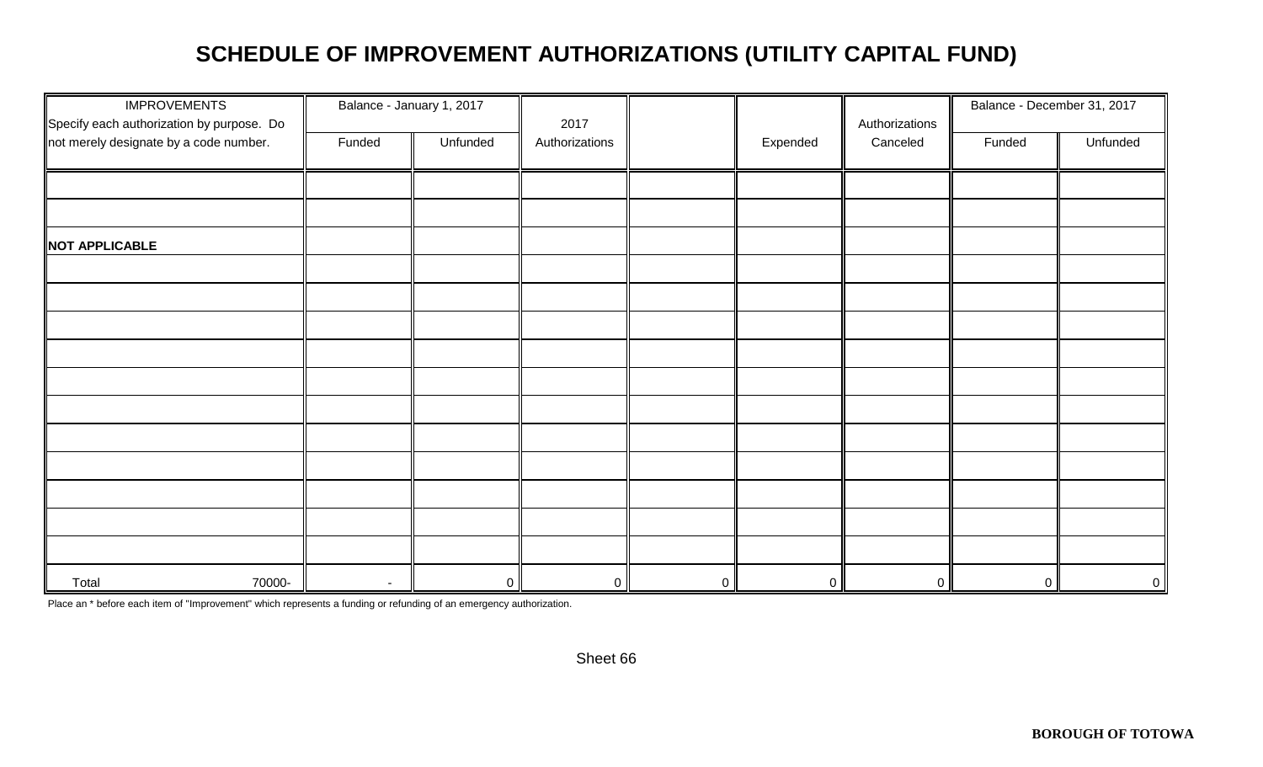# **SCHEDULE OF IMPROVEMENT AUTHORIZATIONS (UTILITY CAPITAL FUND)**

| <b>IMPROVEMENTS</b><br>Specify each authorization by purpose. Do | Balance - January 1, 2017 |                | 2017           |                |                | Authorizations | Balance - December 31, 2017 |          |
|------------------------------------------------------------------|---------------------------|----------------|----------------|----------------|----------------|----------------|-----------------------------|----------|
| not merely designate by a code number.                           | Funded                    | Unfunded       | Authorizations |                | Expended       | Canceled       | Funded                      | Unfunded |
|                                                                  |                           |                |                |                |                |                |                             |          |
|                                                                  |                           |                |                |                |                |                |                             |          |
| NOT APPLICABLE                                                   |                           |                |                |                |                |                |                             |          |
|                                                                  |                           |                |                |                |                |                |                             |          |
|                                                                  |                           |                |                |                |                |                |                             |          |
|                                                                  |                           |                |                |                |                |                |                             |          |
|                                                                  |                           |                |                |                |                |                |                             |          |
|                                                                  |                           |                |                |                |                |                |                             |          |
|                                                                  |                           |                |                |                |                |                |                             |          |
|                                                                  |                           |                |                |                |                |                |                             |          |
|                                                                  |                           |                |                |                |                |                |                             |          |
|                                                                  |                           |                |                |                |                |                |                             |          |
|                                                                  |                           |                |                |                |                |                |                             |          |
|                                                                  |                           |                |                |                |                |                |                             |          |
| Total<br>70000-                                                  | $\sim$                    | $\overline{0}$ | $\mathbf 0$    | $\overline{0}$ | $\overline{0}$ | $\overline{0}$ | $\overline{0}$              | $\circ$  |

Place an \* before each item of "Improvement" which represents a funding or refunding of an emergency authorization.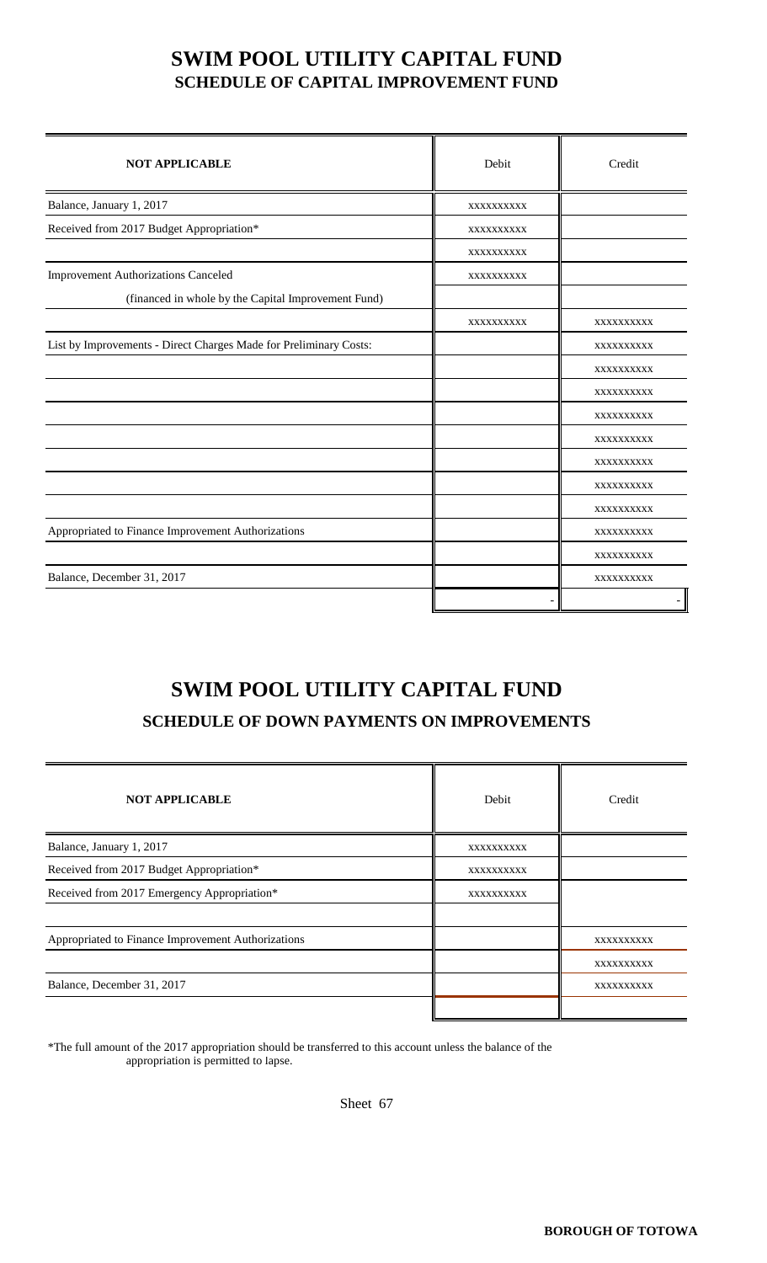## **SWIM POOL UTILITY CAPITAL FUND SCHEDULE OF CAPITAL IMPROVEMENT FUND**

| <b>NOT APPLICABLE</b>                                             | Debit      | Credit     |
|-------------------------------------------------------------------|------------|------------|
| Balance, January 1, 2017                                          | XXXXXXXXXX |            |
| Received from 2017 Budget Appropriation*                          | XXXXXXXXXX |            |
|                                                                   | XXXXXXXXXX |            |
| <b>Improvement Authorizations Canceled</b>                        | XXXXXXXXXX |            |
| (financed in whole by the Capital Improvement Fund)               |            |            |
|                                                                   | XXXXXXXXXX | XXXXXXXXXX |
| List by Improvements - Direct Charges Made for Preliminary Costs: |            | XXXXXXXXXX |
|                                                                   |            | XXXXXXXXXX |
|                                                                   |            | XXXXXXXXXX |
|                                                                   |            | XXXXXXXXXX |
|                                                                   |            | XXXXXXXXXX |
|                                                                   |            | XXXXXXXXXX |
|                                                                   |            | XXXXXXXXXX |
|                                                                   |            | XXXXXXXXXX |
| Appropriated to Finance Improvement Authorizations                |            | XXXXXXXXXX |
|                                                                   |            | XXXXXXXXXX |
| Balance, December 31, 2017                                        |            | XXXXXXXXXX |
|                                                                   |            |            |

# **SWIM POOL UTILITY CAPITAL FUND**

#### **SCHEDULE OF DOWN PAYMENTS ON IMPROVEMENTS**

| <b>NOT APPLICABLE</b>                              | Debit      | Credit     |
|----------------------------------------------------|------------|------------|
| Balance, January 1, 2017                           | XXXXXXXXXX |            |
| Received from 2017 Budget Appropriation*           | XXXXXXXXXX |            |
| Received from 2017 Emergency Appropriation*        | XXXXXXXXXX |            |
|                                                    |            |            |
| Appropriated to Finance Improvement Authorizations |            | XXXXXXXXXX |
|                                                    |            | XXXXXXXXXX |
| Balance, December 31, 2017                         |            | XXXXXXXXXX |
|                                                    |            |            |

\*The full amount of the 2017 appropriation should be transferred to this account unless the balance of the appropriation is permitted to lapse.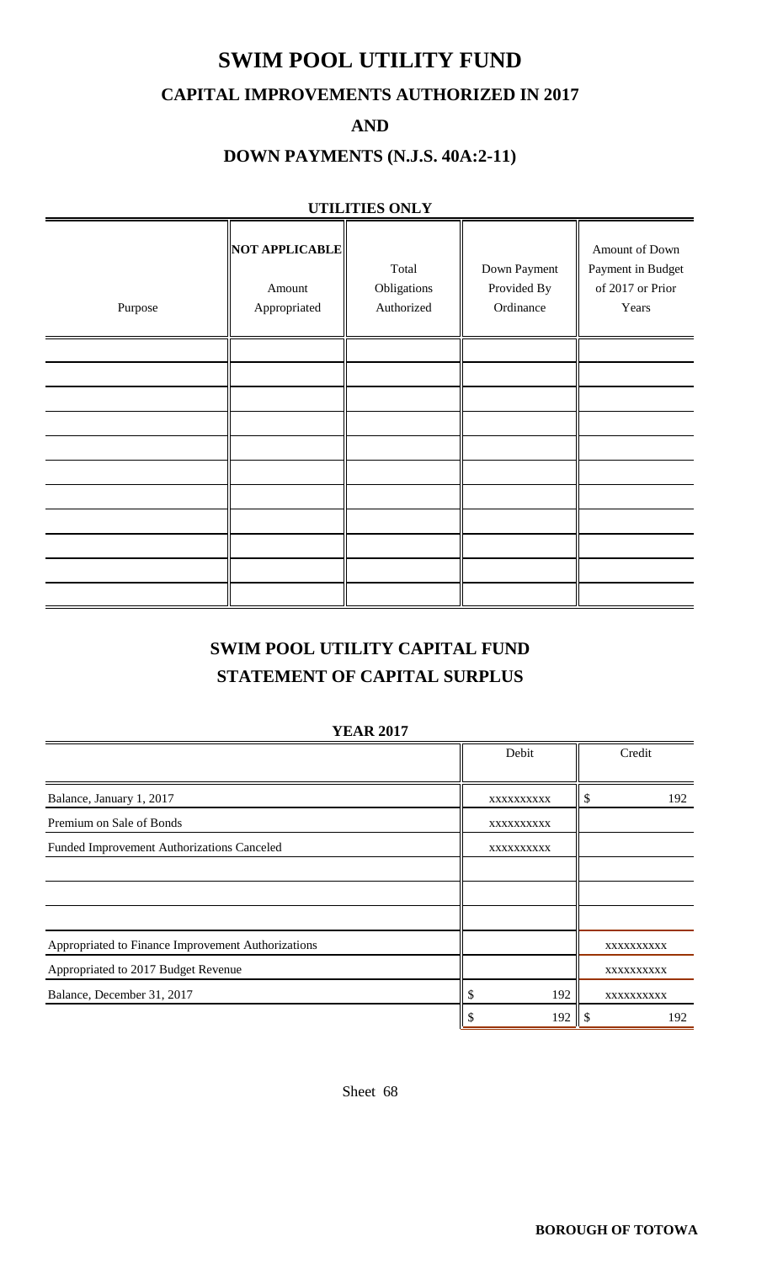## **SWIM POOL UTILITY FUND**

#### **CAPITAL IMPROVEMENTS AUTHORIZED IN 2017**

**AND**

### **DOWN PAYMENTS (N.J.S. 40A:2-11)**

#### **UTILITIES ONLY**

| Purpose | NOT APPLICABLE<br>Amount<br>Appropriated | Total<br>Obligations<br>Authorized | Down Payment<br>Provided By<br>Ordinance | Amount of Down<br>Payment in Budget<br>of 2017 or Prior<br>Years |
|---------|------------------------------------------|------------------------------------|------------------------------------------|------------------------------------------------------------------|
|         |                                          |                                    |                                          |                                                                  |
|         |                                          |                                    |                                          |                                                                  |
|         |                                          |                                    |                                          |                                                                  |
|         |                                          |                                    |                                          |                                                                  |
|         |                                          |                                    |                                          |                                                                  |
|         |                                          |                                    |                                          |                                                                  |
|         |                                          |                                    |                                          |                                                                  |
|         |                                          |                                    |                                          |                                                                  |

## **SWIM POOL UTILITY CAPITAL FUND STATEMENT OF CAPITAL SURPLUS**

#### **YEAR 2017**

|                                                    | Debit      | Credit     |
|----------------------------------------------------|------------|------------|
|                                                    |            |            |
| Balance, January 1, 2017                           | XXXXXXXXXX | 192<br>S   |
| Premium on Sale of Bonds                           | XXXXXXXXXX |            |
| Funded Improvement Authorizations Canceled         | XXXXXXXXXX |            |
|                                                    |            |            |
|                                                    |            |            |
|                                                    |            |            |
| Appropriated to Finance Improvement Authorizations |            | XXXXXXXXX  |
| Appropriated to 2017 Budget Revenue                |            | XXXXXXXXX  |
| Balance, December 31, 2017                         | 192<br>J   | XXXXXXXXXX |
|                                                    | 192        | 192        |